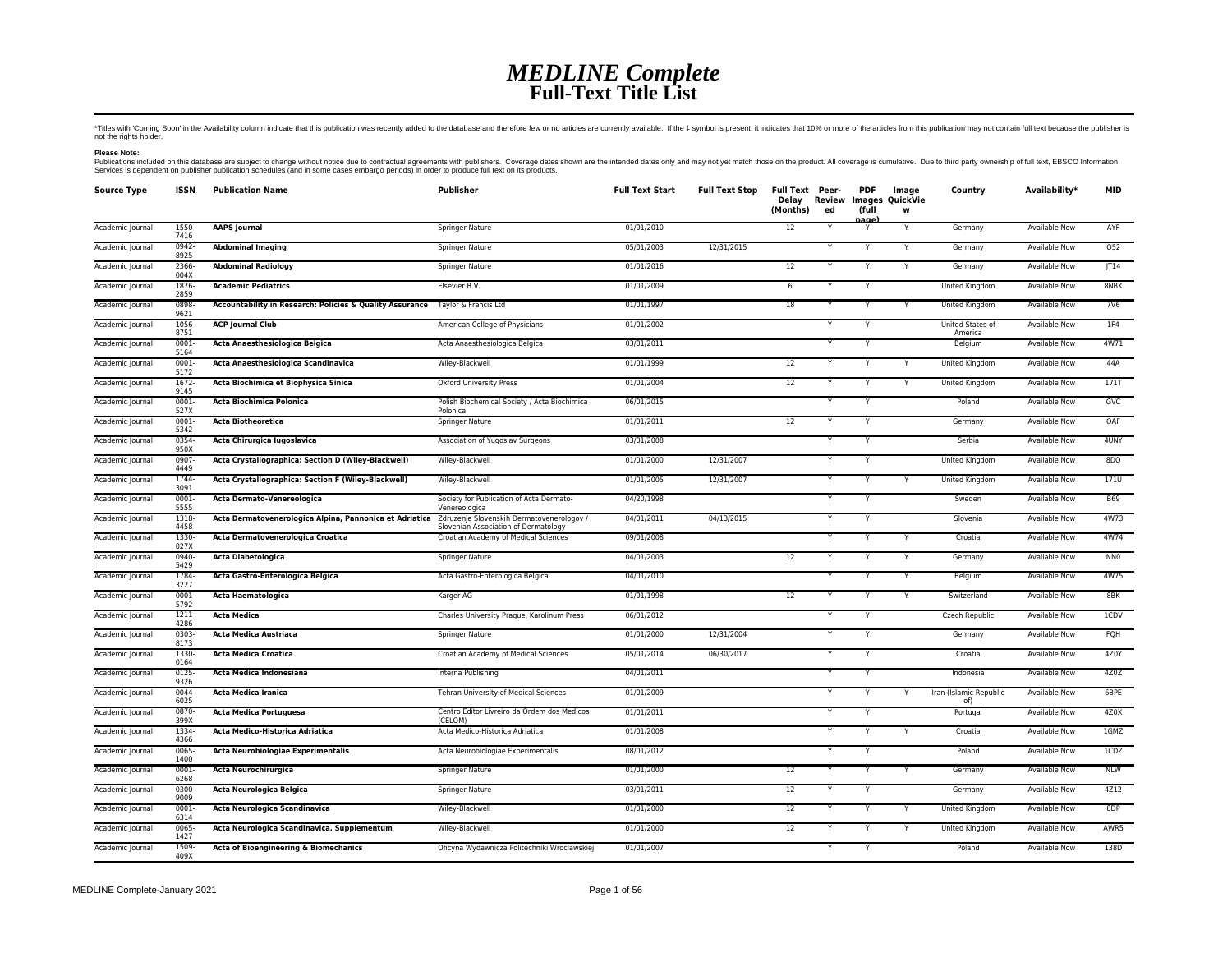## *MEDLINE Complete* **Full-Text Title List**

\*Titles with "Coming Soon' in the Availability column indicate that this publication was recently added to the database and therefore few or no articles are currently available. If the ‡ symbol is present, it indicates tha

**Please Note:**<br>Publications included on this database are subject to change without notice due to contractual agreements with publishers. Coverage dates shown are the intended dates only and may not yet match those on the

| <b>Source Type</b> | <b>ISSN</b>      | <b>Publication Name</b>                                                       | <b>Publisher</b>                                                                  | <b>Full Text Start</b> | <b>Full Text Stop</b> | Full Text Peer-<br>Delay<br>(Months) | Review<br>ed | <b>PDF</b><br>(full<br>nage | Image<br><b>Images QuickVie</b><br>w | Country                       | Availability*        | <b>MID</b>      |
|--------------------|------------------|-------------------------------------------------------------------------------|-----------------------------------------------------------------------------------|------------------------|-----------------------|--------------------------------------|--------------|-----------------------------|--------------------------------------|-------------------------------|----------------------|-----------------|
| Academic Journal   | 1550-<br>7416    | <b>AAPS Journal</b>                                                           | Springer Nature                                                                   | 01/01/2010             |                       | 12                                   | Y            |                             | Y                                    | Germany                       | <b>Available Now</b> | AYF             |
| Academic Journal   | 0942-<br>8925    | <b>Abdominal Imaging</b>                                                      | Springer Nature                                                                   | 05/01/2003             | 12/31/2015            |                                      |              |                             | Y                                    | Germany                       | Available Now        | 052             |
| Academic Journal   | 2366-<br>004X    | <b>Abdominal Radiology</b>                                                    | Springer Nature                                                                   | 01/01/2016             |                       | 12                                   | Y            | Y                           | Y                                    | Germany                       | Available Now        | T14             |
| Academic Journal   | 1876-<br>2859    | <b>Academic Pediatrics</b>                                                    | Elsevier B.V.                                                                     | 01/01/2009             |                       | $\,$ 6 $\,$                          | Y            | $\mathsf{v}$                |                                      | United Kingdom                | Available Now        | 8NBK            |
| Academic Journal   | 0898<br>9621     | Accountability in Research: Policies & Quality Assurance Taylor & Francis Ltd |                                                                                   | 01/01/1997             |                       | 18                                   |              | Y                           | Y                                    | United Kingdom                | Available Now        | <b>7V6</b>      |
| Academic Journal   | 1056<br>8751     | <b>ACP Journal Club</b>                                                       | American College of Physicians                                                    | 01/01/2002             |                       |                                      | Y            | Y                           |                                      | United States of<br>America   | Available Now        | 1F4             |
| Academic Journal   | $0001 -$<br>5164 | Acta Anaesthesiologica Belgica                                                | Acta Anaesthesiologica Belgica                                                    | 03/01/2011             |                       |                                      | Y            |                             |                                      | Belgium                       | <b>Available Now</b> | 4W71            |
| Academic Journal   | 0001<br>5172     | Acta Anaesthesiologica Scandinavica                                           | Wiley-Blackwell                                                                   | 01/01/1999             |                       | 12                                   | Y            | Y                           | Y                                    | United Kingdom                | Available Now        | 44A             |
| Academic Journal   | 1672<br>9145     | Acta Biochimica et Biophysica Sinica                                          | Oxford University Press                                                           | 01/01/2004             |                       | 12                                   |              |                             | Y                                    | United Kingdom                | Available Now        | <b>171T</b>     |
| Academic Journal   | 0001<br>527X     | Acta Biochimica Polonica                                                      | Polish Biochemical Society / Acta Biochimica<br>Polonica                          | 06/01/2015             |                       |                                      | Y            | Y                           |                                      | Poland                        | Available Now        | GVC             |
| Academic Journal   | 0001<br>5342     | <b>Acta Biotheoretica</b>                                                     | Springer Nature                                                                   | 01/01/2011             |                       | 12                                   |              |                             |                                      | Germany                       | Available Now        | OAF             |
| Academic Journal   | 0354-<br>950X    | Acta Chirurgica Iugoslavica                                                   | Association of Yugoslav Surgeons                                                  | 03/01/2008             |                       |                                      |              |                             |                                      | Serbia                        | Available Now        | 4UNY            |
| Academic Journal   | 0907-<br>4449    | Acta Crystallographica: Section D (Wiley-Blackwell)                           | Wiley-Blackwell                                                                   | 01/01/2000             | 12/31/2007            |                                      | Y            | Υ                           |                                      | United Kingdom                | <b>Available Now</b> | 8DO             |
| Academic Journal   | 1744-<br>3091    | Acta Crystallographica: Section F (Wiley-Blackwell)                           | Wiley-Blackwell                                                                   | 01/01/2005             | 12/31/2007            |                                      | Y            | Y                           | Y                                    | United Kingdom                | Available Now        | 171U            |
| Academic Journal   | $0001 -$<br>5555 | Acta Dermato-Venereologica                                                    | Society for Publication of Acta Dermato-<br>Venereologica                         | 04/20/1998             |                       |                                      | Y            | Y                           |                                      | Sweden                        | Available Now        | <b>B69</b>      |
| Academic Journal   | 1318<br>4458     | Acta Dermatovenerologica Alpina, Pannonica et Adriatica                       | Zdruzenje Slovenskih Dermatovenerologov /<br>Slovenian Association of Dermatology | 04/01/2011             | 04/13/2015            |                                      |              |                             |                                      | Slovenia                      | Available Now        | 4W73            |
| Academic Journal   | 1330-<br>027X    | Acta Dermatovenerologica Croatica                                             | Croatian Academy of Medical Sciences                                              | 09/01/2008             |                       |                                      |              |                             |                                      | Croatia                       | Available Now        | 4W74            |
| Academic Journal   | 0940-<br>5429    | <b>Acta Diabetologica</b>                                                     | Springer Nature                                                                   | 04/01/2003             |                       | 12                                   |              |                             | Υ                                    | Germany                       | <b>Available Now</b> | NN <sub>0</sub> |
| Academic Journal   | 1784<br>3227     | Acta Gastro-Enterologica Belgica                                              | Acta Gastro-Enterologica Belgica                                                  | 04/01/2010             |                       |                                      | Y            |                             | Y                                    | Belgium                       | <b>Available Now</b> | 4W75            |
| Academic Journal   | 0001<br>5792     | Acta Haematologica                                                            | Karger AG                                                                         | 01/01/1998             |                       | 12                                   | Y            | Y                           | Y                                    | Switzerland                   | <b>Available Now</b> | 8BK             |
| Academic Journal   | $1211 -$<br>4286 | <b>Acta Medica</b>                                                            | Charles University Prague, Karolinum Press                                        | 06/01/2012             |                       |                                      |              | Y                           |                                      | Czech Republic                | Available Now        | 1CDV            |
| Academic Journal   | 0303<br>8173     | Acta Medica Austriaca                                                         | Springer Nature                                                                   | 01/01/2000             | 12/31/2004            |                                      | Y            | Y                           |                                      | Germany                       | Available Now        | FQH             |
| Academic Journal   | 1330<br>0164     | <b>Acta Medica Croatica</b>                                                   | Croatian Academy of Medical Sciences                                              | 05/01/2014             | 06/30/2017            |                                      |              |                             |                                      | Croatia                       | Available Now        | 4Z0Y            |
| Academic Journal   | 0125<br>9326     | <b>Acta Medica Indonesiana</b>                                                | Interna Publishing                                                                | 04/01/2011             |                       |                                      | Y            | Y                           |                                      | Indonesia                     | Available Now        | 4Z0Z            |
| Academic Journal   | 0044<br>6025     | <b>Acta Medica Iranica</b>                                                    | Tehran University of Medical Sciences                                             | 01/01/2009             |                       |                                      | Y            | Y                           | Υ                                    | Iran (Islamic Republic<br>of) | <b>Available Now</b> | 6BPE            |
| Academic Journal   | 0870-<br>399X    | Acta Medica Portuguesa                                                        | Centro Editor Livreiro da Ordem dos Medicos<br>(CELOM)                            | 01/01/2011             |                       |                                      | Y            |                             |                                      | Portugal                      | <b>Available Now</b> | 4Z0X            |
| Academic Journal   | 1334-<br>4366    | Acta Medico-Historica Adriatica                                               | Acta Medico-Historica Adriatica                                                   | 01/01/2008             |                       |                                      | Y            | Y                           | Y                                    | Croatia                       | <b>Available Now</b> | 1GMZ            |
| Academic Journal   | 0065-<br>1400    | <b>Acta Neurobiologiae Experimentalis</b>                                     | Acta Neurobiologiae Experimentalis                                                | 08/01/2012             |                       |                                      | Y            | Y                           |                                      | Poland                        | <b>Available Now</b> | ICDZ            |
| Academic Journal   | 0001-<br>6268    | Acta Neurochirurgica                                                          | Springer Nature                                                                   | 01/01/2000             |                       | $12 \overline{ }$                    | Y            | Y                           | Y                                    | Germany                       | Available Now        | <b>NLW</b>      |
| Academic Journal   | 0300<br>9009     | Acta Neurologica Belgica                                                      | Springer Nature                                                                   | 03/01/2011             |                       | 12                                   | Y            | Y                           |                                      | Germany                       | Available Now        | 4Z12            |
| Academic Journal   | 0001-<br>6314    | Acta Neurologica Scandinavica                                                 | Wiley-Blackwell                                                                   | 01/01/2000             |                       | $12 \overline{ }$                    |              |                             |                                      | United Kingdom                | <b>Available Now</b> | 8DP             |
| Academic Journal   | 0065<br>1427     | Acta Neurologica Scandinavica. Supplementum                                   | Wiley-Blackwell                                                                   | 01/01/2000             |                       | 12                                   |              |                             | Y                                    | United Kingdom                | Available Now        | AWR5            |
| Academic Journal   | 1509<br>409X     | Acta of Bioengineering & Biomechanics                                         | Oficyna Wydawnicza Politechniki Wroclawskiej                                      | 01/01/2007             |                       |                                      |              |                             |                                      | Poland                        | Available Now        | 138D            |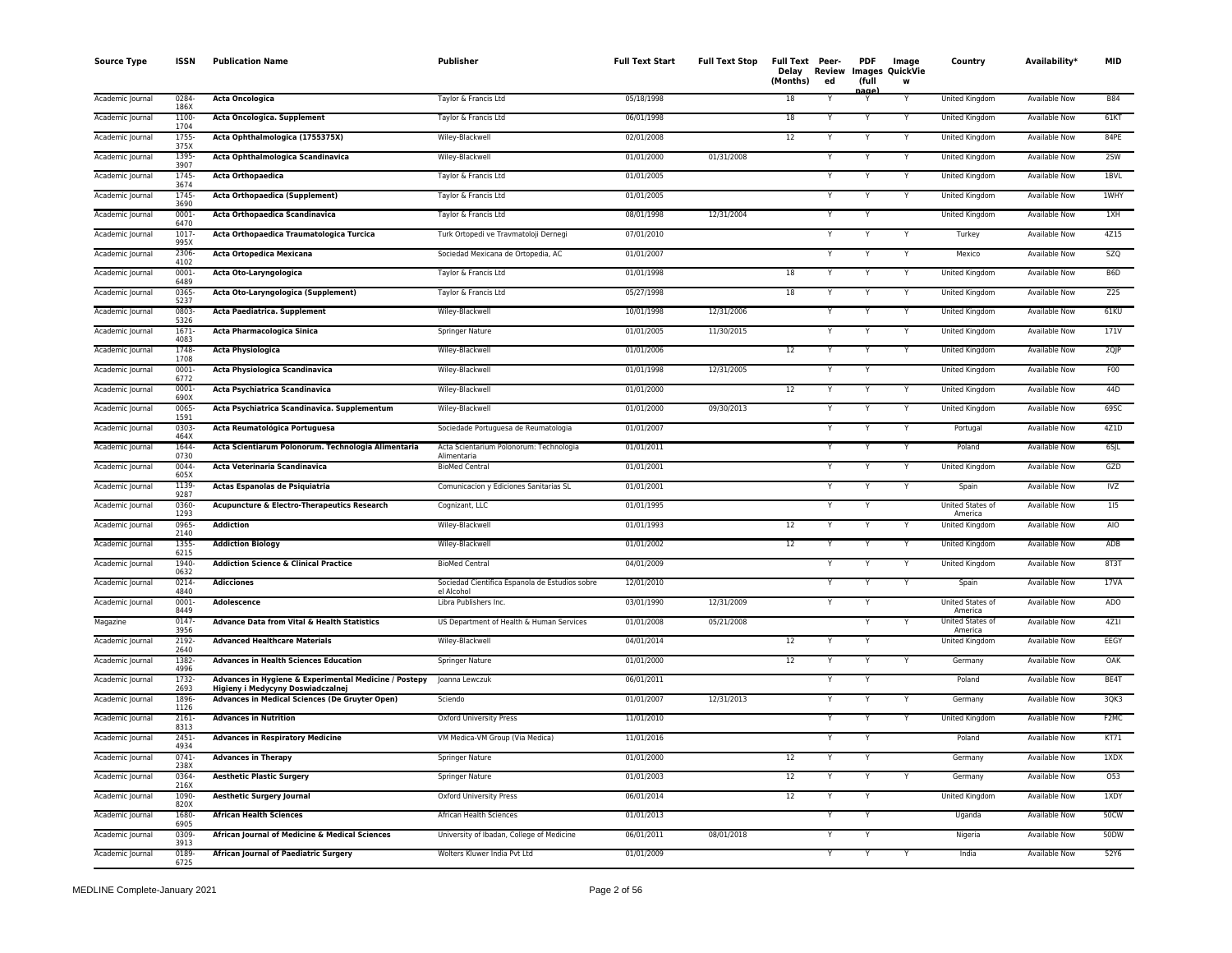| <b>Source Type</b> | <b>ISSN</b>              | <b>Publication Name</b>                                                                    | Publisher                                                    | <b>Full Text Start</b> | <b>Full Text Stop</b> | Full Text Peer-<br>Delay<br>(Months) | Review<br>ed | <b>PDF</b><br>(full<br>aane | Image<br><b>Images QuickVie</b><br>W | Country                     | Availability*        | <b>MID</b>     |
|--------------------|--------------------------|--------------------------------------------------------------------------------------------|--------------------------------------------------------------|------------------------|-----------------------|--------------------------------------|--------------|-----------------------------|--------------------------------------|-----------------------------|----------------------|----------------|
| Academic Journal   | 0284<br>186X             | <b>Acta Oncologica</b>                                                                     | Taylor & Francis Ltd                                         | 05/18/1998             |                       | 18                                   |              |                             |                                      | United Kingdom              | <b>Available Now</b> | <b>B84</b>     |
| Academic Journal   | 1100-<br>1704            | Acta Oncologica. Supplement                                                                | Taylor & Francis Ltd                                         | 06/01/1998             |                       | 18                                   |              | Y                           |                                      | United Kingdom              | <b>Available Now</b> | 61KT           |
| Academic Journal   | 1755-<br>375X            | Acta Ophthalmologica (1755375X)                                                            | Wiley-Blackwell                                              | 02/01/2008             |                       | 12                                   |              | Y                           | Y                                    | United Kingdom              | <b>Available Now</b> | 84PE           |
| Academic Journal   | 1395-<br>3907            | Acta Ophthalmologica Scandinavica                                                          | Wiley-Blackwell                                              | 01/01/2000             | 01/31/2008            |                                      |              | Y                           | Y                                    | United Kingdom              | <b>Available Now</b> | 2SW            |
| Academic Journal   | 1745-<br>3674            | Acta Orthopaedica                                                                          | Taylor & Francis Ltd                                         | 01/01/2005             |                       |                                      |              | Y                           | Y                                    | United Kingdom              | Available Now        | 1BVL           |
| Academic Journal   | 1745<br>3690             | Acta Orthopaedica (Supplement)                                                             | Taylor & Francis Ltd                                         | 01/01/2005             |                       |                                      |              | Y                           | Y                                    | United Kingdom              | Available Now        | 1WHY           |
| Academic Journal   | 0001                     | Acta Orthopaedica Scandinavica                                                             | Taylor & Francis Ltd                                         | 08/01/1998             | 12/31/2004            |                                      |              |                             |                                      | United Kingdom              | <b>Available Now</b> | 1XH            |
| Academic Journal   | 6470<br>$1017 -$<br>995X | Acta Orthopaedica Traumatologica Turcica                                                   | Turk Ortopedi ve Travmatoloji Dernegi                        | 07/01/2010             |                       |                                      |              |                             |                                      | Turkey                      | <b>Available Now</b> | 4Z15           |
| Academic Journal   | 2306<br>4102             | Acta Ortopedica Mexicana                                                                   | Sociedad Mexicana de Ortopedia, AC                           | 01/01/2007             |                       |                                      |              |                             |                                      | Mexico                      | <b>Available Now</b> | <b>SZQ</b>     |
| Academic Journal   | $0001 -$<br>6489         | Acta Oto-Laryngologica                                                                     | Taylor & Francis Ltd                                         | 01/01/1998             |                       | $18\,$                               |              | Y                           | Y                                    | United Kingdom              | <b>Available Now</b> | B6D            |
| Academic Journal   | 0365                     | Acta Oto-Laryngologica (Supplement)                                                        | Taylor & Francis Ltd                                         | 05/27/1998             |                       | 18                                   |              | Y                           | Y                                    | United Kingdom              | <b>Available Now</b> | Z25            |
| Academic Journal   | 5237<br>0803-<br>5326    | Acta Paediatrica. Supplement                                                               | Wiley-Blackwell                                              | 10/01/1998             | 12/31/2006            |                                      |              |                             |                                      | United Kingdom              | <b>Available Now</b> | 61KU           |
| Academic Journal   | 1671-<br>4083            | Acta Pharmacologica Sinica                                                                 | Springer Nature                                              | 01/01/2005             | 11/30/2015            |                                      |              |                             | Y                                    | United Kingdom              | <b>Available Now</b> | 171V           |
| Academic Journal   | 1748-<br>1708            | <b>Acta Physiologica</b>                                                                   | Wiley-Blackwell                                              | 01/01/2006             |                       | 12                                   |              |                             |                                      | United Kingdom              | Available Now        | 2QJP           |
| Academic Journal   | 0001-<br>6772            | Acta Physiologica Scandinavica                                                             | Wiley-Blackwell                                              | 01/01/1998             | 12/31/2005            |                                      |              | Y                           |                                      | United Kingdom              | Available Now        | F <sub>0</sub> |
| Academic Journal   | 0001-<br>690X            | Acta Psychiatrica Scandinavica                                                             | Wiley-Blackwell                                              | 01/01/2000             |                       | 12                                   |              |                             |                                      | United Kingdom              | Available Now        | 44D            |
| Academic Journal   | 0065-<br>1591            | Acta Psychiatrica Scandinavica. Supplementum                                               | Wiley-Blackwell                                              | 01/01/2000             | 09/30/2013            |                                      |              | Y                           |                                      | <b>United Kingdom</b>       | <b>Available Now</b> | 69SC           |
| Academic Journal   | $0303 -$<br>464X         | Acta Reumatológica Portuguesa                                                              | Sociedade Portuguesa de Reumatologia                         | 01/01/2007             |                       |                                      |              | Y                           | Y                                    | Portugal                    | <b>Available Now</b> | 4Z1D           |
| Academic Journal   | 1644<br>0730             | Acta Scientiarum Polonorum. Technologia Alimentaria                                        | Acta Scientarium Polonorum: Technologia<br>Alimentaria       | 01/01/2011             |                       |                                      |              | Y                           | Y                                    | Poland                      | Available Now        | 6SJL           |
| Academic Journal   | 0044<br>605X             | Acta Veterinaria Scandinavica                                                              | <b>BioMed Central</b>                                        | 01/01/2001             |                       |                                      |              | Y                           |                                      | United Kingdom              | Available Now        | GZD            |
| Academic Journal   | 1139<br>9287             | Actas Espanolas de Psiquiatria                                                             | Comunicacion y Ediciones Sanitarias SL                       | 01/01/2001             |                       |                                      |              |                             | Y                                    | Spain                       | <b>Available Now</b> | IVZ            |
| Academic Journal   | 0360-<br>1293            | <b>Acupuncture &amp; Electro-Therapeutics Research</b>                                     | Cognizant, LLC                                               | 01/01/1995             |                       |                                      |              |                             |                                      | United States of<br>America | Available Now        | 115            |
| Academic Journal   | 0965-<br>2140            | <b>Addiction</b>                                                                           | Wiley-Blackwell                                              | 01/01/1993             |                       | 12                                   |              |                             |                                      | United Kingdom              | <b>Available Now</b> | AIO            |
| Academic Journal   | 1355<br>6215             | <b>Addiction Biology</b>                                                                   | Wiley-Blackwell                                              | 01/01/2002             |                       | 12                                   |              |                             |                                      | United Kingdom              | <b>Available Now</b> | ADB            |
| Academic Journal   | 1940-<br>0632            | <b>Addiction Science &amp; Clinical Practice</b>                                           | <b>BioMed Central</b>                                        | 04/01/2009             |                       |                                      |              | Y                           | Y                                    | United Kingdom              | <b>Available Now</b> | 8T3T           |
| Academic Journal   | $0214 -$<br>4840         | <b>Adicciones</b>                                                                          | Sociedad Cientifica Espanola de Estudios sobre<br>el Alcohol | 12/01/2010             |                       |                                      |              | Y                           | Y                                    | Spain                       | <b>Available Now</b> | 17VA           |
| Academic Journal   | 0001<br>8449             | Adolescence                                                                                | Libra Publishers Inc.                                        | 03/01/1990             | 12/31/2009            |                                      |              | Y                           |                                      | United States of<br>America | Available Now        | ADO            |
| Magazine           | $0147 -$<br>3956         | Advance Data from Vital & Health Statistics                                                | US Department of Health & Human Services                     | 01/01/2008             | 05/21/2008            |                                      |              |                             |                                      | United States of<br>America | Available Now        | 4Z11           |
| Academic Journal   | 2192-<br>2640            | <b>Advanced Healthcare Materials</b>                                                       | Wiley-Blackwell                                              | 04/01/2014             |                       | 12                                   |              | Y                           |                                      | United Kingdom              | Available Now        | EEGY           |
| Academic Journal   | 1382-<br>4996            | <b>Advances in Health Sciences Education</b>                                               | Springer Nature                                              | 01/01/2000             |                       | 12                                   |              |                             |                                      | Germany                     | <b>Available Now</b> | OAK            |
| Academic Journal   | 1732-<br>2693            | Advances in Hygiene & Experimental Medicine / Postepy<br>Higieny i Medycyny Doswiadczalnej | Joanna Lewczuk                                               | 06/01/2011             |                       |                                      |              | Y                           |                                      | Poland                      | <b>Available Now</b> | BE4T           |
| Academic Journal   | 1896-<br>1126            | Advances in Medical Sciences (De Gruyter Open)                                             | Sciendo                                                      | 01/01/2007             | 12/31/2013            |                                      |              | Y                           |                                      | Germany                     | <b>Available Now</b> | 3QK3           |
| Academic Journal   | $2161 -$<br>8313         | <b>Advances in Nutrition</b>                                                               | <b>Oxford University Press</b>                               | 11/01/2010             |                       |                                      |              | Y                           |                                      | United Kingdom              | <b>Available Now</b> | F2MC           |
| Academic Journal   | 2451-<br>4934            | <b>Advances in Respiratory Medicine</b>                                                    | VM Medica-VM Group (Via Medica)                              | 11/01/2016             |                       |                                      |              | Y                           |                                      | Poland                      | <b>Available Now</b> | KT1            |
| Academic Journal   | 0741<br>238X             | <b>Advances in Therapy</b>                                                                 | Springer Nature                                              | 01/01/2000             |                       | 12                                   |              | Y                           |                                      | Germany                     | <b>Available Now</b> | 1XDX           |
| Academic Journal   | 0364-<br>216X            | <b>Aesthetic Plastic Surgery</b>                                                           | Springer Nature                                              | 01/01/2003             |                       | 12                                   |              | Y                           |                                      | Germany                     | Available Now        | 053            |
| Academic Journal   | 1090-<br>820X            | <b>Aesthetic Surgery Journal</b>                                                           | <b>Oxford University Press</b>                               | 06/01/2014             |                       | 12                                   |              |                             |                                      | United Kingdom              | Available Now        | 1XDY           |
| Academic Journal   | 1680<br>6905             | <b>African Health Sciences</b>                                                             | African Health Sciences                                      | 01/01/2013             |                       |                                      |              |                             |                                      | Uganda                      | <b>Available Now</b> | 50CW           |
| Academic Journal   | 0309<br>3913             | African Journal of Medicine & Medical Sciences                                             | University of Ibadan, College of Medicine                    | 06/01/2011             | 08/01/2018            |                                      |              |                             |                                      | Nigeria                     | Available Now        | <b>50DW</b>    |
| Academic Journal   | 0189<br>6725             | <b>African Journal of Paediatric Surgery</b>                                               | Wolters Kluwer India Pvt Ltd                                 | 01/01/2009             |                       |                                      |              | Y                           |                                      | India                       | <b>Available Now</b> | 52Y6           |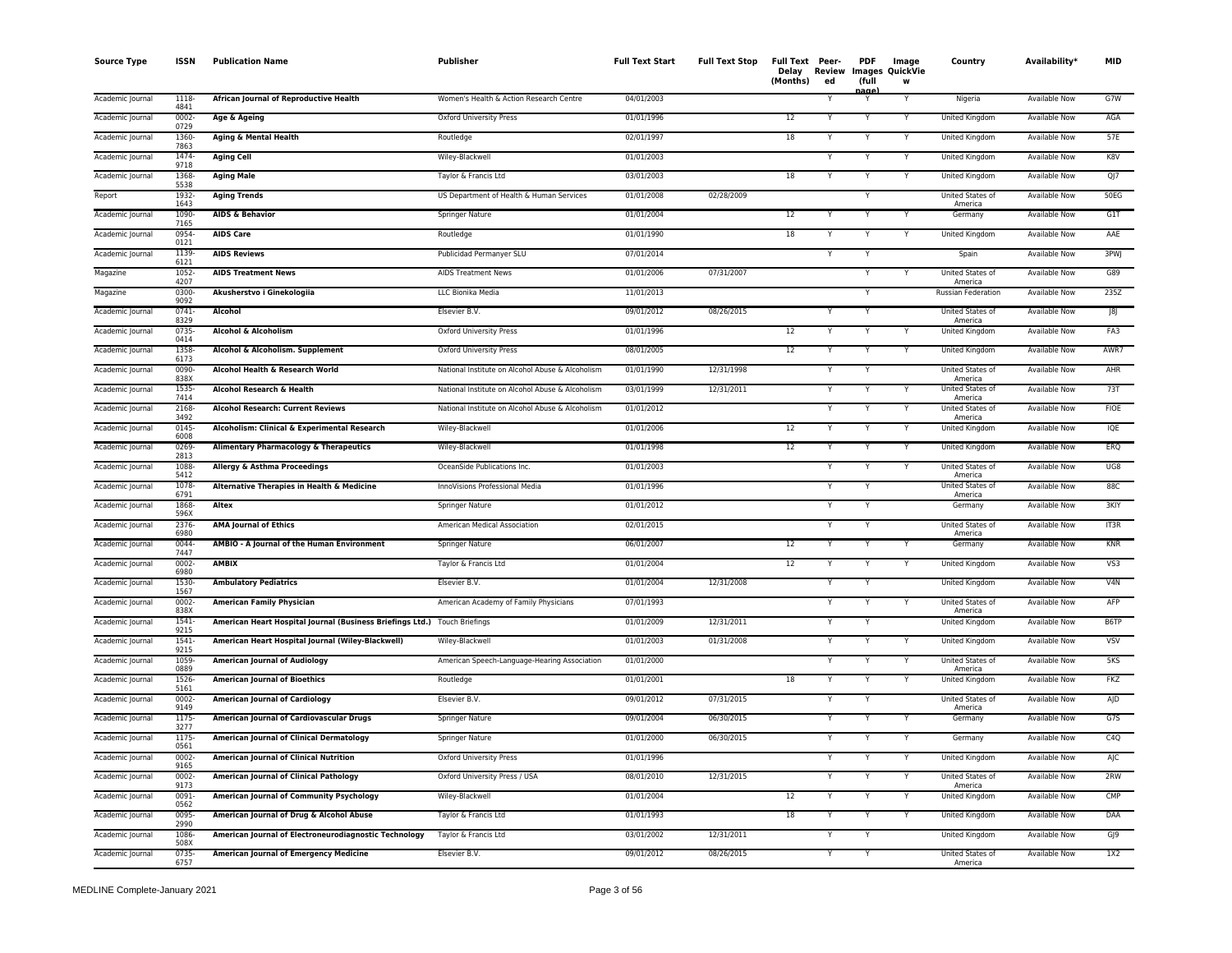| <b>Source Type</b> | <b>ISSN</b>      | <b>Publication Name</b>                                                   | Publisher                                        | <b>Full Text Start</b> | <b>Full Text Stop</b> | Full Text Peer-<br>Delay<br>(Months) | Review<br>ed | <b>PDF</b><br>(full<br>aane | Image<br>Images QuickVie<br>w | Country                            | Availability*        | <b>MID</b>  |
|--------------------|------------------|---------------------------------------------------------------------------|--------------------------------------------------|------------------------|-----------------------|--------------------------------------|--------------|-----------------------------|-------------------------------|------------------------------------|----------------------|-------------|
| Academic Journal   | 1118<br>4841     | African Journal of Reproductive Health                                    | Women's Health & Action Research Centre          | 04/01/2003             |                       |                                      |              |                             |                               | Nigeria                            | <b>Available Now</b> | G7W         |
| Academic Journal   | $0002 -$<br>0729 | Age & Ageing                                                              | <b>Oxford University Press</b>                   | 01/01/1996             |                       | 12                                   |              | Y                           |                               | <b>United Kingdom</b>              | <b>Available Now</b> | AGA         |
| Academic Journal   | 1360-<br>7863    | Aging & Mental Health                                                     | Routledge                                        | 02/01/1997             |                       | 18                                   |              | Y                           |                               | United Kingdom                     | <b>Available Now</b> | 57E         |
| Academic Journal   | 1474<br>9718     | <b>Aging Cell</b>                                                         | Wiley-Blackwell                                  | 01/01/2003             |                       |                                      |              | Y                           | Y                             | United Kingdom                     | <b>Available Now</b> | K8V         |
| Academic Journal   | 1368-<br>5538    | <b>Aging Male</b>                                                         | Taylor & Francis Ltd                             | 03/01/2003             |                       | 18                                   |              | Y                           | Y                             | United Kingdom                     | Available Now        | QJ          |
| Report             | 1932<br>1643     | <b>Aging Trends</b>                                                       | US Department of Health & Human Services         | 01/01/2008             | 02/28/2009            |                                      |              | Y                           |                               | United States of<br>America        | Available Now        | 50EG        |
| Academic Journal   | 1090-<br>7165    | <b>AIDS &amp; Behavior</b>                                                | Springer Nature                                  | 01/01/2004             |                       | 12                                   |              |                             |                               | Germany                            | Available Now        | G1T         |
| Academic Journal   | 0954<br>0121     | <b>AIDS Care</b>                                                          | Routledge                                        | 01/01/1990             |                       | 18                                   |              |                             |                               | <b>United Kingdom</b>              | <b>Available Now</b> | AAE         |
| Academic Journal   | 1139<br>6121     | <b>AIDS Reviews</b>                                                       | Publicidad Permanyer SLU                         | 07/01/2014             |                       |                                      |              |                             |                               | Spain                              | <b>Available Now</b> | 3PWJ        |
| Magazine           | 1052<br>4207     | <b>AIDS Treatment News</b>                                                | <b>AIDS Treatment News</b>                       | 01/01/2006             | 07/31/2007            |                                      |              | Y                           |                               | United States of<br>America        | <b>Available Now</b> | G89         |
| Magazine           | 0300-<br>9092    | Akusherstvo i Ginekologiia                                                | LLC Bionika Media                                | 11/01/2013             |                       |                                      |              | Y                           |                               | <b>Russian Federation</b>          | <b>Available Now</b> | 235Z        |
| Academic Journal   | $0741 -$<br>8329 | Alcohol                                                                   | Elsevier B.V.                                    | 09/01/2012             | 08/26/2015            |                                      |              | Y                           |                               | United States of<br>America        | Available Now        | J8J         |
| Academic Journal   | 0735<br>0414     | Alcohol & Alcoholism                                                      | Oxford University Press                          | 01/01/1996             |                       | $\overline{12}$                      |              | Y                           |                               | United Kingdom                     | <b>Available Now</b> | FA3         |
| Academic Journal   | 1358<br>6173     | Alcohol & Alcoholism. Supplement                                          | <b>Oxford University Press</b>                   | 08/01/2005             |                       | 12                                   |              |                             |                               | United Kingdom                     | Available Now        | AWR7        |
| Academic Journal   | 0090-<br>838X    | Alcohol Health & Research World                                           | National Institute on Alcohol Abuse & Alcoholism | 01/01/1990             | 12/31/1998            |                                      |              | Y                           |                               | United States of<br>America        | Available Now        | AHR         |
| Academic Journal   | 1535<br>7414     | Alcohol Research & Health                                                 | National Institute on Alcohol Abuse & Alcoholism | 03/01/1999             | 12/31/2011            |                                      |              |                             |                               | <b>United States of</b><br>America | Available Now        | 73T         |
| Academic Journal   | 2168<br>3492     | <b>Alcohol Research: Current Reviews</b>                                  | National Institute on Alcohol Abuse & Alcoholism | 01/01/2012             |                       |                                      |              | Y                           |                               | United States of<br>America        | <b>Available Now</b> | <b>FIOE</b> |
| Academic Journal   | $0145 -$<br>6008 | Alcoholism: Clinical & Experimental Research                              | Wiley-Blackwell                                  | 01/01/2006             |                       | 12                                   |              | Y                           | Y                             | United Kingdom                     | <b>Available Now</b> | IQE         |
| Academic Journal   | 0269-<br>2813    | Alimentary Pharmacology & Therapeutics                                    | Wiley-Blackwell                                  | 01/01/1998             |                       | 12                                   |              | Y                           | Y                             | <b>United Kingdom</b>              | <b>Available Now</b> | ERQ         |
| Academic Journal   | 1088<br>5412     | Allergy & Asthma Proceedings                                              | OceanSide Publications Inc.                      | 01/01/2003             |                       |                                      |              | Y                           |                               | United States of<br>America        | <b>Available Now</b> | UG8         |
| Academic Journal   | 1078<br>6791     | Alternative Therapies in Health & Medicine                                | InnoVisions Professional Media                   | 01/01/1996             |                       |                                      |              | Y                           |                               | United States of<br>America        | Available Now        | 88C         |
| Academic Journal   | 1868<br>596X     | Altex                                                                     | Springer Nature                                  | 01/01/2012             |                       |                                      |              |                             |                               | Germany                            | Available Now        | 3KIY        |
| Academic Journal   | 2376-<br>6980    | <b>AMA Journal of Ethics</b>                                              | American Medical Association                     | 02/01/2015             |                       |                                      |              |                             |                               | United States of<br>America        | <b>Available Now</b> | IT3R        |
| Academic Journal   | 0044<br>7447     | AMBIO - A Journal of the Human Environment                                | Springer Nature                                  | 06/01/2007             |                       | 12                                   |              |                             |                               | Germany                            | <b>Available Now</b> | KNR         |
| Academic Journal   | $0002 -$<br>6980 | <b>AMBIX</b>                                                              | Taylor & Francis Ltd                             | 01/01/2004             |                       | 12                                   |              | Y                           |                               | United Kingdom                     | Available Now        | VS3         |
| Academic Journal   | 1530-<br>1567    | <b>Ambulatory Pediatrics</b>                                              | Elsevier B.V.                                    | 01/01/2004             | 12/31/2008            |                                      |              | Y                           |                               | United Kingdom                     | <b>Available Now</b> | V4N         |
| Academic Journal   | 0002<br>838X     | <b>American Family Physician</b>                                          | American Academy of Family Physicians            | 07/01/1993             |                       |                                      |              |                             |                               | United States of<br>America        | Available Now        | AFP         |
| Academic Journal   | 1541-<br>9215    | American Heart Hospital Journal (Business Briefings Ltd.) Touch Briefings |                                                  | 01/01/2009             | 12/31/2011            |                                      |              |                             |                               | United Kingdom                     | Available Now        | B6TP        |
| Academic Journal   | $1541 -$<br>9215 | American Heart Hospital Journal (Wiley-Blackwell)                         | Wiley-Blackwell                                  | 01/01/2003             | 01/31/2008            |                                      |              |                             |                               | United Kingdom                     | Available Now        | <b>VSV</b>  |
| Academic Journal   | 1059<br>0889     | <b>American Journal of Audiology</b>                                      | American Speech-Language-Hearing Association     | 01/01/2000             |                       |                                      |              |                             |                               | United States of<br>America        | <b>Available Now</b> | 5KS         |
| Academic Journal   | 1526<br>5161     | <b>American Journal of Bioethics</b>                                      | Routledge                                        | 01/01/2001             |                       | 18                                   |              | Y                           |                               | United Kingdom                     | Available Now        | FKZ         |
| Academic Journal   | $0002 -$<br>9149 | <b>American Journal of Cardiology</b>                                     | Elsevier B.V.                                    | 09/01/2012             | 07/31/2015            |                                      |              | Y                           |                               | <b>United States of</b><br>America | <b>Available Now</b> | AJD         |
| Academic Journal   | $1175 -$<br>3277 | American Journal of Cardiovascular Drugs                                  | Springer Nature                                  | 09/01/2004             | 06/30/2015            |                                      |              | Y                           |                               | Germany                            | <b>Available Now</b> | G7S         |
| Academic Journal   | $1175-$<br>0561  | <b>American Journal of Clinical Dermatology</b>                           | Springer Nature                                  | 01/01/2000             | 06/30/2015            |                                      |              | Y                           | Y                             | Germany                            | <b>Available Now</b> | C4Q         |
| Academic Journal   | $0002 -$<br>9165 | <b>American Journal of Clinical Nutrition</b>                             | Oxford University Press                          | 01/01/1996             |                       |                                      |              |                             |                               | United Kingdom                     | <b>Available Now</b> | AJC         |
| Academic Journal   | $0002 -$<br>9173 | American Journal of Clinical Pathology                                    | Oxford University Press / USA                    | 08/01/2010             | 12/31/2015            |                                      |              | Y                           | Y                             | United States of<br>America        | Available Now        | 2RW         |
| Academic Journal   | 0091<br>0562     | American Journal of Community Psychology                                  | Wiley-Blackwell                                  | 01/01/2004             |                       | 12                                   |              |                             |                               | United Kingdom                     | <b>Available Now</b> | CMP         |
| Academic Journal   | 0095<br>2990     | American Journal of Drug & Alcohol Abuse                                  | Taylor & Francis Ltd                             | 01/01/1993             |                       | 18                                   |              | Y                           |                               | United Kingdom                     | <b>Available Now</b> | DAA         |
| Academic Journal   | 1086<br>508X     | American Journal of Electroneurodiagnostic Technology                     | Taylor & Francis Ltd                             | 03/01/2002             | 12/31/2011            |                                      |              |                             |                               | United Kingdom                     | Available Now        | GJ9         |
| Academic Journal   | 0735-<br>6757    | <b>American Journal of Emergency Medicine</b>                             | Elsevier B.V.                                    | 09/01/2012             | 08/26/2015            |                                      |              | Y                           |                               | United States of<br>America        | <b>Available Now</b> | 1X2         |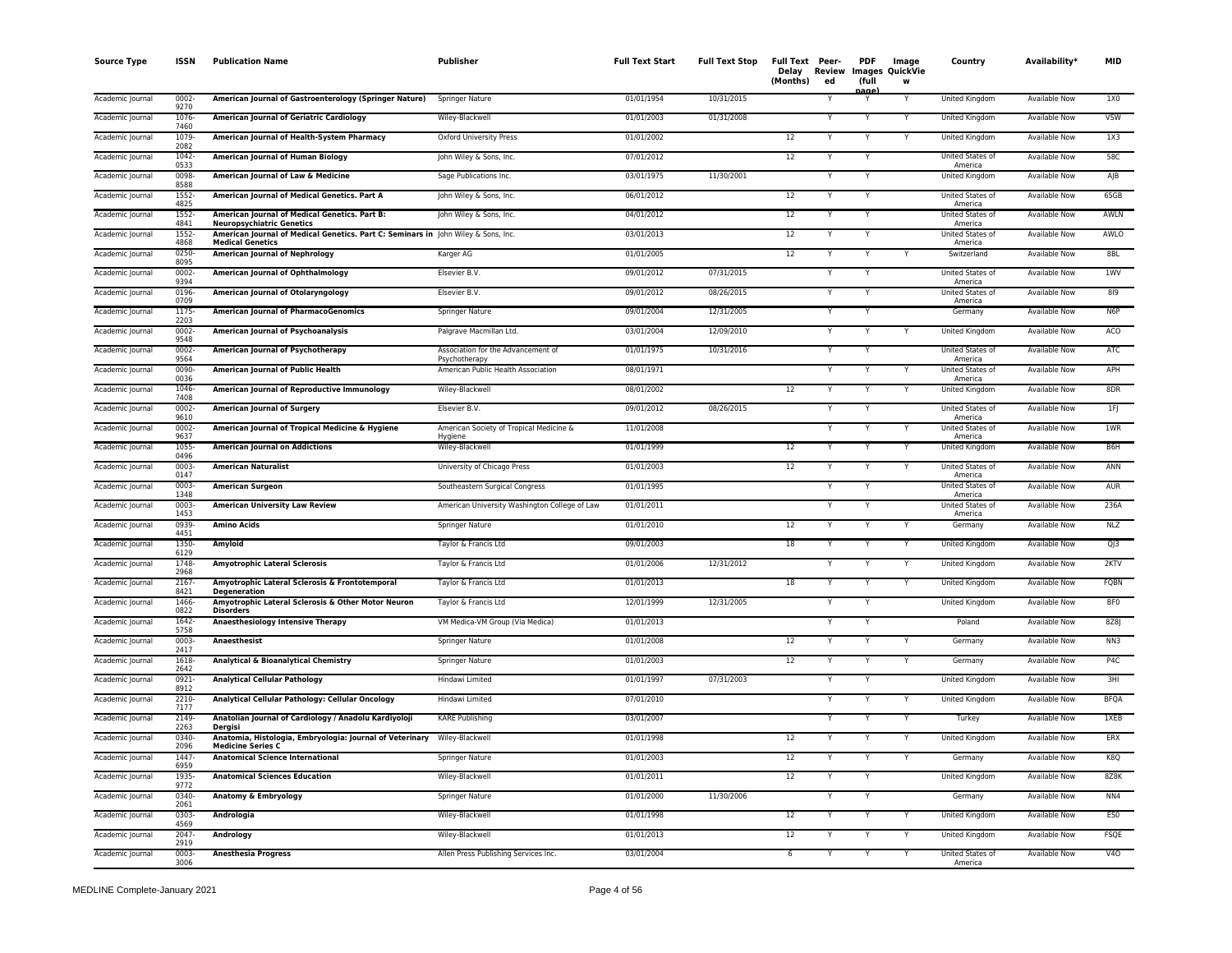| <b>Source Type</b> | ISSN             | <b>Publication Name</b>                                                                                      | Publisher                                           | <b>Full Text Start</b> | <b>Full Text Stop</b> | Full Text Peer-<br>(Months) | ed | <b>PDF</b><br>(full<br><u>nage</u> | Image<br>Delay Review Images QuickVie<br>W | Country                     | Availability*        | <b>MID</b>       |
|--------------------|------------------|--------------------------------------------------------------------------------------------------------------|-----------------------------------------------------|------------------------|-----------------------|-----------------------------|----|------------------------------------|--------------------------------------------|-----------------------------|----------------------|------------------|
| Academic Journal   | $0002 -$<br>9270 | American Journal of Gastroenterology (Springer Nature)                                                       | Springer Nature                                     | 01/01/1954             | 10/31/2015            |                             |    |                                    | Υ                                          | United Kingdom              | Available Now        | 1X0              |
| Academic Journal   | 1076<br>7460     | <b>American Journal of Geriatric Cardiology</b>                                                              | Wiley-Blackwell                                     | 01/01/2003             | 01/31/2008            |                             | Υ  | Y                                  | Y                                          | United Kingdom              | Available Now        | <b>VSW</b>       |
| Academic Journal   | 1079<br>2082     | American Journal of Health-System Pharmacy                                                                   | <b>Oxford University Press</b>                      | 01/01/2002             |                       | 12                          | Υ  | Y                                  | Y                                          | United Kingdom              | Available Now        | 1X3              |
| Academic Journal   | 1042<br>0533     | American Journal of Human Biology                                                                            | John Wiley & Sons, Inc.                             | 07/01/2012             |                       | 12                          |    | Y                                  |                                            | United States of<br>America | Available Now        | 58C              |
| Academic Journal   | 0098-<br>8588    | American Journal of Law & Medicine                                                                           | Sage Publications Inc.                              | 03/01/1975             | 11/30/2001            |                             | Y  | Y                                  |                                            | United Kingdom              | Available Now        | AJB              |
| Academic Journal   | 1552-<br>4825    | American Journal of Medical Genetics. Part A                                                                 | John Wiley & Sons, Inc.                             | 06/01/2012             |                       | 12                          |    | Y                                  |                                            | United States of<br>America | Available Now        | 65GB             |
| Academic Journal   | 1552<br>4841     | American Journal of Medical Genetics. Part B:<br><b>Neuropsychiatric Genetics</b>                            | John Wiley & Sons, Inc.                             | 04/01/2012             |                       | 12                          |    | Y                                  |                                            | United States of<br>America | Available Now        | AWLN             |
| Academic Journal   | 1552<br>4868     | American Journal of Medical Genetics. Part C: Seminars in John Wiley & Sons, Inc.<br><b>Medical Genetics</b> |                                                     | 03/01/2013             |                       | 12                          |    | Y                                  |                                            | United States of<br>America | Available Now        | AWLO             |
| Academic Journal   | 0250-<br>8095    | <b>American Journal of Nephrology</b>                                                                        | Karger AG                                           | 01/01/2005             |                       | 12                          | Y  | Y                                  | Υ                                          | Switzerland                 | Available Now        | 8BL              |
| Academic Journal   | 0002<br>9394     | American Journal of Ophthalmology                                                                            | Elsevier B.V.                                       | 09/01/2012             | 07/31/2015            |                             | Υ  | Y                                  |                                            | United States of<br>America | <b>Available Now</b> | 1WV              |
| Academic Journal   | 0196-<br>0709    | American Journal of Otolaryngology                                                                           | Elsevier B.V.                                       | 09/01/2012             | 08/26/2015            |                             |    | Y                                  |                                            | United States of<br>America | Available Now        | 819              |
| Academic Journal   | 1175<br>2203     | <b>American Journal of PharmacoGenomics</b>                                                                  | Springer Nature                                     | 09/01/2004             | 12/31/2005            |                             |    | Y                                  |                                            | Germany                     | Available Now        | N <sub>6</sub> P |
| Academic Journal   | 0002-<br>9548    | <b>American Journal of Psychoanalysis</b>                                                                    | Palgrave Macmillan Ltd.                             | 03/01/2004             | 12/09/2010            |                             |    | Y                                  |                                            | United Kingdom              | Available Now        | ACO              |
| Academic Journal   | 0002-<br>9564    | American Journal of Psychotherapy                                                                            | Association for the Advancement of<br>Psychotherapy | 01/01/1975             | 10/31/2016            |                             |    |                                    |                                            | United States of<br>America | Available Now        | ATC              |
| Academic Journal   | 0090-<br>0036    | American Journal of Public Health                                                                            | American Public Health Association                  | 08/01/1971             |                       |                             |    | Y                                  | Y                                          | United States of<br>America | Available Now        | APH              |
| Academic Journal   | 1046<br>7408     | American Journal of Reproductive Immunology                                                                  | Wiley-Blackwell                                     | 08/01/2002             |                       | 12                          | Y  | Y                                  | Y                                          | United Kingdom              | Available Now        | 8DR              |
| Academic Journal   | 0002-<br>9610    | <b>American Journal of Surgery</b>                                                                           | Elsevier B.V.                                       | 09/01/2012             | 08/26/2015            |                             | Y  | Y                                  |                                            | United States of<br>America | Available Now        | 1FJ              |
| Academic Journal   | 0002-<br>9637    | American Journal of Tropical Medicine & Hygiene                                                              | American Society of Tropical Medicine &<br>Hygiene  | 11/01/2008             |                       |                             | Y  |                                    | Υ                                          | United States of<br>America | Available Now        | 1WR              |
| Academic Journal   | 1055<br>0496     | <b>American Journal on Addictions</b>                                                                        | Wiley-Blackwell                                     | 01/01/1999             |                       | 12                          |    | Y                                  | Y                                          | <b>United Kingdom</b>       | Available Now        | B <sub>6H</sub>  |
| Academic Journal   | 0003<br>0147     | <b>American Naturalist</b>                                                                                   | University of Chicago Press                         | 01/01/2003             |                       | 12                          | Υ  | Y                                  | Y                                          | United States of<br>America | Available Now        | ANN              |
| Academic Journal   | 0003-<br>1348    | <b>American Surgeon</b>                                                                                      | Southeastern Surgical Congress                      | 01/01/1995             |                       |                             |    | Υ                                  |                                            | United States of<br>America | Available Now        | AUR              |
| Academic Journal   | 0003<br>1453     | <b>American University Law Review</b>                                                                        | American University Washington College of Law       | 01/01/2011             |                       |                             | Y  | Y                                  |                                            | United States of<br>America | Available Now        | 236A             |
| Academic Journa    | 0939-<br>4451    | Amino Acids                                                                                                  | Springer Nature                                     | 01/01/2010             |                       | 12                          |    | Y                                  | Y                                          | Germany                     | Available Now        | <b>NLZ</b>       |
| Academic Journal   | 1350-<br>6129    | Amyloid                                                                                                      | Taylor & Francis Ltd                                | 09/01/2003             |                       | 18                          |    | Y                                  | Y                                          | United Kingdom              | Available Now        | QJ3              |
| Academic Journal   | 1748<br>2968     | <b>Amyotrophic Lateral Sclerosis</b>                                                                         | Taylor & Francis Ltd                                | 01/01/2006             | 12/31/2012            |                             | Υ  | Y                                  | Y                                          | United Kingdom              | Available Now        | 2KTV             |
| Academic Journal   | 2167<br>8421     | Amyotrophic Lateral Sclerosis & Frontotemporal<br><b>Degeneration</b>                                        | Taylor & Francis Ltd                                | 01/01/2013             |                       | 18                          | Υ  | Y                                  | Y                                          | United Kingdom              | Available Now        | FQBN             |
| Academic Journal   | 1466<br>0822     | Amyotrophic Lateral Sclerosis & Other Motor Neuron<br><b>Disorders</b>                                       | Taylor & Francis Ltd                                | 12/01/1999             | 12/31/2005            |                             |    | Y                                  |                                            | United Kingdom              | Available Now        | <b>BFO</b>       |
| Academic Journal   | 1642<br>5758     | Anaesthesiology Intensive Therapy                                                                            | VM Medica-VM Group (Via Medica)                     | 01/01/2013             |                       |                             |    |                                    |                                            | Poland                      | Available Now        | 8Z8J             |
| Academic Journal   | 0003<br>2417     | Anaesthesist                                                                                                 | Springer Nature                                     | 01/01/2008             |                       | 12                          | Y  | Y                                  | Y                                          | Germany                     | Available Now        | NN3              |
| Academic Journal   | 1618<br>2642     | Analytical & Bioanalytical Chemistry                                                                         | Springer Nature                                     | 01/01/2003             |                       | 12                          | Y  | Y                                  | Y                                          | Germany                     | Available Now        | P4C              |
| Academic Journal   | 0921-<br>8912    | <b>Analytical Cellular Pathology</b>                                                                         | Hindawi Limited                                     | 01/01/1997             | 07/31/2003            |                             |    |                                    |                                            | United Kingdom              | Available Now        | 3HI              |
| Academic Journal   | 2210-<br>7177    | Analytical Cellular Pathology: Cellular Oncology                                                             | Hindawi Limited                                     | 07/01/2010             |                       |                             |    |                                    | Y                                          | United Kingdom              | Available Now        | <b>BFQA</b>      |
| Academic Journal   | 2149<br>2263     | Anatolian Journal of Cardiology / Anadolu Kardiyoloji<br>Dergisi                                             | <b>KARE Publishing</b>                              | 03/01/2007             |                       |                             |    |                                    | Y                                          | Turkey                      | Available Now        | 1XEB             |
| Academic Journal   | 0340-<br>2096    | Anatomia, Histologia, Embryologia: Journal of Veterinary Wiley-Blackwell<br><b>Medicine Series C</b>         |                                                     | 01/01/1998             |                       | 12                          |    |                                    |                                            | United Kingdom              | Available Now        | ERX              |
| Academic Journal   | 1447-<br>6959    | <b>Anatomical Science International</b>                                                                      | Springer Nature                                     | 01/01/2003             |                       | 12                          | Y  | Y                                  | Y                                          | Germany                     | Available Now        | K8Q              |
| Academic Journal   | 1935<br>9772     | <b>Anatomical Sciences Education</b>                                                                         | Wiley-Blackwell                                     | 01/01/2011             |                       | 12                          | Y  | Y                                  |                                            | United Kingdom              | Available Now        | 8Z8K             |
| Academic Journal   | 0340-<br>2061    | Anatomy & Embryology                                                                                         | Springer Nature                                     | 01/01/2000             | 11/30/2006            |                             | Y  | Y                                  |                                            | Germany                     | Available Now        | NN4              |
| Academic Journal   | 0303<br>4569     | Andrologia                                                                                                   | Wiley-Blackwell                                     | 01/01/1998             |                       | 12                          | Y  | Y                                  | Y                                          | United Kingdom              | Available Now        | ES <sub>0</sub>  |
| Academic Journal   | 2047<br>2919     | Andrology                                                                                                    | Wiley-Blackwell                                     | 01/01/2013             |                       | 12                          |    | Y                                  | Y                                          | United Kingdom              | Available Now        | <b>FSQE</b>      |
| Academic Journal   | 0003-<br>3006    | <b>Anesthesia Progress</b>                                                                                   | Allen Press Publishing Services Inc.                | 03/01/2004             |                       | $6\phantom{.0}$             | Y  | Y                                  | Y                                          | United States of<br>America | Available Now        | <b>V40</b>       |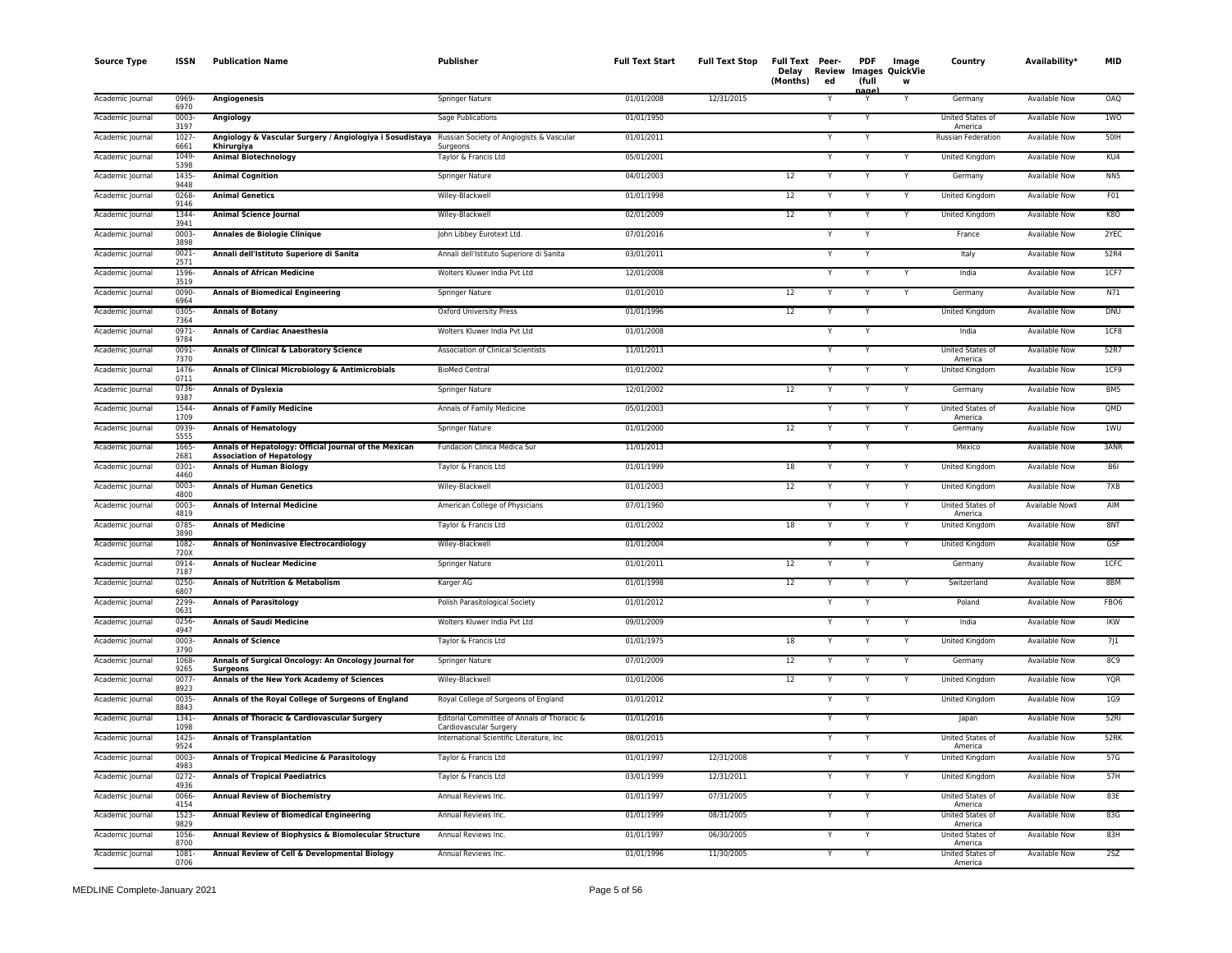| <b>Source Type</b> | <b>ISSN</b>      | <b>Publication Name</b>                                                                   | Publisher                                                             | <b>Full Text Start</b> | <b>Full Text Stop</b> | Full Text Peer-<br>Delay<br>(Months) | Review<br>ed | <b>PDF</b><br>(full | Image<br>Images QuickVie<br>W | Country                            | Availability*        | <b>MID</b>       |
|--------------------|------------------|-------------------------------------------------------------------------------------------|-----------------------------------------------------------------------|------------------------|-----------------------|--------------------------------------|--------------|---------------------|-------------------------------|------------------------------------|----------------------|------------------|
| Academic Journal   | 0969-<br>6970    | <b>Angiogenesis</b>                                                                       | Springer Nature                                                       | 01/01/2008             | 12/31/2015            |                                      |              | iaα                 | Y                             | Germany                            | <b>Available Now</b> | <b>OAQ</b>       |
| Academic Journal   | 0003<br>3197     | Angiology                                                                                 | Sage Publications                                                     | 01/01/1950             |                       |                                      |              |                     |                               | <b>United States of</b><br>America | <b>Available Now</b> | 1WO              |
| Academic Journal   | 1027<br>6661     | Angiology & Vascular Surgery / Angiologiya i Sosudistaya<br>Khirurgiya                    | Russian Society of Angiogists & Vascular<br>Surgeons                  | 01/01/2011             |                       |                                      |              | Y                   |                               | Russian Federation                 | Available Now        | $50$ IH          |
| Academic Journal   | 1049<br>5398     | <b>Animal Biotechnology</b>                                                               | Taylor & Francis Ltd                                                  | 05/01/2001             |                       |                                      |              | Y                   |                               | United Kingdom                     | <b>Available Now</b> | KU4              |
| Academic Journal   | 1435<br>9448     | <b>Animal Cognition</b>                                                                   | Springer Nature                                                       | 04/01/2003             |                       | 12                                   |              | Y                   | Y                             | Germany                            | Available Now        | NN <sub>5</sub>  |
| Academic Journal   | 0268<br>9146     | <b>Animal Genetics</b>                                                                    | Wiley-Blackwell                                                       | 01/01/1998             |                       | 12                                   |              | Y                   | Y                             | United Kingdom                     | Available Now        | F01              |
| Academic Journal   | 1344<br>3941     | <b>Animal Science Journal</b>                                                             | Wiley-Blackwell                                                       | 02/01/2009             |                       | 12                                   |              |                     |                               | United Kingdom                     | <b>Available Now</b> | <b>K80</b>       |
| Academic Journal   | 0003<br>3898     | Annales de Biologie Clinique                                                              | John Libbey Eurotext Ltd.                                             | 07/01/2016             |                       |                                      |              | Y                   |                               | France                             | Available Now        | 2YEC             |
| Academic Journal   | 0021-<br>2571    | Annali dell'Istituto Superiore di Sanita                                                  | Annali dell'Istituto Superiore di Sanita                              | 03/01/2011             |                       |                                      |              |                     |                               | Italy                              | Available Now        | 52R4             |
| Academic Journal   | 1596<br>3519     | <b>Annals of African Medicine</b>                                                         | Wolters Kluwer India Pvt Ltd                                          | 12/01/2008             |                       |                                      |              | Ÿ                   |                               | India                              | <b>Available Now</b> | 1CF7             |
| Academic Journal   | 0090-<br>6964    | <b>Annals of Biomedical Engineering</b>                                                   | Springer Nature                                                       | 01/01/2010             |                       | 12                                   |              | Y                   | Y                             | Germany                            | <b>Available Now</b> | N71              |
| Academic Journal   | 0305<br>7364     | <b>Annals of Botany</b>                                                                   | <b>Oxford University Press</b>                                        | 01/01/1996             |                       | $\overline{12}$                      |              | Y                   |                               | United Kingdom                     | <b>Available Now</b> | <b>DNU</b>       |
| Academic Journal   | 0971<br>9784     | <b>Annals of Cardiac Anaesthesia</b>                                                      | Wolters Kluwer India Pvt Ltd                                          | 01/01/2008             |                       |                                      |              | N                   |                               | India                              | <b>Available Now</b> | 1CF8             |
| Academic Journal   | 0091<br>7370     | Annals of Clinical & Laboratory Science                                                   | Association of Clinical Scientists                                    | 11/01/2013             |                       |                                      |              | Y                   |                               | United States of<br>America        | Available Now        | 52R7             |
| Academic Journal   | 1476<br>0711     | Annals of Clinical Microbiology & Antimicrobials                                          | <b>BioMed Central</b>                                                 | 01/01/2002             |                       |                                      |              | Y                   |                               | United Kingdom                     | Available Now        | 1CF9             |
| Academic Journal   | 0736<br>9387     | <b>Annals of Dyslexia</b>                                                                 | Springer Nature                                                       | 12/01/2002             |                       | 12                                   |              |                     |                               | Germany                            | <b>Available Now</b> | BM5              |
| Academic Journal   | 1544<br>1709     | <b>Annals of Family Medicine</b>                                                          | Annals of Family Medicine                                             | 05/01/2003             |                       |                                      |              |                     |                               | United States of<br>America        | <b>Available Now</b> | QMD              |
| Academic Journal   | 0939<br>5555     | <b>Annals of Hematology</b>                                                               | <b>Springer Nature</b>                                                | 01/01/2000             |                       | 12                                   |              | Y                   |                               | Germany                            | <b>Available Now</b> | 1WU              |
| Academic Journal   | 1665<br>2681     | Annals of Hepatology: Official Journal of the Mexican<br><b>Association of Hepatology</b> | Fundacion Clinica Medica Sur                                          | 11/01/2013             |                       |                                      |              | Y                   |                               | Mexico                             | <b>Available Now</b> | 3ANR             |
| Academic Journal   | 0301<br>4460     | <b>Annals of Human Biology</b>                                                            | Taylor & Francis Ltd                                                  | 01/01/1999             |                       | 18                                   |              | Y                   |                               | United Kingdom                     | Available Now        | B <sub>6I</sub>  |
| Academic Journal   | $0003 -$<br>4800 | <b>Annals of Human Genetics</b>                                                           | Wiley-Blackwell                                                       | 01/01/2003             |                       | 12                                   |              | Y                   | Y                             | United Kingdom                     | Available Now        | 7XB              |
| Academic Journal   | 0003<br>4819     | <b>Annals of Internal Medicine</b>                                                        | American College of Physicians                                        | 07/01/1960             |                       |                                      |              |                     | Y                             | United States of<br>America        | Available Now‡       | AIM              |
| Academic Journal   | 0785<br>3890     | <b>Annals of Medicine</b>                                                                 | Taylor & Francis Ltd                                                  | 01/01/2002             |                       | 18                                   |              |                     |                               | United Kingdom                     | <b>Available Now</b> | 8NT              |
| Academic Journal   | 1082<br>720X     | <b>Annals of Noninvasive Electrocardiology</b>                                            | Wiley-Blackwell                                                       | 01/01/2004             |                       |                                      |              | $\mathbf{v}$        |                               | United Kingdom                     | <b>Available Now</b> | GSF              |
| Academic Journal   | 0914<br>7187     | <b>Annals of Nuclear Medicine</b>                                                         | Springer Nature                                                       | 01/01/2011             |                       | $12\,$                               |              | Y                   |                               | Germany                            | <b>Available Now</b> | 1CFC             |
| Academic Journal   | 0250<br>6807     | <b>Annals of Nutrition &amp; Metabolism</b>                                               | Karger AG                                                             | 01/01/1998             |                       | 12                                   |              | Y                   |                               | Switzerland                        | <b>Available Now</b> | 8BM              |
| Academic Journal   | 2299<br>0631     | <b>Annals of Parasitology</b>                                                             | Polish Parasitological Society                                        | 01/01/2012             |                       |                                      |              | Y                   |                               | Poland                             | <b>Available Now</b> | FBO <sub>6</sub> |
| Academic Journal   | 0256<br>4947     | <b>Annals of Saudi Medicine</b>                                                           | Wolters Kluwer India Pvt Ltd                                          | 09/01/2009             |                       |                                      |              | Y                   |                               | India                              | <b>Available Now</b> | <b>IKW</b>       |
| Academic Journal   | 0003<br>3790     | <b>Annals of Science</b>                                                                  | Taylor & Francis Ltd                                                  | 01/01/1975             |                       | 18                                   |              |                     |                               | United Kingdom                     | Available Now        | 7J 1             |
| Academic Journal   | 1068<br>9265     | Annals of Surgical Oncology: An Oncology Journal for<br>Surgeons                          | Springer Nature                                                       | 07/01/2009             |                       | 12                                   |              |                     |                               | Germany                            | <b>Available Now</b> | <b>8C9</b>       |
| Academic Journal   | 0077<br>8923     | Annals of the New York Academy of Sciences                                                | Wiley-Blackwell                                                       | 01/01/2006             |                       | 12                                   |              | Y                   |                               | United Kingdom                     | <b>Available Now</b> | <b>YQR</b>       |
| Academic Journal   | 0035-<br>8843    | Annals of the Royal College of Surgeons of England                                        | Royal College of Surgeons of England                                  | 01/01/2012             |                       |                                      |              | Y                   |                               | <b>United Kingdom</b>              | <b>Available Now</b> | 1G9              |
| Academic Journal   | 1341-<br>1098    | Annals of Thoracic & Cardiovascular Surgery                                               | Editorial Committee of Annals of Thoracic &<br>Cardiovascular Surgery | 01/01/2016             |                       |                                      |              | Y                   |                               | Japan                              | <b>Available Now</b> | 52RI             |
| Academic Journal   | 1425<br>9524     | <b>Annals of Transplantation</b>                                                          | International Scientific Literature, Inc.                             | 08/01/2015             |                       |                                      |              | Y                   |                               | United States of<br>America        | Available Now        | 52RK             |
| Academic Journal   | 0003<br>4983     | Annals of Tropical Medicine & Parasitology                                                | Taylor & Francis Ltd                                                  | 01/01/1997             | 12/31/2008            |                                      |              | Y                   |                               | United Kingdom                     | <b>Available Now</b> | 57G              |
| Academic Journal   | $0272 -$<br>4936 | <b>Annals of Tropical Paediatrics</b>                                                     | Taylor & Francis Ltd                                                  | 03/01/1999             | 12/31/2011            |                                      |              | Y                   | Y                             | United Kingdom                     | Available Now        | 57H              |
| Academic Journal   | 0066-<br>4154    | <b>Annual Review of Biochemistry</b>                                                      | Annual Reviews Inc.                                                   | 01/01/1997             | 07/31/2005            |                                      |              |                     |                               | United States of<br>America        | Available Now        | 83E              |
| Academic Journal   | 1523<br>9829     | <b>Annual Review of Biomedical Engineering</b>                                            | Annual Reviews Inc.                                                   | 01/01/1999             | 08/31/2005            |                                      |              | Y                   |                               | United States of<br>America        | <b>Available Now</b> | 83G              |
| Academic Journal   | 1056<br>8700     | Annual Review of Biophysics & Biomolecular Structure                                      | Annual Reviews Inc.                                                   | 01/01/1997             | 06/30/2005            |                                      |              | Y                   |                               | United States of<br>America        | Available Now        | 83H              |
| Academic Journal   | 1081<br>0706     | Annual Review of Cell & Developmental Biology                                             | Annual Reviews Inc.                                                   | 01/01/1996             | 11/30/2005            |                                      |              | Y                   |                               | United States of<br>America        | <b>Available Now</b> | 25Z              |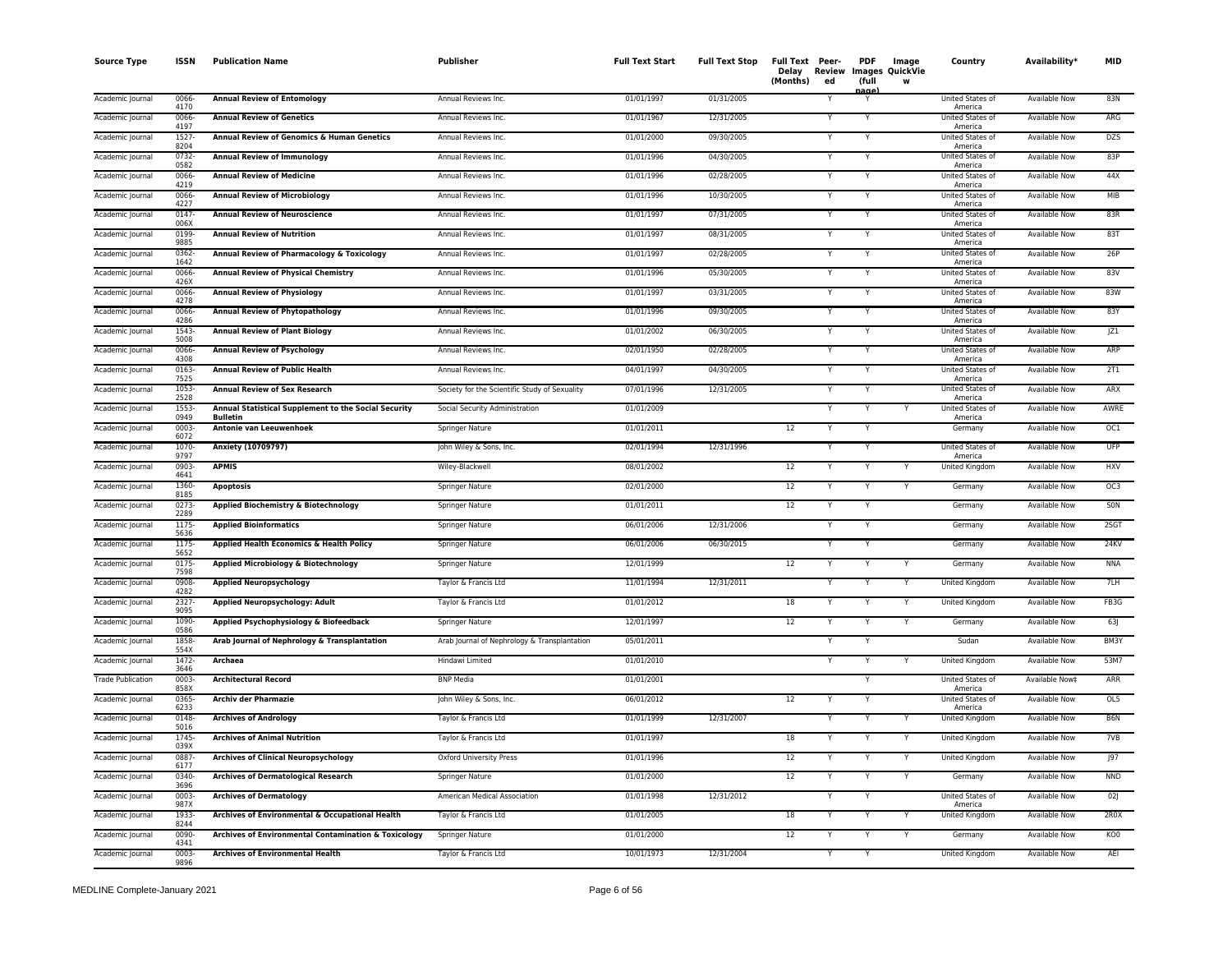| <b>Source Type</b>       | <b>ISSN</b>      | <b>Publication Name</b>                                                 | Publisher                                     | <b>Full Text Start</b> | <b>Full Text Stop</b> | Full Text Peer-<br>Delay<br>(Months)<br>ed | <b>PDF</b><br>(full<br>iaα | Image<br>Review Images QuickVie<br>W | Country                            | Availability <sup>*</sup> | <b>MID</b>      |
|--------------------------|------------------|-------------------------------------------------------------------------|-----------------------------------------------|------------------------|-----------------------|--------------------------------------------|----------------------------|--------------------------------------|------------------------------------|---------------------------|-----------------|
| Academic Journal         | 0066-<br>4170    | <b>Annual Review of Entomology</b>                                      | Annual Reviews Inc.                           | 01/01/1997             | 01/31/2005            |                                            | Y                          |                                      | United States of<br>America        | Available Now             | 83N             |
| Academic Journal         | 0066<br>4197     | <b>Annual Review of Genetics</b>                                        | Annual Reviews Inc.                           | 01/01/1967             | 12/31/2005            |                                            |                            |                                      | United States of<br>America        | <b>Available Now</b>      | ARG             |
| Academic Journal         | 1527<br>8204     | Annual Review of Genomics & Human Genetics                              | Annual Reviews Inc.                           | 01/01/2000             | 09/30/2005            |                                            | Y                          |                                      | United States of<br>America        | Available Now             | <b>DZS</b>      |
| Academic Journal         | $0732 -$<br>0582 | <b>Annual Review of Immunology</b>                                      | Annual Reviews Inc.                           | 01/01/1996             | 04/30/2005            |                                            | Y                          |                                      | United States of<br>America        | <b>Available Now</b>      | 83P             |
| Academic Journal         | 0066-<br>4219    | <b>Annual Review of Medicine</b>                                        | Annual Reviews Inc.                           | 01/01/1996             | 02/28/2005            | Y                                          | Y                          |                                      | United States of<br>America        | Available Now             | 44X             |
| Academic Journal         | 0066<br>4227     | <b>Annual Review of Microbiology</b>                                    | Annual Reviews Inc.                           | 01/01/1996             | 10/30/2005            |                                            | Y                          |                                      | <b>United States of</b><br>America | Available Now             | MIB             |
| Academic Journal         | 0147<br>006X     | <b>Annual Review of Neuroscience</b>                                    | Annual Reviews Inc.                           | 01/01/1997             | 07/31/2005            |                                            | Y                          |                                      | United States of<br>America        | <b>Available Now</b>      | 83R             |
| Academic Journal         | 0199-<br>9885    | <b>Annual Review of Nutrition</b>                                       | Annual Reviews Inc.                           | 01/01/1997             | 08/31/2005            |                                            | Y                          |                                      | United States of<br>America        | Available Now             | 83T             |
| Academic Journal         | 0362-<br>1642    | Annual Review of Pharmacology & Toxicology                              | Annual Reviews Inc.                           | 01/01/1997             | 02/28/2005            |                                            |                            |                                      | United States of<br>America        | Available Now             | 26P             |
| Academic Journal         | 0066-<br>426X    | <b>Annual Review of Physical Chemistry</b>                              | Annual Reviews Inc.                           | 01/01/1996             | 05/30/2005            |                                            | Y                          |                                      | United States of<br>America        | <b>Available Now</b>      | 83V             |
| Academic Journal         | 0066-<br>4278    | <b>Annual Review of Physiology</b>                                      | Annual Reviews Inc.                           | 01/01/1997             | 03/31/2005            |                                            | Y                          |                                      | United States of<br>America        | <b>Available Now</b>      | 83W             |
| Academic Journal         | 0066<br>4286     | Annual Review of Phytopathology                                         | Annual Reviews Inc.                           | 01/01/1996             | 09/30/2005            |                                            | Y                          |                                      | United States of<br>America        | <b>Available Now</b>      | 83Y             |
| Academic Journal         | 1543-<br>5008    | <b>Annual Review of Plant Biology</b>                                   | Annual Reviews Inc.                           | 01/01/2002             | 06/30/2005            |                                            | Y                          |                                      | United States of<br>America        | <b>Available Now</b>      | Z1              |
| Academic Journal         | 0066-<br>4308    | <b>Annual Review of Psychology</b>                                      | Annual Reviews Inc.                           | 02/01/1950             | 02/28/2005            |                                            | Υ                          |                                      | United States of<br>America        | Available Now             | ARP             |
| Academic Journal         | 0163-<br>7525    | <b>Annual Review of Public Health</b>                                   | Annual Reviews Inc.                           | 04/01/1997             | 04/30/2005            | Y                                          | Y                          |                                      | United States of<br>America        | Available Now             | 2T1             |
| Academic Journal         | 1053<br>2528     | <b>Annual Review of Sex Research</b>                                    | Society for the Scientific Study of Sexuality | 07/01/1996             | 12/31/2005            |                                            | Y                          |                                      | United States of<br>America        | <b>Available Now</b>      | ARX             |
| Academic Journal         | 1553<br>0949     | Annual Statistical Supplement to the Social Security<br><b>Bulletin</b> | Social Security Administration                | 01/01/2009             |                       |                                            | Υ                          | Y                                    | United States of<br>America        | <b>Available Now</b>      | AWRE            |
| Academic Journal         | 0003<br>6072     | <b>Antonie van Leeuwenhoek</b>                                          | <b>Springer Nature</b>                        | 01/01/2011             |                       | 12                                         | Y                          |                                      | Germany                            | <b>Available Now</b>      | OC1             |
| Academic Journal         | 1070-<br>9797    | Anxiety (10709797)                                                      | John Wiley & Sons, Inc.                       | 02/01/1994             | 12/31/1996            |                                            |                            |                                      | United States of<br>America        | <b>Available Now</b>      | <b>UFP</b>      |
| Academic Journal         | 0903-<br>4641    | <b>APMIS</b>                                                            | Wiley-Blackwell                               | 08/01/2002             |                       | 12                                         | Y                          |                                      | United Kingdom                     | Available Now             | <b>HXV</b>      |
| Academic Journal         | 1360-<br>8185    | <b>Apoptosis</b>                                                        | Springer Nature                               | 02/01/2000             |                       | 12<br>Y                                    | Y                          | Y                                    | Germany                            | Available Now             | OC3             |
| Academic Journal         | 0273-<br>2289    | Applied Biochemistry & Biotechnology                                    | Springer Nature                               | 01/01/2011             |                       | 12                                         | Y                          |                                      | Germany                            | Available Now             | SON             |
| Academic Journal         | 1175-<br>5636    | <b>Applied Bioinformatics</b>                                           | Springer Nature                               | 06/01/2006             | 12/31/2006            |                                            |                            |                                      | Germany                            | Available Now             | 2SGT            |
| Academic Journal         | 1175<br>5652     | Applied Health Economics & Health Policy                                | Springer Nature                               | 06/01/2006             | 06/30/2015            |                                            |                            |                                      | Germany                            | <b>Available Now</b>      | 24KV            |
| Academic Journal         | 0175-<br>7598    | Applied Microbiology & Biotechnology                                    | Springer Nature                               | 12/01/1999             |                       | 12                                         | Y                          | Y                                    | Germany                            | Available Now             | <b>NNA</b>      |
| Academic Journal         | 0908<br>4282     | <b>Applied Neuropsychology</b>                                          | Taylor & Francis Ltd                          | 11/01/1994             | 12/31/2011            |                                            |                            | Ÿ                                    | <b>United Kingdom</b>              | <b>Available Now</b>      | 7LH             |
| Academic Journal         | 2327-<br>9095    | Applied Neuropsychology: Adult                                          | Taylor & Francis Ltd                          | 01/01/2012             |                       | 18                                         | Y                          | Y                                    | <b>United Kingdom</b>              | <b>Available Now</b>      | FB3G            |
| Academic Journal         | 1090-<br>0586    | Applied Psychophysiology & Biofeedback                                  | Springer Nature                               | 12/01/1997             |                       | 12<br>Υ                                    | Y                          | Υ                                    | Germany                            | Available Now             | 63              |
| Academic Journal         | 1858-<br>554X    | Arab Journal of Nephrology & Transplantation                            | Arab Journal of Nephrology & Transplantation  | 05/01/2011             |                       |                                            |                            |                                      | Sudan                              | Available Now             | BM3Y            |
| Academic Journal         | 1472-<br>3646    | Archaea                                                                 | Hindawi Limited                               | 01/01/2010             |                       |                                            |                            |                                      | United Kingdom                     | <b>Available Now</b>      | 53M7            |
| <b>Trade Publication</b> | 0003<br>858X     | <b>Architectural Record</b>                                             | <b>BNP Media</b>                              | 01/01/2001             |                       |                                            | Y                          |                                      | United States of<br>America        | Available Now‡            | ARR             |
| Academic Journal         | $0365 -$<br>6233 | <b>Archiv der Pharmazie</b>                                             | John Wiley & Sons, Inc.                       | 06/01/2012             |                       | 12                                         | Υ                          |                                      | United States of<br>America        | <b>Available Now</b>      | OL5             |
| Academic Journal         | $0148 -$<br>5016 | <b>Archives of Andrology</b>                                            | Taylor & Francis Ltd                          | 01/01/1999             | 12/31/2007            | Y                                          |                            | Y                                    | United Kingdom                     | <b>Available Now</b>      | B6N             |
| Academic Journal         | 1745-<br>039X    | <b>Archives of Animal Nutrition</b>                                     | Taylor & Francis Ltd                          | 01/01/1997             |                       | 18                                         |                            | Υ                                    | United Kingdom                     | Available Now             | 7VB             |
| Academic Journal         | 0887<br>6177     | <b>Archives of Clinical Neuropsychology</b>                             | Oxford University Press                       | 01/01/1996             |                       | 12                                         |                            | Y                                    | United Kingdom                     | <b>Available Now</b>      | J97             |
| Academic Journal         | 0340-<br>3696    | <b>Archives of Dermatological Research</b>                              | Springer Nature                               | 01/01/2000             |                       | 12                                         | Y                          | Y                                    | Germany                            | Available Now             | <b>NND</b>      |
| Academic Journal         | 0003-<br>987X    | <b>Archives of Dermatology</b>                                          | American Medical Association                  | 01/01/1998             | 12/31/2012            |                                            |                            |                                      | United States of<br>America        | Available Now             | 02              |
| Academic Journal         | 1933-<br>8244    | Archives of Environmental & Occupational Health                         | Taylor & Francis Ltd                          | 01/01/2005             |                       | 18                                         | Y                          | Y                                    | United Kingdom                     | <b>Available Now</b>      | 2R0X            |
| Academic Journal         | 0090<br>4341     | Archives of Environmental Contamination & Toxicology                    | Springer Nature                               | 01/01/2000             |                       | 12                                         |                            | Y                                    | Germany                            | Available Now             | KO <sub>0</sub> |
| Academic Journal         | 0003<br>9896     | <b>Archives of Environmental Health</b>                                 | Taylor & Francis Ltd                          | 10/01/1973             | 12/31/2004            | Y                                          | Y                          |                                      | <b>United Kingdom</b>              | <b>Available Now</b>      | AEI             |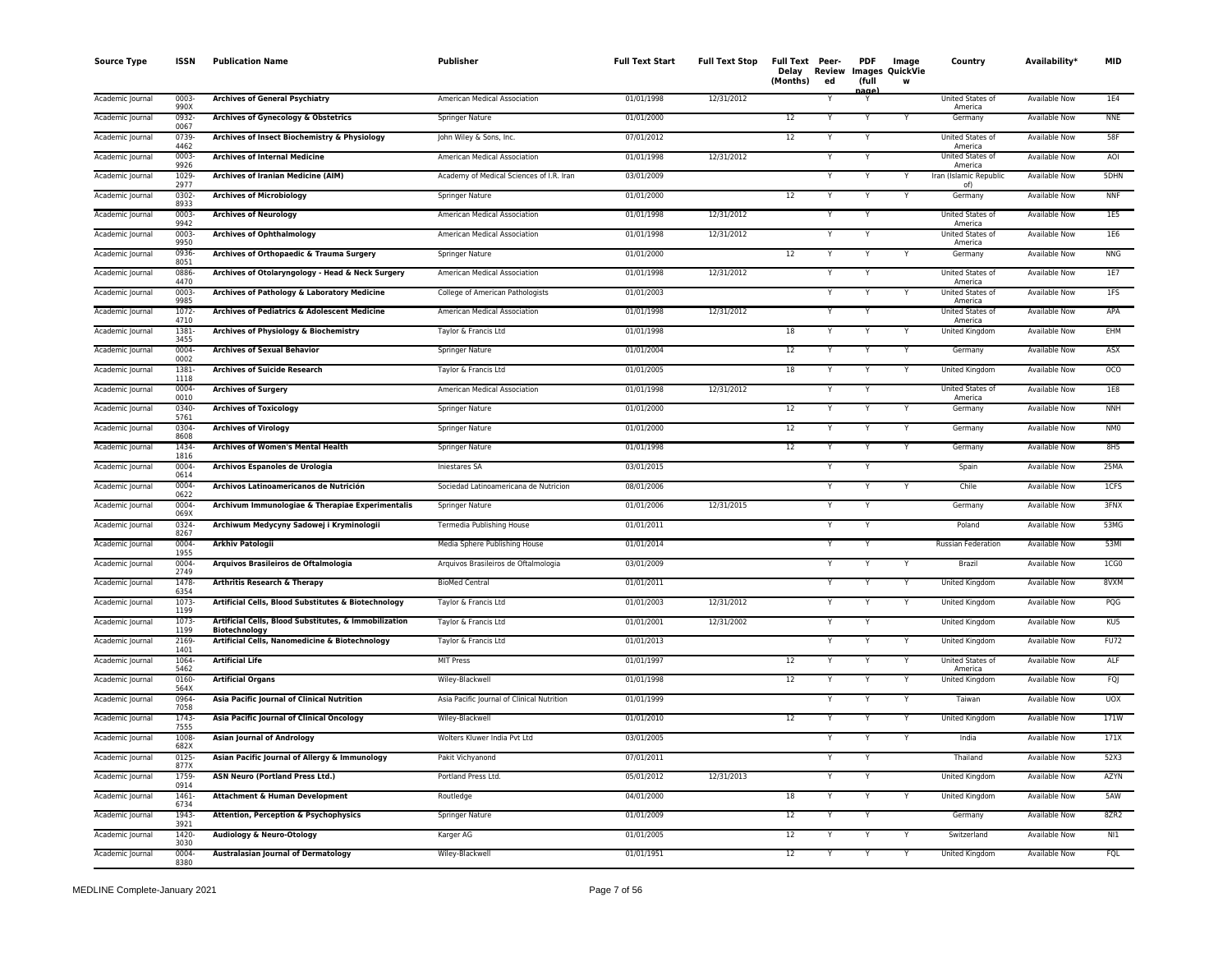| <b>Source Type</b> | <b>ISSN</b>      | <b>Publication Name</b>                                                       | Publisher                                  | <b>Full Text Start</b> | <b>Full Text Stop</b> | Full Text Peer-<br>(Months) | Delay Review<br>ed | <b>PDF</b><br>(full<br>nage) | Image<br><b>Images QuickVie</b><br>W | Country                       | Availability*        | <b>MID</b>      |
|--------------------|------------------|-------------------------------------------------------------------------------|--------------------------------------------|------------------------|-----------------------|-----------------------------|--------------------|------------------------------|--------------------------------------|-------------------------------|----------------------|-----------------|
| Academic Journal   | $0003 -$<br>ggnx | <b>Archives of General Psychiatry</b>                                         | American Medical Association               | 01/01/1998             | 12/31/2012            |                             |                    | Y                            |                                      | United States of<br>America   | <b>Available Now</b> | <b>1E4</b>      |
| Academic Journal   | 0932<br>0067     | Archives of Gynecology & Obstetrics                                           | Springer Nature                            | 01/01/2000             |                       | $\overline{12}$             |                    | Y                            |                                      | Germany                       | <b>Available Now</b> | <b>NNE</b>      |
| Academic Journal   | 0739<br>4462     | Archives of Insect Biochemistry & Physiology                                  | John Wiley & Sons, Inc.                    | 07/01/2012             |                       | 12                          |                    | Y                            |                                      | United States of<br>America   | <b>Available Now</b> | 58F             |
| Academic Journal   | 0003<br>9926     | <b>Archives of Internal Medicine</b>                                          | American Medical Association               | 01/01/1998             | 12/31/2012            |                             |                    |                              |                                      | United States of<br>America   | Available Now        | AOI             |
| Academic Journal   | 1029-<br>2977    | Archives of Iranian Medicine (AIM)                                            | Academy of Medical Sciences of I.R. Iran   | 03/01/2009             |                       |                             |                    |                              |                                      | Iran (Islamic Republic<br>of) | Available Now        | 5DHN            |
| Academic Journal   | 0302-<br>8933    | <b>Archives of Microbiology</b>                                               | Springer Nature                            | 01/01/2000             |                       | 12                          |                    | Y                            |                                      | Germany                       | <b>Available Now</b> | <b>NNF</b>      |
| Academic Journal   | 0003<br>9942     | <b>Archives of Neurology</b>                                                  | American Medical Association               | 01/01/1998             | 12/31/2012            |                             |                    |                              |                                      | United States of<br>America   | <b>Available Now</b> | 1E5             |
| Academic Journal   | 0003-<br>9950    | <b>Archives of Ophthalmology</b>                                              | American Medical Association               | 01/01/1998             | 12/31/2012            |                             |                    |                              |                                      | United States of<br>America   | Available Now        | 1E6             |
| Academic Journal   | 0936-<br>8051    | Archives of Orthopaedic & Trauma Surgery                                      | <b>Springer Nature</b>                     | 01/01/2000             |                       | 12                          |                    | Y                            |                                      | Germany                       | <b>Available Now</b> | <b>NNG</b>      |
| Academic Journal   | 0886-<br>4470    | Archives of Otolaryngology - Head & Neck Surgery                              | American Medical Association               | 01/01/1998             | 12/31/2012            |                             |                    | Y                            |                                      | United States of<br>America   | <b>Available Now</b> | 1E7             |
| Academic Journal   | 0003<br>9985     | Archives of Pathology & Laboratory Medicine                                   | College of American Pathologists           | 01/01/2003             |                       |                             |                    | Y                            |                                      | United States of<br>America   | <b>Available Now</b> | 1FS             |
| Academic Journal   | $1072 -$<br>4710 | Archives of Pediatrics & Adolescent Medicine                                  | American Medical Association               | 01/01/1998             | 12/31/2012            |                             |                    |                              |                                      | United States of<br>America   | Available Now        | APA             |
| Academic Journal   | 1381<br>3455     | Archives of Physiology & Biochemistry                                         | Taylor & Francis Ltd                       | 01/01/1998             |                       | 18                          |                    | Y                            | Y                                    | United Kingdom                | Available Now        | EHM             |
| Academic Journal   | 0004-<br>0002    | <b>Archives of Sexual Behavior</b>                                            | Springer Nature                            | 01/01/2004             |                       | 12                          |                    |                              | Y                                    | Germany                       | <b>Available Now</b> | ASX             |
| Academic Journal   | 1381<br>1118     | <b>Archives of Suicide Research</b>                                           | Taylor & Francis Ltd                       | 01/01/2005             |                       | 18                          |                    | Y                            |                                      | United Kingdom                | Available Now        | 0 <sup>0</sup>  |
| Academic Journal   | 0004<br>0010     | <b>Archives of Surgery</b>                                                    | American Medical Association               | 01/01/1998             | 12/31/2012            |                             |                    |                              |                                      | United States of<br>America   | <b>Available Now</b> | 1E8             |
| Academic Journal   | 0340-<br>5761    | <b>Archives of Toxicology</b>                                                 | <b>Springer Nature</b>                     | 01/01/2000             |                       | 12                          |                    |                              |                                      | Germany                       | <b>Available Now</b> | <b>NNH</b>      |
| Academic Journal   | 0304<br>8608     | <b>Archives of Virology</b>                                                   | <b>Springer Nature</b>                     | 01/01/2000             |                       | 12                          |                    |                              |                                      | Germany                       | Available Now        | NM <sub>0</sub> |
| Academic Journal   | 1434<br>1816     | Archives of Women's Mental Health                                             | Springer Nature                            | 01/01/1998             |                       | 12                          |                    |                              |                                      | Germany                       | <b>Available Now</b> | 8H5             |
| Academic Journal   | 0004<br>0614     | Archivos Espanoles de Urologia                                                | Iniestares SA                              | 03/01/2015             |                       |                             |                    | Y                            |                                      | Spain                         | Available Now        | 25MA            |
| Academic Journal   | 0004-<br>0622    | Archivos Latinoamericanos de Nutrición                                        | Sociedad Latinoamericana de Nutricion      | 08/01/2006             |                       |                             |                    |                              | v                                    | Chile                         | Available Now        | 1CFS            |
| Academic Journal   | 0004-<br>069X    | Archivum Immunologiae & Therapiae Experimentalis                              | Springer Nature                            | 01/01/2006             | 12/31/2015            |                             |                    | $\checkmark$                 |                                      | Germany                       | <b>Available Now</b> | 3FNX            |
| Academic Journal   | 0324<br>8267     | Archiwum Medycyny Sadowej i Kryminologii                                      | Termedia Publishing House                  | 01/01/2011             |                       |                             |                    |                              |                                      | Poland                        | <b>Available Now</b> | 53MG            |
| Academic Journal   | 0004-<br>1955    | <b>Arkhiv Patologii</b>                                                       | Media Sphere Publishing House              | 01/01/2014             |                       |                             |                    |                              |                                      | Russian Federation            | <b>Available Now</b> | 53MI            |
| Academic Journal   | 0004<br>2749     | Arquivos Brasileiros de Oftalmologia                                          | Arquivos Brasileiros de Oftalmologia       | 03/01/2009             |                       |                             |                    | Y                            | Y                                    | Brazil                        | <b>Available Now</b> | $1C = 0$        |
| Academic Journal   | 1478<br>6354     | <b>Arthritis Research &amp; Therapy</b>                                       | <b>BioMed Central</b>                      | 01/01/2011             |                       |                             |                    |                              |                                      | United Kingdom                | <b>Available Now</b> | 8VXM            |
| Academic Journal   | 1073<br>1199     | Artificial Cells, Blood Substitutes & Biotechnology                           | Taylor & Francis Ltd                       | 01/01/2003             | 12/31/2012            |                             |                    |                              |                                      | United Kingdom                | <b>Available Now</b> | PQG             |
| Academic Journal   | 1073-<br>1199    | Artificial Cells, Blood Substitutes, & Immobilization<br><b>Biotechnology</b> | Taylor & Francis Ltd                       | 01/01/2001             | 12/31/2002            |                             |                    |                              |                                      | United Kingdom                | Available Now        | KU <sub>5</sub> |
| Academic Journal   | 2169<br>1401     | Artificial Cells, Nanomedicine & Biotechnology                                | Taylor & Francis Ltd                       | 01/01/2013             |                       |                             |                    |                              | Y                                    | United Kingdom                | Available Now        | <b>FU72</b>     |
| Academic Journal   | 1064<br>5462     | <b>Artificial Life</b>                                                        | <b>MIT Press</b>                           | 01/01/1997             |                       | 12                          |                    |                              |                                      | United States of<br>America   | <b>Available Now</b> | ALF             |
| Academic Journal   | 0160-<br>564X    | <b>Artificial Organs</b>                                                      | Wiley-Blackwell                            | 01/01/1998             |                       | $\overline{12}$             |                    | Ÿ                            |                                      | <b>United Kingdom</b>         | <b>Available Now</b> | FQJ             |
| Academic Journal   | 0964-<br>7058    | Asia Pacific Journal of Clinical Nutrition                                    | Asia Pacific Journal of Clinical Nutrition | 01/01/1999             |                       |                             |                    | Y                            | Y                                    | Taiwan                        | <b>Available Now</b> | <b>UOX</b>      |
| Academic Journal   | $1743-$<br>7555  | <b>Asia Pacific Journal of Clinical Oncology</b>                              | Wiley-Blackwell                            | 01/01/2010             |                       | 12                          |                    |                              |                                      | United Kingdom                | <b>Available Now</b> | 171W            |
| Academic Journal   | 1008<br>682X     | <b>Asian Journal of Andrology</b>                                             | Wolters Kluwer India Pvt Ltd               | 03/01/2005             |                       |                             |                    |                              |                                      | India                         | <b>Available Now</b> | 171X            |
| Academic Journal   | $0125 -$<br>877X | Asian Pacific Journal of Allergy & Immunology                                 | Pakit Vichyanond                           | 07/01/2011             |                       |                             |                    |                              |                                      | Thailand                      | <b>Available Now</b> | 52X3            |
| Academic Journal   | 1759<br>0914     | <b>ASN Neuro (Portland Press Ltd.)</b>                                        | Portland Press Ltd.                        | 05/01/2012             | 12/31/2013            |                             |                    |                              |                                      | United Kingdom                | Available Now        | AZYN            |
| Academic Journal   | 1461-<br>6734    | Attachment & Human Development                                                | Routledge                                  | 04/01/2000             |                       | 18                          |                    |                              |                                      | United Kingdom                | <b>Available Now</b> | 5AW             |
| Academic Journal   | 1943-<br>3921    | Attention, Perception & Psychophysics                                         | <b>Springer Nature</b>                     | 01/01/2009             |                       | 12                          |                    | Y                            |                                      | Germany                       | <b>Available Now</b> | 8ZR2            |
| Academic Journal   | 1420<br>3030     | Audiology & Neuro-Otology                                                     | Karger AG                                  | 01/01/2005             |                       | 12                          |                    |                              |                                      | Switzerland                   | Available Now        | N11             |
| Academic Journal   | 0004<br>8380     | <b>Australasian Journal of Dermatology</b>                                    | Wiley-Blackwell                            | 01/01/1951             |                       | 12                          |                    | Y                            |                                      | United Kingdom                | <b>Available Now</b> | FQL             |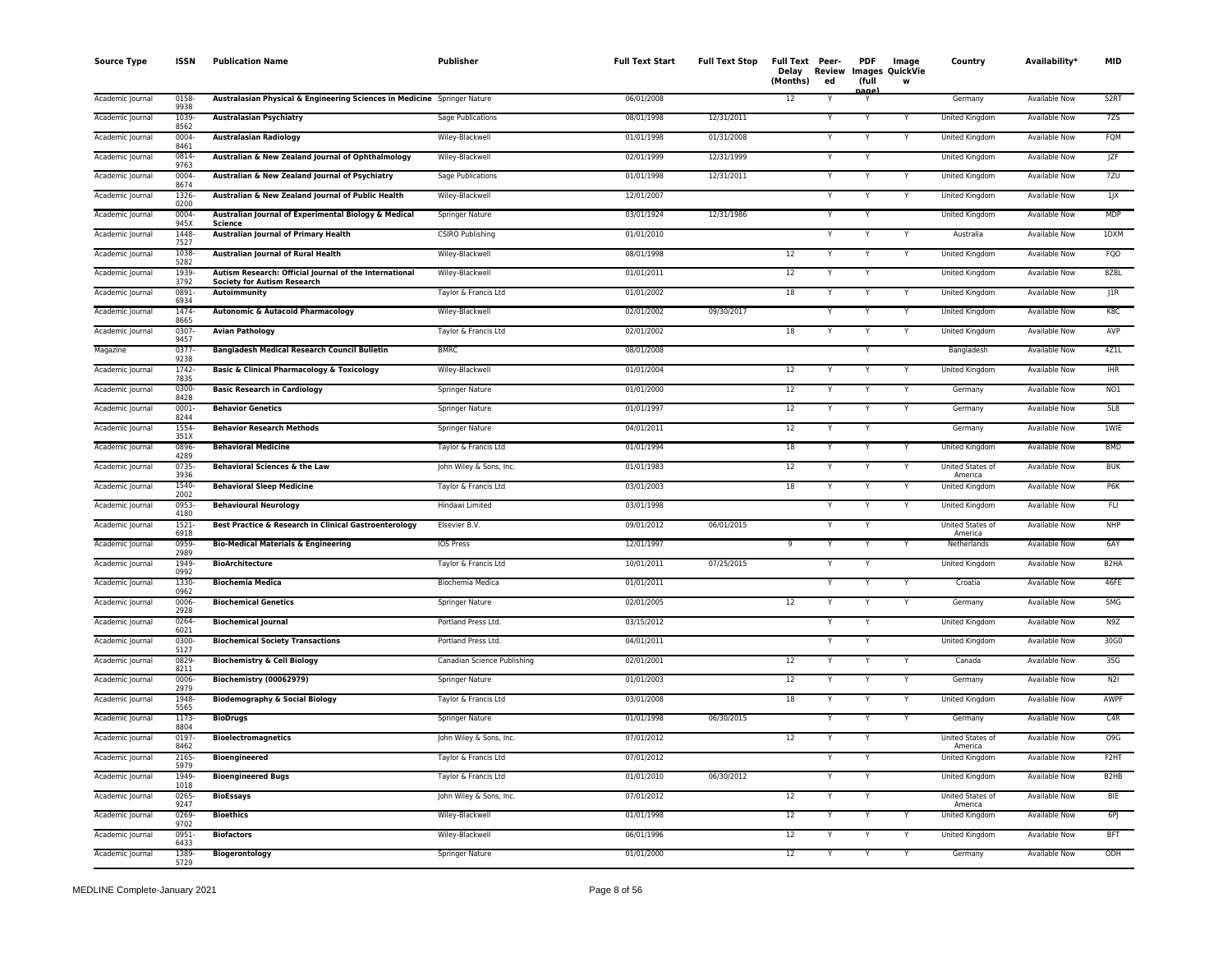| <b>Source Type</b> | <b>ISSN</b>      | <b>Publication Name</b>                                                                      | Publisher                   | <b>Full Text Start</b> | <b>Full Text Stop</b> | Full Text Peer-<br>Delay<br>(Months) | Review<br>ed | <b>PDF</b><br>(full | Image<br><b>Images QuickVie</b><br>w | Country                     | Availability*        | <b>MID</b>                    |
|--------------------|------------------|----------------------------------------------------------------------------------------------|-----------------------------|------------------------|-----------------------|--------------------------------------|--------------|---------------------|--------------------------------------|-----------------------------|----------------------|-------------------------------|
| Academic Journal   | 0158<br>9938     | Australasian Physical & Engineering Sciences in Medicine Springer Nature                     |                             | 06/01/2008             |                       | 12                                   |              | aae<br>Y            |                                      | Germany                     | <b>Available Now</b> | 52RT                          |
| Academic Journal   | 1039<br>8562     | <b>Australasian Psychiatry</b>                                                               | Sage Publications           | 08/01/1998             | 12/31/2011            |                                      |              | Y                   |                                      | United Kingdom              | Available Now        | 7ZS                           |
| Academic Journal   | 0004<br>8461     | <b>Australasian Radiology</b>                                                                | Wiley-Blackwell             | 01/01/1998             | 01/31/2008            |                                      |              |                     |                                      | United Kingdom              | Available Now        | FQM                           |
| Academic Journal   | 0814<br>9763     | Australian & New Zealand Journal of Ophthalmology                                            | Wiley-Blackwell             | 02/01/1999             | 12/31/1999            |                                      |              |                     |                                      | United Kingdom              | Available Now        | JZF                           |
| Academic Journal   | 0004-<br>8674    | Australian & New Zealand Journal of Psychiatry                                               | Sage Publications           | 01/01/1998             | 12/31/2011            |                                      |              |                     |                                      | United Kingdom              | Available Now        | 7ZU                           |
| Academic Journal   | 1326<br>0200     | Australian & New Zealand Journal of Public Health                                            | Wiley-Blackwell             | 12/01/2007             |                       |                                      |              |                     |                                      | United Kingdom              | Available Now        | $1$ J $X$                     |
| Academic Journal   | 0004-<br>945X    | Australian Journal of Experimental Biology & Medical<br>Science                              | <b>Springer Nature</b>      | 03/01/1924             | 12/31/1986            |                                      |              | Y                   |                                      | United Kingdom              | <b>Available Now</b> | <b>MDP</b>                    |
| Academic Journal   | 1448<br>7527     | <b>Australian Journal of Primary Health</b>                                                  | <b>CSIRO Publishing</b>     | 01/01/2010             |                       |                                      |              |                     |                                      | Australia                   | <b>Available Now</b> | 1DXM                          |
| Academic Journal   | 1038-<br>5282    | Australian Journal of Rural Health                                                           | Wiley-Blackwell             | 08/01/1998             |                       | 12                                   | Υ            | Y                   | Y                                    | United Kingdom              | <b>Available Now</b> | <b>FQO</b>                    |
| Academic Journal   | 1939<br>3792     | Autism Research: Official Journal of the International<br><b>Society for Autism Research</b> | Wiley-Blackwell             | 01/01/2011             |                       | 12                                   |              | Y                   |                                      | United Kingdom              | <b>Available Now</b> | 8Z8L                          |
| Academic Journal   | 0891<br>6934     | Autoimmunity                                                                                 | Taylor & Francis Ltd        | 01/01/2002             |                       | 18                                   |              | Y                   |                                      | United Kingdom              | Available Now        | JIR                           |
| Academic Journal   | 1474<br>8665     | Autonomic & Autacoid Pharmacology                                                            | Wiley-Blackwell             | 02/01/2002             | 09/30/2017            |                                      |              |                     | Y                                    | United Kingdom              | <b>Available Now</b> | K8C                           |
| Academic Journal   | $0307 -$<br>9457 | <b>Avian Pathology</b>                                                                       | Taylor & Francis Ltd        | 02/01/2002             |                       | 18                                   |              |                     | Y                                    | United Kingdom              | <b>Available Now</b> | AVP                           |
| Magazine           | $0377 -$<br>9238 | <b>Bangladesh Medical Research Council Bulletin</b>                                          | <b>BMRC</b>                 | 08/01/2008             |                       |                                      |              |                     |                                      | Bangladesh                  | <b>Available Now</b> | 4Z1L                          |
| Academic Journal   | 1742<br>7835     | <b>Basic &amp; Clinical Pharmacology &amp; Toxicology</b>                                    | Wiley-Blackwell             | 01/01/2004             |                       | $12\,$                               |              | Y                   |                                      | <b>United Kingdom</b>       | Available Now        | <b>IHR</b>                    |
| Academic Journal   | 0300-<br>8428    | <b>Basic Research in Cardiology</b>                                                          | Springer Nature             | 01/01/2000             |                       | 12                                   |              | Y                   | Y                                    | Germany                     | <b>Available Now</b> | NO1                           |
| Academic Journal   | 0001-<br>8244    | <b>Behavior Genetics</b>                                                                     | <b>Springer Nature</b>      | 01/01/1997             |                       | 12                                   |              | Y                   | Y                                    | Germany                     | <b>Available Now</b> | 5L8                           |
| Academic Journal   | 1554<br>351X     | <b>Behavior Research Methods</b>                                                             | Springer Nature             | 04/01/2011             |                       | 12                                   |              | Y                   |                                      | Germany                     | Available Now        | <b>1WIE</b>                   |
| Academic Journal   | 0896<br>4289     | <b>Behavioral Medicine</b>                                                                   | Taylor & Francis Ltd        | 01/01/1994             |                       | 18                                   |              |                     |                                      | United Kingdom              | Available Now        | <b>BMD</b>                    |
| Academic Journal   | 0735-<br>3936    | Behavioral Sciences & the Law                                                                | John Wiley & Sons, Inc.     | 01/01/1983             |                       | 12                                   |              | Y                   | Y                                    | United States of<br>America | <b>Available Now</b> | <b>BUK</b>                    |
| Academic Journal   | 1540<br>2002     | <b>Behavioral Sleep Medicine</b>                                                             | Taylor & Francis Ltd        | 03/01/2003             |                       | 18                                   |              |                     |                                      | <b>United Kingdom</b>       | <b>Available Now</b> | P6K                           |
| Academic Journal   | 0953<br>4180     | <b>Behavioural Neurology</b>                                                                 | Hindawi Limited             | 03/01/1998             |                       |                                      |              | Y                   | Y                                    | <b>United Kingdom</b>       | <b>Available Now</b> | <b>FLI</b>                    |
| Academic Journal   | 1521-<br>6918    | Best Practice & Research in Clinical Gastroenterology                                        | Elsevier B.V.               | 09/01/2012             | 06/01/2015            |                                      |              |                     |                                      | United States of<br>America | Available Now        | <b>NHP</b>                    |
| Academic Journal   | 0959<br>2989     | <b>Bio-Medical Materials &amp; Engineering</b>                                               | <b>IOS Press</b>            | 12/01/1997             |                       | $\overline{9}$                       |              | Y                   |                                      | Netherlands                 | <b>Available Now</b> | 6AY                           |
| Academic Journal   | 1949-<br>0992    | <b>BioArchitecture</b>                                                                       | Taylor & Francis Ltd        | 10/01/2011             | 07/25/2015            |                                      |              | Y                   |                                      | United Kingdom              | Available Now        | B <sub>2</sub> HA             |
| Academic Journa    | 1330<br>0962     | <b>Biochemia Medica</b>                                                                      | Biochemia Medica            | 01/01/2011             |                       |                                      |              |                     |                                      | Croatia                     | Available Now        | 46FE                          |
| Academic Journal   | 0006<br>2928     | <b>Biochemical Genetics</b>                                                                  | Springer Nature             | 02/01/2005             |                       | 12                                   |              | Y                   |                                      | Germany                     | Available Now        | 5MG                           |
| Academic Journal   | 0264-<br>6021    | <b>Biochemical Journal</b>                                                                   | Portland Press Ltd.         | 03/15/2012             |                       |                                      |              |                     |                                      | United Kingdom              | Available Now        | N9Z                           |
| Academic Journal   | 0300-<br>5127    | <b>Biochemical Society Transactions</b>                                                      | Portland Press Ltd.         | 04/01/2011             |                       |                                      |              |                     |                                      | United Kingdom              | Available Now        | 30G0                          |
| Academic Journal   | 0829<br>8211     | <b>Biochemistry &amp; Cell Biology</b>                                                       | Canadian Science Publishing | 02/01/2001             |                       | $\overline{12}$                      |              |                     |                                      | Canada                      | <b>Available Now</b> | 35G                           |
| Academic Journal   | 0006-<br>2979    | Biochemistry (00062979)                                                                      | Springer Nature             | 01/01/2003             |                       | 12                                   |              | Y                   |                                      | Germany                     | <b>Available Now</b> | N2I                           |
| Academic Journal   | 1948-<br>5565    | <b>Biodemography &amp; Social Biology</b>                                                    | Taylor & Francis Ltd        | 03/01/2008             |                       | 18                                   | Y            | Y                   | Y                                    | United Kingdom              | <b>Available Now</b> | AWPF                          |
| Academic Journal   | 1173<br>8804     | <b>BioDrugs</b>                                                                              | Springer Nature             | 01/01/1998             | 06/30/2015            |                                      |              | Y                   |                                      | Germany                     | <b>Available Now</b> | C4R                           |
| Academic Journal   | 0197-<br>8462    | <b>Bioelectromagnetics</b>                                                                   | John Wiley & Sons, Inc.     | 07/01/2012             |                       | 12                                   |              | Y                   |                                      | United States of<br>America | Available Now        | O <sub>9</sub> G              |
| Academic Journal   | 2165-<br>5979    | <b>Bioengineered</b>                                                                         | Taylor & Francis Ltd        | 07/01/2012             |                       |                                      |              | Y                   |                                      | United Kingdom              | Available Now        | F <sub>2</sub> HT             |
| Academic Journal   | 1949-<br>1018    | <b>Bioengineered Bugs</b>                                                                    | Taylor & Francis Ltd        | 01/01/2010             | 06/30/2012            |                                      |              | Y                   |                                      | United Kingdom              | Available Now        | B <sub>2</sub> H <sub>B</sub> |
| Academic Journal   | $0265 -$<br>9247 | <b>BioEssays</b>                                                                             | John Wiley & Sons, Inc.     | 07/01/2012             |                       | 12                                   |              |                     |                                      | United States of<br>America | <b>Available Now</b> | <b>BIE</b>                    |
| Academic Journal   | 0269<br>9702     | <b>Bioethics</b>                                                                             | Wiley-Blackwell             | 01/01/1998             |                       | 12                                   |              | Y                   |                                      | United Kingdom              | <b>Available Now</b> | 6P                            |
| Academic Journal   | 0951<br>6433     | <b>Biofactors</b>                                                                            | Wiley-Blackwell             | 06/01/1996             |                       | 12                                   |              |                     |                                      | United Kingdom              | <b>Available Now</b> | <b>BFT</b>                    |
| Academic Journal   | 1389<br>5729     | <b>Biogerontology</b>                                                                        | <b>Springer Nature</b>      | 01/01/2000             |                       | 12                                   |              | Y                   | Y                                    | Germany                     | <b>Available Now</b> | ODH                           |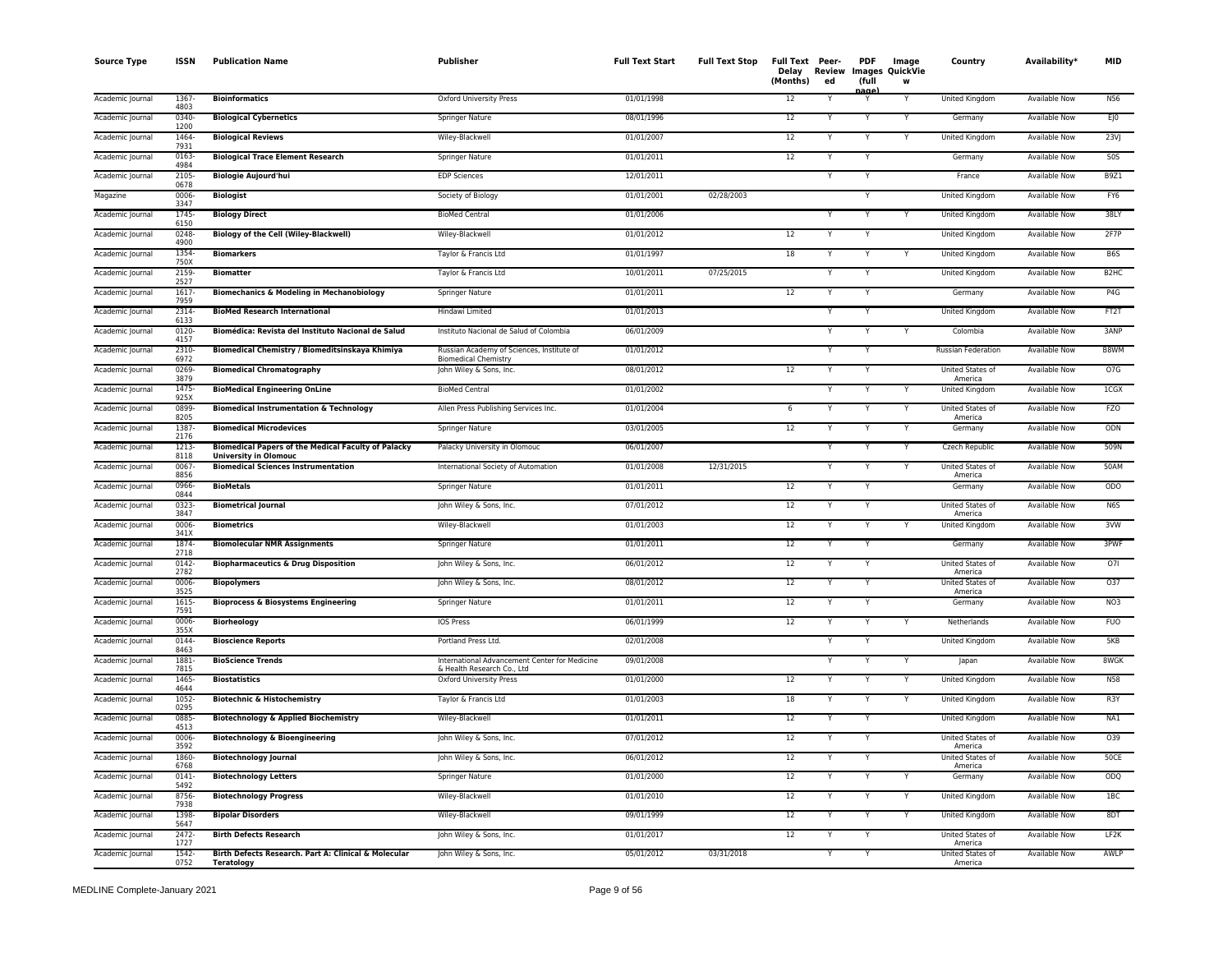| <b>Source Type</b> | <b>ISSN</b>      | <b>Publication Name</b>                                                                    | <b>Publisher</b>                                                            | <b>Full Text Start</b> | <b>Full Text Stop</b> | Full Text Peer-<br>Delay<br>(Months) | Review<br>ed | <b>PDF</b><br>(full | Image<br>Images QuickVie<br>W | Country                            | Availability <sup>*</sup> | <b>MID</b>       |
|--------------------|------------------|--------------------------------------------------------------------------------------------|-----------------------------------------------------------------------------|------------------------|-----------------------|--------------------------------------|--------------|---------------------|-------------------------------|------------------------------------|---------------------------|------------------|
| Academic Journal   | 1367-<br>4803    | <b>Bioinformatics</b>                                                                      | Oxford University Press                                                     | 01/01/1998             |                       | 12                                   |              |                     | Y                             | United Kingdom                     | Available Now             | <b>N56</b>       |
| Academic Journal   | 0340-<br>1200    | <b>Biological Cybernetics</b>                                                              | Springer Nature                                                             | 08/01/1996             |                       | 12                                   |              |                     | Y                             | Germany                            | <b>Available Now</b>      | EJO              |
| Academic Journal   | 1464<br>7931     | <b>Biological Reviews</b>                                                                  | Wiley-Blackwell                                                             | 01/01/2007             |                       | 12                                   |              | Y                   | Y                             | <b>United Kingdom</b>              | <b>Available Now</b>      | 23V              |
| Academic Journal   | 0163<br>4984     | <b>Biological Trace Element Research</b>                                                   | Springer Nature                                                             | 01/01/2011             |                       | 12                                   |              | Y                   |                               | Germany                            | Available Now             | S <sub>0</sub> S |
| Academic Journal   | 2105<br>0678     | <b>Biologie Aujourd'hui</b>                                                                | <b>EDP Sciences</b>                                                         | 12/01/2011             |                       |                                      | Y            | Y                   |                               | France                             | Available Now             | B9Z1             |
| Magazine           | 0006-<br>3347    | <b>Biologist</b>                                                                           | Society of Biology                                                          | 01/01/2001             | 02/28/2003            |                                      |              | Υ                   |                               | <b>United Kingdom</b>              | <b>Available Now</b>      | FY6              |
| Academic Journal   | 1745<br>6150     | <b>Biology Direct</b>                                                                      | <b>BioMed Central</b>                                                       | 01/01/2006             |                       |                                      |              | v                   | v                             | <b>United Kingdom</b>              | <b>Available Now</b>      | 38LY             |
| Academic Journal   | 0248<br>4900     | <b>Biology of the Cell (Wiley-Blackwell)</b>                                               | Wiley-Blackwell                                                             | 01/01/2012             |                       | 12                                   |              |                     |                               | United Kingdom                     | Available Now             | 2F7P             |
| Academic Journal   | 1354-<br>750X    | <b>Biomarkers</b>                                                                          | Taylor & Francis Ltd                                                        | 01/01/1997             |                       | 18                                   |              |                     |                               | United Kingdom                     | <b>Available Now</b>      | B6S              |
| Academic Journal   | 2159<br>2527     | <b>Biomatter</b>                                                                           | Taylor & Francis Ltd                                                        | 10/01/2011             | 07/25/2015            |                                      | Y            | Y                   |                               | United Kingdom                     | <b>Available Now</b>      | B <sub>2HC</sub> |
| Academic Journal   | 1617<br>7959     | <b>Biomechanics &amp; Modeling in Mechanobiology</b>                                       | Springer Nature                                                             | 01/01/2011             |                       | 12                                   |              |                     |                               | Germany                            | Available Now             | P4G              |
| Academic Journa    | 2314<br>6133     | <b>BioMed Research International</b>                                                       | Hindawi Limited                                                             | 01/01/2013             |                       |                                      |              |                     |                               | United Kingdom                     | Available Now             | FT2T             |
| Academic Journal   | $0120 -$<br>4157 | Biomédica: Revista del Instituto Nacional de Salud                                         | Instituto Nacional de Salud of Colombia                                     | 06/01/2009             |                       |                                      |              | Y                   |                               | Colombia                           | <b>Available Now</b>      | 3ANP             |
| Academic Journal   | 2310-<br>6972    | Biomedical Chemistry / Biomeditsinskaya Khimiya                                            | Russian Academy of Sciences, Institute of<br><b>Biomedical Chemistry</b>    | 01/01/2012             |                       |                                      |              |                     |                               | <b>Russian Federation</b>          | <b>Available Now</b>      | B8WM             |
| Academic Journal   | 0269<br>3879     | <b>Biomedical Chromatography</b>                                                           | John Wiley & Sons, Inc.                                                     | 08/01/2012             |                       | 12                                   |              | Υ                   |                               | <b>United States of</b><br>America | Available Now             | 07G              |
| Academic Journal   | 1475<br>925X     | <b>BioMedical Engineering OnLine</b>                                                       | <b>BioMed Central</b>                                                       | 01/01/2002             |                       |                                      |              |                     | Y                             | United Kingdom                     | <b>Available Now</b>      | 1CGX             |
| Academic Journal   | 0899<br>8205     | <b>Biomedical Instrumentation &amp; Technology</b>                                         | Allen Press Publishing Services Inc.                                        | 01/01/2004             |                       | 6                                    |              |                     | Y                             | United States of<br>America        | <b>Available Now</b>      | <b>FZO</b>       |
| Academic Journal   | 1387-<br>2176    | <b>Biomedical Microdevices</b>                                                             | Springer Nature                                                             | 03/01/2005             |                       | 12                                   |              |                     | Υ                             | Germany                            | Available Now             | ODN              |
| Academic Journal   | 1213<br>8118     | <b>Biomedical Papers of the Medical Faculty of Palacky</b><br><b>University in Olomouc</b> | Palacky University in Olomouc                                               | 06/01/2007             |                       |                                      | $\checkmark$ | Υ                   | Y                             | Czech Republic                     | Available Now             | 509N             |
| Academic Journal   | $0067 -$<br>8856 | <b>Biomedical Sciences Instrumentation</b>                                                 | International Society of Automation                                         | 01/01/2008             | 12/31/2015            |                                      |              |                     | Ÿ                             | United States of<br>America        | <b>Available Now</b>      | 50AM             |
| Academic Journal   | 0966-<br>0844    | <b>BioMetals</b>                                                                           | Springer Nature                                                             | 01/01/2011             |                       | 12                                   | Y            | Ÿ                   |                               | Germany                            | <b>Available Now</b>      | ODO              |
| Academic Journal   | $0323 -$<br>3847 | <b>Biometrical Journal</b>                                                                 | John Wiley & Sons, Inc.                                                     | 07/01/2012             |                       | 12                                   |              | Υ                   |                               | United States of<br>America        | <b>Available Now</b>      | N <sub>6</sub> S |
| Academic Journal   | 0006<br>341X     | <b>Biometrics</b>                                                                          | Wiley-Blackwell                                                             | 01/01/2003             |                       | 12                                   |              |                     |                               | United Kingdom                     | <b>Available Now</b>      | 3VW              |
| Academic Journa    | 1874<br>2718     | <b>Biomolecular NMR Assignments</b>                                                        | Springer Nature                                                             | 01/01/2011             |                       | 12                                   |              | Υ                   |                               | Germany                            | <b>Available Now</b>      | 3PWF             |
| Academic Journal   | $0142 -$<br>2782 | <b>Biopharmaceutics &amp; Drug Disposition</b>                                             | John Wiley & Sons, Inc.                                                     | 06/01/2012             |                       | 12                                   |              | Y                   |                               | United States of<br>America        | Available Now             | 071              |
| Academic Journal   | 0006<br>3525     | <b>Biopolymers</b>                                                                         | John Wiley & Sons, Inc.                                                     | 08/01/2012             |                       | 12                                   |              | Υ                   |                               | United States of<br>America        | Available Now             | 037              |
| Academic Journal   | 1615<br>7591     | <b>Bioprocess &amp; Biosystems Engineering</b>                                             | <b>Springer Nature</b>                                                      | 01/01/2011             |                       | 12                                   |              |                     |                               | Germany                            | <b>Available Now</b>      | NO <sub>3</sub>  |
| Academic Journal   | 0006<br>355X     | <b>Biorheology</b>                                                                         | <b>IOS Press</b>                                                            | 06/01/1999             |                       | 12                                   |              | Y                   | Y                             | Netherlands                        | <b>Available Now</b>      | <b>FUO</b>       |
| Academic Journal   | 0144<br>8463     | <b>Bioscience Reports</b>                                                                  | Portland Press Ltd.                                                         | 02/01/2008             |                       |                                      |              |                     |                               | United Kingdom                     | Available Now             | 5KB              |
| Academic Journal   | 1881<br>7815     | <b>BioScience Trends</b>                                                                   | International Advancement Center for Medicine<br>& Health Research Co., Ltd | 09/01/2008             |                       |                                      | Y            | Y                   | Y                             | Japan                              | Available Now             | 8WGK             |
| Academic Journal   | 1465<br>4644     | <b>Biostatistics</b>                                                                       | <b>Oxford University Press</b>                                              | 01/01/2000             |                       | 12                                   | Y            | Υ                   | Y                             | <b>United Kingdom</b>              | <b>Available Now</b>      | N <sub>58</sub>  |
| Academic Journal   | $1052 -$<br>0295 | <b>Biotechnic &amp; Histochemistry</b>                                                     | Taylor & Francis Ltd                                                        | 01/01/2003             |                       | 18                                   |              |                     | Y                             | United Kingdom                     | <b>Available Now</b>      | R3Y              |
| Academic Journal   | 0885<br>4513     | <b>Biotechnology &amp; Applied Biochemistry</b>                                            | Wiley-Blackwell                                                             | 01/01/2011             |                       | 12                                   |              | Y                   |                               | United Kingdom                     | Available Now             | NA1              |
| Academic Journa    | 0006-<br>3592    | <b>Biotechnology &amp; Bioengineering</b>                                                  | John Wiley & Sons, Inc.                                                     | 07/01/2012             |                       | 12                                   |              |                     |                               | United States of<br>America        | Available Now             | 039              |
| Academic Journal   | 1860-<br>6768    | <b>Biotechnology Journal</b>                                                               | John Wiley & Sons, Inc.                                                     | 06/01/2012             |                       | 12                                   |              | v                   |                               | United States of<br>America        | Available Now             | 50CE             |
| Academic Journal   | $0141 -$<br>5492 | <b>Biotechnology Letters</b>                                                               | Springer Nature                                                             | 01/01/2000             |                       | 12                                   |              |                     |                               | Germany                            | <b>Available Now</b>      | ODQ              |
| Academic Journal   | 8756<br>7938     | <b>Biotechnology Progress</b>                                                              | Wiley-Blackwell                                                             | 01/01/2010             |                       | 12                                   |              | Y                   | Y                             | United Kingdom                     | Available Now             | 1BC              |
| Academic Journal   | 1398-<br>5647    | <b>Bipolar Disorders</b>                                                                   | Wiley-Blackwell                                                             | 09/01/1999             |                       | 12                                   |              | Υ                   | Y                             | United Kingdom                     | <b>Available Now</b>      | 8DT              |
| Academic Journal   | 2472<br>1727     | <b>Birth Defects Research</b>                                                              | John Wiley & Sons, Inc.                                                     | 01/01/2017             |                       | 12                                   |              | Y                   |                               | United States of<br>America        | <b>Available Now</b>      | LF2K             |
| Academic Journal   | 1542-<br>0752    | Birth Defects Research. Part A: Clinical & Molecular<br>Teratology                         | John Wiley & Sons, Inc.                                                     | 05/01/2012             | 03/31/2018            |                                      |              | Υ                   |                               | <b>United States of</b><br>America | <b>Available Now</b>      | AWLP             |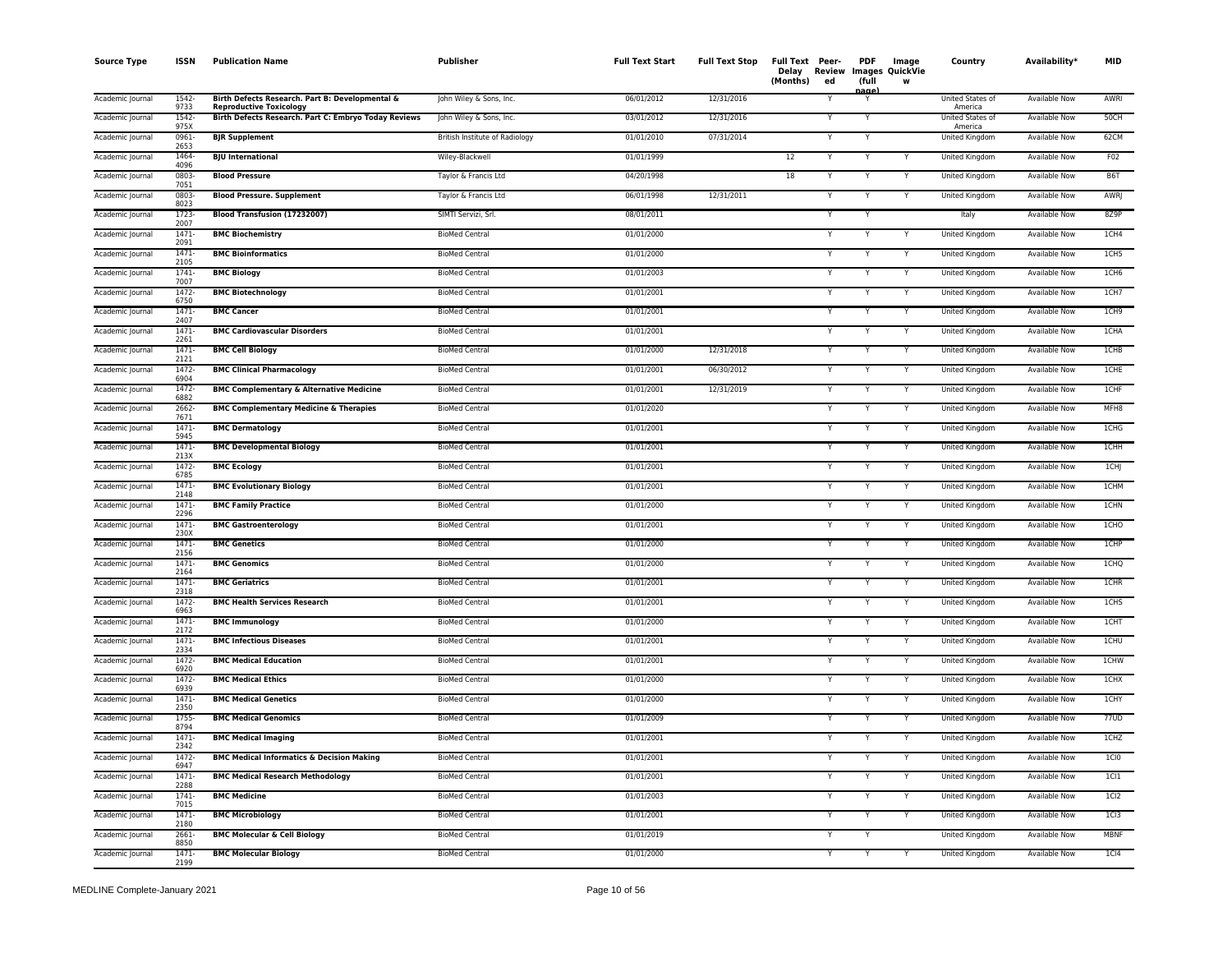| <b>Source Type</b> | ISSN             | <b>Publication Name</b>                                                           | Publisher                      | <b>Full Text Start</b> | <b>Full Text Stop</b> | Full Text Peer-<br><b>Review</b><br>Delay<br>(Months)<br>ed | <b>PDF</b><br>(full | Image<br>Images QuickVie<br>W | Country                     | Availability <sup>*</sup> | <b>MID</b>        |
|--------------------|------------------|-----------------------------------------------------------------------------------|--------------------------------|------------------------|-----------------------|-------------------------------------------------------------|---------------------|-------------------------------|-----------------------------|---------------------------|-------------------|
| Academic Journal   | 1542-<br>9733    | Birth Defects Research. Part B: Developmental &<br><b>Reproductive Toxicology</b> | John Wiley & Sons, Inc.        | 06/01/2012             | 12/31/2016            |                                                             | age                 |                               | United States of<br>America | Available Now             | AWRI              |
| Academic Journal   | 1542-<br>975X    | Birth Defects Research. Part C: Embryo Today Reviews                              | John Wiley & Sons, Inc.        | 03/01/2012             | 12/31/2016            |                                                             | Y                   |                               | United States of<br>America | Available Now             | 50CH              |
| Academic Journal   | 0961-<br>2653    | <b>BJR Supplement</b>                                                             | British Institute of Radiology | 01/01/2010             | 07/31/2014            | Y                                                           | Y                   |                               | United Kingdom              | Available Now             | 62CM              |
| Academic Journal   | 1464<br>4096     | <b>BJU</b> International                                                          | Wiley-Blackwell                | 01/01/1999             |                       | 12                                                          | Y                   |                               | United Kingdom              | <b>Available Now</b>      | F02               |
| Academic Journal   | 0803-<br>7051    | <b>Blood Pressure</b>                                                             | Taylor & Francis Ltd           | 04/20/1998             |                       | 18<br>Ÿ                                                     | Y                   | Y                             | United Kingdom              | Available Now             | B6T               |
| Academic Journal   | 0803-<br>8023    | <b>Blood Pressure. Supplement</b>                                                 | Taylor & Francis Ltd           | 06/01/1998             | 12/31/2011            | Y                                                           | Y                   | Y                             | <b>United Kingdom</b>       | <b>Available Now</b>      | <b>AWR</b>        |
| Academic Journal   | 1723-<br>2007    | Blood Transfusion (17232007)                                                      | SIMTI Servizi, Srl.            | 08/01/2011             |                       | Y                                                           | Y                   |                               | Italy                       | <b>Available Now</b>      | 8Z9P              |
| Academic Journal   | 1471-<br>2091    | <b>BMC Biochemistry</b>                                                           | <b>BioMed Central</b>          | 01/01/2000             |                       | Y                                                           | Y                   | Y                             | United Kingdom              | Available Now             | 1CH4              |
| Academic Journal   | $1471 -$<br>2105 | <b>BMC Bioinformatics</b>                                                         | <b>BioMed Central</b>          | 01/01/2000             |                       |                                                             |                     | Y                             | United Kingdom              | Available Now             | 1CH <sub>5</sub>  |
| Academic Journal   | $1741 -$<br>7007 | <b>BMC Biology</b>                                                                | <b>BioMed Central</b>          | 01/01/2003             |                       | Y                                                           | Y                   | Y                             | United Kingdom              | <b>Available Now</b>      | 1CH6              |
| Academic Journal   | $1472 -$<br>6750 | <b>BMC Biotechnology</b>                                                          | <b>BioMed Central</b>          | 01/01/2001             |                       |                                                             |                     | Y                             | United Kingdom              | Available Now             | 1CH7              |
| Academic Journal   | $1471 -$<br>2407 | <b>BMC Cancer</b>                                                                 | <b>BioMed Central</b>          | 01/01/2001             |                       | Y                                                           | Y                   | Y                             | <b>United Kingdom</b>       | <b>Available Now</b>      | ICH9              |
| Academic Journal   | $1471 -$<br>2261 | <b>BMC Cardiovascular Disorders</b>                                               | <b>BioMed Central</b>          | 01/01/2001             |                       | Y                                                           | Y                   | Y                             | <b>United Kingdom</b>       | <b>Available Now</b>      | 1CHA              |
| Academic Journal   | $1471 -$<br>2121 | <b>BMC Cell Biology</b>                                                           | <b>BioMed Central</b>          | 01/01/2000             | 12/31/2018            | Y                                                           | Υ                   | Υ                             | United Kingdom              | <b>Available Now</b>      | 1CHB              |
| Academic Journal   | 1472-<br>6904    | <b>BMC Clinical Pharmacology</b>                                                  | <b>BioMed Central</b>          | 01/01/2001             | 06/30/2012            | Y                                                           | Y                   | Y                             | United Kingdom              | Available Now             | 1CHE              |
| Academic Journal   | 1472-<br>6882    | <b>BMC Complementary &amp; Alternative Medicine</b>                               | <b>BioMed Central</b>          | 01/01/2001             | 12/31/2019            |                                                             | Y                   | Υ                             | United Kingdom              | <b>Available Now</b>      | 1CHF              |
| Academic Journal   | $2662 -$<br>7671 | <b>BMC Complementary Medicine &amp; Therapies</b>                                 | <b>BioMed Central</b>          | 01/01/2020             |                       | $\checkmark$                                                | Y                   | Y                             | <b>United Kingdom</b>       | <b>Available Now</b>      | MFH8              |
| Academic Journal   | $1471 -$<br>5945 | <b>BMC Dermatology</b>                                                            | <b>BioMed Central</b>          | 01/01/2001             |                       |                                                             |                     |                               | United Kingdom              | <b>Available Now</b>      | 1CHG              |
| Academic Journal   | $1471 -$<br>213X | <b>BMC Developmental Biology</b>                                                  | <b>BioMed Central</b>          | 01/01/2001             |                       |                                                             |                     | Y                             | United Kingdom              | <b>Available Now</b>      | <b>1CHH</b>       |
| Academic Journal   | 1472-<br>6785    | <b>BMC Ecology</b>                                                                | <b>BioMed Central</b>          | 01/01/2001             |                       |                                                             | Υ                   | Y                             | United Kingdom              | <b>Available Now</b>      | 1CHJ              |
| Academic Journal   | $1471 -$<br>2148 | <b>BMC Evolutionary Biology</b>                                                   | <b>BioMed Central</b>          | 01/01/2001             |                       | Y                                                           | Y                   | Y                             | United Kingdom              | Available Now             | <b>1CHM</b>       |
| Academic Journal   | 1471-<br>2296    | <b>BMC Family Practice</b>                                                        | <b>BioMed Central</b>          | 01/01/2000             |                       |                                                             | Y                   | Y                             | <b>United Kingdom</b>       | Available Now             | <b>1CHN</b>       |
| Academic Journal   | 1471-<br>230X    | <b>BMC Gastroenterology</b>                                                       | <b>BioMed Central</b>          | 01/01/2001             |                       |                                                             |                     | Y                             | United Kingdom              | Available Now             | 1CHO              |
| Academic Journal   | $1471 -$<br>2156 | <b>BMC Genetics</b>                                                               | <b>BioMed Central</b>          | 01/01/2000             |                       | Y                                                           | Y                   | Y                             | United Kingdom              | Available Now             | 1CHP              |
| Academic Journal   | 1471-<br>2164    | <b>BMC Genomics</b>                                                               | <b>BioMed Central</b>          | 01/01/2000             |                       |                                                             |                     | Y                             | United Kingdom              | Available Now             | 1CHQ              |
| Academic Journal   | 1471-<br>2318    | <b>BMC Geriatrics</b>                                                             | <b>BioMed Central</b>          | 01/01/2001             |                       | Y                                                           | Y                   | Y                             | <b>United Kingdom</b>       | <b>Available Now</b>      | 1CHR              |
| Academic Journal   | 1472-<br>6963    | <b>BMC Health Services Research</b>                                               | <b>BioMed Central</b>          | 01/01/2001             |                       |                                                             | Y                   | Y                             | <b>United Kingdom</b>       | <b>Available Now</b>      | 1CHS              |
| Academic Journal   | $1471 -$<br>2172 | <b>BMC Immunology</b>                                                             | <b>BioMed Central</b>          | 01/01/2000             |                       | Y                                                           | Υ                   | Υ                             | United Kingdom              | <b>Available Now</b>      | 1CHT              |
| Academic Journal   | 1471-<br>2334    | <b>BMC Infectious Diseases</b>                                                    | <b>BioMed Central</b>          | 01/01/2001             |                       |                                                             |                     | Y                             | United Kingdom              | Available Now             | 1CHU              |
| Academic Journal   | 1472-<br>6920    | <b>BMC Medical Education</b>                                                      | <b>BioMed Central</b>          | 01/01/2001             |                       |                                                             |                     | Y                             | United Kingdom              | <b>Available Now</b>      | 1CHW              |
| Academic Journal   | 1472<br>6939     | <b>BMC Medical Ethics</b>                                                         | <b>BioMed Central</b>          | 01/01/2000             |                       | Y                                                           | Y                   | Y                             | <b>United Kingdom</b>       | <b>Available Now</b>      | 1CHX              |
| Academic Journal   | 1471-<br>2350    | <b>BMC Medical Genetics</b>                                                       | <b>BioMed Central</b>          | 01/01/2000             |                       |                                                             | Υ                   | Y                             | United Kingdom              | Available Now             | 1CHY              |
| Academic Journal   | 1755-<br>8794    | <b>BMC Medical Genomics</b>                                                       | <b>BioMed Central</b>          | 01/01/2009             |                       | Y                                                           |                     | Y                             | <b>United Kingdom</b>       | <b>Available Now</b>      | 77UD              |
| Academic Journal   | $1471 -$<br>2342 | <b>BMC Medical Imaging</b>                                                        | <b>BioMed Central</b>          | 01/01/2001             |                       |                                                             | Υ                   | Y                             | United Kingdom              | <b>Available Now</b>      | 1CHZ              |
| Academic Journal   | 1472-<br>6947    | <b>BMC Medical Informatics &amp; Decision Making</b>                              | <b>BioMed Central</b>          | 01/01/2001             |                       |                                                             | Υ                   | Ÿ                             | United Kingdom              | <b>Available Now</b>      | 1CI <sub>0</sub>  |
| Academic Journal   | $1471 -$<br>2288 | <b>BMC Medical Research Methodology</b>                                           | <b>BioMed Central</b>          | 01/01/2001             |                       | Y                                                           | Y                   | Y                             | United Kingdom              | Available Now             | 1 <sub>C11</sub>  |
| Academic Journal   | 1741-<br>7015    | <b>BMC Medicine</b>                                                               | <b>BioMed Central</b>          | 01/01/2003             |                       |                                                             |                     | Y                             | United Kingdom              | Available Now             | 1 <sub>CI</sub> 2 |
| Academic Journal   | $1471 -$<br>2180 | <b>BMC Microbiology</b>                                                           | <b>BioMed Central</b>          | 01/01/2001             |                       |                                                             | Y                   | Y                             | United Kingdom              | <b>Available Now</b>      | 1 <sub>C13</sub>  |
| Academic Journal   | 2661-<br>8850    | <b>BMC Molecular &amp; Cell Biology</b>                                           | <b>BioMed Central</b>          | 01/01/2019             |                       |                                                             |                     |                               | United Kingdom              | Available Now             | <b>MBNF</b>       |
| Academic Journal   | $1471 -$<br>2199 | <b>BMC Molecular Biology</b>                                                      | <b>BioMed Central</b>          | 01/01/2000             |                       | Y                                                           | Y                   | Ÿ                             | <b>United Kingdom</b>       | <b>Available Now</b>      | 1C <sub>14</sub>  |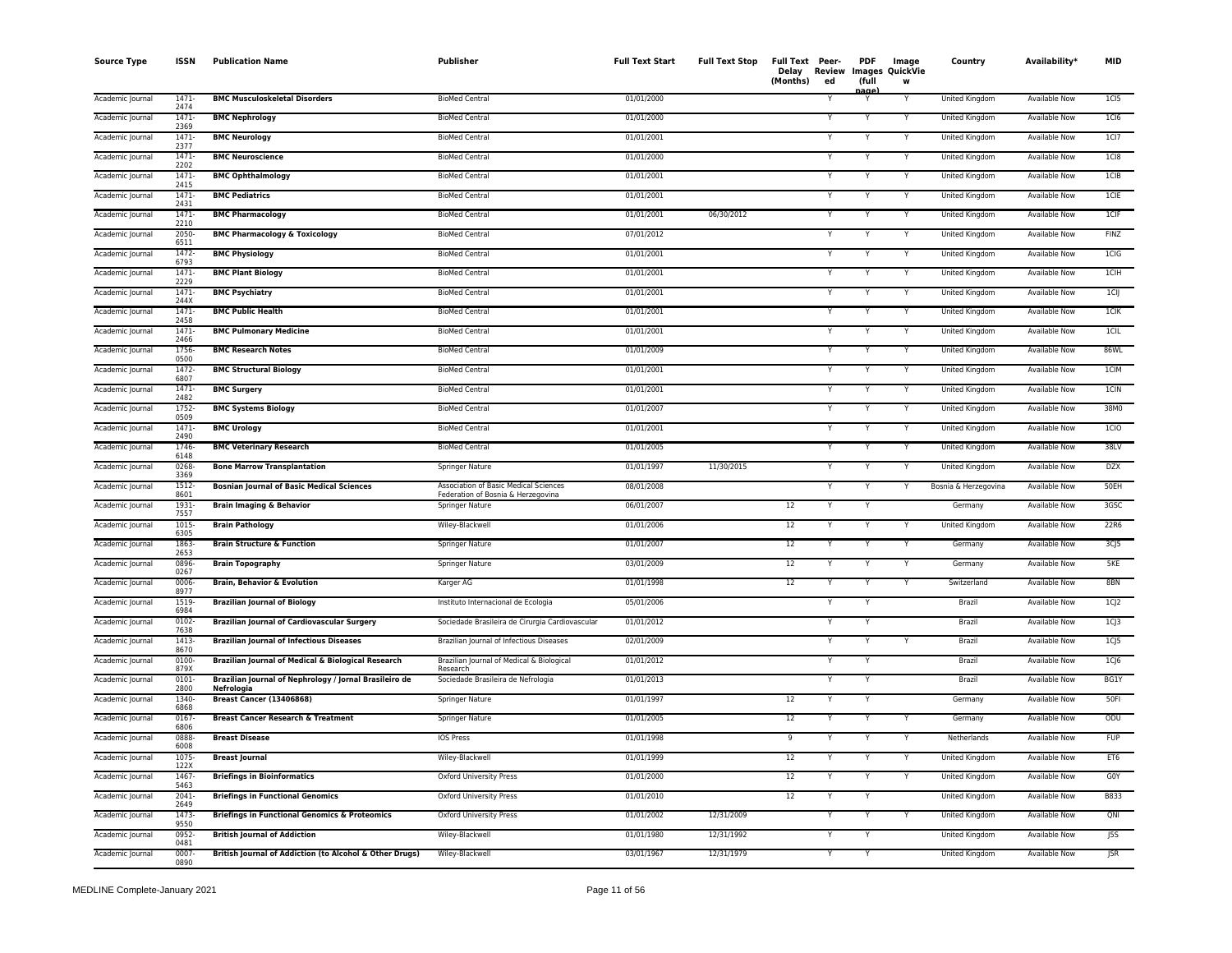| <b>Source Type</b> | <b>ISSN</b>      | <b>Publication Name</b>                                              | Publisher                                                                   | <b>Full Text Start</b> | <b>Full Text Stop</b> | Full Text Peer-<br>Delay<br>Review<br>(Months)<br>ed | <b>PDF</b><br>(full | Image<br>Images QuickVie<br>W | Country               | Availability*        | MID               |
|--------------------|------------------|----------------------------------------------------------------------|-----------------------------------------------------------------------------|------------------------|-----------------------|------------------------------------------------------|---------------------|-------------------------------|-----------------------|----------------------|-------------------|
| Academic Journal   | 1471-<br>2474    | <b>BMC Musculoskeletal Disorders</b>                                 | <b>BioMed Central</b>                                                       | 01/01/2000             |                       |                                                      | ag                  | Y                             | United Kingdom        | Available Now        | 1C15              |
| Academic Journal   | 1471<br>2369     | <b>BMC Nephrology</b>                                                | <b>BioMed Central</b>                                                       | 01/01/2000             |                       |                                                      |                     |                               | United Kingdom        | Available Now        | 1C16              |
| Academic Journal   | 1471<br>2377     | <b>BMC Neurology</b>                                                 | <b>BioMed Central</b>                                                       | 01/01/2001             |                       |                                                      | Y                   | Y                             | United Kingdom        | <b>Available Now</b> | 1 <sub>C</sub> 17 |
| Academic Journal   | $1471 -$<br>2202 | <b>BMC Neuroscience</b>                                              | <b>BioMed Central</b>                                                       | 01/01/2000             |                       |                                                      | Y                   |                               | United Kingdom        | <b>Available Now</b> | 1C18              |
| Academic Journal   | $1471 -$<br>2415 | <b>BMC Ophthalmology</b>                                             | <b>BioMed Central</b>                                                       | 01/01/2001             |                       |                                                      | N                   | Y                             | United Kingdom        | Available Now        | 1CIB              |
| Academic Journal   | 1471<br>2431     | <b>BMC Pediatrics</b>                                                | <b>BioMed Central</b>                                                       | 01/01/2001             |                       |                                                      | Y                   | Y                             | United Kingdom        | Available Now        | 1CIE              |
| Academic Journal   | $1471 -$<br>2210 | <b>BMC Pharmacology</b>                                              | <b>BioMed Central</b>                                                       | 01/01/2001             | 06/30/2012            |                                                      | Y                   | Y                             | United Kingdom        | <b>Available Now</b> | ICIF              |
| Academic Journal   | 2050-<br>6511    | <b>BMC Pharmacology &amp; Toxicology</b>                             | <b>BioMed Central</b>                                                       | 07/01/2012             |                       |                                                      | Y                   | Y                             | United Kingdom        | Available Now        | <b>FINZ</b>       |
| Academic Journal   | 1472<br>6793     | <b>BMC Physiology</b>                                                | <b>BioMed Central</b>                                                       | 01/01/2001             |                       |                                                      |                     | Y                             | United Kingdom        | Available Now        | 1CIG              |
| Academic Journal   | 1471<br>2229     | <b>BMC Plant Biology</b>                                             | <b>BioMed Central</b>                                                       | 01/01/2001             |                       |                                                      | Ÿ                   |                               | United Kingdom        | <b>Available Now</b> | 1CIH              |
| Academic Journal   | $1471 -$<br>244X | <b>BMC Psychiatry</b>                                                | <b>BioMed Central</b>                                                       | 01/01/2001             |                       |                                                      | Y                   | Y                             | United Kingdom        | <b>Available Now</b> | 1 <sub>CI</sub>   |
| Academic Journal   | 1471<br>2458     | <b>BMC Public Health</b>                                             | <b>BioMed Central</b>                                                       | 01/01/2001             |                       |                                                      | Y                   | Y                             | <b>United Kingdom</b> | <b>Available Now</b> | 1CIK              |
| Academic Journal   | 1471<br>2466     | <b>BMC Pulmonary Medicine</b>                                        | <b>BioMed Central</b>                                                       | 01/01/2001             |                       |                                                      | Y                   | Y                             | United Kingdom        | <b>Available Now</b> | ICIL              |
| Academic Journal   | 1756-<br>0500    | <b>BMC Research Notes</b>                                            | <b>BioMed Central</b>                                                       | 01/01/2009             |                       |                                                      | Y                   | Y                             | United Kingdom        | Available Now        | 86WL              |
| Academic Journal   | 1472-<br>6807    | <b>BMC Structural Biology</b>                                        | <b>BioMed Central</b>                                                       | 01/01/2001             |                       |                                                      | Y                   | Y                             | United Kingdom        | Available Now        | 1CIM              |
| Academic Journal   | 1471-<br>2482    | <b>BMC Surgery</b>                                                   | <b>BioMed Central</b>                                                       | 01/01/2001             |                       |                                                      |                     | $\checkmark$                  | United Kingdom        | <b>Available Now</b> | 1CIN              |
| Academic Journal   | $1752 -$<br>0509 | <b>BMC Systems Biology</b>                                           | <b>BioMed Central</b>                                                       | 01/01/2007             |                       |                                                      | Y                   | Y                             | United Kingdom        | <b>Available Now</b> | 38M0              |
| Academic Journal   | $1471 -$<br>2490 | <b>BMC Urology</b>                                                   | <b>BioMed Central</b>                                                       | 01/01/2001             |                       |                                                      | Y                   | Y                             | United Kingdom        | <b>Available Now</b> | 1CIO              |
| Academic Journal   | 1746-<br>6148    | <b>BMC Veterinary Research</b>                                       | <b>BioMed Central</b>                                                       | 01/01/2005             |                       |                                                      | Y                   | Y                             | United Kingdom        | <b>Available Now</b> | 38LV              |
| Academic Journal   | 0268<br>3369     | <b>Bone Marrow Transplantation</b>                                   | Springer Nature                                                             | 01/01/1997             | 11/30/2015            |                                                      | Y                   | Y                             | United Kingdom        | Available Now        | DZX               |
| Academic Journal   | 1512<br>8601     | <b>Bosnian Journal of Basic Medical Sciences</b>                     | Association of Basic Medical Sciences<br>Federation of Bosnia & Herzegovina | 08/01/2008             |                       | Y                                                    | Y                   | Y                             | Bosnia & Herzegovina  | Available Now        | 50EH              |
| Academic Journal   | 1931<br>7557     | <b>Brain Imaging &amp; Behavior</b>                                  | Springer Nature                                                             | 06/01/2007             |                       | 12                                                   | Y                   |                               | Germany               | Available Now        | 3GSC              |
| Academic Journal   | 1015<br>6305     | <b>Brain Pathology</b>                                               | Wiley-Blackwell                                                             | 01/01/2006             |                       | 12                                                   |                     |                               | United Kingdom        | Available Now        | 22R6              |
| Academic Journal   | 1863<br>2653     | <b>Brain Structure &amp; Function</b>                                | <b>Springer Nature</b>                                                      | 01/01/2007             |                       | 12                                                   |                     | $\checkmark$                  | Germany               | <b>Available Now</b> | $3C$ $5$          |
| Academic Journal   | 0896<br>0267     | <b>Brain Topography</b>                                              | Springer Nature                                                             | 03/01/2009             |                       | $12\,$                                               | Y                   | Y                             | Germany               | <b>Available Now</b> | 5KE               |
| Academic Journal   | 0006<br>8977     | <b>Brain, Behavior &amp; Evolution</b>                               | Karger AG                                                                   | 01/01/1998             |                       | 12                                                   | Y                   | Y                             | Switzerland           | <b>Available Now</b> | 8BN               |
| Academic Journal   | 1519<br>6984     | <b>Brazilian Journal of Biology</b>                                  | Instituto Internacional de Ecologia                                         | 05/01/2006             |                       |                                                      | Y                   |                               | Brazil                | <b>Available Now</b> | 1C <sub>12</sub>  |
| Academic Journal   | $0102 -$<br>7638 | <b>Brazilian Journal of Cardiovascular Surgery</b>                   | Sociedade Brasileira de Cirurgia Cardiovascular                             | 01/01/2012             |                       |                                                      |                     |                               | Brazil                | <b>Available Now</b> | $1C$ $3$          |
| Academic Journal   | 1413<br>8670     | <b>Brazilian Journal of Infectious Diseases</b>                      | Brazilian Journal of Infectious Diseases                                    | 02/01/2009             |                       |                                                      | Y                   |                               | Brazil                | Available Now        | $1C$ $5$          |
| Academic Journal   | 0100<br>879X     | Brazilian Journal of Medical & Biological Research                   | Brazilian Journal of Medical & Biological<br>Research                       | 01/01/2012             |                       |                                                      |                     |                               | Brazil                | <b>Available Now</b> | 1C <sub>0</sub>   |
| Academic Journal   | 0101<br>2800     | Brazilian Journal of Nephrology / Jornal Brasileiro de<br>Nefrologia | Sociedade Brasileira de Nefrologia                                          | 01/01/2013             |                       |                                                      | Y                   |                               | Brazil                | <b>Available Now</b> | BG1Y              |
| Academic Journal   | 1340-<br>6868    | <b>Breast Cancer (13406868)</b>                                      | <b>Springer Nature</b>                                                      | 01/01/1997             |                       | 12                                                   | Y                   |                               | Germany               | <b>Available Now</b> | <b>50FI</b>       |
| Academic Journal   | $0167 -$<br>6806 | <b>Breast Cancer Research &amp; Treatment</b>                        | <b>Springer Nature</b>                                                      | 01/01/2005             |                       | 12                                                   | Y                   |                               | Germany               | <b>Available Now</b> | ODU               |
| Academic Journal   | 0888<br>6008     | <b>Breast Disease</b>                                                | IOS Press                                                                   | 01/01/1998             |                       | 9                                                    | Y                   | Y                             | Netherlands           | Available Now        | <b>FUP</b>        |
| Academic Journal   | 1075<br>122X     | <b>Breast Journal</b>                                                | Wiley-Blackwell                                                             | 01/01/1999             |                       | 12                                                   | Y                   | Y                             | United Kingdom        | <b>Available Now</b> | ET6               |
| Academic Journal   | 1467<br>5463     | <b>Briefings in Bioinformatics</b>                                   | Oxford University Press                                                     | 01/01/2000             |                       | 12                                                   | Y                   | Y                             | United Kingdom        | Available Now        | G0Y               |
| Academic Journal   | 2041-<br>2649    | <b>Briefings in Functional Genomics</b>                              | Oxford University Press                                                     | 01/01/2010             |                       | 12                                                   |                     |                               | United Kingdom        | Available Now        | B833              |
| Academic Journal   | 1473<br>9550     | <b>Briefings in Functional Genomics &amp; Proteomics</b>             | <b>Oxford University Press</b>                                              | 01/01/2002             | 12/31/2009            |                                                      |                     |                               | United Kingdom        | <b>Available Now</b> | QNI               |
| Academic Journal   | 0952-<br>0481    | <b>British Journal of Addiction</b>                                  | Wiley-Blackwell                                                             | 01/01/1980             | 12/31/1992            |                                                      | Y                   |                               | United Kingdom        | Available Now        | J5S               |
| Academic Journal   | 0007<br>0890     | <b>British Journal of Addiction (to Alcohol &amp; Other Drugs)</b>   | Wiley-Blackwell                                                             | 03/01/1967             | 12/31/1979            |                                                      | Y                   |                               | United Kingdom        | <b>Available Now</b> | 5R                |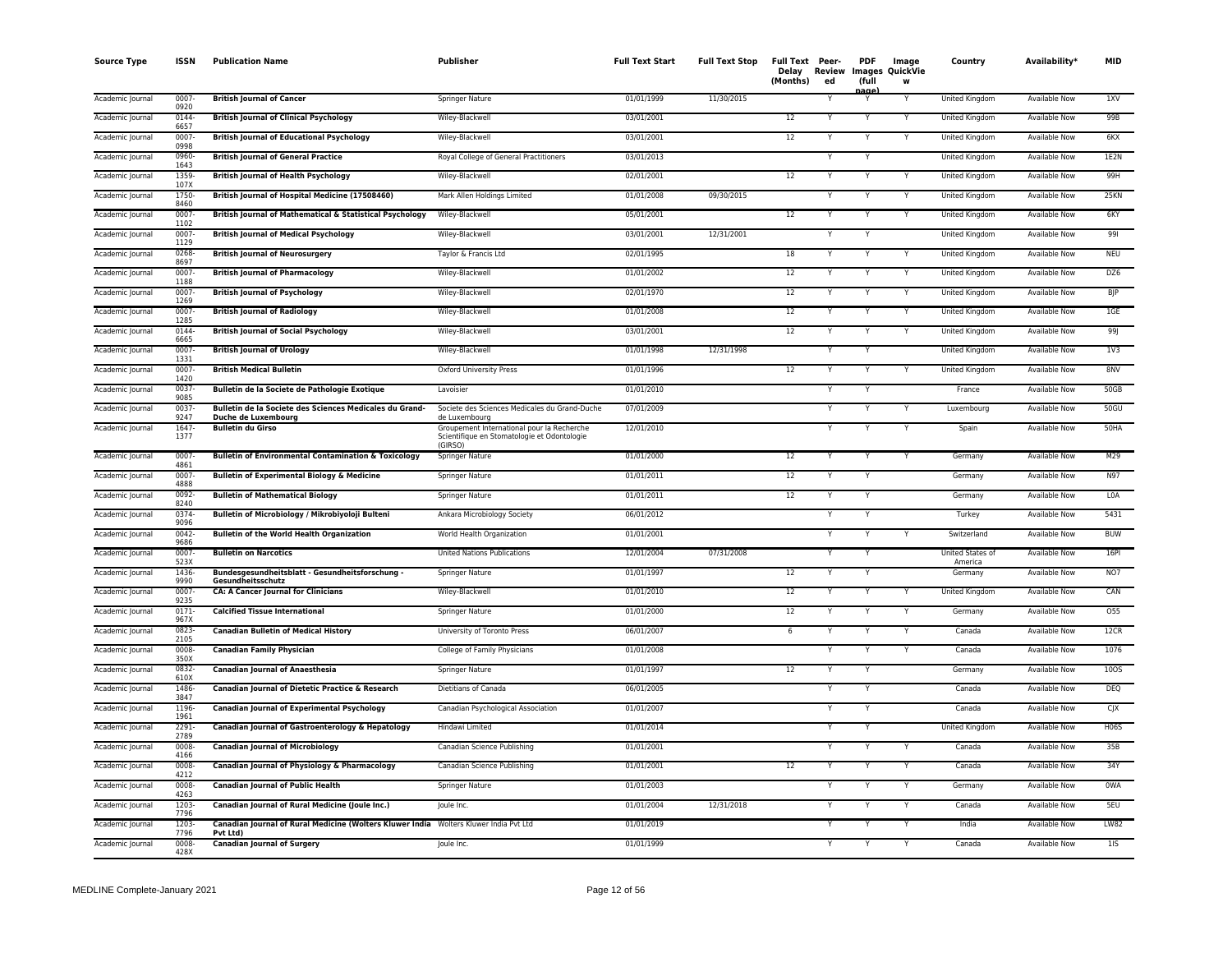| <b>Source Type</b> | <b>ISSN</b>      | <b>Publication Name</b>                                                                           | Publisher                                                                                            | <b>Full Text Start</b> | <b>Full Text Stop</b> | Full Text Peer-<br>Delay<br>(Months) | Review<br>ed | <b>PDF</b><br>(full | Image<br>Images QuickVie<br>w | Country                     | Availability*        | <b>MID</b>     |
|--------------------|------------------|---------------------------------------------------------------------------------------------------|------------------------------------------------------------------------------------------------------|------------------------|-----------------------|--------------------------------------|--------------|---------------------|-------------------------------|-----------------------------|----------------------|----------------|
| Academic Journal   | $0007 -$<br>0920 | <b>British Journal of Cancer</b>                                                                  | Springer Nature                                                                                      | 01/01/1999             | 11/30/2015            |                                      |              | nage                |                               | United Kingdom              | <b>Available Now</b> | 1XV            |
| Academic Journal   | 0144-<br>6657    | <b>British Journal of Clinical Psychology</b>                                                     | Wiley-Blackwell                                                                                      | 03/01/2001             |                       | 12                                   |              | Y                   | Y                             | United Kingdom              | <b>Available Now</b> | 99B            |
| Academic Journal   | 0007<br>0998     | <b>British Journal of Educational Psychology</b>                                                  | Wiley-Blackwell                                                                                      | 03/01/2001             |                       | 12                                   |              |                     |                               | United Kingdom              | <b>Available Now</b> | 6KX            |
| Academic Journal   | 0960-<br>1643    | <b>British Journal of General Practice</b>                                                        | Royal College of General Practitioners                                                               | 03/01/2013             |                       |                                      | Y            | Y                   |                               | United Kingdom              | Available Now        | 1E2N           |
| Academic Journal   | 1359-<br>107X    | <b>British Journal of Health Psychology</b>                                                       | Wiley-Blackwell                                                                                      | 02/01/2001             |                       | $12\,$                               |              | Y                   |                               | United Kingdom              | Available Now        | 99H            |
| Academic Journal   | 1750-<br>8460    | British Journal of Hospital Medicine (17508460)                                                   | Mark Allen Holdings Limited                                                                          | 01/01/2008             | 09/30/2015            |                                      | Y            |                     | Y                             | United Kingdom              | <b>Available Now</b> | 25KN           |
| Academic Journal   | 0007<br>1102     | British Journal of Mathematical & Statistical Psychology                                          | Wiley-Blackwell                                                                                      | 05/01/2001             |                       | 12                                   | Y            |                     |                               | United Kingdom              | Available Now        | 6KY            |
| Academic Journal   | 0007<br>1129     | <b>British Journal of Medical Psychology</b>                                                      | Wiley-Blackwell                                                                                      | 03/01/2001             | 12/31/2001            |                                      |              |                     |                               | United Kingdom              | <b>Available Now</b> | 991            |
| Academic Journal   | 0268<br>8697     | <b>British Journal of Neurosurgery</b>                                                            | Taylor & Francis Ltd                                                                                 | 02/01/1995             |                       | 18                                   |              |                     |                               | United Kingdom              | <b>Available Now</b> | <b>NEU</b>     |
| Academic Journal   | $0007 -$<br>1188 | <b>British Journal of Pharmacology</b>                                                            | Wiley-Blackwell                                                                                      | 01/01/2002             |                       | 12                                   | Y            | Y                   | Y                             | United Kingdom              | <b>Available Now</b> | DZ6            |
| Academic Journal   | $0007 -$<br>1269 | <b>British Journal of Psychology</b>                                                              | Wiley-Blackwell                                                                                      | 02/01/1970             |                       | $12\,$                               |              |                     |                               | United Kingdom              | Available Now        | B              |
| Academic Journal   | 0007-<br>1285    | <b>British Journal of Radiology</b>                                                               | Wiley-Blackwell                                                                                      | 01/01/2008             |                       | 12                                   |              |                     | Y                             | United Kingdom              | Available Now        | 1GE            |
| Academic Journal   | $0144 -$<br>6665 | <b>British Journal of Social Psychology</b>                                                       | Wiley-Blackwell                                                                                      | 03/01/2001             |                       | 12                                   |              |                     |                               | <b>United Kingdom</b>       | <b>Available Now</b> | 99J            |
| Academic Journal   | 0007<br>1331     | <b>British Journal of Urology</b>                                                                 | Wiley-Blackwell                                                                                      | 01/01/1998             | 12/31/1998            |                                      |              |                     |                               | United Kingdom              | Available Now        | 1V3            |
| Academic Journal   | $0007 -$<br>1420 | <b>British Medical Bulletin</b>                                                                   | <b>Oxford University Press</b>                                                                       | 01/01/1996             |                       | 12                                   | Y            | Y                   | Y                             | United Kingdom              | Available Now        | 8NV            |
| Academic Journal   | 0037-<br>9085    | Bulletin de la Societe de Pathologie Exotique                                                     | Lavoisier                                                                                            | 01/01/2010             |                       |                                      | Y            |                     |                               | France                      | Available Now        | 50GB           |
| Academic Journal   | 0037-<br>9247    | Bulletin de la Societe des Sciences Medicales du Grand-<br>Duche de Luxembourg                    | Societe des Sciences Medicales du Grand-Duche<br>de Luxembourg                                       | 07/01/2009             |                       |                                      | Y            |                     |                               | Luxembourg                  | Available Now        | 50GU           |
| Academic Journal   | 1647-<br>1377    | <b>Bulletin du Girso</b>                                                                          | Groupement International pour la Recherche<br>Scientifique en Stomatologie et Odontologie<br>(GIRSO) | 12/01/2010             |                       |                                      |              |                     |                               | Spain                       | Available Now        | 50HA           |
| Academic Journal   | 0007-<br>4861    | <b>Bulletin of Environmental Contamination &amp; Toxicology</b>                                   | Springer Nature                                                                                      | 01/01/2000             |                       | 12                                   | Y            |                     |                               | Germany                     | <b>Available Now</b> | M29            |
| Academic Journal   | $0007 -$<br>4888 | <b>Bulletin of Experimental Biology &amp; Medicine</b>                                            | Springer Nature                                                                                      | 01/01/2011             |                       | 12                                   |              |                     |                               | Germany                     | <b>Available Now</b> | N97            |
| Academic Journal   | 0092-<br>8240    | <b>Bulletin of Mathematical Biology</b>                                                           | Springer Nature                                                                                      | 01/01/2011             |                       | 12                                   |              |                     |                               | Germany                     | Available Now        | L0A            |
| Academic Journal   | $0374 -$<br>9096 | Bulletin of Microbiology / Mikrobiyoloji Bulteni                                                  | Ankara Microbiology Society                                                                          | 06/01/2012             |                       |                                      |              |                     |                               | Turkey                      | <b>Available Now</b> | 5431           |
| Academic Journal   | $0042 -$<br>9686 | <b>Bulletin of the World Health Organization</b>                                                  | World Health Organization                                                                            | 01/01/2001             |                       |                                      | Y            |                     |                               | Switzerland                 | <b>Available Now</b> | <b>BUW</b>     |
| Academic Journal   | 0007-<br>523X    | <b>Bulletin on Narcotics</b>                                                                      | <b>United Nations Publications</b>                                                                   | 12/01/2004             | 07/31/2008            |                                      | Y            |                     |                               | United States of<br>America | Available Now        | 16PI           |
| Academic Journal   | 1436-<br>9990    | Bundesgesundheitsblatt - Gesundheitsforschung<br>Gesundheitsschutz                                | Springer Nature                                                                                      | 01/01/1997             |                       | 12                                   |              |                     |                               | Germany                     | <b>Available Now</b> | NO7            |
| Academic Journal   | 0007<br>9235     | <b>CA: A Cancer Journal for Clinicians</b>                                                        | Wiley-Blackwell                                                                                      | 01/01/2010             |                       | 12                                   |              |                     |                               | United Kingdom              | <b>Available Now</b> | CAN            |
| Academic Journal   | $0171 -$<br>967X | <b>Calcified Tissue International</b>                                                             | Springer Nature                                                                                      | 01/01/2000             |                       | $12\,$                               |              |                     |                               | Germany                     | Available Now        | 055            |
| Academic Journal   | 0823-<br>2105    | <b>Canadian Bulletin of Medical History</b>                                                       | University of Toronto Press                                                                          | 06/01/2007             |                       | 6                                    |              |                     | Y                             | Canada                      | Available Now        | 12CR           |
| Academic Journal   | 0008<br>350X     | <b>Canadian Family Physician</b>                                                                  | College of Family Physicians                                                                         | 01/01/2008             |                       |                                      |              | $\mathsf{v}$        |                               | Canada                      | <b>Available Now</b> | 1076           |
| Academic Journal   | $0832 -$<br>610X | <b>Canadian Journal of Anaesthesia</b>                                                            | Springer Nature                                                                                      | 01/01/1997             |                       | 12                                   |              |                     |                               | Germany                     | <b>Available Now</b> | 100S           |
| Academic Journal   | 1486-<br>3847    | Canadian Journal of Dietetic Practice & Research                                                  | Dietitians of Canada                                                                                 | 06/01/2005             |                       |                                      |              |                     |                               | Canada                      | <b>Available Now</b> | <b>DEQ</b>     |
| Academic Journal   | 1196-<br>1961    | <b>Canadian Journal of Experimental Psychology</b>                                                | Canadian Psychological Association                                                                   | 01/01/2007             |                       |                                      |              |                     |                               | Canada                      | Available Now        | <b>CJX</b>     |
| Academic Journal   | 2291-<br>2789    | Canadian Journal of Gastroenterology & Hepatology                                                 | Hindawi Limited                                                                                      | 01/01/2014             |                       |                                      |              |                     |                               | United Kingdom              | Available Now        | <b>H06S</b>    |
| Academic Journal   | 0008<br>4166     | <b>Canadian Journal of Microbiology</b>                                                           | Canadian Science Publishing                                                                          | 01/01/2001             |                       |                                      |              |                     |                               | Canada                      | <b>Available Now</b> | 35B            |
| Academic Journal   | $0008 -$<br>4212 | Canadian Journal of Physiology & Pharmacology                                                     | Canadian Science Publishing                                                                          | 01/01/2001             |                       | 12                                   | Y            | Y                   | Y                             | Canada                      | <b>Available Now</b> | 34Y            |
| Academic Journal   | $0008 -$<br>4263 | <b>Canadian Journal of Public Health</b>                                                          | Springer Nature                                                                                      | 01/01/2003             |                       |                                      | Y            |                     | Y                             | Germany                     | Available Now        | 0WA            |
| Academic Journal   | 1203-<br>7796    | Canadian Journal of Rural Medicine (Joule Inc.)                                                   | Joule Inc.                                                                                           | 01/01/2004             | 12/31/2018            |                                      | Y            |                     |                               | Canada                      | Available Now        | 5EU            |
| Academic Journal   | 1203<br>7796     | Canadian Journal of Rural Medicine (Wolters Kluwer India Wolters Kluwer India Pvt Ltd<br>Pvt Ltd) |                                                                                                      | 01/01/2019             |                       |                                      |              |                     |                               | India                       | Available Now        | <b>LW82</b>    |
| Academic Journal   | 0008<br>428X     | <b>Canadian Journal of Surgery</b>                                                                | Joule Inc.                                                                                           | 01/01/1999             |                       |                                      |              |                     |                               | Canada                      | <b>Available Now</b> | 1 <sub>1</sub> |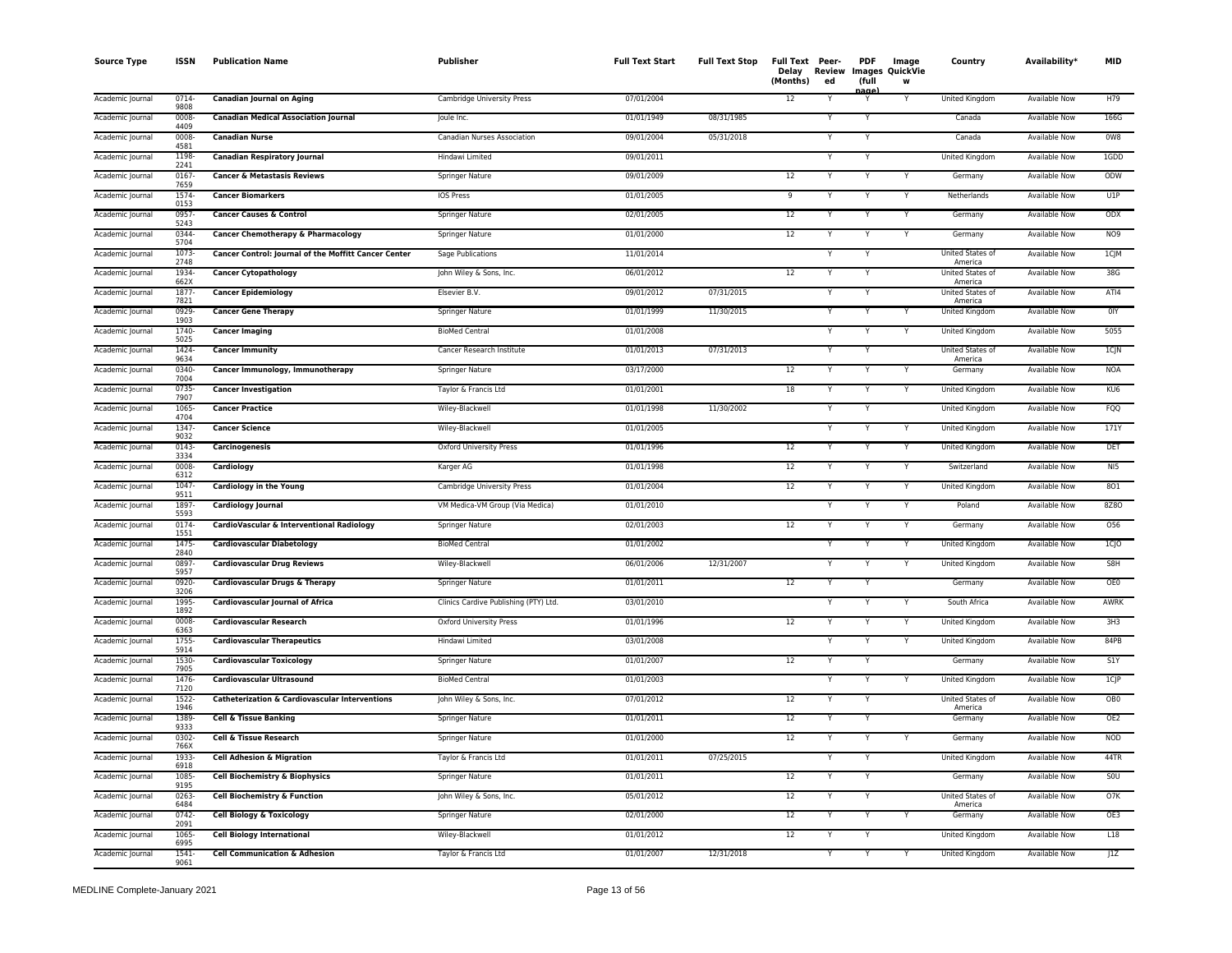| <b>Source Type</b> | <b>ISSN</b>      | <b>Publication Name</b>                              | <b>Publisher</b>                      | <b>Full Text Start</b> | <b>Full Text Stop</b> | Full Text Peer-<br>Delay<br>(Months) | Review<br>ed | <b>PDF</b><br>(full | Image<br><b>Images QuickVie</b><br>W | Country                            | Availability <sup>*</sup> | <b>MID</b>      |
|--------------------|------------------|------------------------------------------------------|---------------------------------------|------------------------|-----------------------|--------------------------------------|--------------|---------------------|--------------------------------------|------------------------------------|---------------------------|-----------------|
| Academic Journal   | 0714<br>9808     | <b>Canadian Journal on Aging</b>                     | Cambridge University Press            | 07/01/2004             |                       | 12                                   |              | nage                | Y                                    | United Kingdom                     | <b>Available Now</b>      | H79             |
| Academic Journal   | 0008-<br>4409    | <b>Canadian Medical Association Journal</b>          | Joule Inc.                            | 01/01/1949             | 08/31/1985            |                                      |              | Y                   |                                      | Canada                             | <b>Available Now</b>      | 166G            |
| Academic Journal   | 0008-<br>4581    | <b>Canadian Nurse</b>                                | Canadian Nurses Association           | 09/01/2004             | 05/31/2018            |                                      | Y            | Y                   |                                      | Canada                             | <b>Available Now</b>      | 0W8             |
| Academic Journal   | 1198<br>2241     | <b>Canadian Respiratory Journal</b>                  | Hindawi Limited                       | 09/01/2011             |                       |                                      |              | Y                   |                                      | <b>United Kingdom</b>              | <b>Available Now</b>      | 1GDD            |
| Academic Journal   | 0167<br>7659     | <b>Cancer &amp; Metastasis Reviews</b>               | Springer Nature                       | 09/01/2009             |                       | 12                                   | Y            | Υ                   | Y                                    | Germany                            | Available Now             | ODW             |
| Academic Journal   | 1574<br>0153     | <b>Cancer Biomarkers</b>                             | IOS Press                             | 01/01/2005             |                       | 9                                    |              | Υ                   | Y                                    | Netherlands                        | Available Now             | U1P             |
| Academic Journal   | 0957<br>5243     | <b>Cancer Causes &amp; Control</b>                   | Springer Nature                       | 02/01/2005             |                       | 12                                   |              |                     | Υ                                    | Germany                            | Available Now             | ODX             |
| Academic Journal   | 0344<br>5704     | <b>Cancer Chemotherapy &amp; Pharmacology</b>        | <b>Springer Nature</b>                | 01/01/2000             |                       | 12                                   |              | Y                   | Y                                    | Germany                            | <b>Available Now</b>      | <b>NO9</b>      |
| Academic Journal   | 1073<br>2748     | Cancer Control: Journal of the Moffitt Cancer Center | Sage Publications                     | 11/01/2014             |                       |                                      |              |                     |                                      | United States of<br>America        | <b>Available Now</b>      | 1CJM            |
| Academic Journal   | 1934<br>662X     | <b>Cancer Cytopathology</b>                          | John Wiley & Sons, Inc.               | 06/01/2012             |                       | 12                                   | Y            | Y                   |                                      | United States of<br>America        | <b>Available Now</b>      | 38G             |
| Academic Journal   | 1877<br>7821     | <b>Cancer Epidemiology</b>                           | Elsevier B.V.                         | 09/01/2012             | 07/31/2015            |                                      |              | Y                   |                                      | <b>United States of</b><br>America | <b>Available Now</b>      | ATI4            |
| Academic Journal   | 0929<br>1903     | <b>Cancer Gene Therapy</b>                           | Springer Nature                       | 01/01/1999             | 11/30/2015            |                                      |              | v                   | Y                                    | United Kingdom                     | <b>Available Now</b>      | <b>OIY</b>      |
| Academic Journal   | 1740-<br>5025    | <b>Cancer Imaging</b>                                | <b>BioMed Central</b>                 | 01/01/2008             |                       |                                      |              | Y                   | Y                                    | United Kingdom                     | Available Now             | 5055            |
| Academic Journal   | 1424<br>9634     | <b>Cancer Immunity</b>                               | Cancer Research Institute             | 01/01/2013             | 07/31/2013            |                                      |              |                     |                                      | United States of<br>America        | Available Now             | 1CJN            |
| Academic Journal   | 0340-<br>7004    | Cancer Immunology, Immunotherapy                     | Springer Nature                       | 03/17/2000             |                       | 12                                   | Y            | Y                   | Y                                    | Germany                            | Available Now             | <b>NOA</b>      |
| Academic Journal   | 0735-<br>7907    | <b>Cancer Investigation</b>                          | Taylor & Francis Ltd                  | 01/01/2001             |                       | 18                                   |              |                     | Y                                    | United Kingdom                     | Available Now             | KU <sub>6</sub> |
| Academic Journal   | 1065-<br>4704    | <b>Cancer Practice</b>                               | Wiley-Blackwell                       | 01/01/1998             | 11/30/2002            |                                      |              | Y                   |                                      | <b>United Kingdom</b>              | <b>Available Now</b>      | FQQ             |
| Academic Journal   | 1347-<br>9032    | <b>Cancer Science</b>                                | Wiley-Blackwell                       | 01/01/2005             |                       |                                      |              | Υ                   | Y                                    | United Kingdom                     | <b>Available Now</b>      | 171Y            |
| Academic Journal   | 0143<br>3334     | Carcinogenesis                                       | <b>Oxford University Press</b>        | 01/01/1996             |                       | 12                                   |              |                     | Y                                    | United Kingdom                     | Available Now             | <b>DET</b>      |
| Academic Journal   | 0008<br>6312     | Cardiology                                           | Karger AG                             | 01/01/1998             |                       | 12                                   |              | Y                   | Y                                    | Switzerland                        | Available Now             | N15             |
| Academic Journal   | 1047<br>9511     | <b>Cardiology in the Young</b>                       | Cambridge University Press            | 01/01/2004             |                       | 12                                   |              |                     | Y                                    | United Kingdom                     | Available Now             | 801             |
| Academic Journal   | 1897<br>5593     | <b>Cardiology Journal</b>                            | VM Medica-VM Group (Via Medica)       | 01/01/2010             |                       |                                      | Y            | Y                   | Y                                    | Poland                             | Available Now             | 8Z8O            |
| Academic Journal   | 0174-<br>1551    | CardioVascular & Interventional Radiology            | Springer Nature                       | 02/01/2003             |                       | 12                                   |              |                     | Y                                    | Germany                            | <b>Available Now</b>      | 056             |
| Academic Journal   | 1475<br>2840     | <b>Cardiovascular Diabetology</b>                    | <b>BioMed Central</b>                 | 01/01/2002             |                       |                                      |              |                     | Y                                    | United Kingdom                     | Available Now             | $1C$ JO         |
| Academic Journal   | 0897<br>5957     | <b>Cardiovascular Drug Reviews</b>                   | Wiley-Blackwell                       | 06/01/2006             | 12/31/2007            |                                      | Y            | Y                   | Y                                    | United Kingdom                     | Available Now             | S8H             |
| Academic Journal   | 0920-<br>3206    | <b>Cardiovascular Drugs &amp; Therapy</b>            | <b>Springer Nature</b>                | 01/01/2011             |                       | $\overline{12}$                      | Y            | Y                   |                                      | Germany                            | <b>Available Now</b>      | OE0             |
| Academic Journal   | 1995-<br>1892    | <b>Cardiovascular Journal of Africa</b>              | Clinics Cardive Publishing (PTY) Ltd. | 03/01/2010             |                       |                                      |              | Υ                   | Υ                                    | South Africa                       | <b>Available Now</b>      | AWRK            |
| Academic Journal   | 0008-<br>6363    | <b>Cardiovascular Research</b>                       | Oxford University Press               | 01/01/1996             |                       | 12                                   |              |                     | Y                                    | United Kingdom                     | Available Now             | 3H3             |
| Academic Journal   | 1755<br>5914     | <b>Cardiovascular Therapeutics</b>                   | Hindawi Limited                       | 03/01/2008             |                       |                                      |              | v                   | Υ                                    | United Kingdom                     | Available Now             | 84PB            |
| Academic Journal   | 1530-<br>7905    | <b>Cardiovascular Toxicology</b>                     | Springer Nature                       | 01/01/2007             |                       | 12                                   |              |                     |                                      | Germany                            | Available Now             | S1Y             |
| Academic Journal   | 1476<br>7120     | <b>Cardiovascular Ultrasound</b>                     | <b>BioMed Central</b>                 | 01/01/2003             |                       |                                      | Y            | Y                   | Y                                    | United Kingdom                     | Available Now             | $1C$ $P$        |
| Academic Journal   | $1522 -$<br>1946 | Catheterization & Cardiovascular Interventions       | John Wiley & Sons, Inc.               | 07/01/2012             |                       | 12                                   |              | Y                   |                                      | <b>United States of</b><br>America | <b>Available Now</b>      | OB <sub>0</sub> |
| Academic Journal   | 1389<br>9333     | <b>Cell &amp; Tissue Banking</b>                     | Springer Nature                       | 01/01/2011             |                       | 12                                   |              | Υ                   |                                      | Germany                            | <b>Available Now</b>      | OE <sub>2</sub> |
| Academic Journal   | $0302 -$<br>766X | Cell & Tissue Research                               | Springer Nature                       | 01/01/2000             |                       | 12                                   |              | Υ                   |                                      | Germany                            | <b>Available Now</b>      | <b>NOD</b>      |
| Academic Journal   | 1933-<br>6918    | <b>Cell Adhesion &amp; Migration</b>                 | Taylor & Francis Ltd                  | 01/01/2011             | 07/25/2015            |                                      |              |                     |                                      | <b>United Kingdom</b>              | <b>Available Now</b>      | 44TR            |
| Academic Journal   | 1085<br>9195     | Cell Biochemistry & Biophysics                       | Springer Nature                       | 01/01/2011             |                       | 12                                   |              | Y                   |                                      | Germany                            | Available Now             | S <sub>0</sub>  |
| Academic Journal   | 0263<br>6484     | Cell Biochemistry & Function                         | John Wiley & Sons, Inc.               | 05/01/2012             |                       | 12                                   |              |                     |                                      | United States of<br>America        | Available Now             | O7K             |
| Academic Journal   | $0742 -$<br>2091 | <b>Cell Biology &amp; Toxicology</b>                 | <b>Springer Nature</b>                | 02/01/2000             |                       | 12                                   |              | Y                   | Y                                    | Germany                            | <b>Available Now</b>      | OE3             |
| Academic Journal   | 1065<br>6995     | <b>Cell Biology International</b>                    | Wiley-Blackwell                       | 01/01/2012             |                       | 12                                   |              |                     |                                      | United Kingdom                     | Available Now             | L18             |
| Academic Journal   | 1541<br>9061     | <b>Cell Communication &amp; Adhesion</b>             | Taylor & Francis Ltd                  | 01/01/2007             | 12/31/2018            |                                      | Y            | Y                   | Y                                    | <b>United Kingdom</b>              | <b>Available Now</b>      | J1Z             |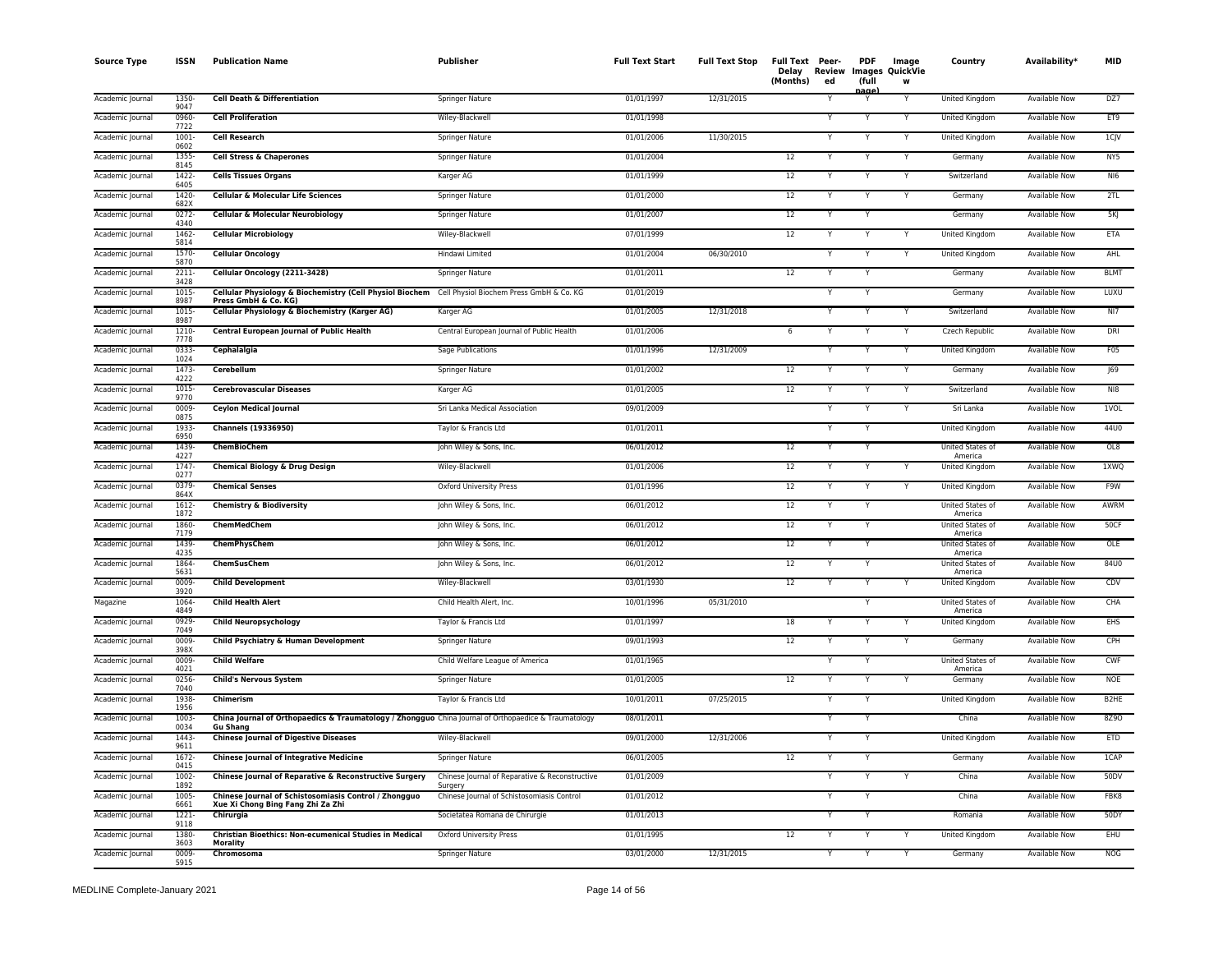| <b>Source Type</b> | ISSN             | <b>Publication Name</b>                                                                                                   | Publisher                                                 | <b>Full Text Start</b> | <b>Full Text Stop</b> | Full Text Peer-<br>Review<br>Delay<br>(Months)<br>ed | <b>PDF</b><br>(full | Image<br><b>Images QuickVie</b><br>W | Country                     | Availability*        | <b>MID</b>        |
|--------------------|------------------|---------------------------------------------------------------------------------------------------------------------------|-----------------------------------------------------------|------------------------|-----------------------|------------------------------------------------------|---------------------|--------------------------------------|-----------------------------|----------------------|-------------------|
| Academic Journal   | 1350-<br>9047    | Cell Death & Differentiation                                                                                              | Springer Nature                                           | 01/01/1997             | 12/31/2015            |                                                      |                     |                                      | United Kingdom              | Available Now        | DZ7               |
| Academic Journal   | 0960-<br>7722    | <b>Cell Proliferation</b>                                                                                                 | Wiley-Blackwell                                           | 01/01/1998             |                       |                                                      |                     |                                      | United Kingdom              | <b>Available Now</b> | ET9               |
| Academic Journal   | 1001<br>0602     | <b>Cell Research</b>                                                                                                      | Springer Nature                                           | 01/01/2006             | 11/30/2015            |                                                      | Y                   | Y                                    | United Kingdom              | Available Now        | 1CJV              |
| Academic Journal   | 1355<br>8145     | <b>Cell Stress &amp; Chaperones</b>                                                                                       | Springer Nature                                           | 01/01/2004             |                       | 12                                                   |                     |                                      | Germany                     | <b>Available Now</b> | NY5               |
| Academic Journal   | 1422<br>6405     | <b>Cells Tissues Organs</b>                                                                                               | Karger AG                                                 | 01/01/1999             |                       | $12\,$                                               | Y                   |                                      | Switzerland                 | Available Now        | NI6               |
| Academic Journal   | 1420-<br>682X    | <b>Cellular &amp; Molecular Life Sciences</b>                                                                             | Springer Nature                                           | 01/01/2000             |                       | 12                                                   | Y                   | Y                                    | Germany                     | <b>Available Now</b> | 2TL               |
| Academic Journal   | $0272 -$<br>4340 | Cellular & Molecular Neurobiology                                                                                         | Springer Nature                                           | 01/01/2007             |                       | 12                                                   | Y                   |                                      | Germany                     | <b>Available Now</b> | 5K                |
| Academic Journal   | 1462<br>5814     | <b>Cellular Microbiology</b>                                                                                              | Wiley-Blackwell                                           | 07/01/1999             |                       | 12                                                   | Y                   |                                      | United Kingdom              | Available Now        | ETA               |
| Academic Journal   | 1570-<br>5870    | <b>Cellular Oncology</b>                                                                                                  | Hindawi Limited                                           | 01/01/2004             | 06/30/2010            |                                                      |                     |                                      | United Kingdom              | Available Now        | AHL               |
| Academic Journal   | $2211 -$<br>3428 | Cellular Oncology (2211-3428)                                                                                             | Springer Nature                                           | 01/01/2011             |                       | 12                                                   | Y                   |                                      | Germany                     | <b>Available Now</b> | <b>BLMT</b>       |
| Academic Journal   | 1015<br>8987     | Cellular Physiology & Biochemistry (Cell Physiol Biochem Cell Physiol Biochem Press GmbH & Co. KG<br>Press GmbH & Co. KG) |                                                           | 01/01/2019             |                       |                                                      |                     |                                      | Germany                     | Available Now        | LUXU              |
| Academic Journal   | 1015<br>8987     | Cellular Physiology & Biochemistry (Karger AG)                                                                            | Karger AG                                                 | 01/01/2005             | 12/31/2018            |                                                      |                     |                                      | Switzerland                 | <b>Available Now</b> | N17               |
| Academic Journal   | 1210-<br>7778    | Central European Journal of Public Health                                                                                 | Central European Journal of Public Health                 | 01/01/2006             |                       | 6                                                    | Y                   | Y                                    | Czech Republic              | <b>Available Now</b> | DRI               |
| Academic Journal   | 0333-<br>1024    | Cephalalgia                                                                                                               | Sage Publications                                         | 01/01/1996             | 12/31/2009            |                                                      |                     | Y                                    | United Kingdom              | <b>Available Now</b> | F05               |
| Academic Journal   | 1473-<br>4222    | Cerebellum                                                                                                                | Springer Nature                                           | 01/01/2002             |                       | $12\,$<br>v                                          | N                   | Y                                    | Germany                     | Available Now        | J69               |
| Academic Journal   | 1015<br>9770     | <b>Cerebrovascular Diseases</b>                                                                                           | Karger AG                                                 | 01/01/2005             |                       | 12                                                   |                     | Y                                    | Switzerland                 | Available Now        | N18               |
| Academic Journal   | 0009-<br>0875    | <b>Ceylon Medical Journal</b>                                                                                             | Sri Lanka Medical Association                             | 09/01/2009             |                       |                                                      | $\checkmark$        | $\checkmark$                         | Sri Lanka                   | <b>Available Now</b> | <b>IVOL</b>       |
| Academic Journal   | 1933-<br>6950    | <b>Channels (19336950)</b>                                                                                                | Taylor & Francis Ltd                                      | 01/01/2011             |                       |                                                      |                     |                                      | United Kingdom              | <b>Available Now</b> | 44U0              |
| Academic Journal   | 1439<br>4227     | <b>ChemBioChem</b>                                                                                                        | John Wiley & Sons, Inc.                                   | 06/01/2012             |                       | 12                                                   |                     |                                      | United States of<br>America | <b>Available Now</b> | OL8               |
| Academic Journal   | 1747<br>0277     | <b>Chemical Biology &amp; Drug Design</b>                                                                                 | Wiley-Blackwell                                           | 01/01/2006             |                       | 12                                                   | Y                   |                                      | <b>United Kingdom</b>       | <b>Available Now</b> | 1XWQ              |
| Academic Journal   | 0379<br>864X     | <b>Chemical Senses</b>                                                                                                    | Oxford University Press                                   | 01/01/1996             |                       | 12                                                   | Y                   | Y                                    | United Kingdom              | Available Now        | F9W               |
| Academic Journal   | 1612-<br>1872    | <b>Chemistry &amp; Biodiversity</b>                                                                                       | John Wiley & Sons, Inc.                                   | 06/01/2012             |                       | 12                                                   | Y                   |                                      | United States of<br>America | Available Now        | AWRM              |
| Academic Journal   | 1860-<br>7179    | ChemMedChem                                                                                                               | John Wiley & Sons, Inc.                                   | 06/01/2012             |                       | 12                                                   |                     |                                      | United States of<br>America | Available Now        | 50CF              |
| Academic Journal   | 1439<br>4235     | ChemPhysChem                                                                                                              | John Wiley & Sons, Inc.                                   | 06/01/2012             |                       | 12                                                   | Y                   |                                      | United States of<br>America | Available Now        | OLE               |
| Academic Journal   | 1864<br>5631     | ChemSusChem                                                                                                               | John Wiley & Sons, Inc.                                   | 06/01/2012             |                       | 12                                                   | Y                   |                                      | United States of<br>America | <b>Available Now</b> | 84U0              |
| Academic Journal   | 0009<br>3920     | <b>Child Development</b>                                                                                                  | Wiley-Blackwell                                           | 03/01/1930             |                       | 12                                                   | Y                   |                                      | <b>United Kingdom</b>       | <b>Available Now</b> | CDV               |
| Magazine           | 1064<br>4849     | <b>Child Health Alert</b>                                                                                                 | Child Health Alert, Inc.                                  | 10/01/1996             | 05/31/2010            |                                                      | Y                   |                                      | United States of<br>America | <b>Available Now</b> | CHA               |
| Academic Journal   | 0929-<br>7049    | <b>Child Neuropsychology</b>                                                                                              | Taylor & Francis Ltd                                      | 01/01/1997             |                       | 18                                                   |                     |                                      | United Kingdom              | <b>Available Now</b> | <b>EHS</b>        |
| Academic Journal   | 0009-<br>398X    | Child Psychiatry & Human Development                                                                                      | Springer Nature                                           | 09/01/1993             |                       | 12                                                   | Y                   |                                      | Germany                     | Available Now        | CPH               |
| Academic Journal   | 0009<br>4021     | <b>Child Welfare</b>                                                                                                      | Child Welfare League of America                           | 01/01/1965             |                       |                                                      |                     |                                      | United States of<br>America | <b>Available Now</b> | CWF               |
| Academic Journal   | 0256<br>7040     | <b>Child's Nervous System</b>                                                                                             | Springer Nature                                           | 01/01/2005             |                       | 12                                                   | Y                   |                                      | Germany                     | <b>Available Now</b> | <b>NOE</b>        |
| Academic Journal   | 1938-<br>1956    | Chimerism                                                                                                                 | Taylor & Francis Ltd                                      | 10/01/2011             | 07/25/2015            |                                                      |                     |                                      | United Kingdom              | Available Now        | B <sub>2</sub> HE |
| Academic Journal   | 1003<br>0034     | China Journal of Orthopaedics & Traumatology / Zhongguo China Journal of Orthopaedice & Traumatology<br>Gu Shang          |                                                           | 08/01/2011             |                       |                                                      |                     |                                      | China                       | <b>Available Now</b> | 8Z90              |
| Academic Journal   | 1443<br>9611     | <b>Chinese Journal of Digestive Diseases</b>                                                                              | Wiley-Blackwell                                           | 09/01/2000             | 12/31/2006            |                                                      |                     |                                      | United Kingdom              | <b>Available Now</b> | <b>ETD</b>        |
| Academic Journal   | $1672 -$<br>0415 | <b>Chinese Journal of Integrative Medicine</b>                                                                            | <b>Springer Nature</b>                                    | 06/01/2005             |                       | 12                                                   |                     |                                      | Germany                     | <b>Available Now</b> | 1CAP              |
| Academic Journal   | $1002 -$<br>1892 | Chinese Journal of Reparative & Reconstructive Surgery                                                                    | Chinese Journal of Reparative & Reconstructive<br>Surgery | 01/01/2009             |                       |                                                      | Y                   | Υ                                    | China                       | Available Now        | 50DV              |
| Academic Journal   | 1005<br>6661     | Chinese Journal of Schistosomiasis Control / Zhongguo<br>Xue Xi Chong Bing Fang Zhi Za Zhi                                | Chinese Journal of Schistosomiasis Control                | 01/01/2012             |                       |                                                      |                     |                                      | China                       | Available Now        | FBK8              |
| Academic Journal   | $1221 -$<br>9118 | Chirurgia                                                                                                                 | Societatea Romana de Chirurgie                            | 01/01/2013             |                       |                                                      |                     |                                      | Romania                     | <b>Available Now</b> | 50DY              |
| Academic Journal   | 1380<br>3603     | Christian Bioethics: Non-ecumenical Studies in Medical<br>Morality                                                        | Oxford University Press                                   | 01/01/1995             |                       | 12                                                   |                     |                                      | United Kingdom              | Available Now        | <b>EHU</b>        |
| Academic Journal   | 0009-<br>5915    | Chromosoma                                                                                                                | Springer Nature                                           | 03/01/2000             | 12/31/2015            |                                                      | Y                   | Y                                    | Germany                     | <b>Available Now</b> | <b>NOG</b>        |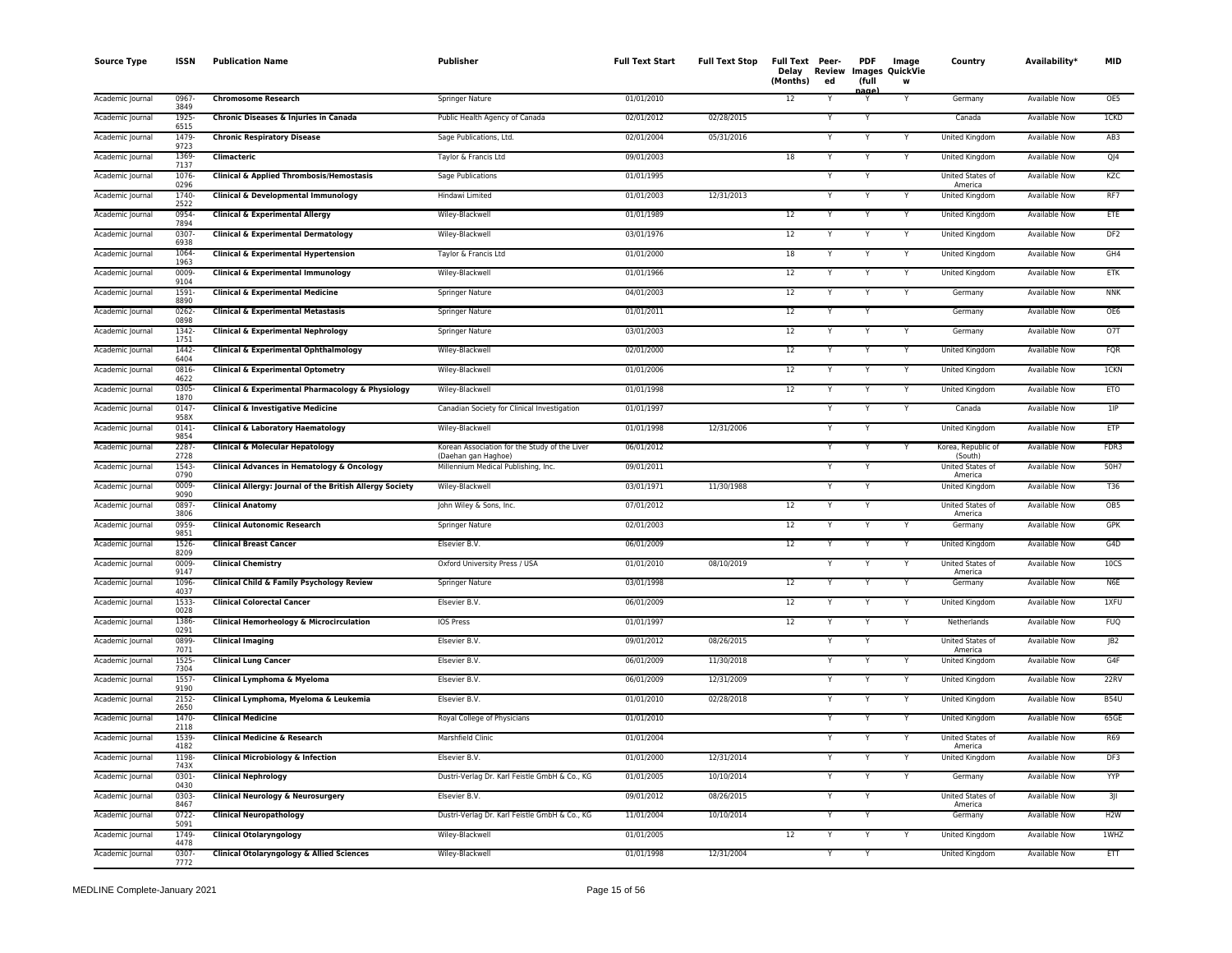| <b>Source Type</b> | <b>ISSN</b>      | <b>Publication Name</b>                                  | Publisher                                                            | <b>Full Text Start</b> | <b>Full Text Stop</b> | Full Text Peer-<br>Delay<br>(Months) | Review<br>ed | <b>PDF</b><br>(full | Image<br>Images QuickVie<br>w | Country                            | Availability*        | <b>MID</b>       |
|--------------------|------------------|----------------------------------------------------------|----------------------------------------------------------------------|------------------------|-----------------------|--------------------------------------|--------------|---------------------|-------------------------------|------------------------------------|----------------------|------------------|
| Academic Journal   | 0967-<br>3849    | <b>Chromosome Research</b>                               | Springer Nature                                                      | 01/01/2010             |                       | 12                                   |              | iaα                 |                               | Germany                            | Available Now        | OE5              |
| Academic Journal   | 1925<br>6515     | Chronic Diseases & Injuries in Canada                    | Public Health Agency of Canada                                       | 02/01/2012             | 02/28/2015            |                                      |              |                     |                               | Canada                             | <b>Available Now</b> | <b>ICKD</b>      |
| Academic Journal   | 1479<br>9723     | <b>Chronic Respiratory Disease</b>                       | Sage Publications, Ltd.                                              | 02/01/2004             | 05/31/2016            |                                      |              | Y                   |                               | United Kingdom                     | <b>Available Now</b> | AB3              |
| Academic Journal   | 1369-<br>7137    | Climacteric                                              | Taylor & Francis Ltd                                                 | 09/01/2003             |                       | 18                                   |              | Y                   |                               | United Kingdom                     | <b>Available Now</b> | QJ4              |
| Academic Journal   | 1076-<br>0296    | Clinical & Applied Thrombosis/Hemostasis                 | Sage Publications                                                    | 01/01/1995             |                       |                                      |              |                     |                               | United States of<br>America        | Available Now        | KZC              |
| Academic Journal   | 1740<br>2522     | Clinical & Developmental Immunology                      | Hindawi Limited                                                      | 01/01/2003             | 12/31/2013            |                                      |              |                     |                               | United Kinadom                     | Available Now        | RF7              |
| Academic Journal   | 0954<br>7894     | <b>Clinical &amp; Experimental Allergy</b>               | Wiley-Blackwell                                                      | 01/01/1989             |                       | 12                                   |              |                     |                               | <b>United Kingdom</b>              | <b>Available Now</b> | ETE              |
| Academic Journal   | 0307<br>6938     | Clinical & Experimental Dermatology                      | Wiley-Blackwell                                                      | 03/01/1976             |                       | 12                                   |              |                     | Y                             | United Kingdom                     | Available Now        | DF <sub>2</sub>  |
| Academic Journal   | 1064-<br>1963    | Clinical & Experimental Hypertension                     | Taylor & Francis Ltd                                                 | 01/01/2000             |                       | 18                                   |              |                     | Y                             | United Kingdom                     | Available Now        | GH4              |
| Academic Journal   | 0009<br>9104     | Clinical & Experimental Immunology                       | Wiley-Blackwell                                                      | 01/01/1966             |                       | $\overline{12}$                      |              | Y                   |                               | United Kingdom                     | <b>Available Now</b> | ETK              |
| Academic Journal   | $1591 -$<br>8890 | <b>Clinical &amp; Experimental Medicine</b>              | Springer Nature                                                      | 04/01/2003             |                       | 12                                   |              | Y                   |                               | Germany                            | <b>Available Now</b> | <b>NNK</b>       |
| Academic Journal   | 0262<br>0898     | <b>Clinical &amp; Experimental Metastasis</b>            | Springer Nature                                                      | 01/01/2011             |                       | $\overline{12}$                      |              |                     |                               | Germany                            | <b>Available Now</b> | OE6              |
| Academic Journal   | 1342-<br>1751    | <b>Clinical &amp; Experimental Nephrology</b>            | Springer Nature                                                      | 03/01/2003             |                       | 12                                   |              |                     |                               | Germany                            | <b>Available Now</b> | 07T              |
| Academic Journal   | 1442-<br>6404    | Clinical & Experimental Ophthalmology                    | Wiley-Blackwell                                                      | 02/01/2000             |                       | 12                                   |              |                     |                               | United Kingdom                     | Available Now        | <b>FQR</b>       |
| Academic Journal   | 0816-<br>4622    | Clinical & Experimental Optometry                        | Wiley-Blackwell                                                      | 01/01/2006             |                       | 12                                   |              |                     | Y                             | United Kingdom                     | Available Now        | <b>ICKN</b>      |
| Academic Journal   | 0305<br>1870     | Clinical & Experimental Pharmacology & Physiology        | Wiley-Blackwell                                                      | 01/01/1998             |                       | 12                                   |              |                     |                               | United Kingdom                     | <b>Available Now</b> | <b>ETO</b>       |
| Academic Journal   | 0147<br>958X     | Clinical & Investigative Medicine                        | Canadian Society for Clinical Investigation                          | 01/01/1997             |                       |                                      |              | Y                   | Y                             | Canada                             | <b>Available Now</b> | 1IP              |
| Academic Journal   | $0141 -$<br>9854 | <b>Clinical &amp; Laboratory Haematology</b>             | Wiley-Blackwell                                                      | 01/01/1998             | 12/31/2006            |                                      |              |                     |                               | United Kingdom                     | <b>Available Now</b> | <b>ETP</b>       |
| Academic Journal   | 2287-<br>2728    | Clinical & Molecular Hepatology                          | Korean Association for the Study of the Liver<br>(Daehan gan Haghoe) | 06/01/2012             |                       |                                      |              |                     |                               | Korea, Republic of<br>(South)      | <b>Available Now</b> | FDR3             |
| Academic Journal   | $1543-$<br>0790  | Clinical Advances in Hematology & Oncology               | Millennium Medical Publishing, Inc.                                  | 09/01/2011             |                       |                                      |              | Y                   |                               | <b>United States of</b><br>America | Available Now        | 50H7             |
| Academic Journal   | 0009<br>9090     | Clinical Allergy: Journal of the British Allergy Society | Wiley-Blackwell                                                      | 03/01/1971             | 11/30/1988            |                                      |              | Y                   |                               | United Kingdom                     | <b>Available Now</b> | T36              |
| Academic Journal   | 0897<br>3806     | <b>Clinical Anatomy</b>                                  | John Wiley & Sons, Inc.                                              | 07/01/2012             |                       | 12                                   |              | Y                   |                               | United States of<br>America        | Available Now        | OB <sub>5</sub>  |
| Academic Journal   | 0959-<br>9851    | <b>Clinical Autonomic Research</b>                       | Springer Nature                                                      | 02/01/2003             |                       | 12                                   |              |                     |                               | Germany                            | Available Now        | GPK              |
| Academic Journal   | 1526<br>8209     | <b>Clinical Breast Cancer</b>                            | Elsevier B.V.                                                        | 06/01/2009             |                       | 12                                   |              | Y                   | Y                             | United Kingdom                     | <b>Available Now</b> | G4D              |
| Academic Journal   | 0009<br>9147     | <b>Clinical Chemistry</b>                                | Oxford University Press / USA                                        | 01/01/2010             | 08/10/2019            |                                      |              |                     |                               | United States of<br>America        | <b>Available Now</b> | 10 <sub>CS</sub> |
| Academic Journal   | 1096<br>4037     | Clinical Child & Family Psychology Review                | Springer Nature                                                      | 03/01/1998             |                       | 12                                   |              |                     |                               | Germany                            | <b>Available Now</b> | N <sub>6E</sub>  |
| Academic Journal   | 1533<br>0028     | <b>Clinical Colorectal Cancer</b>                        | Elsevier B.V.                                                        | 06/01/2009             |                       | 12                                   |              | Y                   | Y                             | United Kingdom                     | <b>Available Now</b> | 1XFU             |
| Academic Journal   | 1386<br>0291     | Clinical Hemorheology & Microcirculation                 | <b>IOS Press</b>                                                     | 01/01/1997             |                       | 12                                   |              |                     |                               | Netherlands                        | Available Now        | <b>FUQ</b>       |
| Academic Journal   | 0899<br>7071     | <b>Clinical Imaging</b>                                  | Elsevier B.V.                                                        | 09/01/2012             | 08/26/2015            |                                      |              |                     |                               | United States of<br>America        | Available Now        | JB2              |
| Academic Journal   | 1525<br>7304     | <b>Clinical Lung Cancer</b>                              | Elsevier B.V.                                                        | 06/01/2009             | 11/30/2018            |                                      |              |                     |                               | United Kingdom                     | <b>Available Now</b> | G4F              |
| Academic Journal   | 1557<br>9190     | Clinical Lymphoma & Myeloma                              | Elsevier B.V.                                                        | 06/01/2009             | 12/31/2009            |                                      |              | Y                   |                               | United Kingdom                     | <b>Available Now</b> | 22RV             |
| Academic Journal   | 2152-<br>2650    | Clinical Lymphoma, Myeloma & Leukemia                    | Elsevier B.V.                                                        | 01/01/2010             | 02/28/2018            |                                      |              |                     |                               | <b>United Kingdom</b>              | <b>Available Now</b> | <b>B54U</b>      |
| Academic Journal   | 1470-<br>2118    | <b>Clinical Medicine</b>                                 | Royal College of Physicians                                          | 01/01/2010             |                       |                                      |              |                     |                               | United Kingdom                     | <b>Available Now</b> | 65GE             |
| Academic Journal   | 1539<br>4182     | <b>Clinical Medicine &amp; Research</b>                  | Marshfield Clinic                                                    | 01/01/2004             |                       |                                      |              |                     |                               | <b>United States of</b><br>America | <b>Available Now</b> | R69              |
| Academic Journal   | 1198<br>743X     | <b>Clinical Microbiology &amp; Infection</b>             | Elsevier B.V.                                                        | 01/01/2000             | 12/31/2014            |                                      |              |                     |                               | <b>United Kingdom</b>              | <b>Available Now</b> | DF3              |
| Academic Journal   | 0301-<br>0430    | <b>Clinical Nephrology</b>                               | Dustri-Verlag Dr. Karl Feistle GmbH & Co., KG                        | 01/01/2005             | 10/10/2014            |                                      |              | Y                   | Y                             | Germany                            | Available Now        | YYP              |
| Academic Journal   | 0303-<br>8467    | Clinical Neurology & Neurosurgery                        | Elsevier B.V.                                                        | 09/01/2012             | 08/26/2015            |                                      |              |                     |                               | United States of<br>America        | Available Now        | 3JI              |
| Academic Journal   | $0722 -$<br>5091 | <b>Clinical Neuropathology</b>                           | Dustri-Verlag Dr. Karl Feistle GmbH & Co., KG                        | 11/01/2004             | 10/10/2014            |                                      |              | Y                   |                               | Germany                            | <b>Available Now</b> | H2W              |
| Academic Journal   | 1749<br>4478     | <b>Clinical Otolaryngology</b>                           | Wiley-Blackwell                                                      | 01/01/2005             |                       | 12                                   |              | Y                   |                               | United Kingdom                     | Available Now        | 1WHZ             |
| Academic Journal   | 0307<br>7772     | Clinical Otolaryngology & Allied Sciences                | Wiley-Blackwell                                                      | 01/01/1998             | 12/31/2004            |                                      |              | Y                   |                               | United Kingdom                     | <b>Available Now</b> | ETT              |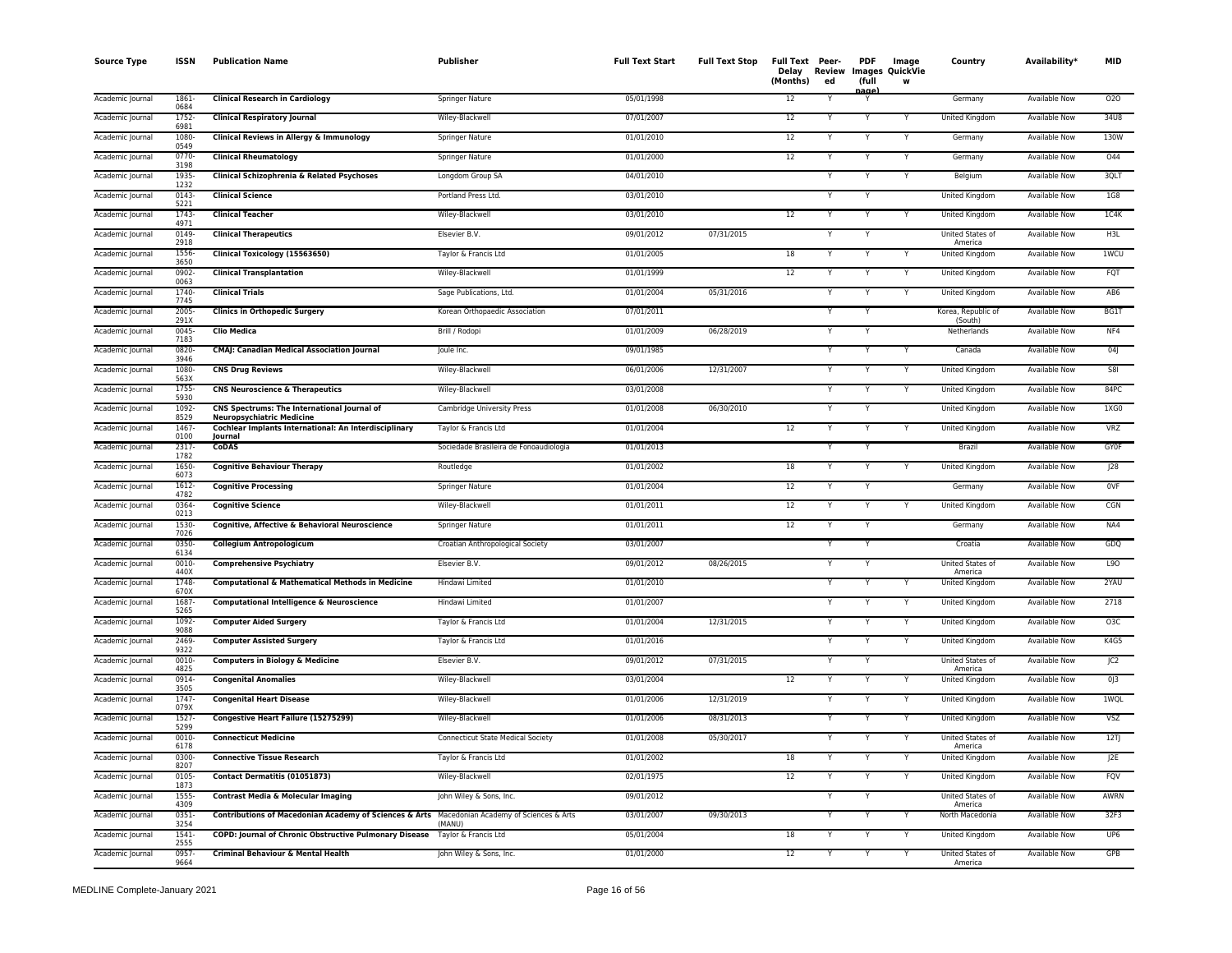| <b>Source Type</b> | <b>ISSN</b>      | <b>Publication Name</b>                                                                      | Publisher                                | <b>Full Text Start</b> | <b>Full Text Stop</b> | Full Text Peer-<br>Delay<br>(Months) | Review<br>ed | <b>PDF</b><br>(full | Image<br><b>Images QuickVie</b><br>W | Country                       | Availability*        | <b>MID</b>       |
|--------------------|------------------|----------------------------------------------------------------------------------------------|------------------------------------------|------------------------|-----------------------|--------------------------------------|--------------|---------------------|--------------------------------------|-------------------------------|----------------------|------------------|
| Academic Journal   | 1861-<br>0684    | <b>Clinical Research in Cardiology</b>                                                       | Springer Nature                          | 05/01/1998             |                       | 12                                   |              | aα                  |                                      | Germany                       | Available Now        | 020              |
| Academic Journal   | 1752<br>6981     | <b>Clinical Respiratory Journal</b>                                                          | Wiley-Blackwell                          | 07/01/2007             |                       | 12                                   |              |                     |                                      | <b>United Kingdom</b>         | <b>Available Now</b> | 34U8             |
| Academic Journal   | 1080<br>0549     | Clinical Reviews in Allergy & Immunology                                                     | Springer Nature                          | 01/01/2010             |                       | 12                                   |              | Y                   |                                      | Germany                       | <b>Available Now</b> | 130W             |
| Academic Journal   | $0770 -$<br>3198 | <b>Clinical Rheumatology</b>                                                                 | Springer Nature                          | 01/01/2000             |                       | 12                                   |              | Y                   |                                      | Germany                       | <b>Available Now</b> | 044              |
| Academic Journal   | 1935-<br>1232    | Clinical Schizophrenia & Related Psychoses                                                   | Longdom Group SA                         | 04/01/2010             |                       |                                      |              | Y                   |                                      | Belgium                       | Available Now        | 3QLT             |
| Academic Journal   | $0143 -$<br>5221 | <b>Clinical Science</b>                                                                      | Portland Press Ltd.                      | 03/01/2010             |                       |                                      |              | Y                   |                                      | United Kingdom                | Available Now        | 1G8              |
| Academic Journal   | 1743<br>4971     | <b>Clinical Teacher</b>                                                                      | Wiley-Blackwell                          | 03/01/2010             |                       | 12                                   |              |                     |                                      | <b>United Kingdom</b>         | <b>Available Now</b> | 1C4K             |
| Academic Journal   | 0149<br>2918     | <b>Clinical Therapeutics</b>                                                                 | Elsevier B.V.                            | 09/01/2012             | 07/31/2015            |                                      | v            | Y                   |                                      | United States of<br>America   | Available Now        | H3L              |
| Academic Journal   | 1556<br>3650     | Clinical Toxicology (15563650)                                                               | Taylor & Francis Ltd                     | 01/01/2005             |                       | 18                                   |              |                     |                                      | United Kingdom                | Available Now        | 1WCU             |
| Academic Journal   | 0902-<br>0063    | <b>Clinical Transplantation</b>                                                              | Wiley-Blackwell                          | 01/01/1999             |                       | 12                                   |              | Y                   |                                      | United Kingdom                | <b>Available Now</b> | FQT              |
| Academic Journal   | 1740-<br>7745    | <b>Clinical Trials</b>                                                                       | Sage Publications, Ltd.                  | 01/01/2004             | 05/31/2016            |                                      |              | Y                   |                                      | United Kingdom                | <b>Available Now</b> | AB6              |
| Academic Journal   | 2005<br>291X     | <b>Clinics in Orthopedic Surgery</b>                                                         | Korean Orthopaedic Association           | 07/01/2011             |                       |                                      |              |                     |                                      | Korea, Republic of<br>(South) | <b>Available Now</b> | <b>BG1T</b>      |
| Academic Journal   | $0045 -$<br>7183 | <b>Clio Medica</b>                                                                           | Brill / Rodopi                           | 01/01/2009             | 06/28/2019            |                                      |              |                     |                                      | Netherlands                   | <b>Available Now</b> | NF4              |
| Academic Journal   | 0820-<br>3946    | <b>CMAJ: Canadian Medical Association Journal</b>                                            | Joule Inc.                               | 09/01/1985             |                       |                                      |              |                     |                                      | Canada                        | Available Now        | 04               |
| Academic Journal   | 1080<br>563X     | <b>CNS Drug Reviews</b>                                                                      | Wiley-Blackwell                          | 06/01/2006             | 12/31/2007            |                                      |              |                     | Y                                    | United Kingdom                | Available Now        | <b>S8I</b>       |
| Academic Journal   | 1755<br>5930     | <b>CNS Neuroscience &amp; Therapeutics</b>                                                   | Wiley-Blackwell                          | 03/01/2008             |                       |                                      |              |                     |                                      | United Kingdom                | <b>Available Now</b> | 84PC             |
| Academic Journal   | 1092<br>8529     | CNS Spectrums: The International Journal of<br><b>Neuropsychiatric Medicine</b>              | Cambridge University Press               | 01/01/2008             | 06/30/2010            |                                      |              | Y                   |                                      | United Kingdom                | <b>Available Now</b> | 1XG0             |
| Academic Journal   | 1467<br>0100     | Cochlear Implants International: An Interdisciplinary<br>Journal                             | Taylor & Francis Ltd                     | 01/01/2004             |                       | 12                                   |              | Y                   |                                      | United Kingdom                | <b>Available Now</b> | VRZ              |
| Academic Journal   | 2317-<br>1782    | <b>CoDAS</b>                                                                                 | Sociedade Brasileira de Fonoaudiologia   | 01/01/2013             |                       |                                      |              |                     |                                      | <b>Brazil</b>                 | <b>Available Now</b> | <b>GYOF</b>      |
| Academic Journal   | 1650<br>6073     | <b>Cognitive Behaviour Therapy</b>                                                           | Routledge                                | 01/01/2002             |                       | 18                                   |              | Y                   |                                      | United Kingdom                | Available Now        | J28              |
| Academic Journal   | 1612<br>4782     | <b>Cognitive Processing</b>                                                                  | Springer Nature                          | 01/01/2004             |                       | 12                                   |              | Y                   |                                      | Germany                       | <b>Available Now</b> | 0VF              |
| Academic Journal   | 0364<br>0213     | <b>Cognitive Science</b>                                                                     | Wiley-Blackwell                          | 01/01/2011             |                       | 12                                   |              | Y                   |                                      | United Kingdom                | Available Now        | CGN              |
| Academic Journal   | 1530-<br>7026    | Cognitive, Affective & Behavioral Neuroscience                                               | Springer Nature                          | 01/01/2011             |                       | 12                                   |              |                     |                                      | Germany                       | Available Now        | NA4              |
| Academic Journal   | 0350-<br>6134    | <b>Collegium Antropologicum</b>                                                              | Croatian Anthropological Society         | 03/01/2007             |                       |                                      |              | $\mathsf{v}$        |                                      | Croatia                       | <b>Available Now</b> | GDQ              |
| Academic Journal   | 0010-<br>440X    | <b>Comprehensive Psychiatry</b>                                                              | Elsevier B.V.                            | 09/01/2012             | 08/26/2015            |                                      |              | Y                   |                                      | United States of<br>America   | <b>Available Now</b> | L90              |
| Academic Journal   | 1748-<br>670X    | <b>Computational &amp; Mathematical Methods in Medicine</b>                                  | Hindawi Limited                          | 01/01/2010             |                       |                                      |              |                     |                                      | <b>United Kingdom</b>         | <b>Available Now</b> | 2YAU             |
| Academic Journal   | 1687<br>5265     | Computational Intelligence & Neuroscience                                                    | Hindawi Limited                          | 01/01/2007             |                       |                                      |              | Y                   | Y                                    | <b>United Kingdom</b>         | <b>Available Now</b> | 2718             |
| Academic Journal   | 1092-<br>9088    | <b>Computer Aided Surgery</b>                                                                | Taylor & Francis Ltd                     | 01/01/2004             | 12/31/2015            |                                      |              |                     |                                      | United Kingdom                | Available Now        | O <sub>3</sub> C |
| Academic Journal   | 2469-<br>9322    | <b>Computer Assisted Surgery</b>                                                             | Taylor & Francis Ltd                     | 01/01/2016             |                       |                                      |              |                     |                                      | United Kingdom                | Available Now        | K4G5             |
| Academic Journal   | 0010-<br>4825    | <b>Computers in Biology &amp; Medicine</b>                                                   | Elsevier B.V.                            | 09/01/2012             | 07/31/2015            |                                      |              |                     |                                      | United States of<br>America   | <b>Available Now</b> | JC <sub>2</sub>  |
| Academic Journal   | 0914<br>3505     | <b>Congenital Anomalies</b>                                                                  | Wiley-Blackwell                          | 03/01/2004             |                       | 12                                   |              | Y                   |                                      | United Kingdom                | <b>Available Now</b> | 0 <sub>13</sub>  |
| Academic Journal   | 1747<br>079X     | <b>Congenital Heart Disease</b>                                                              | Wiley-Blackwell                          | 01/01/2006             | 12/31/2019            |                                      |              | Y                   |                                      | <b>United Kingdom</b>         | <b>Available Now</b> | 1WQL             |
| Academic Journal   | $1527 -$<br>5299 | Congestive Heart Failure (15275299)                                                          | Wiley-Blackwell                          | 01/01/2006             | 08/31/2013            |                                      |              |                     |                                      | United Kingdom                | <b>Available Now</b> | <b>VSZ</b>       |
| Academic Journal   | 0010-<br>6178    | <b>Connecticut Medicine</b>                                                                  | <b>Connecticut State Medical Society</b> | 01/01/2008             | 05/30/2017            |                                      |              |                     | Y                                    | United States of<br>America   | Available Now        | 12T              |
| Academic Journal   | 0300-<br>8207    | <b>Connective Tissue Research</b>                                                            | Taylor & Francis Ltd                     | 01/01/2002             |                       | 18                                   |              | Y                   |                                      | United Kingdom                | <b>Available Now</b> | J <sub>2E</sub>  |
| Academic Journal   | 0105<br>1873     | Contact Dermatitis (01051873)                                                                | Wiley-Blackwell                          | 02/01/1975             |                       | 12                                   |              | Y                   | Y                                    | United Kingdom                | Available Now        | FQV              |
| Academic Journal   | 1555<br>4309     | Contrast Media & Molecular Imaging                                                           | John Wiley & Sons, Inc.                  | 09/01/2012             |                       |                                      |              |                     |                                      | United States of<br>America   | Available Now        | AWRN             |
| Academic Journal   | $0351 -$<br>3254 | Contributions of Macedonian Academy of Sciences & Arts Macedonian Academy of Sciences & Arts | (MANU)                                   | 03/01/2007             | 09/30/2013            |                                      |              |                     |                                      | North Macedonia               | <b>Available Now</b> | 32F3             |
| Academic Journal   | 1541<br>2555     | COPD: Journal of Chronic Obstructive Pulmonary Disease                                       | Taylor & Francis Ltd                     | 05/01/2004             |                       | 18                                   |              |                     |                                      | United Kingdom                | <b>Available Now</b> | UP <sub>6</sub>  |
| Academic Journal   | 0957<br>9664     | <b>Criminal Behaviour &amp; Mental Health</b>                                                | John Wiley & Sons, Inc.                  | 01/01/2000             |                       | 12                                   |              | Y                   |                                      | United States of<br>America   | <b>Available Now</b> | <b>GPB</b>       |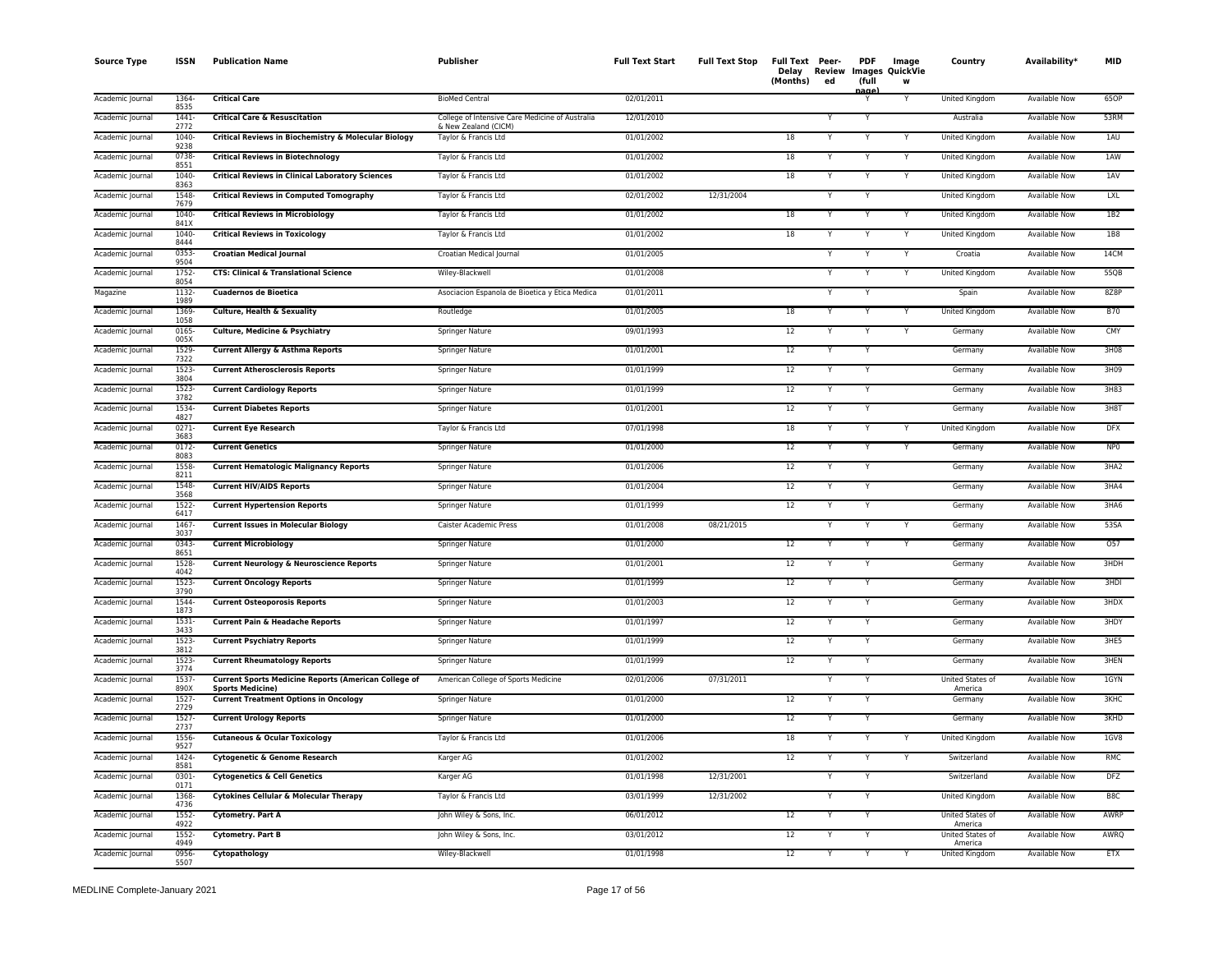| <b>Source Type</b> | <b>ISSN</b>      | <b>Publication Name</b>                                                                | Publisher                                                               | <b>Full Text Start</b> | <b>Full Text Stop</b> | Full Text Peer-<br>(Months) | Delay Review<br>ed | <b>PDF</b><br>(full<br>nage | Image<br><b>Images QuickVie</b><br>W | Country                            | Availability*        | <b>MID</b>      |
|--------------------|------------------|----------------------------------------------------------------------------------------|-------------------------------------------------------------------------|------------------------|-----------------------|-----------------------------|--------------------|-----------------------------|--------------------------------------|------------------------------------|----------------------|-----------------|
| Academic Journal   | 1364<br>8535     | <b>Critical Care</b>                                                                   | <b>BioMed Central</b>                                                   | 02/01/2011             |                       |                             |                    | Y                           |                                      | United Kingdom                     | <b>Available Now</b> | 65OP            |
| Academic Journal   | $1441 -$<br>2772 | <b>Critical Care &amp; Resuscitation</b>                                               | College of Intensive Care Medicine of Australia<br>& New Zealand (CICM) | 12/01/2010             |                       |                             |                    | $\overline{\mathsf{Y}}$     |                                      | Australia                          | <b>Available Now</b> | 53RM            |
| Academic Journal   | 1040-<br>9238    | Critical Reviews in Biochemistry & Molecular Biology                                   | Taylor & Francis Ltd                                                    | 01/01/2002             |                       | 18                          |                    | Y                           |                                      | United Kingdom                     | <b>Available Now</b> | 1AU             |
| Academic Journal   | 0738-<br>8551    | <b>Critical Reviews in Biotechnology</b>                                               | Taylor & Francis Ltd                                                    | 01/01/2002             |                       | 18                          | Y                  | Y                           | Y                                    | United Kingdom                     | <b>Available Now</b> | 1AW             |
| Academic Journal   | 1040-<br>8363    | <b>Critical Reviews in Clinical Laboratory Sciences</b>                                | Taylor & Francis Ltd                                                    | 01/01/2002             |                       | 18                          |                    | Y                           | Y                                    | United Kingdom                     | Available Now        | 1AV             |
| Academic Journal   | 1548<br>7679     | <b>Critical Reviews in Computed Tomography</b>                                         | Taylor & Francis Ltd                                                    | 02/01/2002             | 12/31/2004            |                             |                    | Y                           |                                      | United Kingdom                     | Available Now        | <b>LXL</b>      |
| Academic Journal   | 1040<br>841X     | <b>Critical Reviews in Microbiology</b>                                                | Taylor & Francis Ltd                                                    | 01/01/2002             |                       | 18                          |                    |                             |                                      | United Kingdom                     | <b>Available Now</b> | 1B2             |
| Academic Journal   | 1040-<br>8444    | <b>Critical Reviews in Toxicology</b>                                                  | Taylor & Francis Ltd                                                    | 01/01/2002             |                       | 18                          |                    |                             |                                      | United Kingdom                     | <b>Available Now</b> | <b>1B8</b>      |
| Academic Journal   | 0353<br>9504     | <b>Croatian Medical Journal</b>                                                        | Croatian Medical Journal                                                | 01/01/2005             |                       |                             |                    |                             |                                      | Croatia                            | <b>Available Now</b> | 14CM            |
| Academic Journal   | 1752-<br>8054    | <b>CTS: Clinical &amp; Translational Science</b>                                       | Wiley-Blackwell                                                         | 01/01/2008             |                       |                             |                    | Y                           |                                      | United Kingdom                     | <b>Available Now</b> | 55QB            |
| Magazine           | $1132 -$<br>1989 | <b>Cuadernos de Bioetica</b>                                                           | Asociacion Espanola de Bioetica y Etica Medica                          | 01/01/2011             |                       |                             |                    | Y                           |                                      | Spain                              | <b>Available Now</b> | 8Z8P            |
| Academic Journal   | 1369-<br>1058    | Culture, Health & Sexuality                                                            | Routledge                                                               | 01/01/2005             |                       | 18                          |                    | Y                           |                                      | United Kingdom                     | <b>Available Now</b> | <b>B70</b>      |
| Academic Journal   | 0165<br>005X     | Culture, Medicine & Psychiatry                                                         | Springer Nature                                                         | 09/01/1993             |                       | 12                          |                    | Y                           | Y                                    | Germany                            | Available Now        | CMY             |
| Academic Journal   | 1529-<br>7322    | Current Allergy & Asthma Reports                                                       | Springer Nature                                                         | 01/01/2001             |                       | 12                          |                    |                             |                                      | Germany                            | Available Now        | 3H08            |
| Academic Journal   | 1523-<br>3804    | <b>Current Atherosclerosis Reports</b>                                                 | Springer Nature                                                         | 01/01/1999             |                       | $12\,$                      |                    | Y                           |                                      | Germany                            | Available Now        | 3H09            |
| Academic Journal   | 1523-<br>3782    | <b>Current Cardiology Reports</b>                                                      | Springer Nature                                                         | 01/01/1999             |                       | 12                          |                    |                             |                                      | Germany                            | <b>Available Now</b> | 3H83            |
| Academic Journal   | 1534<br>4827     | <b>Current Diabetes Reports</b>                                                        | Springer Nature                                                         | 01/01/2001             |                       | 12                          |                    | Y                           |                                      | Germany                            | <b>Available Now</b> | 3H8T            |
| Academic Journal   | $0271 -$<br>3683 | <b>Current Eye Research</b>                                                            | Taylor & Francis Ltd                                                    | 07/01/1998             |                       | 18                          | Υ                  | Y                           | Y                                    | United Kingdom                     | <b>Available Now</b> | <b>DFX</b>      |
| Academic Journal   | $0172 -$<br>8083 | <b>Current Genetics</b>                                                                | Springer Nature                                                         | 01/01/2000             |                       | 12                          |                    | Y                           | Y                                    | Germany                            | <b>Available Now</b> | NP <sub>0</sub> |
| Academic Journal   | 1558<br>8211     | <b>Current Hematologic Malignancy Reports</b>                                          | Springer Nature                                                         | 01/01/2006             |                       | 12                          |                    | Y                           |                                      | Germany                            | Available Now        | 3HA2            |
| Academic Journal   | 1548<br>3568     | <b>Current HIV/AIDS Reports</b>                                                        | Springer Nature                                                         | 01/01/2004             |                       | 12                          |                    | Y                           |                                      | Germany                            | <b>Available Now</b> | 3HA4            |
| Academic Journal   | 1522<br>6417     | <b>Current Hypertension Reports</b>                                                    | Springer Nature                                                         | 01/01/1999             |                       | 12                          |                    | Y                           |                                      | Germany                            | Available Now        | 3HA6            |
| Academic Journal   | 1467<br>3037     | <b>Current Issues in Molecular Biology</b>                                             | Caister Academic Press                                                  | 01/01/2008             | 08/21/2015            |                             |                    |                             |                                      | Germany                            | <b>Available Now</b> | 53SA            |
| Academic Journal   | 0343<br>8651     | <b>Current Microbiology</b>                                                            | Springer Nature                                                         | 01/01/2000             |                       | 12                          |                    | Y                           |                                      | Germany                            | Available Now        | 057             |
| Academic Journal   | 1528<br>4042     | <b>Current Neurology &amp; Neuroscience Reports</b>                                    | Springer Nature                                                         | 01/01/2001             |                       | 12                          |                    | Y                           |                                      | Germany                            | Available Now        | 3HDH            |
| Academic Journal   | 1523-<br>3790    | <b>Current Oncology Reports</b>                                                        | Springer Nature                                                         | 01/01/1999             |                       | 12                          |                    | Y                           |                                      | Germany                            | <b>Available Now</b> | 3HDI            |
| Academic Journal   | 1544<br>1873     | <b>Current Osteoporosis Reports</b>                                                    | Springer Nature                                                         | 01/01/2003             |                       | 12                          |                    | Y                           |                                      | Germany                            | Available Now        | 3HDX            |
| Academic Journal   | 1531<br>3433     | <b>Current Pain &amp; Headache Reports</b>                                             | Springer Nature                                                         | 01/01/1997             |                       | 12                          |                    |                             |                                      | Germany                            | Available Now        | 3HDY            |
| Academic Journal   | 1523-<br>3812    | <b>Current Psychiatry Reports</b>                                                      | Springer Nature                                                         | 01/01/1999             |                       | 12                          |                    | Y                           |                                      | Germany                            | Available Now        | 3HE5            |
| Academic Journal   | 1523-<br>3774    | <b>Current Rheumatology Reports</b>                                                    | Springer Nature                                                         | 01/01/1999             |                       | 12                          |                    |                             |                                      | Germany                            | <b>Available Now</b> | 3HEN            |
| Academic Journal   | 1537<br>890X     | <b>Current Sports Medicine Reports (American College of</b><br><b>Sports Medicine)</b> | American College of Sports Medicine                                     | 02/01/2006             | 07/31/2011            |                             |                    | Y                           |                                      | <b>United States of</b><br>America | <b>Available Now</b> | 1GYN            |
| Academic Journal   | $1527 -$<br>2729 | <b>Current Treatment Options in Oncology</b>                                           | <b>Springer Nature</b>                                                  | 01/01/2000             |                       | 12                          |                    | Y                           |                                      | Germany                            | <b>Available Now</b> | <b>3KHC</b>     |
| Academic Journal   | 1527<br>2737     | <b>Current Urology Reports</b>                                                         | <b>Springer Nature</b>                                                  | 01/01/2000             |                       | 12                          |                    | Y                           |                                      | Germany                            | <b>Available Now</b> | 3KHD            |
| Academic Journal   | 1556-<br>9527    | <b>Cutaneous &amp; Ocular Toxicology</b>                                               | Taylor & Francis Ltd                                                    | 01/01/2006             |                       | 18                          |                    | Y                           |                                      | United Kingdom                     | <b>Available Now</b> | 1GV8            |
| Academic Journal   | 1424<br>8581     | <b>Cytogenetic &amp; Genome Research</b>                                               | Karger AG                                                               | 01/01/2002             |                       | 12                          |                    | Y                           |                                      | Switzerland                        | <b>Available Now</b> | <b>RMC</b>      |
| Academic Journal   | $0301 -$<br>0171 | <b>Cytogenetics &amp; Cell Genetics</b>                                                | Karger AG                                                               | 01/01/1998             | 12/31/2001            |                             |                    | Y                           |                                      | Switzerland                        | Available Now        | <b>DFZ</b>      |
| Academic Journal   | 1368-<br>4736    | Cytokines Cellular & Molecular Therapy                                                 | Taylor & Francis Ltd                                                    | 03/01/1999             | 12/31/2002            |                             |                    |                             |                                      | United Kingdom                     | <b>Available Now</b> | B <sub>8C</sub> |
| Academic Journal   | 1552<br>4922     | <b>Cytometry. Part A</b>                                                               | John Wiley & Sons, Inc.                                                 | 06/01/2012             |                       | 12                          |                    | Y                           |                                      | United States of<br>America        | <b>Available Now</b> | AWRP            |
| Academic Journal   | 1552<br>4949     | <b>Cytometry. Part B</b>                                                               | John Wiley & Sons, Inc.                                                 | 03/01/2012             |                       | 12                          |                    | Y                           |                                      | United States of<br>America        | Available Now        | AWRQ            |
| Academic Journal   | 0956-<br>5507    | Cytopathology                                                                          | Wiley-Blackwell                                                         | 01/01/1998             |                       | 12                          |                    | Y                           |                                      | <b>United Kingdom</b>              | <b>Available Now</b> | <b>ETX</b>      |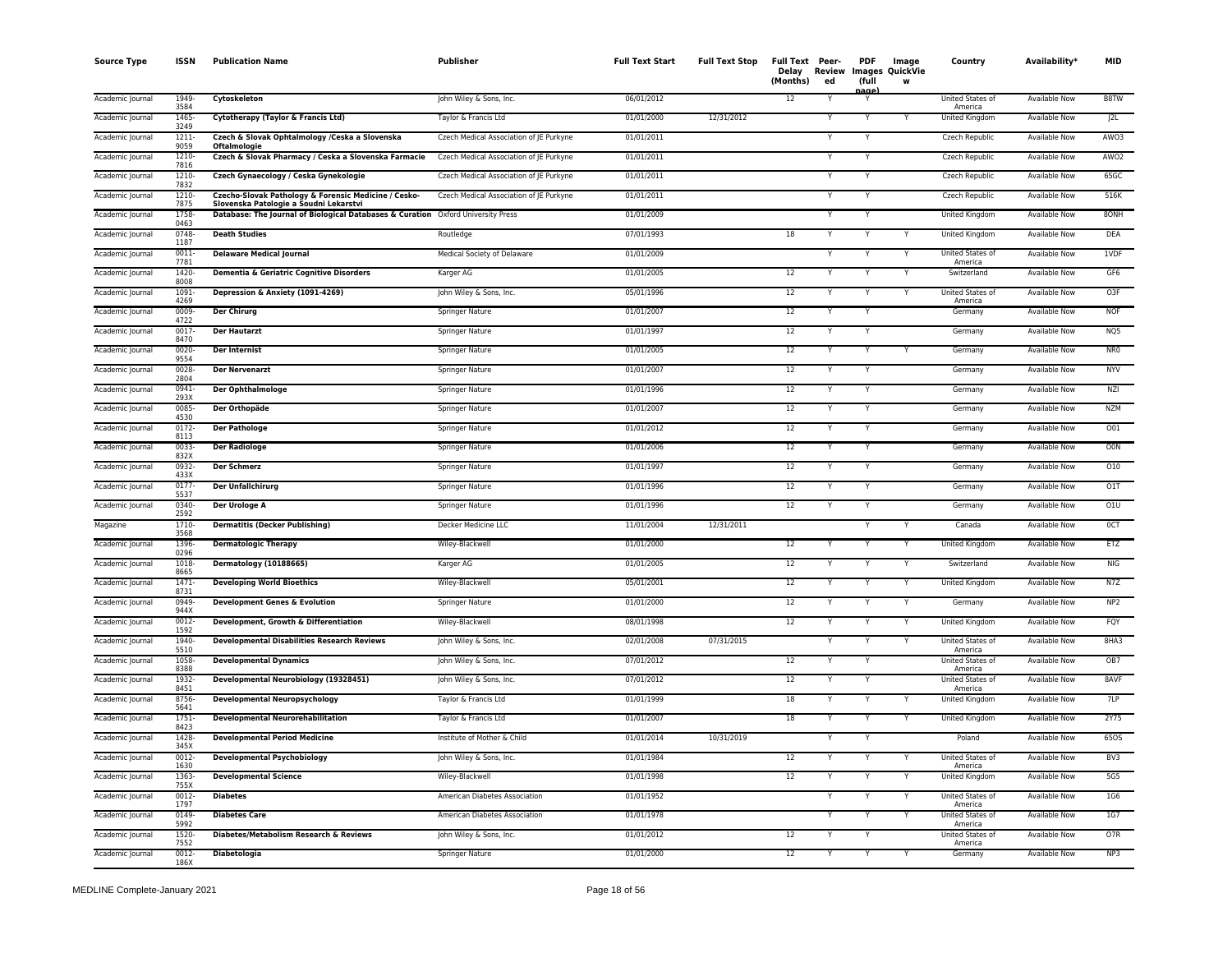| <b>Source Type</b> | <b>ISSN</b>          | <b>Publication Name</b>                                                                                                    | <b>Publisher</b>                        | <b>Full Text Start</b> | <b>Full Text Stop</b> | Full Text Peer-<br>Delay<br>(Months) | Review<br>ed | <b>PDF</b><br>(full<br>nage | Image<br>Images QuickVie<br>w | Country                     | Availability*        | <b>MID</b>       |
|--------------------|----------------------|----------------------------------------------------------------------------------------------------------------------------|-----------------------------------------|------------------------|-----------------------|--------------------------------------|--------------|-----------------------------|-------------------------------|-----------------------------|----------------------|------------------|
| Academic Journal   | 1949<br>3584         | Cytoskeleton                                                                                                               | John Wiley & Sons, Inc.                 | 06/01/2012             |                       | 12                                   |              | Y                           |                               | United States of<br>America | <b>Available Now</b> | B8TW             |
| Academic Journal   | 1465-<br>3249        | Cytotherapy (Taylor & Francis Ltd)                                                                                         | Taylor & Francis Ltd                    | 01/01/2000             | 12/31/2012            |                                      |              | $\overline{\mathsf{Y}}$     |                               | <b>United Kingdom</b>       | <b>Available Now</b> | J2L              |
| Academic Journal   | $1211 -$<br>9059     | Czech & Slovak Ophtalmology /Ceska a Slovenska<br><b>Oftalmologie</b>                                                      | Czech Medical Association of JE Purkyne | 01/01/2011             |                       |                                      |              | Y                           |                               | Czech Republic              | <b>Available Now</b> | AW03             |
| Academic Journal   | 1210<br>7816         | Czech & Slovak Pharmacy / Ceska a Slovenska Farmacie                                                                       | Czech Medical Association of JE Purkyne | 01/01/2011             |                       |                                      |              | Y                           |                               | Czech Republic              | <b>Available Now</b> | AWO <sub>2</sub> |
| Academic Journal   | 1210<br>7832         | Czech Gynaecology / Ceska Gynekologie                                                                                      | Czech Medical Association of JE Purkyne | 01/01/2011             |                       |                                      |              | Y                           |                               | Czech Republic              | Available Now        | 65GC             |
| Academic Journal   | 1210-<br>7875        | Czecho-Slovak Pathology & Forensic Medicine / Cesko-                                                                       | Czech Medical Association of JE Purkyne | 01/01/2011             |                       |                                      |              | Y                           |                               | Czech Republic              | Available Now        | 516K             |
| Academic Journal   | 1758                 | Slovenska Patologie a Soudni Lekarstvi<br>Database: The Journal of Biological Databases & Curation Oxford University Press |                                         | 01/01/2009             |                       |                                      |              |                             |                               | United Kingdom              | Available Now        | 80NH             |
| Academic Journal   | 0463<br>0748<br>1187 | <b>Death Studies</b>                                                                                                       | Routledge                               | 07/01/1993             |                       | 18                                   |              |                             |                               | United Kingdom              | <b>Available Now</b> | <b>DEA</b>       |
| Academic Journal   | 0011<br>7781         | <b>Delaware Medical Journal</b>                                                                                            | Medical Society of Delaware             | 01/01/2009             |                       |                                      |              |                             |                               | United States of<br>America | <b>Available Now</b> | 1VDF             |
| Academic Journal   | 1420-<br>8008        | Dementia & Geriatric Cognitive Disorders                                                                                   | Karger AG                               | 01/01/2005             |                       | 12                                   |              | Y                           | Y                             | Switzerland                 | <b>Available Now</b> | GF6              |
| Academic Journal   | 1091<br>4269         | Depression & Anxiety (1091-4269)                                                                                           | John Wiley & Sons, Inc.                 | 05/01/1996             |                       | $\overline{12}$                      |              | Y                           | Y                             | United States of<br>America | <b>Available Now</b> | O <sub>3F</sub>  |
| Academic Journal   | 0009<br>4722         | <b>Der Chirurg</b>                                                                                                         | Springer Nature                         | 01/01/2007             |                       | 12                                   |              | Y                           |                               | Germany                     | <b>Available Now</b> | <b>NOF</b>       |
| Academic Journal   | 0017<br>8470         | <b>Der Hautarzt</b>                                                                                                        | Springer Nature                         | 01/01/1997             |                       | 12                                   |              | Y                           |                               | Germany                     | Available Now        | NQ5              |
| Academic Journal   | 0020-<br>9554        | Der Internist                                                                                                              | Springer Nature                         | 01/01/2005             |                       | 12                                   |              |                             |                               | Germany                     | Available Now        | NR <sub>0</sub>  |
| Academic Journal   | 0028<br>2804         | <b>Der Nervenarzt</b>                                                                                                      | Springer Nature                         | 01/01/2007             |                       | $12\,$                               |              | Y                           |                               | Germany                     | Available Now        | <b>NYV</b>       |
| Academic Journal   | 0941-<br>293X        | Der Ophthalmologe                                                                                                          | Springer Nature                         | 01/01/1996             |                       | 12                                   |              | Y                           |                               | Germany                     | <b>Available Now</b> | <b>NZI</b>       |
| Academic Journal   | 0085<br>4530         | Der Orthopäde                                                                                                              | <b>Springer Nature</b>                  | 01/01/2007             |                       | 12                                   |              | Y                           |                               | Germany                     | <b>Available Now</b> | <b>NZM</b>       |
| Academic Journal   | $0172 -$<br>8113     | <b>Der Pathologe</b>                                                                                                       | Springer Nature                         | 01/01/2012             |                       | 12                                   |              | Y                           |                               | Germany                     | <b>Available Now</b> | 001              |
| Academic Journal   | 0033<br>832X         | <b>Der Radiologe</b>                                                                                                       | Springer Nature                         | 01/01/2006             |                       | 12                                   |              | Y                           |                               | Germany                     | Available Now        | O0N              |
| Academic Journal   | 0932<br>433X         | <b>Der Schmerz</b>                                                                                                         | Springer Nature                         | 01/01/1997             |                       | 12                                   |              | Y                           |                               | Germany                     | Available Now        | 010              |
| Academic Journal   | 0177<br>5537         | <b>Der Unfallchirurg</b>                                                                                                   | Springer Nature                         | 01/01/1996             |                       | 12                                   |              | Y                           |                               | Germany                     | Available Now        | 01T              |
| Academic Journal   | 0340-<br>2592        | Der Urologe A                                                                                                              | Springer Nature                         | 01/01/1996             |                       | 12                                   |              | Y                           |                               | Germany                     | Available Now        | 01U              |
| Magazine           | 1710-<br>3568        | <b>Dermatitis (Decker Publishing)</b>                                                                                      | Decker Medicine LLC                     | 11/01/2004             | 12/31/2011            |                                      |              |                             |                               | Canada                      | <b>Available Now</b> | 0CT              |
| Academic Journal   | 1396<br>0296         | <b>Dermatologic Therapy</b>                                                                                                | Wiley-Blackwell                         | 01/01/2000             |                       | 12                                   |              | Y                           |                               | United Kingdom              | Available Now        | ETZ              |
| Academic Journal   | 1018<br>8665         | Dermatology (10188665)                                                                                                     | Karger AG                               | 01/01/2005             |                       | 12                                   |              | Y                           | Y                             | Switzerland                 | Available Now        | <b>NIG</b>       |
| Academic Journal   | $1471 -$<br>8731     | <b>Developing World Bioethics</b>                                                                                          | Wiley-Blackwell                         | 05/01/2001             |                       | 12                                   |              | Y                           | Y                             | <b>United Kingdom</b>       | <b>Available Now</b> | N7Z              |
| Academic Journal   | 0949-<br>944X        | <b>Development Genes &amp; Evolution</b>                                                                                   | Springer Nature                         | 01/01/2000             |                       | 12                                   |              | Y                           | Y                             | Germany                     | Available Now        | NP2              |
| Academic Journal   | 0012<br>1592         | Development, Growth & Differentiation                                                                                      | Wiley-Blackwell                         | 08/01/1998             |                       | 12                                   |              |                             |                               | United Kingdom              | Available Now        | FQY              |
| Academic Journal   | 1940-<br>5510        | <b>Developmental Disabilities Research Reviews</b>                                                                         | John Wiley & Sons, Inc.                 | 02/01/2008             | 07/31/2015            |                                      |              | Y                           |                               | United States of<br>America | Available Now        | 8HA3             |
| Academic Journal   | 1058<br>8388         | <b>Developmental Dynamics</b>                                                                                              | John Wiley & Sons, Inc.                 | 07/01/2012             |                       | 12                                   |              |                             |                               | United States of<br>America | Available Now        | OB7              |
| Academic Journal   | 1932<br>8451         | Developmental Neurobiology (19328451)                                                                                      | John Wiley & Sons, Inc.                 | 07/01/2012             |                       | $\overline{12}$                      |              | Y                           |                               | United States of<br>America | <b>Available Now</b> | 8AVF             |
| Academic Journal   | 8756-<br>5641        | <b>Developmental Neuropsychology</b>                                                                                       | Taylor & Francis Ltd                    | 01/01/1999             |                       | 18                                   |              | Y                           |                               | <b>United Kingdom</b>       | <b>Available Now</b> | 7LP              |
| Academic Journal   | $1751-$<br>8423      | <b>Developmental Neurorehabilitation</b>                                                                                   | Taylor & Francis Ltd                    | 01/01/2007             |                       | 18                                   |              | Y                           | Y                             | United Kingdom              | <b>Available Now</b> | 2Y75             |
| Academic Journal   | 1428<br>345X         | <b>Developmental Period Medicine</b>                                                                                       | Institute of Mother & Child             | 01/01/2014             | 10/31/2019            |                                      |              | Y                           |                               | Poland                      | <b>Available Now</b> | 65OS             |
| Academic Journal   | $0012 -$<br>1630     | <b>Developmental Psychobiology</b>                                                                                         | John Wiley & Sons, Inc.                 | 01/01/1984             |                       | 12                                   |              | N                           |                               | United States of<br>America | <b>Available Now</b> | BV3              |
| Academic Journal   | 1363-<br>755X        | <b>Developmental Science</b>                                                                                               | Wiley-Blackwell                         | 01/01/1998             |                       | 12                                   |              | Y                           | Y                             | United Kingdom              | Available Now        | 5G5              |
| Academic Journal   | 0012-<br>1797        | <b>Diabetes</b>                                                                                                            | American Diabetes Association           | 01/01/1952             |                       |                                      |              |                             | Y                             | United States of<br>America | Available Now        | 1G6              |
| Academic Journal   | 0149<br>5992         | <b>Diabetes Care</b>                                                                                                       | American Diabetes Association           | 01/01/1978             |                       |                                      |              | Y                           | $\checkmark$                  | United States of<br>America | <b>Available Now</b> | 1G7              |
| Academic Journal   | 1520-<br>7552        | Diabetes/Metabolism Research & Reviews                                                                                     | John Wiley & Sons, Inc.                 | 01/01/2012             |                       | 12                                   |              | Y                           |                               | United States of<br>America | Available Now        | O7R              |
| Academic Journal   | $0012 -$<br>186X     | <b>Diabetologia</b>                                                                                                        | Springer Nature                         | 01/01/2000             |                       | 12                                   |              | Y                           |                               | Germany                     | <b>Available Now</b> | NP3              |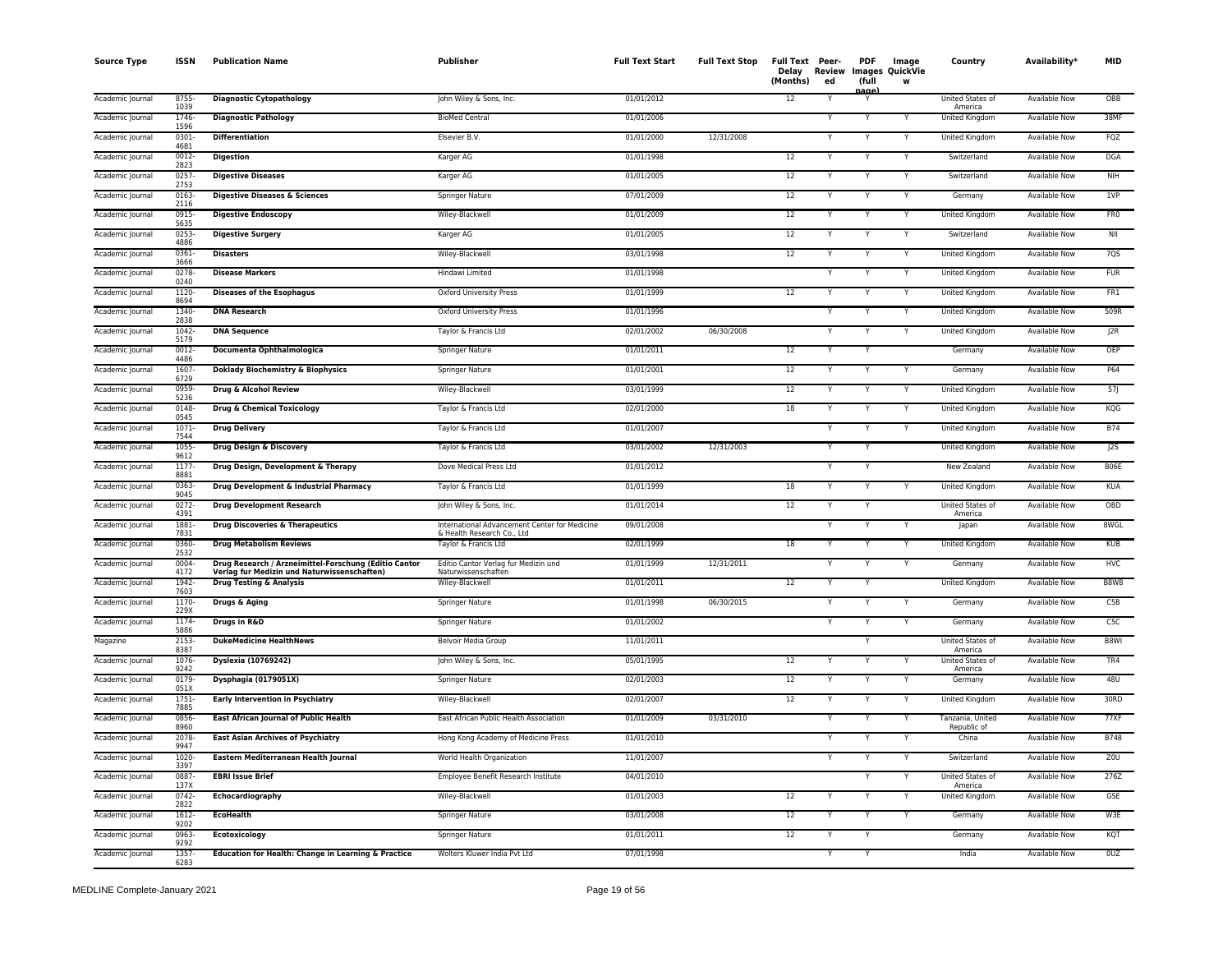| <b>Source Type</b> | <b>ISSN</b>      | <b>Publication Name</b>                                                                              | <b>Publisher</b>                                                            | <b>Full Text Start</b> | <b>Full Text Stop</b> | Full Text Peer-<br>Delay<br>(Months) | <b>Review</b><br>ed | <b>PDF</b><br>(full<br>aane | Image<br><b>Images QuickVie</b><br>W | Country                         | Availability <sup>*</sup> | <b>MID</b>      |
|--------------------|------------------|------------------------------------------------------------------------------------------------------|-----------------------------------------------------------------------------|------------------------|-----------------------|--------------------------------------|---------------------|-----------------------------|--------------------------------------|---------------------------------|---------------------------|-----------------|
| Academic Journal   | 8755<br>1039     | <b>Diagnostic Cytopathology</b>                                                                      | John Wiley & Sons, Inc.                                                     | 01/01/2012             |                       | 12                                   |                     | Y                           |                                      | United States of<br>America     | <b>Available Now</b>      | OBB             |
| Academic Journal   | 1746-<br>1596    | <b>Diagnostic Pathology</b>                                                                          | <b>BioMed Central</b>                                                       | 01/01/2006             |                       |                                      | Y                   | Υ                           |                                      | <b>United Kingdom</b>           | <b>Available Now</b>      | 38MF            |
| Academic Journal   | $0301 -$<br>4681 | <b>Differentiation</b>                                                                               | Elsevier B.V.                                                               | 01/01/2000             | 12/31/2008            |                                      | Y                   | Y                           | Y                                    | <b>United Kingdom</b>           | <b>Available Now</b>      | FQZ             |
| Academic Journal   | $0012 -$<br>2823 | <b>Digestion</b>                                                                                     | Karger AG                                                                   | 01/01/1998             |                       | 12                                   | Y                   | Y                           | Y                                    | Switzerland                     | <b>Available Now</b>      | <b>DGA</b>      |
| Academic Journal   | 0257<br>2753     | <b>Digestive Diseases</b>                                                                            | Karger AG                                                                   | 01/01/2005             |                       | 12                                   | Y                   | Y                           | Y                                    | Switzerland                     | Available Now             | <b>NIH</b>      |
| Academic Journal   | 0163-<br>2116    | Digestive Diseases & Sciences                                                                        | Springer Nature                                                             | 07/01/2009             |                       | 12                                   |                     | Y                           | Y                                    | Germany                         | Available Now             | 1VP             |
| Academic Journal   | 0915-<br>5635    | <b>Digestive Endoscopy</b>                                                                           | Wiley-Blackwell                                                             | 01/01/2009             |                       | 12                                   |                     | Υ                           | Υ                                    | United Kingdom                  | Available Now             | FR <sub>0</sub> |
| Academic Journal   | 0253<br>4886     | <b>Digestive Surgery</b>                                                                             | Karger AG                                                                   | 01/01/2005             |                       | 12                                   |                     | Υ                           | Y                                    | Switzerland                     | <b>Available Now</b>      | NII             |
| Academic Journal   | 0361-<br>3666    | <b>Disasters</b>                                                                                     | Wiley-Blackwell                                                             | 03/01/1998             |                       | 12                                   |                     |                             |                                      | United Kingdom                  | <b>Available Now</b>      | 7QS             |
| Academic Journal   | 0278<br>0240     | <b>Disease Markers</b>                                                                               | Hindawi Limited                                                             | 01/01/1998             |                       |                                      | Y                   | Y                           | Y                                    | United Kingdom                  | <b>Available Now</b>      | <b>FUR</b>      |
| Academic Journal   | 1120-<br>8694    | <b>Diseases of the Esophagus</b>                                                                     | <b>Oxford University Press</b>                                              | 01/01/1999             |                       | 12                                   |                     | Y                           | Y                                    | United Kingdom                  | <b>Available Now</b>      | FR1             |
| Academic Journal   | 1340<br>2838     | <b>DNA Research</b>                                                                                  | <b>Oxford University Press</b>                                              | 01/01/1996             |                       |                                      |                     | N                           | Y                                    | United Kingdom                  | <b>Available Now</b>      | 509R            |
| Academic Journal   | 1042-<br>5179    | <b>DNA Sequence</b>                                                                                  | Taylor & Francis Ltd                                                        | 02/01/2002             | 06/30/2008            |                                      | Y                   | Y                           | Y                                    | United Kingdom                  | Available Now             | J2R             |
| Academic Journal   | 0012-<br>4486    | Documenta Ophthalmologica                                                                            | Springer Nature                                                             | 01/01/2011             |                       | 12                                   |                     |                             |                                      | Germany                         | Available Now             | OEP             |
| Academic Journal   | 1607-<br>6729    | Doklady Biochemistry & Biophysics                                                                    | Springer Nature                                                             | 01/01/2001             |                       | 12                                   | Y                   | Y                           | Y                                    | Germany                         | Available Now             | P64             |
| Academic Journal   | 0959<br>5236     | Drug & Alcohol Review                                                                                | Wiley-Blackwell                                                             | 03/01/1999             |                       | 12                                   |                     |                             | Y                                    | United Kingdom                  | Available Now             | 57              |
| Academic Journal   | 0148<br>0545     | <b>Drug &amp; Chemical Toxicology</b>                                                                | Taylor & Francis Ltd                                                        | 02/01/2000             |                       | 18                                   | Y                   | Y                           | Y                                    | <b>United Kingdom</b>           | <b>Available Now</b>      | KQG             |
| Academic Journal   | $1071 -$<br>7544 | <b>Drug Delivery</b>                                                                                 | Taylor & Francis Ltd                                                        | 01/01/2007             |                       |                                      |                     | Y                           | Y                                    | United Kingdom                  | <b>Available Now</b>      | <b>B74</b>      |
| Academic Journal   | 1055-<br>9612    | Drug Design & Discovery                                                                              | Taylor & Francis Ltd                                                        | 03/01/2002             | 12/31/2003            |                                      |                     |                             |                                      | United Kingdom                  | Available Now             | J2S             |
| Academic Journal   | $1177-$<br>8881  | Drug Design, Development & Therapy                                                                   | Dove Medical Press Ltd                                                      | 01/01/2012             |                       |                                      | Y                   | Y                           |                                      | New Zealand                     | Available Now             | <b>B06E</b>     |
| Academic Journal   | 0363-<br>9045    | Drug Development & Industrial Pharmacy                                                               | Taylor & Francis Ltd                                                        | 01/01/1999             |                       | 18                                   | Υ                   | Y                           |                                      | United Kingdom                  | Available Now             | <b>KUA</b>      |
| Academic Journal   | $0272 -$<br>4391 | <b>Drug Development Research</b>                                                                     | John Wiley & Sons, Inc.                                                     | 01/01/2014             |                       | 12                                   | Υ                   | Y                           |                                      | United States of<br>America     | Available Now             | OBD             |
| Academic Journal   | 1881-<br>7831    | <b>Drug Discoveries &amp; Therapeutics</b>                                                           | International Advancement Center for Medicine<br>& Health Research Co., Ltd | 09/01/2008             |                       |                                      |                     |                             |                                      | Japan                           | <b>Available Now</b>      | 8WGL            |
| Academic Journal   | 0360-<br>2532    | <b>Drug Metabolism Reviews</b>                                                                       | Taylor & Francis Ltd                                                        | 02/01/1999             |                       | 18                                   |                     | Y                           | Y                                    | United Kingdom                  | Available Now             | KUB             |
| Academic Journal   | 0004-<br>4172    | Drug Research / Arzneimittel-Forschung (Editio Cantor<br>Verlag fur Medizin und Naturwissenschaften) | Editio Cantor Verlag fur Medizin und<br>Naturwissenschaften                 | 01/01/1999             | 12/31/2011            |                                      | Y                   | Y                           | Y                                    | Germany                         | Available Now             | <b>HVC</b>      |
| Academic Journal   | 1942<br>7603     | <b>Drug Testing &amp; Analysis</b>                                                                   | Wiley-Blackwell                                                             | 01/01/2011             |                       | $\overline{12}$                      | Y                   | Y                           |                                      | <b>United Kingdom</b>           | <b>Available Now</b>      | <b>B8W8</b>     |
| Academic Journal   | 1170-<br>229X    | Drugs & Aging                                                                                        | Springer Nature                                                             | 01/01/1998             | 06/30/2015            |                                      |                     | Y                           | Y                                    | Germany                         | Available Now             | C5B             |
| Academic Journal   | 1174-<br>5886    | Drugs in R&D                                                                                         | Springer Nature                                                             | 01/01/2002             |                       |                                      |                     | Υ                           | Y                                    | Germany                         | Available Now             | C5C             |
| Magazine           | 2153-<br>8387    | <b>DukeMedicine HealthNews</b>                                                                       | Belvoir Media Group                                                         | 11/01/2011             |                       |                                      |                     | Y                           |                                      | United States of<br>America     | Available Now             | B8WI            |
| Academic Journal   | 1076<br>9242     | Dyslexia (10769242)                                                                                  | John Wiley & Sons, Inc.                                                     | 05/01/1995             |                       | 12                                   |                     |                             |                                      | United States of<br>America     | Available Now             | TR4             |
| Academic Journal   | 0179<br>051X     | Dysphagia (0179051X)                                                                                 | Springer Nature                                                             | 02/01/2003             |                       | $\overline{12}$                      | Y                   | Y                           | Y                                    | Germany                         | Available Now             | 48U             |
| Academic Journal   | $1751 -$<br>7885 | <b>Early Intervention in Psychiatry</b>                                                              | Wiley-Blackwell                                                             | 02/01/2007             |                       | 12                                   | Y                   | Y                           | Y                                    | <b>United Kingdom</b>           | <b>Available Now</b>      | 30RD            |
| Academic Journal   | 0856-<br>8960    | <b>East African Journal of Public Health</b>                                                         | East African Public Health Association                                      | 01/01/2009             | 03/31/2010            |                                      | Y                   | Y                           | Y                                    | Tanzania, United<br>Republic of | <b>Available Now</b>      | 77XF            |
| Academic Journal   | 2078<br>9947     | <b>East Asian Archives of Psychiatry</b>                                                             | Hong Kong Academy of Medicine Press                                         | 01/01/2010             |                       |                                      |                     | Υ                           | Υ                                    | China                           | <b>Available Now</b>      | <b>B748</b>     |
| Academic Journal   | 1020-<br>3397    | Eastern Mediterranean Health Journal                                                                 | World Health Organization                                                   | 11/01/2007             |                       |                                      |                     | v                           | Y                                    | Switzerland                     | <b>Available Now</b>      | Z <sub>0</sub>  |
| Academic Journal   | 0887-<br>137X    | <b>EBRI Issue Brief</b>                                                                              | Employee Benefit Research Institute                                         | 04/01/2010             |                       |                                      |                     | Y                           | Υ                                    | United States of<br>America     | Available Now             | 276Z            |
| Academic Journal   | $0742 -$<br>2822 | Echocardiography                                                                                     | Wiley-Blackwell                                                             | 01/01/2003             |                       | 12                                   |                     |                             | Y                                    | United Kingdom                  | Available Now             | GSE             |
| Academic Journal   | 1612-<br>9202    | <b>EcoHealth</b>                                                                                     | Springer Nature                                                             | 03/01/2008             |                       | 12                                   |                     | Y                           | Y                                    | Germany                         | <b>Available Now</b>      | W3E             |
| Academic Journal   | 0963<br>9292     | Ecotoxicology                                                                                        | Springer Nature                                                             | 01/01/2011             |                       | 12                                   |                     | Y                           |                                      | Germany                         | Available Now             | KQT             |
| Academic Journal   | 1357<br>6283     | Education for Health: Change in Learning & Practice                                                  | Wolters Kluwer India Pvt Ltd                                                | 07/01/1998             |                       |                                      | Y                   | Y                           |                                      | India                           | <b>Available Now</b>      | 0UZ             |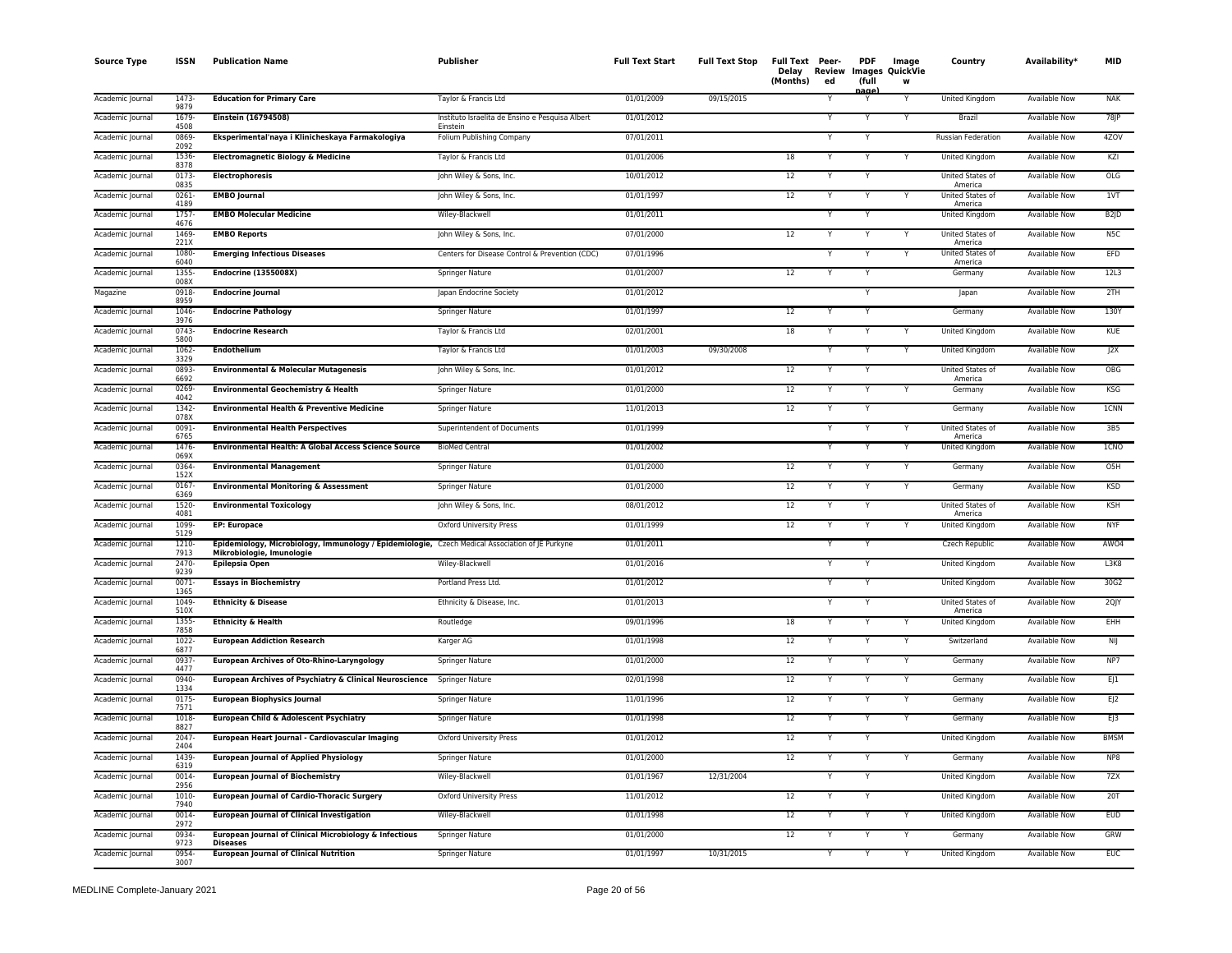| <b>Source Type</b> | <b>ISSN</b>      | <b>Publication Name</b>                                                                                                      | Publisher                                                   | <b>Full Text Start</b> | <b>Full Text Stop</b> | Full Text Peer-<br>Delay<br>(Months) | <b>Review</b><br>ed | <b>PDF</b><br>(full<br>aar | Image<br>Images QuickVie<br>w | Country                            | Availability <sup>*</sup> | <b>MID</b>        |
|--------------------|------------------|------------------------------------------------------------------------------------------------------------------------------|-------------------------------------------------------------|------------------------|-----------------------|--------------------------------------|---------------------|----------------------------|-------------------------------|------------------------------------|---------------------------|-------------------|
| Academic Journal   | 1473-<br>9879    | <b>Education for Primary Care</b>                                                                                            | Taylor & Francis Ltd                                        | 01/01/2009             | 09/15/2015            |                                      |                     |                            | Y                             | United Kingdom                     | <b>Available Now</b>      | <b>NAK</b>        |
| Academic Journal   | 1679<br>4508     | <b>Einstein (16794508)</b>                                                                                                   | Instituto Israelita de Ensino e Pesquisa Albert<br>Finstein | 01/01/2012             |                       |                                      |                     | Υ                          | Y                             | Brazil                             | <b>Available Now</b>      | $78$ $P$          |
| Academic Journal   | 0869<br>2092     | Eksperimental'naya i Klinicheskaya Farmakologiya                                                                             | Folium Publishing Company                                   | 07/01/2011             |                       |                                      |                     | Y                          |                               | <b>Russian Federation</b>          | <b>Available Now</b>      | 4ZOV              |
| Academic Journal   | 1536<br>8378     | <b>Electromagnetic Biology &amp; Medicine</b>                                                                                | Taylor & Francis Ltd                                        | 01/01/2006             |                       | 18                                   |                     |                            | Y                             | United Kingdom                     | Available Now             | KZI               |
| Academic Journal   | 0173<br>0835     | <b>Electrophoresis</b>                                                                                                       | John Wiley & Sons, Inc.                                     | 10/01/2012             |                       | 12                                   |                     |                            |                               | United States of<br>America        | Available Now             | OLG               |
| Academic Journal   | 0261-<br>4189    | <b>EMBO Journal</b>                                                                                                          | John Wiley & Sons, Inc.                                     | 01/01/1997             |                       | 12                                   |                     | Y                          |                               | United States of<br>America        | <b>Available Now</b>      | 1VT               |
| Academic Journal   | $1757-$<br>4676  | <b>EMBO Molecular Medicine</b>                                                                                               | Wiley-Blackwell                                             | 01/01/2011             |                       |                                      |                     |                            |                               | <b>United Kingdom</b>              | Available Now             | B <sub>2</sub> JD |
| Academic Journal   | 1469<br>221X     | <b>EMBO Reports</b>                                                                                                          | John Wiley & Sons, Inc.                                     | 07/01/2000             |                       | 12                                   |                     |                            | Y                             | United States of<br>America        | Available Now             | N <sub>5C</sub>   |
| Academic Journal   | 1080-<br>6040    | <b>Emerging Infectious Diseases</b>                                                                                          | Centers for Disease Control & Prevention (CDC)              | 07/01/1996             |                       |                                      |                     | Y                          | Y                             | United States of<br>America        | <b>Available Now</b>      | <b>EFD</b>        |
| Academic Journal   | 1355-<br>008X    | <b>Endocrine (1355008X)</b>                                                                                                  | Springer Nature                                             | 01/01/2007             |                       | 12                                   |                     | Υ                          |                               | Germany                            | <b>Available Now</b>      | 12L3              |
| Magazine           | 0918<br>8959     | <b>Endocrine Journal</b>                                                                                                     | Japan Endocrine Society                                     | 01/01/2012             |                       |                                      |                     | Y                          |                               | Japan                              | Available Now             | 2TH               |
| Academic Journal   | 1046-<br>3976    | <b>Endocrine Pathology</b>                                                                                                   | Springer Nature                                             | 01/01/1997             |                       | 12                                   |                     |                            |                               | Germany                            | <b>Available Now</b>      | 130Y              |
| Academic Journal   | 0743<br>5800     | <b>Endocrine Research</b>                                                                                                    | Taylor & Francis Ltd                                        | 02/01/2001             |                       | 18                                   |                     |                            | Y                             | United Kingdom                     | Available Now             | KUE               |
| Academic Journal   | 1062-<br>3329    | <b>Endothelium</b>                                                                                                           | Taylor & Francis Ltd                                        | 01/01/2003             | 09/30/2008            |                                      |                     |                            |                               | United Kingdom                     | Available Now             | J2X               |
| Academic Journal   | 0893<br>6692     | <b>Environmental &amp; Molecular Mutagenesis</b>                                                                             | John Wiley & Sons, Inc.                                     | 01/01/2012             |                       | 12                                   |                     |                            |                               | United States of<br>America        | Available Now             | OBG               |
| Academic Journal   | 0269<br>4042     | <b>Environmental Geochemistry &amp; Health</b>                                                                               | <b>Springer Nature</b>                                      | 01/01/2000             |                       | 12                                   |                     | Y                          | Y                             | Germany                            | <b>Available Now</b>      | <b>KSG</b>        |
| Academic Journal   | 1342-<br>078X    | <b>Environmental Health &amp; Preventive Medicine</b>                                                                        | <b>Springer Nature</b>                                      | 11/01/2013             |                       | 12                                   |                     | Y                          |                               | Germany                            | <b>Available Now</b>      | <b>1CNN</b>       |
| Academic Journal   | 0091<br>6765     | <b>Environmental Health Perspectives</b>                                                                                     | Superintendent of Documents                                 | 01/01/1999             |                       |                                      |                     | Υ                          | Υ                             | <b>United States of</b><br>America | Available Now             | 3B5               |
| Academic Journal   | 1476-<br>069X    | <b>Environmental Health: A Global Access Science Source</b>                                                                  | <b>BioMed Central</b>                                       | 01/01/2002             |                       |                                      |                     |                            | Y                             | United Kingdom                     | <b>Available Now</b>      | 1CNO              |
| Academic Journal   | 0364<br>152X     | <b>Environmental Management</b>                                                                                              | Springer Nature                                             | 01/01/2000             |                       | 12                                   | Y                   | Y                          | Υ                             | Germany                            | Available Now             | O <sub>5</sub> H  |
| Academic Journal   | 0167<br>6369     | <b>Environmental Monitoring &amp; Assessment</b>                                                                             | Springer Nature                                             | 01/01/2000             |                       | 12                                   |                     | Υ                          | Υ                             | Germany                            | <b>Available Now</b>      | <b>KSD</b>        |
| Academic Journal   | 1520-<br>4081    | <b>Environmental Toxicology</b>                                                                                              | John Wiley & Sons, Inc.                                     | 08/01/2012             |                       | 12                                   |                     |                            |                               | United States of<br>America        | <b>Available Now</b>      | <b>KSH</b>        |
| Academic Journal   | 1099<br>5129     | <b>EP: Europace</b>                                                                                                          | Oxford University Press                                     | 01/01/1999             |                       | 12                                   |                     |                            |                               | United Kingdom                     | Available Now             | <b>NYF</b>        |
| Academic Journal   | 1210-<br>7913    | Epidemiology, Microbiology, Immunology / Epidemiologie, Czech Medical Association of JE Purkyne<br>Mikrobiologie, Imunologie |                                                             | 01/01/2011             |                       |                                      |                     |                            |                               | Czech Republic                     | Available Now             | AWO4              |
| Academic Journal   | 2470-<br>9239    | Epilepsia Open                                                                                                               | Wiley-Blackwell                                             | 01/01/2016             |                       |                                      |                     | Y                          |                               | United Kingdom                     | Available Now             | L3K8              |
| Academic Journal   | $0071 -$<br>1365 | <b>Essays in Biochemistry</b>                                                                                                | Portland Press Ltd.                                         | 01/01/2012             |                       |                                      |                     | ٧                          |                               | <b>United Kingdom</b>              | <b>Available Now</b>      | 30G2              |
| Academic Journal   | 1049<br>510X     | <b>Ethnicity &amp; Disease</b>                                                                                               | Ethnicity & Disease, Inc.                                   | 01/01/2013             |                       |                                      |                     | Y                          |                               | United States of<br>America        | Available Now             | 2QJY              |
| Academic Journal   | 1355<br>7858     | <b>Ethnicity &amp; Health</b>                                                                                                | Routledge                                                   | 09/01/1996             |                       | 18                                   |                     |                            |                               | United Kingdom                     | Available Now             | EHH               |
| Academic Journal   | 1022<br>6877     | <b>European Addiction Research</b>                                                                                           | Karger AG                                                   | 01/01/1998             |                       | 12                                   | $\checkmark$        | Y                          | Y                             | Switzerland                        | Available Now             | NIJ               |
| Academic Journal   | 0937<br>4477     | <b>European Archives of Oto-Rhino-Laryngology</b>                                                                            | Springer Nature                                             | 01/01/2000             |                       | 12                                   |                     |                            |                               | Germany                            | Available Now             | NP7               |
| Academic Journal   | 0940-<br>1334    | European Archives of Psychiatry & Clinical Neuroscience                                                                      | <b>Springer Nature</b>                                      | 02/01/1998             |                       | 12                                   |                     |                            | Y                             | Germany                            | <b>Available Now</b>      | E 1               |
| Academic Journal   | $0175 -$<br>7571 | <b>European Biophysics Journal</b>                                                                                           | Springer Nature                                             | 11/01/1996             |                       | 12                                   |                     | Υ                          | Y                             | Germany                            | <b>Available Now</b>      | EJ2               |
| Academic Journal   | 1018<br>8827     | European Child & Adolescent Psychiatry                                                                                       | <b>Springer Nature</b>                                      | 01/01/1998             |                       | 12                                   |                     |                            | Υ                             | Germany                            | <b>Available Now</b>      | EJ3               |
| Academic Journal   | $2047 -$<br>2404 | European Heart Journal - Cardiovascular Imaging                                                                              | Oxford University Press                                     | 01/01/2012             |                       | 12                                   |                     | Υ                          |                               | <b>United Kingdom</b>              | <b>Available Now</b>      | <b>BMSM</b>       |
| Academic Journal   | 1439<br>6319     | <b>European Journal of Applied Physiology</b>                                                                                | Springer Nature                                             | 01/01/2000             |                       | 12                                   |                     |                            | Y                             | Germany                            | Available Now             | NP8               |
| Academic Journal   | 0014<br>2956     | <b>European Journal of Biochemistry</b>                                                                                      | Wiley-Blackwell                                             | 01/01/1967             | 12/31/2004            |                                      | $\checkmark$        | Υ                          |                               | United Kingdom                     | Available Now             | 7ZX               |
| Academic Journal   | 1010-<br>7940    | <b>European Journal of Cardio-Thoracic Surgery</b>                                                                           | <b>Oxford University Press</b>                              | 11/01/2012             |                       | 12                                   |                     |                            |                               | <b>United Kingdom</b>              | <b>Available Now</b>      | 20T               |
| Academic Journal   | 0014<br>2972     | <b>European Journal of Clinical Investigation</b>                                                                            | Wiley-Blackwell                                             | 01/01/1998             |                       | 12                                   |                     |                            | Y                             | United Kingdom                     | <b>Available Now</b>      | <b>EUD</b>        |
| Academic Journal   | 0934<br>9723     | European Journal of Clinical Microbiology & Infectious<br><b>Diseases</b>                                                    | Springer Nature                                             | 01/01/2000             |                       | 12                                   |                     |                            | Y                             | Germany                            | Available Now             | GRW               |
| Academic Journal   | 0954<br>3007     | <b>European Journal of Clinical Nutrition</b>                                                                                | <b>Springer Nature</b>                                      | 01/01/1997             | 10/31/2015            |                                      |                     | Y                          | Ÿ                             | <b>United Kingdom</b>              | <b>Available Now</b>      | <b>EUC</b>        |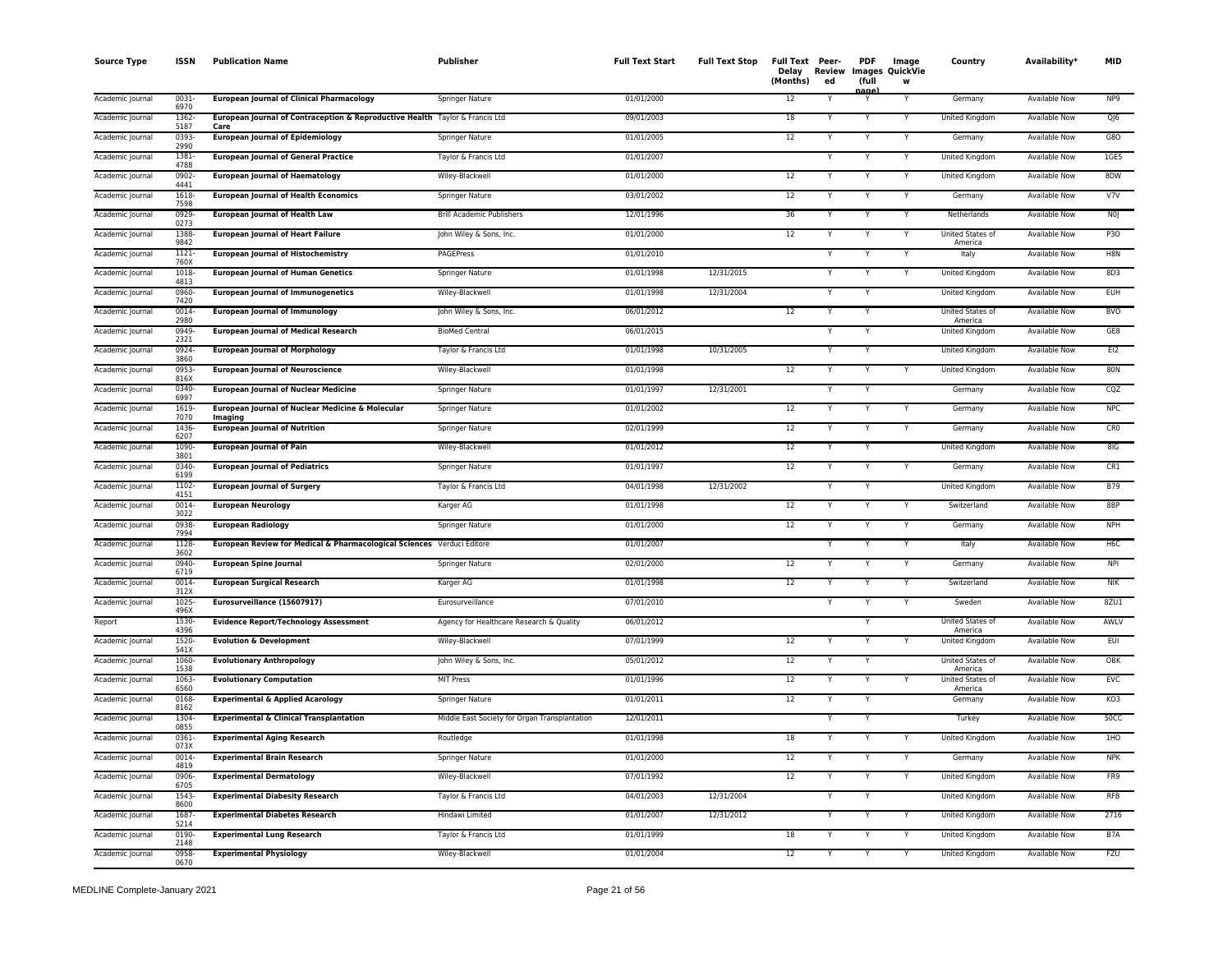| <b>Source Type</b> | <b>ISSN</b>      | <b>Publication Name</b>                                                              | Publisher                                     | <b>Full Text Start</b> | <b>Full Text Stop</b> | Full Text Peer-<br>Delay<br>(Months) | Review<br>ed | <b>PDF</b><br>(full<br>aane | Image<br>Images QuickVie<br>w | Country                     | Availability <sup>*</sup> | <b>MID</b>       |
|--------------------|------------------|--------------------------------------------------------------------------------------|-----------------------------------------------|------------------------|-----------------------|--------------------------------------|--------------|-----------------------------|-------------------------------|-----------------------------|---------------------------|------------------|
| Academic Journal   | $0031 -$<br>6970 | <b>European Journal of Clinical Pharmacology</b>                                     | Springer Nature                               | 01/01/2000             |                       | 12                                   |              | Υ                           | Y                             | Germany                     | <b>Available Now</b>      | NP <sub>9</sub>  |
| Academic Journal   | 1362-<br>5187    | European Journal of Contraception & Reproductive Health Taylor & Francis Ltd<br>Care |                                               | 09/01/2003             |                       | 18                                   |              | Y                           | Y                             | United Kingdom              | <b>Available Now</b>      | $Q$ $6$          |
| Academic Journal   | 0393<br>2990     | <b>European Journal of Epidemiology</b>                                              | <b>Springer Nature</b>                        | 01/01/2005             |                       | 12                                   |              | Y                           | Y                             | Germany                     | <b>Available Now</b>      | G80              |
| Academic Journal   | 1381-<br>4788    | <b>European Journal of General Practice</b>                                          | Taylor & Francis Ltd                          | 01/01/2007             |                       |                                      |              | Y                           | Y                             | United Kingdom              | Available Now             | 1GE5             |
| Academic Journal   | 0902-<br>4441    | <b>European Journal of Haematology</b>                                               | Wiley-Blackwell                               | 01/01/2000             |                       | 12                                   |              |                             | Y                             | United Kingdom              | Available Now             | 8DW              |
| Academic Journal   | 1618-<br>7598    | <b>European Journal of Health Economics</b>                                          | <b>Springer Nature</b>                        | 03/01/2002             |                       | 12                                   |              | Y                           | Y                             | Germany                     | <b>Available Now</b>      | V7V              |
| Academic Journal   | 0929-<br>0273    | <b>European Journal of Health Law</b>                                                | <b>Brill Academic Publishers</b>              | 12/01/1996             |                       | 36                                   |              |                             |                               | Netherlands                 | <b>Available Now</b>      | N0               |
| Academic Journal   | 1388<br>9842     | <b>European Journal of Heart Failure</b>                                             | John Wiley & Sons, Inc.                       | 01/01/2000             |                       | 12                                   |              |                             |                               | United States of<br>America | Available Now             | P30              |
| Academic Journal   | $1121 -$<br>760X | <b>European Journal of Histochemistry</b>                                            | <b>PAGEPress</b>                              | 01/01/2010             |                       |                                      |              | Y                           | Y                             | Italy                       | <b>Available Now</b>      | H <sub>8N</sub>  |
| Academic Journal   | 1018-<br>4813    | <b>European Journal of Human Genetics</b>                                            | Springer Nature                               | 01/01/1998             | 12/31/2015            |                                      |              | Υ                           | Y                             | United Kingdom              | <b>Available Now</b>      | 8D3              |
| Academic Journal   | 0960-<br>7420    | <b>European Journal of Immunogenetics</b>                                            | Wiley-Blackwell                               | 01/01/1998             | 12/31/2004            |                                      |              | Υ                           |                               | United Kingdom              | Available Now             | EUH              |
| Academic Journal   | 0014<br>2980     | <b>European Journal of Immunology</b>                                                | John Wiley & Sons, Inc.                       | 06/01/2012             |                       | 12                                   |              | Y                           |                               | United States of<br>America | <b>Available Now</b>      | <b>BVO</b>       |
| Academic Journal   | 0949-<br>2321    | <b>European Journal of Medical Research</b>                                          | <b>BioMed Central</b>                         | 06/01/2015             |                       |                                      |              | Υ                           |                               | United Kingdom              | Available Now             | GE8              |
| Academic Journal   | 0924-<br>3860    | <b>European Journal of Morphology</b>                                                | Taylor & Francis Ltd                          | 01/01/1998             | 10/31/2005            |                                      |              |                             |                               | United Kingdom              | Available Now             | EI2              |
| Academic Journal   | 0953-<br>816X    | <b>European Journal of Neuroscience</b>                                              | Wiley-Blackwell                               | 01/01/1998             |                       | 12                                   |              | Y                           |                               | United Kingdom              | Available Now             | <b>80N</b>       |
| Academic Journal   | 0340-<br>6997    | <b>European Journal of Nuclear Medicine</b>                                          | Springer Nature                               | 01/01/1997             | 12/31/2001            |                                      |              | Y                           |                               | Germany                     | <b>Available Now</b>      | CQZ              |
| Academic Journal   | 1619-<br>7070    | European Journal of Nuclear Medicine & Molecular<br>Imaging                          | <b>Springer Nature</b>                        | 01/01/2002             |                       | 12                                   |              | Y                           |                               | Germany                     | <b>Available Now</b>      | <b>NPC</b>       |
| Academic Journal   | 1436<br>6207     | <b>European Journal of Nutrition</b>                                                 | <b>Springer Nature</b>                        | 02/01/1999             |                       | 12                                   |              | Υ                           | Y                             | Germany                     | Available Now             | CR <sub>0</sub>  |
| Academic Journal   | 1090-<br>3801    | <b>European Journal of Pain</b>                                                      | Wiley-Blackwell                               | 01/01/2012             |                       | 12                                   |              |                             |                               | <b>United Kingdom</b>       | <b>Available Now</b>      | 8IG              |
| Academic Journal   | 0340-<br>6199    | <b>European Journal of Pediatrics</b>                                                | Springer Nature                               | 01/01/1997             |                       | 12                                   |              | Y                           | Y                             | Germany                     | Available Now             | CR1              |
| Academic Journal   | 1102-<br>4151    | <b>European Journal of Surgery</b>                                                   | Taylor & Francis Ltd                          | 04/01/1998             | 12/31/2002            |                                      |              |                             |                               | United Kingdom              | <b>Available Now</b>      | <b>B79</b>       |
| Academic Journal   | $0014 -$<br>3022 | <b>European Neurology</b>                                                            | Karger AG                                     | 01/01/1998             |                       | 12                                   |              | Y                           | $\checkmark$                  | Switzerland                 | <b>Available Now</b>      | 8BP              |
| Academic Journal   | 0938-<br>7994    | <b>European Radiology</b>                                                            | Springer Nature                               | 01/01/2000             |                       | 12                                   |              | Y                           | Y                             | Germany                     | <b>Available Now</b>      | <b>NPH</b>       |
| Academic Journal   | 1128<br>3602     | European Review for Medical & Pharmacological Sciences Verduci Editore               |                                               | 01/01/2007             |                       |                                      |              |                             | Y                             | Italy                       | Available Now             | H <sub>6</sub> C |
| Academic Journal   | 0940-<br>6719    | <b>European Spine Journal</b>                                                        | Springer Nature                               | 02/01/2000             |                       | 12                                   | Y            | Y                           | Y                             | Germany                     | Available Now             | <b>NPI</b>       |
| Academic Journal   | 0014<br>312X     | <b>European Surgical Research</b>                                                    | Karger AG                                     | 01/01/1998             |                       | 12                                   |              | ١                           | Y                             | Switzerland                 | <b>Available Now</b>      | NIK              |
| Academic Journal   | 1025-<br>496X    | Eurosurveillance (15607917)                                                          | Eurosurveillance                              | 07/01/2010             |                       |                                      |              | Y                           | Y                             | Sweden                      | Available Now             | 8ZU1             |
| Report             | 1530-<br>4396    | <b>Evidence Report/Technology Assessment</b>                                         | Agency for Healthcare Research & Quality      | 06/01/2012             |                       |                                      |              |                             |                               | United States of<br>America | Available Now             | AWLV             |
| Academic Journal   | 1520-<br>541X    | <b>Evolution &amp; Development</b>                                                   | Wiley-Blackwell                               | 07/01/1999             |                       | 12                                   |              | Y                           |                               | United Kingdom              | Available Now             | EUI              |
| Academic Journal   | 1060<br>1538     | <b>Evolutionary Anthropology</b>                                                     | John Wiley & Sons, Inc.                       | 05/01/2012             |                       | 12                                   |              |                             |                               | United States of<br>America | Available Now             | OBK              |
| Academic Journal   | 1063<br>6560     | <b>Evolutionary Computation</b>                                                      | <b>MIT Press</b>                              | 01/01/1996             |                       | 12                                   |              | Ÿ                           | Y                             | United States of<br>America | <b>Available Now</b>      | <b>EVC</b>       |
| Academic Journal   | 0168-<br>8162    | <b>Experimental &amp; Applied Acarology</b>                                          | <b>Springer Nature</b>                        | 01/01/2011             |                       | 12                                   |              | Y                           |                               | Germany                     | <b>Available Now</b>      | KO3              |
| Academic Journal   | 1304-<br>0855    | <b>Experimental &amp; Clinical Transplantation</b>                                   | Middle East Society for Organ Transplantation | 12/01/2011             |                       |                                      |              |                             |                               | Turkey                      | <b>Available Now</b>      | 50CC             |
| Academic Journal   | 0361-<br>073X    | <b>Experimental Aging Research</b>                                                   | Routledge                                     | 01/01/1998             |                       | 18                                   |              | Y                           |                               | <b>United Kingdom</b>       | <b>Available Now</b>      | 1H <sub>O</sub>  |
| Academic Journal   | 0014-<br>4819    | <b>Experimental Brain Research</b>                                                   | Springer Nature                               | 01/01/2000             |                       | 12                                   |              |                             | Y                             | Germany                     | Available Now             | <b>NPK</b>       |
| Academic Journal   | 0906-<br>6705    | <b>Experimental Dermatology</b>                                                      | Wiley-Blackwell                               | 07/01/1992             |                       | 12                                   |              | Y                           | Y                             | United Kingdom              | Available Now             | FR9              |
| Academic Journal   | 1543-<br>8600    | <b>Experimental Diabesity Research</b>                                               | Taylor & Francis Ltd                          | 04/01/2003             | 12/31/2004            |                                      |              |                             |                               | <b>United Kingdom</b>       | <b>Available Now</b>      | <b>RFB</b>       |
| Academic Journal   | 1687-<br>5214    | <b>Experimental Diabetes Research</b>                                                | Hindawi Limited                               | 01/01/2007             | 12/31/2012            |                                      |              |                             | Y                             | <b>United Kingdom</b>       | <b>Available Now</b>      | 2716             |
| Academic Journal   | 0190-<br>2148    | <b>Experimental Lung Research</b>                                                    | Taylor & Francis Ltd                          | 01/01/1999             |                       | 18                                   |              |                             | Y                             | United Kingdom              | Available Now             | B <sub>7</sub> A |
| Academic Journal   | 0958<br>0670     | <b>Experimental Physiology</b>                                                       | Wiley-Blackwell                               | 01/01/2004             |                       | 12                                   | Y            | Y                           | Y                             | <b>United Kingdom</b>       | <b>Available Now</b>      | <b>FZU</b>       |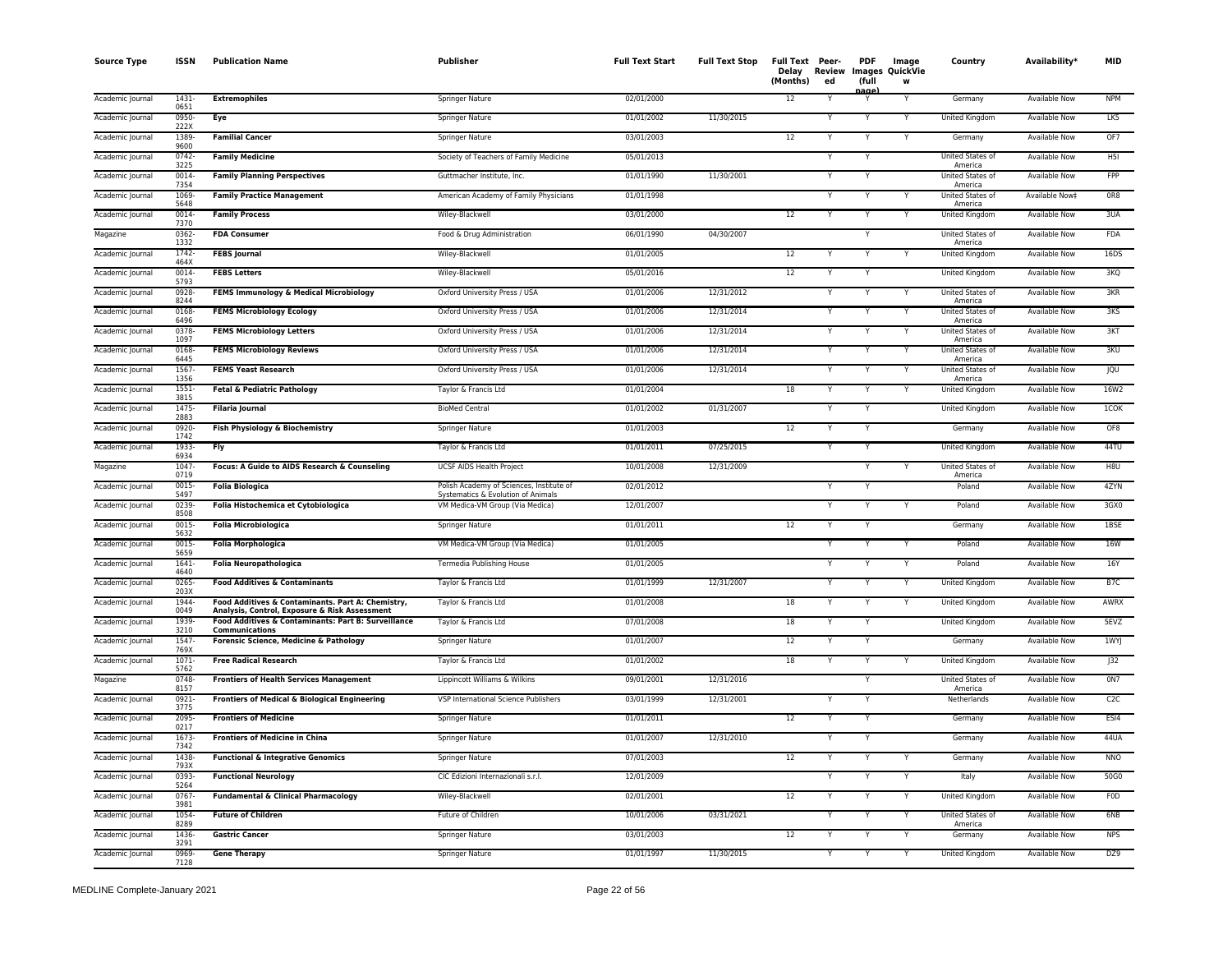| <b>Source Type</b> | <b>ISSN</b>          | <b>Publication Name</b>                                                                            | Publisher                                                                      | <b>Full Text Start</b> | <b>Full Text Stop</b> | Full Text Peer-<br>(Months) | Delay Review<br>ed | <b>PDF</b><br>(full | Image<br><b>Images QuickVie</b><br>w | Country                                | Availability*        | MID             |
|--------------------|----------------------|----------------------------------------------------------------------------------------------------|--------------------------------------------------------------------------------|------------------------|-----------------------|-----------------------------|--------------------|---------------------|--------------------------------------|----------------------------------------|----------------------|-----------------|
| Academic Journal   | $1431 -$<br>0651     | <b>Extremophiles</b>                                                                               | <b>Springer Nature</b>                                                         | 02/01/2000             |                       | 12                          | Y                  | aane<br>Υ           | $\overline{Y}$                       | Germany                                | <b>Available Now</b> | <b>NPM</b>      |
| Academic Journal   | 0950-<br>222X        | Eye                                                                                                | Springer Nature                                                                | 01/01/2002             | 11/30/2015            |                             | Υ                  | Y                   | Υ                                    | <b>United Kingdom</b>                  | Available Now        | LK5             |
| Academic Journal   | 1389<br>9600         | <b>Familial Cancer</b>                                                                             | Springer Nature                                                                | 03/01/2003             |                       | 12                          | Y                  | Y                   | Y                                    | Germany                                | <b>Available Now</b> | OF7             |
| Academic Journal   | 0742<br>3225         | <b>Family Medicine</b>                                                                             | Society of Teachers of Family Medicine                                         | 05/01/2013             |                       |                             |                    | Υ                   |                                      | United States of<br>America            | Available Now        | H <sub>5I</sub> |
| Academic Journal   | 0014<br>7354         | <b>Family Planning Perspectives</b>                                                                | Guttmacher Institute, Inc.                                                     | 01/01/1990             | 11/30/2001            |                             |                    |                     |                                      | United States of<br>America            | Available Now        | FPP             |
| Academic Journal   | 1069-<br>5648        | <b>Family Practice Management</b>                                                                  | American Academy of Family Physicians                                          | 01/01/1998             |                       |                             | $\checkmark$       | Y                   | Y                                    | United States of<br>America            | Available Now‡       | OR8             |
| Academic Journal   | $0014 -$<br>7370     | <b>Family Process</b>                                                                              | Wiley-Blackwell                                                                | 03/01/2000             |                       | 12                          |                    |                     |                                      | United Kingdom                         | Available Now        | 3UA             |
| Magazine           | 0362-<br>1332        | <b>FDA Consumer</b>                                                                                | Food & Drug Administration                                                     | 06/01/1990             | 04/30/2007            |                             |                    | Y                   |                                      | United States of<br>America            | Available Now        | <b>FDA</b>      |
| Academic Journal   | $1742 -$<br>464X     | <b>FEBS Journal</b>                                                                                | Wiley-Blackwell                                                                | 01/01/2005             |                       | 12                          | Y                  | Y                   | Y                                    | United Kingdom                         | <b>Available Now</b> | 16DS            |
| Academic Journal   | $0014 -$<br>5793     | <b>FEBS Letters</b>                                                                                | Wiley-Blackwell                                                                | 05/01/2016             |                       | 12                          | Y                  | Υ                   |                                      | United Kingdom                         | <b>Available Now</b> | 3KQ             |
| Academic Journal   | 0928                 | FEMS Immunology & Medical Microbiology                                                             | Oxford University Press / USA                                                  | 01/01/2006             | 12/31/2012            |                             | Y                  | Υ                   | Y                                    | United States of                       | Available Now        | 3KR             |
| Academic Journal   | 8244<br>0168<br>6496 | <b>FEMS Microbiology Ecology</b>                                                                   | Oxford University Press / USA                                                  | 01/01/2006             | 12/31/2014            |                             |                    |                     |                                      | America<br>United States of<br>America | Available Now        | 3K <sub>S</sub> |
| Academic Journal   | 0378<br>1097         | <b>FEMS Microbiology Letters</b>                                                                   | Oxford University Press / USA                                                  | 01/01/2006             | 12/31/2014            |                             |                    | Y                   | Υ                                    | United States of<br>America            | Available Now        | 3KT             |
| Academic Journal   | 0168<br>6445         | <b>FEMS Microbiology Reviews</b>                                                                   | Oxford University Press / USA                                                  | 01/01/2006             | 12/31/2014            |                             |                    |                     |                                      | United States of<br>America            | Available Now        | 3KU             |
| Academic Journal   | 1567<br>1356         | <b>FEMS Yeast Research</b>                                                                         | Oxford University Press / USA                                                  | 01/01/2006             | 12/31/2014            |                             | Y                  | Y                   | Y                                    | United States of<br>America            | Available Now        | <b>JQU</b>      |
| Academic Journal   | $1551 -$<br>3815     | Fetal & Pediatric Pathology                                                                        | Taylor & Francis Ltd                                                           | 01/01/2004             |                       | 18                          |                    | Y                   |                                      | <b>United Kingdom</b>                  | <b>Available Now</b> | 16W2            |
| Academic Journal   | 1475-<br>2883        | <b>Filaria Journal</b>                                                                             | <b>BioMed Central</b>                                                          | 01/01/2002             | 01/31/2007            |                             | Y                  | Y                   |                                      | <b>United Kingdom</b>                  | <b>Available Now</b> | 1COK            |
| Academic Journal   | 0920-<br>1742        | Fish Physiology & Biochemistry                                                                     | Springer Nature                                                                | 01/01/2003             |                       | 12                          |                    | Y                   |                                      | Germany                                | <b>Available Now</b> | OF <sub>8</sub> |
| Academic Journal   | 1933-<br>6934        | <b>Fly</b>                                                                                         | Taylor & Francis Ltd                                                           | 01/01/2011             | 07/25/2015            |                             |                    |                     |                                      | United Kingdom                         | <b>Available Now</b> | 44TU            |
| Magazine           | 1047<br>0719         | Focus: A Guide to AIDS Research & Counseling                                                       | UCSF AIDS Health Project                                                       | 10/01/2008             | 12/31/2009            |                             |                    | Y                   |                                      | United States of<br>America            | Available Now        | H8U             |
| Academic Journal   | 0015<br>5497         | <b>Folia Biologica</b>                                                                             | Polish Academy of Sciences, Institute of<br>Systematics & Evolution of Animals | 02/01/2012             |                       |                             |                    | Υ                   |                                      | Poland                                 | Available Now        | 4ZYN            |
| Academic Journal   | 0239-<br>8508        | Folia Histochemica et Cytobiologica                                                                | VM Medica-VM Group (Via Medica)                                                | 12/01/2007             |                       |                             | Y                  | Y                   | Y                                    | Poland                                 | <b>Available Now</b> | 3GX0            |
| Academic Journal   | 0015<br>5632         | <b>Folia Microbiologica</b>                                                                        | Springer Nature                                                                | 01/01/2011             |                       | 12                          |                    | Y                   |                                      | Germany                                | <b>Available Now</b> | 1BSE            |
| Academic Journal   | 0015-<br>5659        | <b>Folia Morphologica</b>                                                                          | VM Medica-VM Group (Via Medica)                                                | 01/01/2005             |                       |                             | Y                  |                     | Υ                                    | Poland                                 | Available Now        | <b>16W</b>      |
| Academic Journal   | $1641 -$<br>4640     | <b>Folia Neuropathologica</b>                                                                      | Termedia Publishing House                                                      | 01/01/2005             |                       |                             | Y                  | Y                   | Y                                    | Poland                                 | Available Now        | 16Y             |
| Academic Journal   | $0265 -$<br>203X     | <b>Food Additives &amp; Contaminants</b>                                                           | Taylor & Francis Ltd                                                           | 01/01/1999             | 12/31/2007            |                             | Y                  | ٧                   | v                                    | United Kingdom                         | <b>Available Now</b> | B <sub>7C</sub> |
| Academic Journal   | 1944<br>0049         | Food Additives & Contaminants. Part A: Chemistry,<br>Analysis, Control, Exposure & Risk Assessment | Taylor & Francis Ltd                                                           | 01/01/2008             |                       | 18                          |                    | Υ                   | Y                                    | United Kingdom                         | Available Now        | AWRX            |
| Academic Journal   | 1939-<br>3210        | Food Additives & Contaminants: Part B: Surveillance<br>Communications                              | Taylor & Francis Ltd                                                           | 07/01/2008             |                       | 18                          |                    |                     |                                      | United Kingdom                         | Available Now        | 5EVZ            |
| Academic Journal   | 1547-<br>769X        | Forensic Science, Medicine & Pathology                                                             | Springer Nature                                                                | 01/01/2007             |                       | 12                          | Y                  | Y                   |                                      | Germany                                | Available Now        | 1WYJ            |
| Academic Journal   | $1071 -$<br>5762     | <b>Free Radical Research</b>                                                                       | Taylor & Francis Ltd                                                           | 01/01/2002             |                       | 18                          |                    |                     |                                      | United Kingdom                         | Available Now        | J32             |
| Magazine           | 0748-<br>8157        | <b>Frontiers of Health Services Management</b>                                                     | Lippincott Williams & Wilkins                                                  | 09/01/2001             | 12/31/2016            |                             |                    | Y                   |                                      | United States of<br>America            | <b>Available Now</b> | 0N7             |
| Academic Journal   | $0921 -$<br>3775     | Frontiers of Medical & Biological Engineering                                                      | VSP International Science Publishers                                           | 03/01/1999             | 12/31/2001            |                             | Y                  | Y                   |                                      | Netherlands                            | <b>Available Now</b> | C2C             |
| Academic Journal   | 2095-<br>0217        | <b>Frontiers of Medicine</b>                                                                       | Springer Nature                                                                | 01/01/2011             |                       | 12                          | Y                  | Υ                   |                                      | Germany                                | <b>Available Now</b> | ESI4            |
| Academic Journal   | 1673<br>7342         | <b>Frontiers of Medicine in China</b>                                                              | Springer Nature                                                                | 01/01/2007             | 12/31/2010            |                             |                    | Υ                   |                                      | Germany                                | Available Now        | 44UA            |
| Academic Journal   | 1438<br>793X         | <b>Functional &amp; Integrative Genomics</b>                                                       | Springer Nature                                                                | 07/01/2003             |                       | 12                          |                    |                     |                                      | Germany                                | Available Now        | <b>NNO</b>      |
| Academic Journal   | 0393-<br>5264        | <b>Functional Neurology</b>                                                                        | CIC Edizioni Internazionali s.r.l.                                             | 12/01/2009             |                       |                             | Υ                  | Y                   | Υ                                    | Italy                                  | Available Now        | 50G0            |
| Academic Journal   | $0767 -$<br>3981     | <b>Fundamental &amp; Clinical Pharmacology</b>                                                     | Wiley-Blackwell                                                                | 02/01/2001             |                       | 12                          |                    |                     |                                      | <b>United Kingdom</b>                  | <b>Available Now</b> | <b>FOD</b>      |
| Academic Journal   | 1054-<br>8289        | <b>Future of Children</b>                                                                          | Future of Children                                                             | 10/01/2006             | 03/31/2021            |                             | Y                  | Y                   | Y                                    | United States of<br>America            | <b>Available Now</b> | 6NB             |
| Academic Journal   | 1436<br>3291         | <b>Gastric Cancer</b>                                                                              | Springer Nature                                                                | 03/01/2003             |                       | 12                          |                    |                     |                                      | Germany                                | Available Now        | <b>NPS</b>      |
| Academic Journal   | 0969-<br>7128        | <b>Gene Therapy</b>                                                                                | <b>Springer Nature</b>                                                         | 01/01/1997             | 11/30/2015            |                             | Y                  | Y                   | Y                                    | <b>United Kingdom</b>                  | <b>Available Now</b> | DZ9             |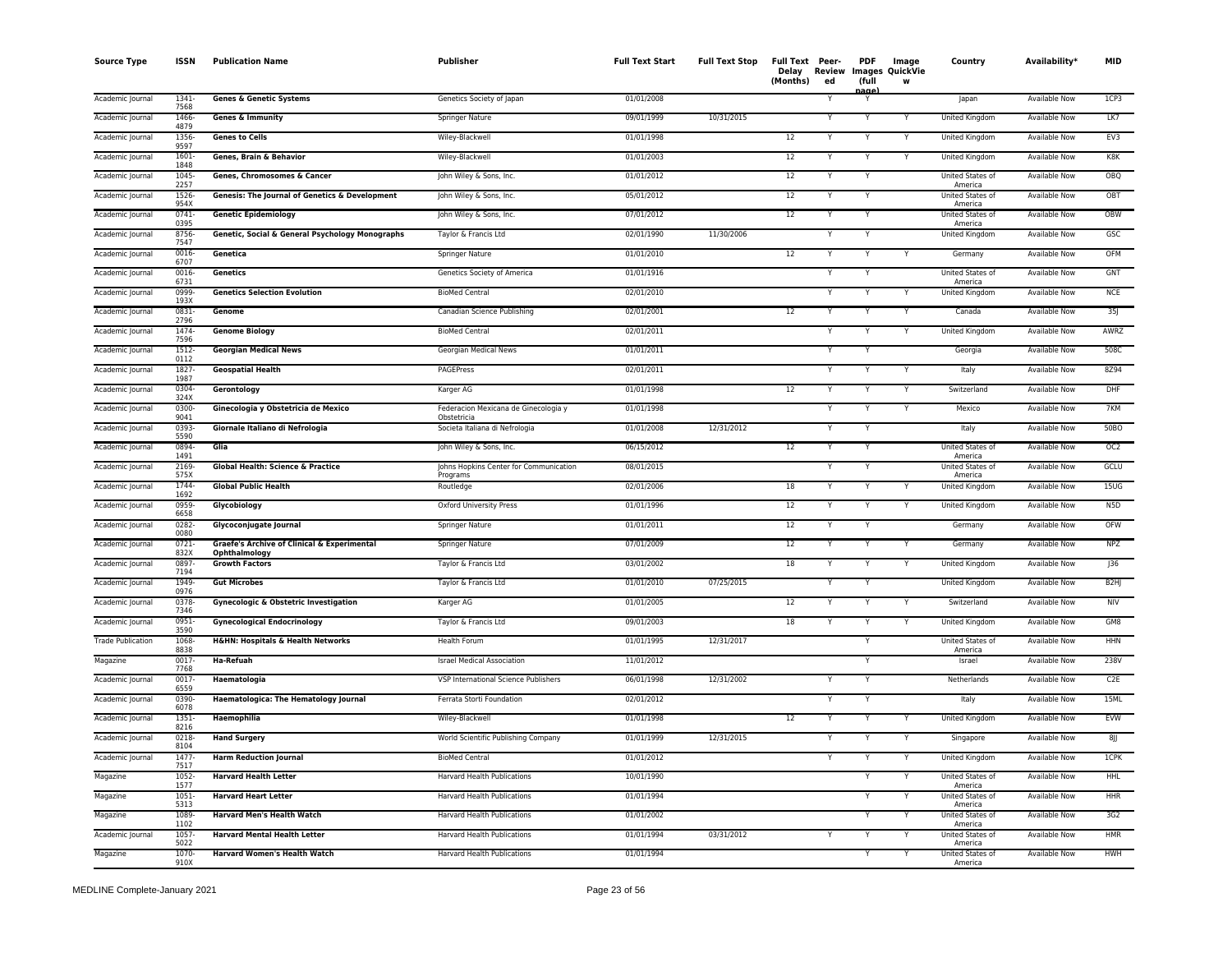| <b>Source Type</b>       | ISSN             | <b>Publication Name</b>                                                 | Publisher                                           | <b>Full Text Start</b> | <b>Full Text Stop</b> | Full Text Peer-<br>Delay Review Images QuickVie<br>(Months)<br>ed | <b>PDF</b><br>(full | Image<br>W | Country                            | Availability*        | <b>MID</b>       |
|--------------------------|------------------|-------------------------------------------------------------------------|-----------------------------------------------------|------------------------|-----------------------|-------------------------------------------------------------------|---------------------|------------|------------------------------------|----------------------|------------------|
| Academic Journal         | 1341-<br>7568    | <b>Genes &amp; Genetic Systems</b>                                      | Genetics Society of Japan                           | 01/01/2008             |                       |                                                                   | عممد                |            | Japan                              | Available Now        | 1CP3             |
| Academic Journal         | 1466-<br>4879    | <b>Genes &amp; Immunity</b>                                             | Springer Nature                                     | 09/01/1999             | 10/31/2015            |                                                                   |                     |            | United Kingdom                     | <b>Available Now</b> | LK7              |
| Academic Journal         | 1356<br>9597     | <b>Genes to Cells</b>                                                   | Wiley-Blackwell                                     | 01/01/1998             |                       | 12<br>Y                                                           |                     | Y          | United Kingdom                     | Available Now        | EV3              |
| Academic Journal         | 1601-<br>1848    | Genes, Brain & Behavior                                                 | Wiley-Blackwell                                     | 01/01/2003             |                       | 12<br>Y                                                           |                     | Y          | United Kingdom                     | Available Now        | K8K              |
| Academic Journal         | 1045<br>2257     | Genes, Chromosomes & Cancer                                             | John Wiley & Sons, Inc.                             | 01/01/2012             |                       | 12<br>Y                                                           |                     |            | United States of<br>America        | Available Now        | OBQ              |
| Academic Journal         | 1526<br>954X     | Genesis: The Journal of Genetics & Development                          | John Wiley & Sons, Inc.                             | 05/01/2012             |                       | 12                                                                |                     |            | United States of<br>America        | Available Now        | OBT              |
| Academic Journal         | $0741 -$<br>0395 | <b>Genetic Epidemiology</b>                                             | John Wiley & Sons, Inc.                             | 07/01/2012             |                       | 12                                                                |                     |            | <b>United States of</b><br>America | Available Now        | OBW              |
| Academic Journal         | 8756-<br>7547    | Genetic, Social & General Psychology Monographs                         | Taylor & Francis Ltd                                | 02/01/1990             | 11/30/2006            |                                                                   |                     |            | United Kingdom                     | Available Now        | GSC              |
| Academic Journal         | 0016-<br>6707    | Genetica                                                                | Springer Nature                                     | 01/01/2010             |                       | $12 \overline{ }$<br>Y                                            | Y                   | Y          | Germany                            | <b>Available Now</b> | OFM              |
| Academic Journal         | 0016<br>6731     | Genetics                                                                | Genetics Society of America                         | 01/01/1916             |                       | Y                                                                 | Y                   |            | United States of<br>America        | Available Now        | GNT              |
| Academic Journal         | 0999-<br>193X    | <b>Genetics Selection Evolution</b>                                     | <b>BioMed Central</b>                               | 02/01/2010             |                       | Y                                                                 | Y                   | Y          | United Kingdom                     | <b>Available Now</b> | <b>NCE</b>       |
| Academic Journal         | 0831-<br>2796    | Genome                                                                  | Canadian Science Publishing                         | 02/01/2001             |                       | 12<br>Y                                                           |                     | Y          | Canada                             | <b>Available Now</b> | 35J              |
| Academic Journal         | 1474<br>7596     | <b>Genome Biology</b>                                                   | <b>BioMed Central</b>                               | 02/01/2011             |                       | Y                                                                 | Y                   | Y          | United Kingdom                     | Available Now        | AWRZ             |
| Academic Journal         | 1512-<br>0112    | <b>Georgian Medical News</b>                                            | Georgian Medical News                               | 01/01/2011             |                       | Y                                                                 |                     |            | Georgia                            | Available Now        | 508C             |
| Academic Journal         | 1827<br>1987     | <b>Geospatial Health</b>                                                | PAGEPress                                           | 02/01/2011             |                       |                                                                   |                     |            | Italy                              | <b>Available Now</b> | 8Z94             |
| Academic Journal         | 0304-<br>324X    | Gerontology                                                             | Karger AG                                           | 01/01/1998             |                       | 12<br>Y                                                           |                     | Y          | Switzerland                        | <b>Available Now</b> | DHF              |
| Academic Journal         | 0300-<br>9041    | Ginecologia y Obstetricia de Mexico                                     | Federacion Mexicana de Ginecologia y<br>Obstetricia | 01/01/1998             |                       | Y                                                                 |                     | Y          | Mexico                             | Available Now        | 7KM              |
| Academic Journal         | 0393-<br>5590    | Giornale Italiano di Nefrologia                                         | Societa Italiana di Nefrologia                      | 01/01/2008             | 12/31/2012            | Y                                                                 |                     |            | Italy                              | Available Now        | 50BO             |
| Academic Journal         | 0894<br>1491     | Glia                                                                    | John Wiley & Sons, Inc.                             | 06/15/2012             |                       | 12                                                                |                     |            | United States of<br>America        | <b>Available Now</b> | OC2              |
| Academic Journal         | 2169-<br>575X    | <b>Global Health: Science &amp; Practice</b>                            | Johns Hopkins Center for Communication<br>Programs  | 08/01/2015             |                       | Y                                                                 |                     |            | United States of<br>America        | Available Now        | GCLU             |
| Academic Journal         | 1744-<br>1692    | <b>Global Public Health</b>                                             | Routledge                                           | 02/01/2006             |                       | 18<br>Y                                                           |                     | Y          | United Kingdom                     | Available Now        | 15UG             |
| Academic Journal         | 0959-<br>6658    | Glycobiology                                                            | Oxford University Press                             | 01/01/1996             |                       | 12<br>Y                                                           | Y                   | Y          | United Kingdom                     | <b>Available Now</b> | N5D              |
| Academic Journal         | $0282 -$<br>0080 | Glycoconjugate Journal                                                  | Springer Nature                                     | 01/01/2011             |                       | 12<br>Y                                                           | Υ                   |            | Germany                            | <b>Available Now</b> | OFW              |
| Academic Journal         | 0721-<br>832X    | <b>Graefe's Archive of Clinical &amp; Experimental</b><br>Ophthalmology | Springer Nature                                     | 07/01/2009             |                       | 12<br>Y                                                           | Y                   | Y          | Germany                            | <b>Available Now</b> | <b>NPZ</b>       |
| Academic Journal         | 0897-<br>7194    | <b>Growth Factors</b>                                                   | Taylor & Francis Ltd                                | 03/01/2002             |                       | 18<br>Y                                                           |                     | Y          | United Kingdom                     | Available Now        | J36              |
| Academic Journal         | 1949-<br>0976    | <b>Gut Microbes</b>                                                     | Taylor & Francis Ltd                                | 01/01/2010             | 07/25/2015            | Y                                                                 |                     |            | United Kingdom                     | Available Now        | B <sub>2HJ</sub> |
| Academic Journal         | 0378-<br>7346    | <b>Gynecologic &amp; Obstetric Investigation</b>                        | Karger AG                                           | 01/01/2005             |                       | 12<br>Y                                                           |                     | Y          | Switzerland                        | Available Now        | <b>NIV</b>       |
| Academic Journal         | 0951-<br>3590    | <b>Gynecological Endocrinology</b>                                      | Taylor & Francis Ltd                                | 09/01/2003             |                       | 18                                                                |                     |            | United Kingdom                     | Available Now        | GM8              |
| <b>Trade Publication</b> | 1068<br>8838     | <b>H&amp;HN: Hospitals &amp; Health Networks</b>                        | Health Forum                                        | 01/01/1995             | 12/31/2017            |                                                                   |                     |            | United States of<br>America        | Available Now        | HHN              |
| Magazine                 | 0017<br>7768     | Ha-Refuah                                                               | <b>Israel Medical Association</b>                   | 11/01/2012             |                       |                                                                   | Y                   |            | Israel                             | Available Now        | 238V             |
| Academic Journal         | 0017<br>6559     | Haematologia                                                            | VSP International Science Publishers                | 06/01/1998             | 12/31/2002            | Y                                                                 | Y                   |            | Netherlands                        | Available Now        | C <sub>2</sub> E |
| Academic Journal         | 0390-<br>6078    | <b>Haematologica: The Hematology Journal</b>                            | Ferrata Storti Foundation                           | 02/01/2012             |                       |                                                                   |                     |            | Italy                              | <b>Available Now</b> | 15ML             |
| Academic Journal         | 1351-<br>8216    | Haemophilia                                                             | Wiley-Blackwell                                     | 01/01/1998             |                       | 12                                                                |                     |            | United Kingdom                     | <b>Available Now</b> | EVW              |
| Academic Journal         | 0218-<br>8104    | <b>Hand Surgery</b>                                                     | World Scientific Publishing Company                 | 01/01/1999             | 12/31/2015            |                                                                   |                     |            | Singapore                          | Available Now        | 8jj              |
| Academic Journal         | 1477-<br>7517    | <b>Harm Reduction Journal</b>                                           | <b>BioMed Central</b>                               | 01/01/2012             |                       | Y                                                                 |                     | Y          | United Kingdom                     | <b>Available Now</b> | 1CPK             |
| Magazine                 | $1052 -$<br>1577 | <b>Harvard Health Letter</b>                                            | Harvard Health Publications                         | 10/01/1990             |                       |                                                                   | Υ                   | Υ          | United States of<br>America        | <b>Available Now</b> | <b>HHL</b>       |
| Magazine                 | 1051-<br>5313    | <b>Harvard Heart Letter</b>                                             | Harvard Health Publications                         | 01/01/1994             |                       |                                                                   | Y                   | Y          | United States of<br>America        | Available Now        | HHR              |
| Magazine                 | 1089-<br>1102    | <b>Harvard Men's Health Watch</b>                                       | Harvard Health Publications                         | 01/01/2002             |                       |                                                                   | $\mathsf{v}$        | Y          | United States of<br>America        | Available Now        | 3G2              |
| Academic Journal         | $1057 -$<br>5022 | <b>Harvard Mental Health Letter</b>                                     | Harvard Health Publications                         | 01/01/1994             | 03/31/2012            | Y                                                                 |                     | Y          | United States of<br>America        | Available Now        | HMR              |
| Magazine                 | 1070-<br>910X    | <b>Harvard Women's Health Watch</b>                                     | Harvard Health Publications                         | 01/01/1994             |                       |                                                                   | Y                   | Y          | United States of<br>America        | Available Now        | HWH              |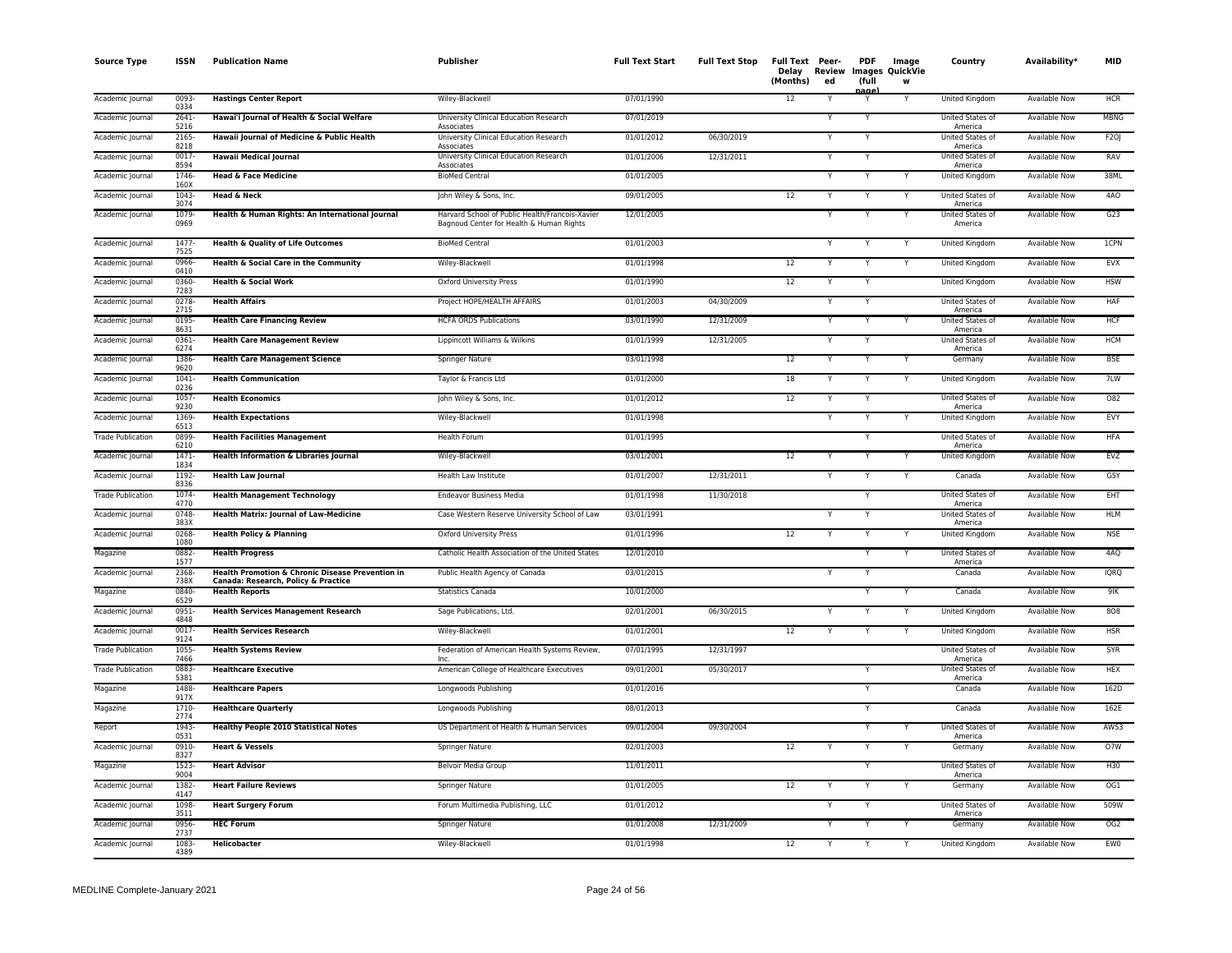| <b>Source Type</b>       | <b>ISSN</b>      | <b>Publication Name</b>                                                                 | Publisher                                                                                   | <b>Full Text Start</b> | <b>Full Text Stop</b> | Full Text Peer-<br>Delay<br>(Months) | Review<br>ed | <b>PDF</b><br>(full<br>aane | Image<br><b>Images QuickVie</b><br>W | Country                            | Availability*        | <b>MID</b>      |
|--------------------------|------------------|-----------------------------------------------------------------------------------------|---------------------------------------------------------------------------------------------|------------------------|-----------------------|--------------------------------------|--------------|-----------------------------|--------------------------------------|------------------------------------|----------------------|-----------------|
| Academic Journal         | 0093-<br>0334    | <b>Hastings Center Report</b>                                                           | Wiley-Blackwell                                                                             | 07/01/1990             |                       | 12                                   | Y            | Y                           | Y                                    | United Kingdom                     | Available Now        | HCR             |
| Academic Journal         | 2641-<br>5216    | Hawai'i Journal of Health & Social Welfare                                              | University Clinical Education Research<br>Associates                                        | 07/01/2019             |                       |                                      | v            | Y                           |                                      | United States of<br>America        | Available Now        | MBNG            |
| Academic Journal         | 2165<br>8218     | Hawaii Journal of Medicine & Public Health                                              | University Clinical Education Research<br>Associates                                        | 01/01/2012             | 06/30/2019            |                                      |              | Y                           |                                      | United States of<br>America        | Available Now        | F2OJ            |
| Academic Journal         | 0017-<br>8594    | <b>Hawaii Medical Journal</b>                                                           | University Clinical Education Research<br>Associates                                        | 01/01/2006             | 12/31/2011            |                                      |              | Y                           |                                      | United States of<br>America        | <b>Available Now</b> | RAV             |
| Academic Journal         | 1746<br>160X     | <b>Head &amp; Face Medicine</b>                                                         | <b>BioMed Central</b>                                                                       | 01/01/2005             |                       |                                      |              | Y                           | Y                                    | United Kingdom                     | Available Now        | 38ML            |
| Academic Journal         | 1043<br>3074     | Head & Neck                                                                             | John Wiley & Sons, Inc.                                                                     | 09/01/2005             |                       | 12                                   |              |                             | Y                                    | <b>United States of</b><br>America | Available Now        | 4AO             |
| Academic Journal         | 1079<br>0969     | Health & Human Rights: An International Journal                                         | Harvard School of Public Health/Francois-Xavier<br>Bagnoud Center for Health & Human Rights | 12/01/2005             |                       |                                      |              |                             |                                      | United States of<br>America        | <b>Available Now</b> | G23             |
| Academic Journal         | 1477<br>7525     | <b>Health &amp; Quality of Life Outcomes</b>                                            | <b>BioMed Central</b>                                                                       | 01/01/2003             |                       |                                      |              | Y                           | Y                                    | United Kingdom                     | <b>Available Now</b> | <b>1CPN</b>     |
| Academic Journal         | 0966<br>0410     | Health & Social Care in the Community                                                   | Wiley-Blackwell                                                                             | 01/01/1998             |                       | 12                                   | Υ            | Y                           | Y                                    | United Kingdom                     | Available Now        | EVX             |
| Academic Journal         | 0360-<br>7283    | <b>Health &amp; Social Work</b>                                                         | Oxford University Press                                                                     | 01/01/1990             |                       | 12                                   |              |                             |                                      | United Kingdom                     | <b>Available Now</b> | <b>HSW</b>      |
| Academic Journal         | 0278-<br>2715    | <b>Health Affairs</b>                                                                   | Project HOPE/HEALTH AFFAIRS                                                                 | 01/01/2003             | 04/30/2009            |                                      |              |                             |                                      | United States of<br>America        | Available Now        | HAF             |
| Academic Journal         | 0195<br>8631     | <b>Health Care Financing Review</b>                                                     | <b>HCFA ORDS Publications</b>                                                               | 03/01/1990             | 12/31/2009            |                                      |              |                             |                                      | United States of<br>America        | <b>Available Now</b> | <b>HCF</b>      |
| Academic Journal         | $0361 -$<br>6274 | <b>Health Care Management Review</b>                                                    | Lippincott Williams & Wilkins                                                               | 01/01/1999             | 12/31/2005            |                                      |              | <b>v</b>                    |                                      | United States of<br>America        | Available Now        | <b>HCM</b>      |
| Academic Journal         | 1386<br>9620     | <b>Health Care Management Science</b>                                                   | Springer Nature                                                                             | 03/01/1998             |                       | 12                                   | v            | Y                           | Y                                    | Germany                            | Available Now        | <b>BSE</b>      |
| Academic Journal         | 1041<br>0236     | <b>Health Communication</b>                                                             | Taylor & Francis Ltd                                                                        | 01/01/2000             |                       | 18                                   |              |                             |                                      | United Kingdom                     | <b>Available Now</b> | 7LW             |
| Academic Journal         | $1057 -$<br>9230 | <b>Health Economics</b>                                                                 | John Wiley & Sons, Inc.                                                                     | 01/01/2012             |                       | 12                                   |              |                             |                                      | United States of<br>America        | <b>Available Now</b> | 082             |
| Academic Journal         | 1369<br>6513     | <b>Health Expectations</b>                                                              | Wiley-Blackwell                                                                             | 01/01/1998             |                       |                                      |              | Y                           |                                      | United Kingdom                     | Available Now        | EVY             |
| <b>Trade Publication</b> | 0899<br>6210     | <b>Health Facilities Management</b>                                                     | Health Forum                                                                                | 01/01/1995             |                       |                                      |              |                             |                                      | United States of<br>America        | <b>Available Now</b> | <b>HFA</b>      |
| Academic Journal         | $1471 -$<br>1834 | Health Information & Libraries Journal                                                  | Wiley-Blackwell                                                                             | 03/01/2001             |                       | 12                                   |              | Y                           | $\checkmark$                         | <b>United Kingdom</b>              | <b>Available Now</b> | EVZ             |
| Academic Journal         | 1192<br>8336     | <b>Health Law Journal</b>                                                               | Health Law Institute                                                                        | 01/01/2007             | 12/31/2011            |                                      |              | Y                           |                                      | Canada                             | Available Now        | G5Y             |
| <b>Trade Publication</b> | 1074-<br>4770    | <b>Health Management Technology</b>                                                     | <b>Endeavor Business Media</b>                                                              | 01/01/1998             | 11/30/2018            |                                      |              | Y                           |                                      | <b>United States of</b><br>America | <b>Available Now</b> | EHT             |
| Academic Journal         | 0748-<br>383X    | <b>Health Matrix: Journal of Law-Medicine</b>                                           | Case Western Reserve University School of Law                                               | 03/01/1991             |                       |                                      |              | Y                           |                                      | United States of<br>America        | <b>Available Now</b> | <b>HLM</b>      |
| Academic Journal         | 0268<br>1080     | <b>Health Policy &amp; Planning</b>                                                     | <b>Oxford University Press</b>                                                              | 01/01/1996             |                       | 12                                   |              |                             |                                      | United Kingdom                     | Available Now        | N <sub>5E</sub> |
| Magazine                 | 0882<br>1577     | <b>Health Progress</b>                                                                  | Catholic Health Association of the United States                                            | 12/01/2010             |                       |                                      |              | Y                           |                                      | United States of<br>America        | <b>Available Now</b> | 4AQ             |
| Academic Journal         | 2368-<br>738X    | Health Promotion & Chronic Disease Prevention in<br>Canada: Research, Policy & Practice | Public Health Agency of Canada                                                              | 03/01/2015             |                       |                                      |              |                             |                                      | Canada                             | <b>Available Now</b> | <b>IQRQ</b>     |
| Magazine                 | 0840-<br>6529    | <b>Health Reports</b>                                                                   | <b>Statistics Canada</b>                                                                    | 10/01/2000             |                       |                                      |              |                             |                                      | Canada                             | <b>Available Now</b> | 9K              |
| Academic Journal         | 0951-<br>4848    | <b>Health Services Management Research</b>                                              | Sage Publications, Ltd.                                                                     | 02/01/2001             | 06/30/2015            |                                      |              |                             |                                      | United Kingdom                     | <b>Available Now</b> | 808             |
| Academic Journal         | 0017<br>9124     | <b>Health Services Research</b>                                                         | Wiley-Blackwell                                                                             | 01/01/2001             |                       | 12                                   |              |                             |                                      | United Kingdom                     | <b>Available Now</b> | <b>HSR</b>      |
| <b>Trade Publication</b> | 1055<br>7466     | <b>Health Systems Review</b>                                                            | Federation of American Health Systems Review,<br>Inc                                        | 07/01/1995             | 12/31/1997            |                                      |              |                             |                                      | United States of<br>America        | <b>Available Now</b> | <b>SYR</b>      |
| <b>Trade Publication</b> | 0883-<br>5381    | <b>Healthcare Executive</b>                                                             | American College of Healthcare Executives                                                   | 09/01/2001             | 05/30/2017            |                                      |              | Y                           |                                      | <b>United States of</b><br>America | <b>Available Now</b> | <b>HEX</b>      |
| Magazine                 | 1488<br>917X     | <b>Healthcare Papers</b>                                                                | Longwoods Publishing                                                                        | 01/01/2016             |                       |                                      |              | Y                           |                                      | Canada                             | <b>Available Now</b> | 162D            |
| Magazine                 | 1710-<br>2774    | <b>Healthcare Quarterly</b>                                                             | Longwoods Publishing                                                                        | 08/01/2013             |                       |                                      |              | Y                           |                                      | Canada                             | Available Now        | 162E            |
| Report                   | 1943-<br>0531    | <b>Healthy People 2010 Statistical Notes</b>                                            | US Department of Health & Human Services                                                    | 09/01/2004             | 09/30/2004            |                                      |              |                             |                                      | United States of<br>America        | Available Now        | AWS3            |
| Academic Journal         | 0910-<br>8327    | <b>Heart &amp; Vessels</b>                                                              | <b>Springer Nature</b>                                                                      | 02/01/2003             |                       | 12                                   |              | $\overline{Y}$              |                                      | Germany                            | <b>Available Now</b> | O7W             |
| Magazine                 | $1523 -$<br>9004 | <b>Heart Advisor</b>                                                                    | Belvoir Media Group                                                                         | 11/01/2011             |                       |                                      |              | Y                           |                                      | <b>United States of</b><br>America | <b>Available Now</b> | H30             |
| Academic Journal         | 1382-<br>4147    | <b>Heart Failure Reviews</b>                                                            | Springer Nature                                                                             | 01/01/2005             |                       | 12                                   |              | Y                           | Y                                    | Germany                            | Available Now        | OG1             |
| Academic Journal         | 1098<br>3511     | <b>Heart Surgery Forum</b>                                                              | Forum Multimedia Publishing, LLC                                                            | 01/01/2012             |                       |                                      |              | Y                           |                                      | United States of<br>America        | Available Now        | 509W            |
| Academic Journal         | 0956<br>2737     | <b>HEC Forum</b>                                                                        | Springer Nature                                                                             | 01/01/2008             | 12/31/2009            |                                      |              |                             |                                      | Germany                            | Available Now        | OG2             |
| Academic Journal         | 1083<br>4389     | <b>Helicobacter</b>                                                                     | Wiley-Blackwell                                                                             | 01/01/1998             |                       | 12                                   |              | Y                           |                                      | United Kingdom                     | <b>Available Now</b> | EW <sub>0</sub> |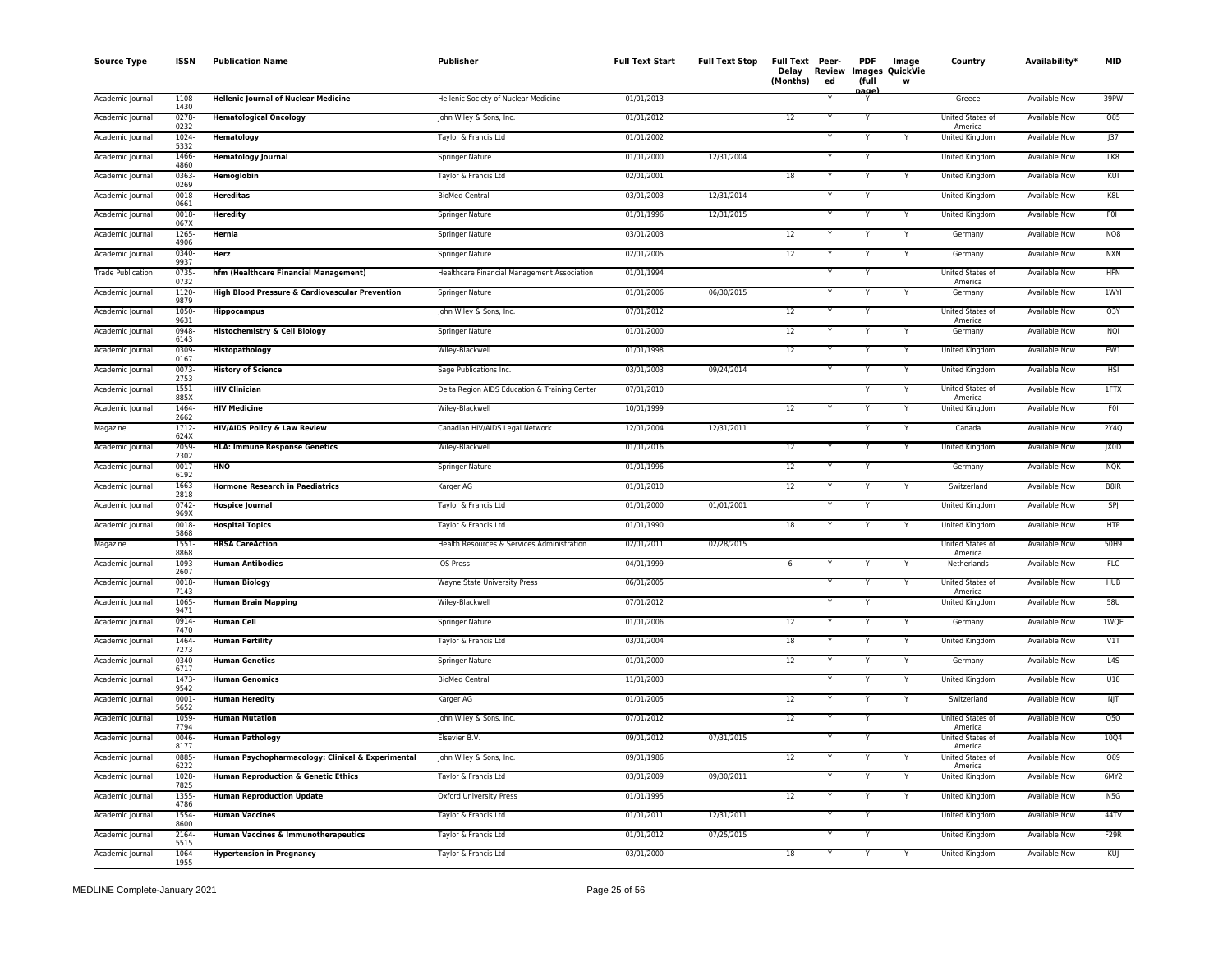| <b>Source Type</b>       | <b>ISSN</b>      | <b>Publication Name</b>                           | Publisher                                     | <b>Full Text Start</b> | <b>Full Text Stop</b> | Full Text Peer-<br>(Months) | Delay Review<br>ed | <b>PDF</b><br>(full<br>ana) | Image<br>Images QuickVie<br>W | Country                     | Availability*        | <b>MID</b>  |
|--------------------------|------------------|---------------------------------------------------|-----------------------------------------------|------------------------|-----------------------|-----------------------------|--------------------|-----------------------------|-------------------------------|-----------------------------|----------------------|-------------|
| Academic Journal         | 1108<br>1430     | <b>Hellenic Journal of Nuclear Medicine</b>       | Hellenic Society of Nuclear Medicine          | 01/01/2013             |                       |                             |                    | Y                           |                               | Greece                      | <b>Available Now</b> | 39PW        |
| Academic Journal         | 0278<br>0232     | <b>Hematological Oncology</b>                     | John Wiley & Sons, Inc.                       | 01/01/2012             |                       | $\overline{12}$             |                    | Y                           |                               | United States of<br>America | <b>Available Now</b> | 085         |
| Academic Journal         | 1024<br>5332     | <b>Hematology</b>                                 | Taylor & Francis Ltd                          | 01/01/2002             |                       |                             |                    | Y                           |                               | United Kingdom              | <b>Available Now</b> | J37         |
| Academic Journal         | 1466<br>4860     | <b>Hematology Journal</b>                         | Springer Nature                               | 01/01/2000             | 12/31/2004            |                             |                    | Y                           |                               | United Kingdom              | Available Now        | LK8         |
| Academic Journal         | 0363-<br>0269    | Hemoglobin                                        | Taylor & Francis Ltd                          | 02/01/2001             |                       | 18                          |                    |                             |                               | United Kingdom              | <b>Available Now</b> | KUI         |
| Academic Journal         | $0018 -$<br>0661 | <b>Hereditas</b>                                  | <b>BioMed Central</b>                         | 03/01/2003             | 12/31/2014            |                             |                    | Y                           |                               | <b>United Kingdom</b>       | <b>Available Now</b> | K8L         |
| Academic Journal         | 0018<br>067X     | <b>Heredity</b>                                   | Springer Nature                               | 01/01/1996             | 12/31/2015            |                             |                    |                             |                               | <b>United Kingdom</b>       | <b>Available Now</b> | <b>FOH</b>  |
| Academic Journal         | 1265<br>4906     | Hernia                                            | Springer Nature                               | 03/01/2003             |                       | 12                          |                    | Y                           |                               | Germany                     | Available Now        | NQ8         |
| Academic Journal         | 0340-<br>9937    | Herz                                              | <b>Springer Nature</b>                        | 02/01/2005             |                       | 12                          |                    | Y                           |                               | Germany                     | <b>Available Now</b> | <b>NXN</b>  |
| <b>Trade Publication</b> | 0735<br>0732     | hfm (Healthcare Financial Management)             | Healthcare Financial Management Association   | 01/01/1994             |                       |                             |                    | Y                           |                               | United States of<br>America | <b>Available Now</b> | <b>HFN</b>  |
| Academic Journal         | 1120<br>9879     | High Blood Pressure & Cardiovascular Prevention   | Springer Nature                               | 01/01/2006             | 06/30/2015            |                             |                    | Y                           |                               | Germany                     | Available Now        | <b>1WYI</b> |
| Academic Journal         | 1050-<br>9631    | <b>Hippocampus</b>                                | John Wiley & Sons, Inc.                       | 07/01/2012             |                       | 12                          |                    | Y                           |                               | United States of<br>America | <b>Available Now</b> | O3Y         |
| Academic Journal         | 0948<br>6143     | <b>Histochemistry &amp; Cell Biology</b>          | Springer Nature                               | 01/01/2000             |                       | 12                          |                    | Y                           | Y                             | Germany                     | Available Now        | NQI         |
| Academic Journal         | 0309<br>0167     | Histopathology                                    | Wiley-Blackwell                               | 01/01/1998             |                       | 12                          |                    |                             | Y                             | United Kingdom              | Available Now        | EW1         |
| Academic Journal         | 0073<br>2753     | <b>History of Science</b>                         | Sage Publications Inc.                        | 03/01/2003             | 09/24/2014            |                             |                    | Y                           | Y                             | United Kingdom              | Available Now        | <b>HSI</b>  |
| Academic Journal         | 1551-<br>885X    | <b>HIV Clinician</b>                              | Delta Region AIDS Education & Training Center | 07/01/2010             |                       |                             |                    | Y                           | Y                             | United States of<br>America | <b>Available Now</b> | 1FTX        |
| Academic Journal         | 1464<br>2662     | <b>HIV Medicine</b>                               | Wiley-Blackwell                               | 10/01/1999             |                       | 12                          |                    | Y                           | Y                             | United Kingdom              | <b>Available Now</b> | <b>FOI</b>  |
| Magazine                 | 1712<br>624X     | <b>HIV/AIDS Policy &amp; Law Review</b>           | Canadian HIV/AIDS Legal Network               | 12/01/2004             | 12/31/2011            |                             |                    | Y                           | Y                             | Canada                      | Available Now        | 2Y40        |
| Academic Journal         | 2059<br>2302     | <b>HLA: Immune Response Genetics</b>              | Wiley-Blackwell                               | 01/01/2016             |                       | 12                          |                    | Y                           | Y                             | United Kingdom              | <b>Available Now</b> | JX0D        |
| Academic Journal         | $0017 -$<br>6192 | HNO                                               | Springer Nature                               | 01/01/1996             |                       | 12                          |                    | Y                           |                               | Germany                     | Available Now        | <b>NQK</b>  |
| Academic Journal         | 1663<br>2818     | <b>Hormone Research in Paediatrics</b>            | Karger AG                                     | 01/01/2010             |                       | 12                          |                    | Y                           |                               | Switzerland                 | Available Now        | B8IR        |
| Academic Journal         | $0742 -$<br>969X | <b>Hospice Journal</b>                            | Taylor & Francis Ltd                          | 01/01/2000             | 01/01/2001            |                             |                    | N                           |                               | <b>United Kingdom</b>       | <b>Available Now</b> | SPJ         |
| Academic Journal         | 0018<br>5868     | <b>Hospital Topics</b>                            | Taylor & Francis Ltd                          | 01/01/1990             |                       | 18                          |                    |                             |                               | United Kingdom              | <b>Available Now</b> | <b>HTP</b>  |
| Magazine                 | $1551 -$<br>8868 | <b>HRSA CareAction</b>                            | Health Resources & Services Administration    | 02/01/2011             | 02/28/2015            |                             |                    |                             |                               | United States of<br>America | Available Now        | 50H9        |
| Academic Journal         | 1093<br>2607     | <b>Human Antibodies</b>                           | IOS Press                                     | 04/01/1999             |                       | $\,$ 6 $\,$                 |                    | Y                           | Y                             | Netherlands                 | Available Now        | <b>FLC</b>  |
| Academic Journal         | 0018<br>7143     | <b>Human Biology</b>                              | Wayne State University Press                  | 06/01/2005             |                       |                             |                    | N                           | Y                             | United States of<br>America | <b>Available Now</b> | <b>HUB</b>  |
| Academic Journal         | 1065<br>9471     | <b>Human Brain Mapping</b>                        | Wiley-Blackwell                               | 07/01/2012             |                       |                             |                    | Y                           |                               | United Kingdom              | Available Now        | 58U         |
| Academic Journal         | 0914-<br>7470    | <b>Human Cell</b>                                 | Springer Nature                               | 01/01/2006             |                       | 12                          |                    |                             |                               | Germany                     | <b>Available Now</b> | 1WQE        |
| Academic Journal         | 1464-<br>7273    | <b>Human Fertility</b>                            | Taylor & Francis Ltd                          | 03/01/2004             |                       | 18                          |                    |                             | Y                             | United Kingdom              | Available Now        | V1T         |
| Academic Journal         | 0340-<br>6717    | <b>Human Genetics</b>                             | Springer Nature                               | 01/01/2000             |                       | 12                          |                    |                             |                               | Germany                     | Available Now        | L4S         |
| Academic Journal         | 1473<br>9542     | <b>Human Genomics</b>                             | <b>BioMed Central</b>                         | 11/01/2003             |                       |                             |                    | Y                           | $\overline{Y}$                | <b>United Kingdom</b>       | <b>Available Now</b> | U18         |
| Academic Journal         | $0001 -$<br>5652 | <b>Human Heredity</b>                             | Karger AG                                     | 01/01/2005             |                       | 12                          |                    | Y                           | Y                             | Switzerland                 | <b>Available Now</b> | NJT         |
| Academic Journal         | 1059<br>7794     | <b>Human Mutation</b>                             | John Wiley & Sons, Inc.                       | 07/01/2012             |                       | 12                          |                    | Y                           |                               | United States of<br>America | <b>Available Now</b> | 050         |
| Academic Journal         | 0046<br>8177     | <b>Human Pathology</b>                            | Elsevier B.V.                                 | 09/01/2012             | 07/31/2015            |                             |                    | Y                           |                               | United States of<br>America | <b>Available Now</b> | <b>10Q4</b> |
| Academic Journal         | 0885<br>6222     | Human Psychopharmacology: Clinical & Experimental | John Wiley & Sons, Inc.                       | 09/01/1986             |                       | 12                          |                    | Y                           |                               | United States of<br>America | <b>Available Now</b> | 089         |
| Academic Journal         | 1028<br>7825     | Human Reproduction & Genetic Ethics               | Taylor & Francis Ltd                          | 03/01/2009             | 09/30/2011            |                             |                    | Y                           | Y                             | United Kingdom              | Available Now        | 6MY2        |
| Academic Journal         | 1355-<br>4786    | <b>Human Reproduction Update</b>                  | <b>Oxford University Press</b>                | 01/01/1995             |                       | 12                          |                    |                             | Y                             | United Kingdom              | <b>Available Now</b> | N5G         |
| Academic Journal         | 1554<br>8600     | <b>Human Vaccines</b>                             | Taylor & Francis Ltd                          | 01/01/2011             | 12/31/2011            |                             |                    | Y                           |                               | United Kingdom              | <b>Available Now</b> | 44TV        |
| Academic Journal         | 2164<br>5515     | Human Vaccines & Immunotherapeutics               | Taylor & Francis Ltd                          | 01/01/2012             | 07/25/2015            |                             |                    | Y                           |                               | United Kingdom              | Available Now        | F29R        |
| Academic Journal         | 1064<br>1955     | <b>Hypertension in Pregnancy</b>                  | Taylor & Francis Ltd                          | 03/01/2000             |                       | $\overline{18}$             |                    | Y                           |                               | United Kingdom              | <b>Available Now</b> | KUJ         |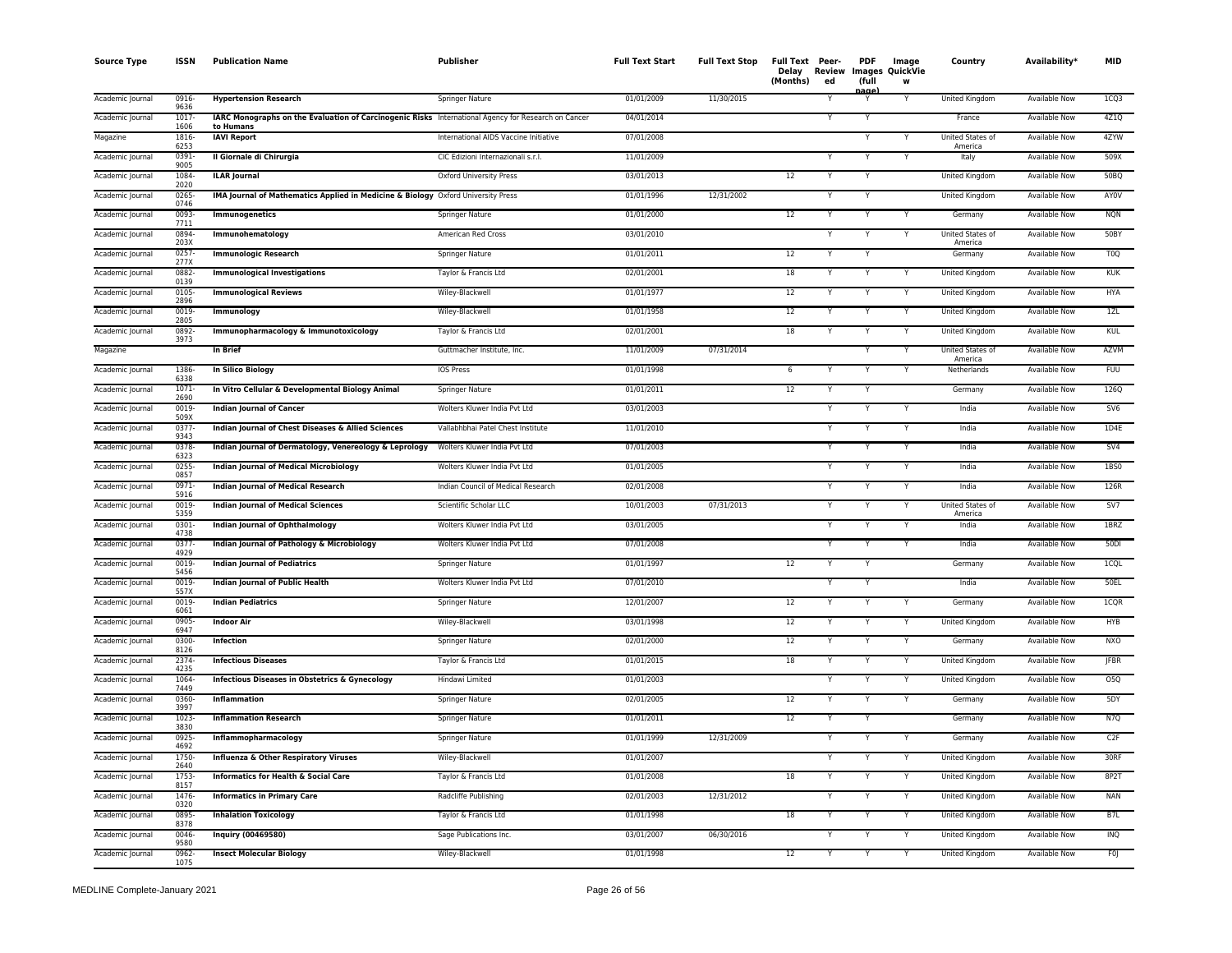| <b>Source Type</b> | <b>ISSN</b>      | <b>Publication Name</b>                                                                             | <b>Publisher</b>                      | <b>Full Text Start</b> | <b>Full Text Stop</b> | Full Text Peer-<br>Delay<br>(Months) | <b>Review</b><br>ed | <b>PDF</b><br>(full | Image<br><b>Images QuickVie</b><br>w | Country                     | Availability*        | <b>MID</b>      |
|--------------------|------------------|-----------------------------------------------------------------------------------------------------|---------------------------------------|------------------------|-----------------------|--------------------------------------|---------------------|---------------------|--------------------------------------|-----------------------------|----------------------|-----------------|
| Academic Journal   | 0916<br>9636     | <b>Hypertension Research</b>                                                                        | Springer Nature                       | 01/01/2009             | 11/30/2015            |                                      |                     | iaαe                | Y                                    | United Kingdom              | <b>Available Now</b> | 1CQ3            |
| Academic Journal   | $1017 -$<br>1606 | IARC Monographs on the Evaluation of Carcinogenic Risks International Agency for Research on Cancer |                                       | 04/01/2014             |                       |                                      | Y                   | Y                   |                                      | France                      | <b>Available Now</b> | 4Z1Q            |
| Magazine           | 1816-            | to Humans<br><b>IAVI Report</b>                                                                     | International AIDS Vaccine Initiative | 07/01/2008             |                       |                                      |                     | Y                   | Y                                    | United States of            | <b>Available Now</b> | 4ZYW            |
| Academic Journal   | 6253<br>$0391 -$ | Il Giornale di Chirurgia                                                                            | CIC Edizioni Internazionali s.r.l.    | 11/01/2009             |                       |                                      | Y                   | Y                   | Y                                    | America<br>Italy            | <b>Available Now</b> | 509X            |
| Academic Journal   | 9005<br>1084     | <b>ILAR Journal</b>                                                                                 | Oxford University Press               | 03/01/2013             |                       | 12                                   | Y                   | Y                   |                                      | United Kingdom              | Available Now        | 50BQ            |
| Academic Journal   | 2020<br>$0265 -$ | IMA Journal of Mathematics Applied in Medicine & Biology Oxford University Press                    |                                       | 01/01/1996             | 12/31/2002            |                                      | Y                   | Υ                   |                                      | United Kingdom              | Available Now        | AYOV            |
| Academic Journal   | 0746<br>0093-    | Immunogenetics                                                                                      | Springer Nature                       | 01/01/2000             |                       | 12                                   |                     | Y                   |                                      | Germany                     | Available Now        | <b>NQN</b>      |
| Academic Journal   | 7711<br>0894-    | Immunohematology                                                                                    | American Red Cross                    | 03/01/2010             |                       |                                      |                     | Y                   | Y                                    | United States of            | <b>Available Now</b> | 50BY            |
| Academic Journal   | 203X<br>0257     | <b>Immunologic Research</b>                                                                         | Springer Nature                       | 01/01/2011             |                       | 12                                   |                     |                     |                                      | America<br>Germany          | <b>Available Now</b> | T <sub>0</sub>  |
| Academic Journal   | 277X<br>0882-    | <b>Immunological Investigations</b>                                                                 | Taylor & Francis Ltd                  | 02/01/2001             |                       | $18\,$                               | Y                   | Y                   | Y                                    | United Kingdom              | <b>Available Now</b> | <b>KUK</b>      |
| Academic Journal   | 0139<br>$0105 -$ | <b>Immunological Reviews</b>                                                                        | Wiley-Blackwell                       | 01/01/1977             |                       | 12                                   | Y                   | Y                   | Y                                    | United Kingdom              | <b>Available Now</b> | <b>HYA</b>      |
| Academic Journal   | 2896<br>0019-    | Immunology                                                                                          | Wiley-Blackwell                       | 01/01/1958             |                       | 12                                   | Υ                   | Υ                   | Υ                                    | United Kingdom              | Available Now        | 1ZL             |
|                    | 2805             |                                                                                                     |                                       | 02/01/2001             |                       |                                      | Y                   | Y                   | Υ                                    |                             |                      |                 |
| Academic Journal   | 0892-<br>3973    | Immunopharmacology & Immunotoxicology                                                               | Taylor & Francis Ltd                  |                        |                       | 18                                   |                     |                     |                                      | United Kingdom              | Available Now        | KUL             |
| Magazine           |                  | In Brief                                                                                            | Guttmacher Institute, Inc.            | 11/01/2009             | 07/31/2014            |                                      |                     |                     |                                      | United States of<br>America | Available Now        | AZVM            |
| Academic Journal   | 1386-<br>6338    | <b>In Silico Biology</b>                                                                            | IOS Press                             | 01/01/1998             |                       | 6                                    |                     | Y                   | Y                                    | Netherlands                 | Available Now        | <b>FUU</b>      |
| Academic Journal   | $1071 -$<br>2690 | In Vitro Cellular & Developmental Biology Animal                                                    | Springer Nature                       | 01/01/2011             |                       | 12                                   |                     | Y                   |                                      | Germany                     | Available Now        | <b>126Q</b>     |
| Academic Journal   | 0019-<br>509X    | <b>Indian Journal of Cancer</b>                                                                     | Wolters Kluwer India Pvt Ltd          | 03/01/2003             |                       |                                      | Y                   | Ÿ                   | Ÿ                                    | India                       | <b>Available Now</b> | SV6             |
| Academic Journal   | $0377 -$<br>9343 | Indian Journal of Chest Diseases & Allied Sciences                                                  | Vallabhbhai Patel Chest Institute     | 11/01/2010             |                       |                                      | Y                   | Y                   | Y                                    | India                       | <b>Available Now</b> | 1D4E            |
| Academic Journal   | 0378<br>6323     | Indian Journal of Dermatology, Venereology & Leprology                                              | Wolters Kluwer India Pvt Ltd          | 07/01/2003             |                       |                                      | Y                   | Υ                   | Y                                    | India                       | Available Now        | SV4             |
| Academic Journal   | $0255 -$<br>0857 | <b>Indian Journal of Medical Microbiology</b>                                                       | Wolters Kluwer India Pvt Ltd          | 01/01/2005             |                       |                                      | Y                   | Y                   | Y                                    | India                       | Available Now        | 1BS0            |
| Academic Journal   | 0971-<br>5916    | Indian Journal of Medical Research                                                                  | Indian Council of Medical Research    | 02/01/2008             |                       |                                      |                     | Υ                   | Y                                    | India                       | Available Now        | 126R            |
| Academic Journal   | 0019-<br>5359    | <b>Indian Journal of Medical Sciences</b>                                                           | Scientific Scholar LLC                | 10/01/2003             | 07/31/2013            |                                      | Y                   | Y                   | Υ                                    | United States of<br>America | Available Now        | SV7             |
| Academic Journal   | $0301 -$<br>4738 | Indian Journal of Ophthalmology                                                                     | Wolters Kluwer India Pvt Ltd          | 03/01/2005             |                       |                                      |                     |                     |                                      | India                       | <b>Available Now</b> | 1BRZ            |
| Academic Journal   | 0377<br>4929     | Indian Journal of Pathology & Microbiology                                                          | Wolters Kluwer India Pvt Ltd          | 07/01/2008             |                       |                                      | Y                   | Y                   | Y                                    | India                       | <b>Available Now</b> | 50 <sub>D</sub> |
| Academic Journal   | 0019-<br>5456    | <b>Indian Journal of Pediatrics</b>                                                                 | Springer Nature                       | 01/01/1997             |                       | 12                                   | Y                   | Y                   |                                      | Germany                     | Available Now        | 1CQL            |
| Academic Journal   | 0019-<br>557X    | <b>Indian Journal of Public Health</b>                                                              | Wolters Kluwer India Pvt Ltd          | 07/01/2010             |                       |                                      | Y                   | Y                   |                                      | India                       | <b>Available Now</b> | 50EL            |
| Academic Journal   | 0019             | <b>Indian Pediatrics</b>                                                                            | Springer Nature                       | 12/01/2007             |                       | 12                                   |                     | Y                   |                                      | Germany                     | Available Now        | 1CQR            |
| Academic Journal   | 6061<br>0905     | <b>Indoor Air</b>                                                                                   | Wiley-Blackwell                       | 03/01/1998             |                       | 12                                   |                     |                     |                                      | United Kingdom              | Available Now        | <b>HYB</b>      |
| Academic Journal   | 6947<br>0300-    | Infection                                                                                           | Springer Nature                       | 02/01/2000             |                       | 12                                   |                     | ٧                   | Υ                                    | Germany                     | Available Now        | <b>NXO</b>      |
| Academic Journal   | 8126<br>2374-    | <b>Infectious Diseases</b>                                                                          | Taylor & Francis Ltd                  | 01/01/2015             |                       | 18                                   |                     |                     |                                      | United Kingdom              | Available Now        | <b>JFBR</b>     |
| Academic Journal   | 4235<br>1064     | <b>Infectious Diseases in Obstetrics &amp; Gynecology</b>                                           | Hindawi Limited                       | 01/01/2003             |                       |                                      | Y                   | Y                   | Y                                    | United Kingdom              | Available Now        | 05Q             |
| Academic Journal   | 7449<br>0360-    | Inflammation                                                                                        | <b>Springer Nature</b>                | 02/01/2005             |                       | 12                                   | Y                   | Y                   | Y                                    | Germany                     | <b>Available Now</b> | 5DY             |
| Academic Journal   | 3997<br>$1023 -$ | <b>Inflammation Research</b>                                                                        | <b>Springer Nature</b>                | 01/01/2011             |                       | 12                                   | Y                   | Υ                   |                                      | Germany                     | <b>Available Now</b> | N7Q             |
| Academic Journal   | 3830<br>0925-    | Inflammopharmacology                                                                                | Springer Nature                       | 01/01/1999             | 12/31/2009            |                                      |                     | Υ                   | Υ                                    | Germany                     | <b>Available Now</b> | C2F             |
| Academic Journal   | 4692<br>1750     | Influenza & Other Respiratory Viruses                                                               | Wiley-Blackwell                       | 01/01/2007             |                       |                                      | Y                   | Y                   | v                                    | United Kingdom              | <b>Available Now</b> | 30RF            |
| Academic Journal   | 2640<br>1753-    | Informatics for Health & Social Care                                                                | Taylor & Francis Ltd                  | 01/01/2008             |                       | 18                                   | Υ                   | Y                   | Y                                    | United Kingdom              | Available Now        | 8P2T            |
| Academic Journal   | 8157<br>1476-    | <b>Informatics in Primary Care</b>                                                                  | Radcliffe Publishing                  | 02/01/2003             | 12/31/2012            |                                      |                     |                     | Υ                                    | United Kingdom              | Available Now        | <b>NAN</b>      |
|                    | 0320             |                                                                                                     |                                       |                        |                       |                                      |                     |                     |                                      |                             |                      |                 |
| Academic Journal   | 0895<br>8378     | <b>Inhalation Toxicology</b>                                                                        | Taylor & Francis Ltd                  | 01/01/1998             |                       | 18                                   |                     | Y                   | Y                                    | United Kingdom              | <b>Available Now</b> | B <sub>7L</sub> |
| Academic Journal   | 0046-<br>9580    | <b>Inquiry (00469580)</b>                                                                           | Sage Publications Inc.                | 03/01/2007             | 06/30/2016            |                                      |                     |                     | Y                                    | United Kingdom              | Available Now        | INQ             |
| Academic Journal   | 0962-<br>1075    | <b>Insect Molecular Biology</b>                                                                     | Wiley-Blackwell                       | 01/01/1998             |                       | 12                                   | Y                   | Y                   | $\overline{Y}$                       | <b>United Kingdom</b>       | <b>Available Now</b> | F <sub>0</sub>  |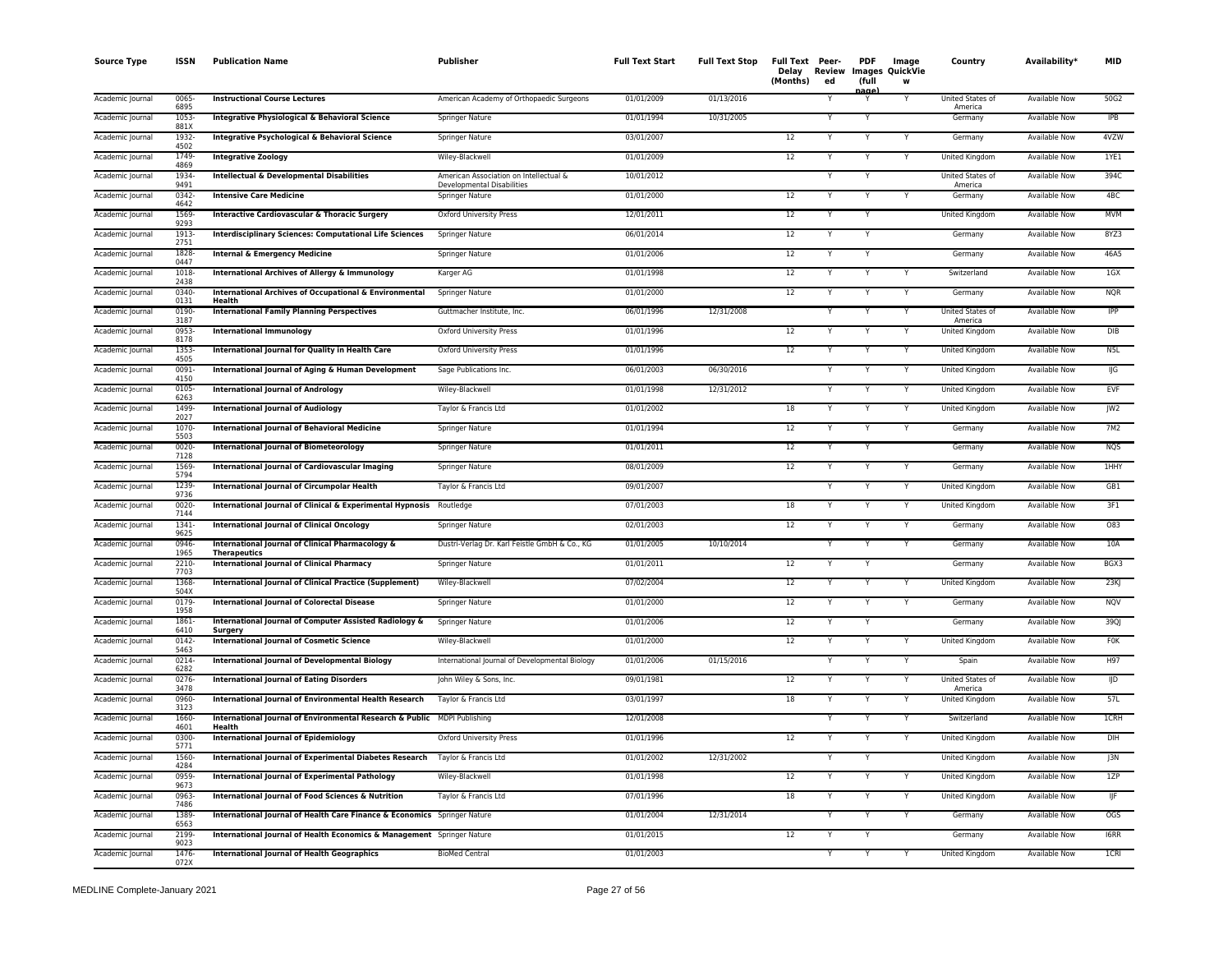| <b>Source Type</b> | <b>ISSN</b>      | <b>Publication Name</b>                                                            | Publisher                                                            | <b>Full Text Start</b> | <b>Full Text Stop</b> | Full Text Peer-<br>Delay<br>(Months) | Review<br>ed | <b>PDF</b><br>(full<br>aane | Image<br><b>Images QuickVie</b><br>W | Country                     | Availability*        | <b>MID</b>      |
|--------------------|------------------|------------------------------------------------------------------------------------|----------------------------------------------------------------------|------------------------|-----------------------|--------------------------------------|--------------|-----------------------------|--------------------------------------|-----------------------------|----------------------|-----------------|
| Academic Journal   | 0065<br>6895     | <b>Instructional Course Lectures</b>                                               | American Academy of Orthopaedic Surgeons                             | 01/01/2009             | 01/13/2016            |                                      |              | Y                           |                                      | United States of<br>America | <b>Available Now</b> | 50G2            |
| Academic Journal   | 1053<br>881X     | Integrative Physiological & Behavioral Science                                     | Springer Nature                                                      | 01/01/1994             | 10/31/2005            |                                      |              | Y                           |                                      | Germany                     | <b>Available Now</b> | IPB             |
| Academic Journal   | 1932-<br>4502    | Integrative Psychological & Behavioral Science                                     | <b>Springer Nature</b>                                               | 03/01/2007             |                       | 12                                   |              | Y                           |                                      | Germany                     | <b>Available Now</b> | 4VZW            |
| Academic Journal   | 1749-<br>4869    | <b>Integrative Zoology</b>                                                         | Wiley-Blackwell                                                      | 01/01/2009             |                       | 12                                   | Y            | Y                           | Y                                    | United Kingdom              | <b>Available Now</b> | 1YE1            |
| Academic Journal   | 1934<br>9491     | Intellectual & Developmental Disabilities                                          | American Association on Intellectual &<br>Developmental Disabilities | 10/01/2012             |                       |                                      |              | Y                           |                                      | United States of<br>America | Available Now        | 394C            |
| Academic Journal   | 0342-<br>4642    | <b>Intensive Care Medicine</b>                                                     | Springer Nature                                                      | 01/01/2000             |                       | 12                                   |              | Y                           |                                      | Germany                     | Available Now        | 4BC             |
| Academic Journal   | 1569-<br>9293    | <b>Interactive Cardiovascular &amp; Thoracic Surgery</b>                           | Oxford University Press                                              | 12/01/2011             |                       | 12                                   |              |                             |                                      | United Kingdom              | <b>Available Now</b> | <b>MVM</b>      |
| Academic Journal   | 1913-<br>2751    | <b>Interdisciplinary Sciences: Computational Life Sciences</b>                     | <b>Springer Nature</b>                                               | 06/01/2014             |                       | 12                                   |              |                             |                                      | Germany                     | <b>Available Now</b> | 8YZ3            |
| Academic Journal   | 1828<br>0447     | <b>Internal &amp; Emergency Medicine</b>                                           | Springer Nature                                                      | 01/01/2006             |                       | 12                                   |              |                             |                                      | Germany                     | <b>Available Now</b> | 46A5            |
| Academic Journal   | 1018<br>2438     | <b>International Archives of Allergy &amp; Immunology</b>                          | Karger AG                                                            | 01/01/1998             |                       | 12                                   |              | Y                           |                                      | Switzerland                 | <b>Available Now</b> | 1GX             |
| Academic Journal   | 0340-<br>0131    | <b>International Archives of Occupational &amp; Environmental</b><br>Health        | Springer Nature                                                      | 01/01/2000             |                       | 12                                   |              | Y                           | Y                                    | Germany                     | <b>Available Now</b> | <b>NQR</b>      |
| Academic Journal   | 0190-<br>3187    | <b>International Family Planning Perspectives</b>                                  | Guttmacher Institute, Inc.                                           | 06/01/1996             | 12/31/2008            |                                      |              |                             |                                      | United States of<br>America | <b>Available Now</b> | IPP             |
| Academic Journal   | 0953-<br>8178    | <b>International Immunology</b>                                                    | Oxford University Press                                              | 01/01/1996             |                       | $\overline{12}$                      |              |                             | Y                                    | United Kingdom              | Available Now        | DIB             |
| Academic Journal   | 1353-<br>4505    | International Journal for Quality in Health Care                                   | <b>Oxford University Press</b>                                       | 01/01/1996             |                       | 12                                   |              |                             |                                      | United Kingdom              | Available Now        | N <sub>5L</sub> |
| Academic Journal   | 0091-<br>4150    | International Journal of Aging & Human Development                                 | Sage Publications Inc.                                               | 06/01/2003             | 06/30/2016            |                                      |              |                             | Y                                    | United Kingdom              | Available Now        | IJG             |
| Academic Journal   | 0105<br>6263     | <b>International Journal of Andrology</b>                                          | Wiley-Blackwell                                                      | 01/01/1998             | 12/31/2012            |                                      |              |                             |                                      | United Kingdom              | <b>Available Now</b> | EVF             |
| Academic Journal   | 1499<br>2027     | <b>International Journal of Audiology</b>                                          | Taylor & Francis Ltd                                                 | 01/01/2002             |                       | $\overline{18}$                      |              | Y                           |                                      | <b>United Kingdom</b>       | <b>Available Now</b> | JW2             |
| Academic Journal   | 1070-<br>5503    | <b>International Journal of Behavioral Medicine</b>                                | <b>Springer Nature</b>                                               | 01/01/1994             |                       | 12                                   |              | Y                           | Y                                    | Germany                     | <b>Available Now</b> | 7M2             |
| Academic Journal   | $0020 -$<br>7128 | <b>International Journal of Biometeorology</b>                                     | Springer Nature                                                      | 01/01/2011             |                       | 12                                   |              | Y                           |                                      | Germany                     | <b>Available Now</b> | <b>NQS</b>      |
| Academic Journal   | 1569<br>5794     | International Journal of Cardiovascular Imaging                                    | Springer Nature                                                      | 08/01/2009             |                       | 12                                   |              | Y                           |                                      | Germany                     | <b>Available Now</b> | 1HHY            |
| Academic Journal   | 1239<br>9736     | <b>International Journal of Circumpolar Health</b>                                 | Taylor & Francis Ltd                                                 | 09/01/2007             |                       |                                      |              |                             | Y                                    | United Kingdom              | <b>Available Now</b> | GB1             |
| Academic Journal   | 0020-<br>7144    | International Journal of Clinical & Experimental Hypnosis Routledge                |                                                                      | 07/01/2003             |                       | 18                                   |              |                             | Y                                    | United Kingdom              | Available Now        | 3F1             |
| Academic Journal   | $1341 -$<br>9625 | <b>International Journal of Clinical Oncology</b>                                  | Springer Nature                                                      | 02/01/2003             |                       | 12                                   |              |                             |                                      | Germany                     | <b>Available Now</b> | 083             |
| Academic Journal   | 0946<br>1965     | International Journal of Clinical Pharmacology &<br><b>Therapeutics</b>            | Dustri-Verlag Dr. Karl Feistle GmbH & Co., KG                        | 01/01/2005             | 10/10/2014            |                                      |              |                             |                                      | Germany                     | Available Now        | 10A             |
| Academic Journal   | 2210-<br>7703    | <b>International Journal of Clinical Pharmacy</b>                                  | Springer Nature                                                      | 01/01/2011             |                       | 12                                   |              | Y                           |                                      | Germany                     | <b>Available Now</b> | BGX3            |
| Academic Journal   | 1368<br>504X     | International Journal of Clinical Practice (Supplement)                            | Wiley-Blackwell                                                      | 07/02/2004             |                       | 12                                   |              | Y                           |                                      | <b>United Kingdom</b>       | <b>Available Now</b> | 23K             |
| Academic Journal   | 0179<br>1958     | <b>International Journal of Colorectal Disease</b>                                 | Springer Nature                                                      | 01/01/2000             |                       | 12                                   |              | Y                           | Y                                    | Germany                     | Available Now        | <b>NQV</b>      |
| Academic Journal   | 1861<br>6410     | International Journal of Computer Assisted Radiology &<br>Surgery                  | Springer Nature                                                      | 01/01/2006             |                       | 12                                   |              |                             |                                      | Germany                     | Available Now        | 39QJ            |
| Academic Journal   | 0142-<br>5463    | <b>International Journal of Cosmetic Science</b>                                   | Wiley-Blackwell                                                      | 01/01/2000             |                       | 12                                   |              |                             |                                      | United Kingdom              | Available Now        | <b>FOK</b>      |
| Academic Journal   | 0214-<br>6282    | <b>International Journal of Developmental Biology</b>                              | International Journal of Developmental Biology                       | 01/01/2006             | 01/15/2016            |                                      |              |                             |                                      | Spain                       | <b>Available Now</b> | H97             |
| Academic Journal   | 0276<br>3478     | <b>International Journal of Eating Disorders</b>                                   | John Wiley & Sons, Inc.                                              | 09/01/1981             |                       | $\overline{12}$                      |              | Y                           |                                      | United States of<br>America | Available Now        | IJD             |
| Academic Journal   | 0960-<br>3123    | International Journal of Environmental Health Research                             | Taylor & Francis Ltd                                                 | 03/01/1997             |                       | 18                                   |              | Y                           | Y                                    | <b>United Kingdom</b>       | <b>Available Now</b> | 57L             |
| Academic Journal   | 1660-<br>4601    | International Journal of Environmental Research & Public MDPI Publishing<br>Health |                                                                      | 12/01/2008             |                       |                                      |              | Y                           | Y                                    | Switzerland                 | <b>Available Now</b> | <b>ICRH</b>     |
| Academic Journal   | 0300<br>5771     | <b>International Journal of Epidemiology</b>                                       | Oxford University Press                                              | 01/01/1996             |                       | 12                                   |              | Y                           |                                      | United Kingdom              | <b>Available Now</b> | <b>DIH</b>      |
| Academic Journal   | 1560-<br>4284    | <b>International Journal of Experimental Diabetes Research</b>                     | Taylor & Francis Ltd                                                 | 01/01/2002             | 12/31/2002            |                                      |              | Y                           |                                      | United Kingdom              | <b>Available Now</b> | J3N             |
| Academic Journal   | 0959<br>9673     | International Journal of Experimental Pathology                                    | Wiley-Blackwell                                                      | 01/01/1998             |                       | 12                                   |              | Y                           | Y                                    | United Kingdom              | Available Now        | 1ZP             |
| Academic Journal   | 0963-<br>7486    | International Journal of Food Sciences & Nutrition                                 | Taylor & Francis Ltd                                                 | 07/01/1996             |                       | 18                                   |              |                             |                                      | United Kingdom              | Available Now        | IJF             |
| Academic Journal   | 1389<br>6563     | International Journal of Health Care Finance & Economics Springer Nature           |                                                                      | 01/01/2004             | 12/31/2014            |                                      |              | Y                           |                                      | Germany                     | <b>Available Now</b> | <b>OGS</b>      |
| Academic Journal   | 2199<br>9023     | International Journal of Health Economics & Management Springer Nature             |                                                                      | 01/01/2015             |                       | 12                                   |              |                             |                                      | Germany                     | Available Now        | <b>I6RR</b>     |
| Academic Journal   | 1476<br>072X     | <b>International Journal of Health Geographics</b>                                 | <b>BioMed Central</b>                                                | 01/01/2003             |                       |                                      |              | Y                           |                                      | United Kingdom              | <b>Available Now</b> | 1CRI            |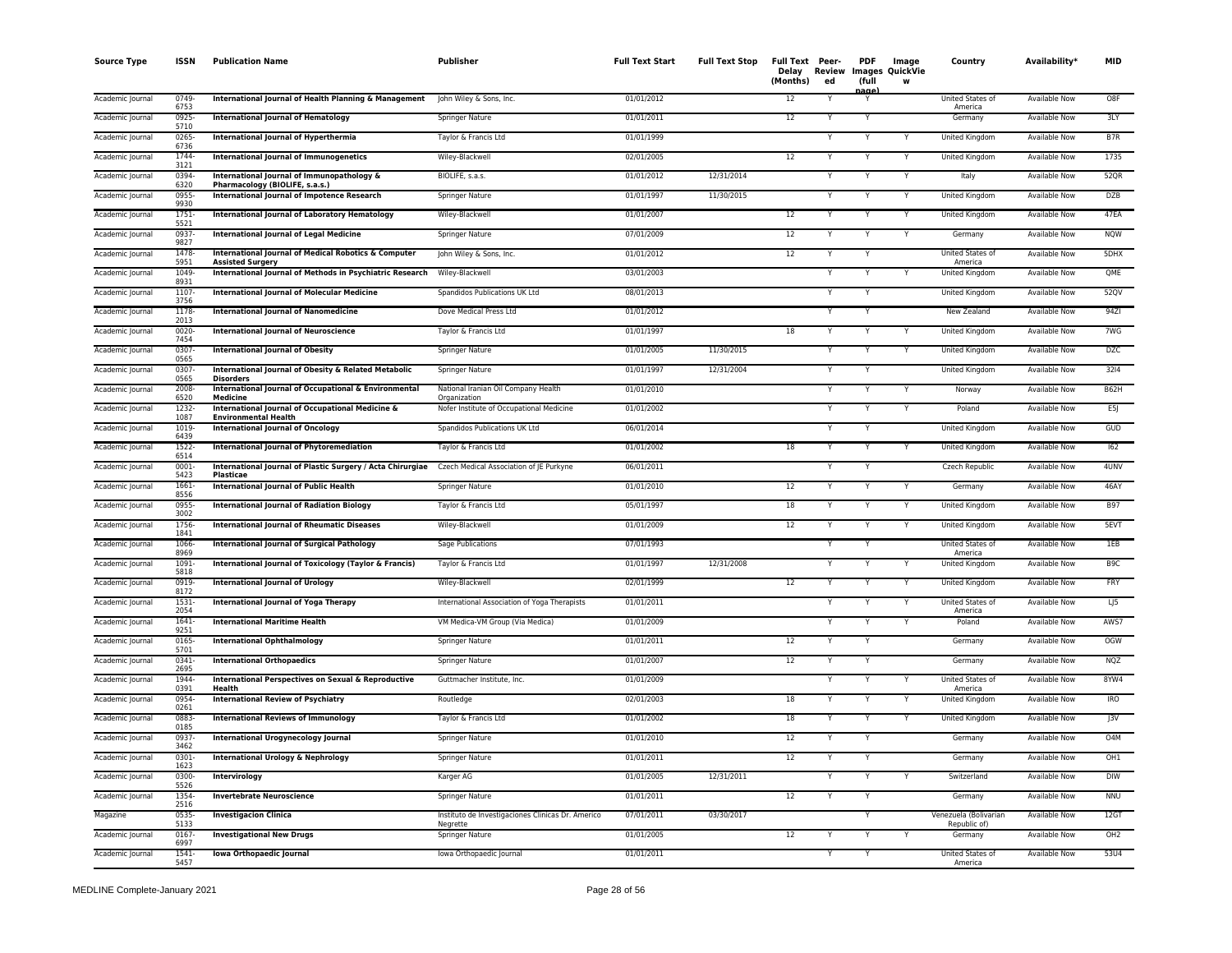| <b>Source Type</b> | ISSN             | <b>Publication Name</b>                                                         | Publisher                                                     | <b>Full Text Start</b> | <b>Full Text Stop</b> | Full Text Peer-<br>Delay<br>(Months) | Review<br>ed | <b>PDF</b><br>(full<br>nage | Image<br><b>Images QuickVie</b> | Country                               | Availability*        | <b>MID</b>      |
|--------------------|------------------|---------------------------------------------------------------------------------|---------------------------------------------------------------|------------------------|-----------------------|--------------------------------------|--------------|-----------------------------|---------------------------------|---------------------------------------|----------------------|-----------------|
| Academic Journal   | 0749<br>6753     | International Journal of Health Planning & Management                           | John Wiley & Sons, Inc.                                       | 01/01/2012             |                       | 12                                   |              |                             |                                 | United States of<br>America           | Available Now        | O8F             |
| Academic Journal   | 0925-<br>5710    | <b>International Journal of Hematology</b>                                      | Springer Nature                                               | 01/01/2011             |                       | 12                                   | Υ            |                             |                                 | Germany                               | Available Now        | 3LY             |
| Academic Journal   | 0265<br>6736     | International Journal of Hyperthermia                                           | Taylor & Francis Ltd                                          | 01/01/1999             |                       |                                      |              |                             | Y                               | United Kingdom                        | Available Now        | B7R             |
| Academic Journal   | 1744<br>3121     | International Journal of Immunogenetics                                         | Wiley-Blackwell                                               | 02/01/2005             |                       | 12                                   |              |                             |                                 | United Kingdom                        | <b>Available Now</b> | 1735            |
| Academic Journal   | 0394<br>6320     | International Journal of Immunopathology &<br>Pharmacology (BIOLIFE, s.a.s.)    | BIOLIFE, s.a.s.                                               | 01/01/2012             | 12/31/2014            |                                      | Y            |                             | Y                               | Italy                                 | <b>Available Now</b> | 52QR            |
| Academic Journal   | 0955<br>9930     | International Journal of Impotence Research                                     | Springer Nature                                               | 01/01/1997             | 11/30/2015            |                                      | Υ            |                             | Y                               | United Kingdom                        | <b>Available Now</b> | <b>DZB</b>      |
| Academic Journal   | 1751-<br>5521    | International Journal of Laboratory Hematology                                  | Wiley-Blackwell                                               | 01/01/2007             |                       | 12                                   |              |                             | Y                               | United Kingdom                        | <b>Available Now</b> | 47EA            |
| Academic Journal   | 0937<br>9827     | <b>International Journal of Legal Medicine</b>                                  | Springer Nature                                               | 07/01/2009             |                       | 12                                   | Y            | Y                           | Υ                               | Germany                               | <b>Available Now</b> | <b>NQW</b>      |
| Academic Journal   | 1478<br>5951     | International Journal of Medical Robotics & Computer<br><b>Assisted Surgery</b> | John Wiley & Sons, Inc.                                       | 01/01/2012             |                       | 12                                   | Y            |                             |                                 | United States of<br>America           | Available Now        | 5DHX            |
| Academic Journal   | 1049<br>8931     | International Journal of Methods in Psychiatric Research                        | Wiley-Blackwell                                               | 03/01/2003             |                       |                                      | Y            |                             | Y                               | United Kingdom                        | <b>Available Now</b> | QME             |
| Academic Journal   | 1107<br>3756     | <b>International Journal of Molecular Medicine</b>                              | Spandidos Publications UK Ltd                                 | 08/01/2013             |                       |                                      | Y            |                             |                                 | United Kingdom                        | Available Now        | 52QV            |
| Academic Journal   | 1178<br>2013     | <b>International Journal of Nanomedicine</b>                                    | Dove Medical Press Ltd                                        | 01/01/2012             |                       |                                      | Y            |                             |                                 | New Zealand                           | Available Now        | 94ZI            |
| Academic Journal   | 0020-<br>7454    | <b>International Journal of Neuroscience</b>                                    | Taylor & Francis Ltd                                          | 01/01/1997             |                       | 18                                   |              |                             |                                 | United Kingdom                        | Available Now        | 7WG             |
| Academic Journal   | 0307<br>0565     | <b>International Journal of Obesity</b>                                         | Springer Nature                                               | 01/01/2005             | 11/30/2015            |                                      | Υ            |                             | Y                               | United Kingdom                        | <b>Available Now</b> | <b>DZC</b>      |
| Academic Journal   | 0307<br>0565     | International Journal of Obesity & Related Metabolic<br><b>Disorders</b>        | Springer Nature                                               | 01/01/1997             | 12/31/2004            |                                      | Y            | Y                           |                                 | United Kingdom                        | Available Now        | 3214            |
| Academic Journal   | 2008<br>6520     | International Journal of Occupational & Environmental<br>Medicine               | National Iranian Oil Company Health<br>Organization           | 01/01/2010             |                       |                                      | Y            |                             | Y                               | Norway                                | Available Now        | B62H            |
| Academic Journal   | 1232<br>1087     | International Journal of Occupational Medicine &<br><b>Environmental Health</b> | Nofer Institute of Occupational Medicine                      | 01/01/2002             |                       |                                      |              |                             | Y                               | Poland                                | <b>Available Now</b> | E5J             |
| Academic Journal   | 1019<br>6439     | <b>International Journal of Oncology</b>                                        | Spandidos Publications UK Ltd                                 | 06/01/2014             |                       |                                      |              |                             |                                 | United Kingdom                        | <b>Available Now</b> | GUD             |
| Academic Journal   | 1522<br>6514     | International Journal of Phytoremediation                                       | Taylor & Francis Ltd                                          | 01/01/2002             |                       | 18                                   | Y            | Y                           | Y                               | United Kingdom                        | <b>Available Now</b> | 162             |
| Academic Journal   | 0001-<br>5423    | International Journal of Plastic Surgery / Acta Chirurgiae<br>Plasticae         | Czech Medical Association of JE Purkyne                       | 06/01/2011             |                       |                                      | Υ            |                             |                                 | Czech Republic                        | <b>Available Now</b> | 4UNV            |
| Academic Journal   | 1661<br>8556     | International Journal of Public Health                                          | Springer Nature                                               | 01/01/2010             |                       | 12                                   | Y            | Y                           | Y                               | Germany                               | <b>Available Now</b> | 46AY            |
| Academic Journa    | 0955<br>3002     | <b>International Journal of Radiation Biology</b>                               | Taylor & Francis Ltd                                          | 05/01/1997             |                       | 18                                   | Y            |                             | Y                               | United Kingdom                        | <b>Available Now</b> | <b>B97</b>      |
| Academic Journal   | 1756<br>1841     | <b>International Journal of Rheumatic Diseases</b>                              | Wiley-Blackwell                                               | 01/01/2009             |                       | 12                                   | Υ            |                             | Y                               | United Kingdom                        | <b>Available Now</b> | 5EVT            |
| Academic Journal   | 1066<br>8969     | <b>International Journal of Surgical Pathology</b>                              | Sage Publications                                             | 07/01/1993             |                       |                                      |              |                             |                                 | United States of<br>America           | Available Now        | 1EB             |
| Academic Journal   | 1091<br>5818     | International Journal of Toxicology (Taylor & Francis)                          | Taylor & Francis Ltd                                          | 01/01/1997             | 12/31/2008            |                                      | Y            |                             | Y                               | United Kingdom                        | Available Now        | B <sub>9C</sub> |
| Academic Journal   | 0919-<br>8172    | <b>International Journal of Urology</b>                                         | Wiley-Blackwell                                               | 02/01/1999             |                       | $12 \overline{ }$                    |              |                             | Y                               | United Kingdom                        | Available Now        | FRY             |
| Academic Journal   | 1531-<br>2054    | <b>International Journal of Yoga Therapy</b>                                    | International Association of Yoga Therapists                  | 01/01/2011             |                       |                                      |              |                             | Y                               | United States of<br>America           | <b>Available Now</b> | LJ5             |
| Academic Journal   | 1641<br>9251     | <b>International Maritime Health</b>                                            | VM Medica-VM Group (Via Medica)                               | 01/01/2009             |                       |                                      | Y            |                             | Y                               | Poland                                | <b>Available Now</b> | AWS7            |
| Academic Journal   | 0165<br>5701     | <b>International Ophthalmology</b>                                              | Springer Nature                                               | 01/01/2011             |                       | 12                                   | Υ            |                             |                                 | Germany                               | Available Now        | OGW             |
| Academic Journal   | 0341<br>2695     | <b>International Orthopaedics</b>                                               | Springer Nature                                               | 01/01/2007             |                       | 12                                   |              |                             |                                 | Germany                               | <b>Available Now</b> | NQZ             |
| Academic Journal   | 1944<br>0391     | <b>International Perspectives on Sexual &amp; Reproductive</b><br>Health        | Guttmacher Institute, Inc.                                    | 01/01/2009             |                       |                                      | Y            |                             | Y                               | United States of<br>America           | Available Now        | 8YW4            |
| Academic Journal   | 0954<br>0261     | <b>International Review of Psychiatry</b>                                       | Routledge                                                     | 02/01/2003             |                       | 18                                   | Y            | Y                           | Y                               | United Kingdom                        | Available Now        | IRO             |
| Academic Journal   | 0883-<br>0185    | <b>International Reviews of Immunology</b>                                      | Taylor & Francis Ltd                                          | 01/01/2002             |                       | 18                                   |              |                             | Y                               | United Kingdom                        | <b>Available Now</b> | J3V             |
| Academic Journal   | 0937-<br>3462    | International Urogynecology Journal                                             | Springer Nature                                               | 01/01/2010             |                       | 12                                   |              |                             |                                 | Germany                               | <b>Available Now</b> | O4M             |
| Academic Journal   | 0301<br>1623     | <b>International Urology &amp; Nephrology</b>                                   | Springer Nature                                               | 01/01/2011             |                       | 12                                   | Y            | Y                           |                                 | Germany                               | Available Now        | OH1             |
| Academic Journal   | 0300-<br>5526    | Intervirology                                                                   | Karger AG                                                     | 01/01/2005             | 12/31/2011            |                                      | Y            | Y                           | Y                               | Switzerland                           | <b>Available Now</b> | <b>DIW</b>      |
| Academic Journal   | 1354<br>2516     | <b>Invertebrate Neuroscience</b>                                                | Springer Nature                                               | 01/01/2011             |                       | 12                                   | Y            |                             |                                 | Germany                               | <b>Available Now</b> | <b>NNU</b>      |
| Magazine           | 0535<br>5133     | <b>Investigacion Clinica</b>                                                    | Instituto de Investigaciones Clinicas Dr. Americo<br>Negrette | 07/01/2011             | 03/30/2017            |                                      |              | Y                           |                                 | Venezuela (Bolivarian<br>Republic of) | Available Now        | 12GT            |
| Academic Journal   | $0167 -$<br>6997 | <b>Investigational New Drugs</b>                                                | Springer Nature                                               | 01/01/2005             |                       | 12                                   | Y            | Y                           | Y                               | Germany                               | Available Now        | OH <sub>2</sub> |
| Academic Journal   | $1541 -$<br>5457 | Iowa Orthopaedic Journal                                                        | Iowa Orthopaedic Journal                                      | 01/01/2011             |                       |                                      |              |                             |                                 | United States of<br>America           | Available Now        | 53U4            |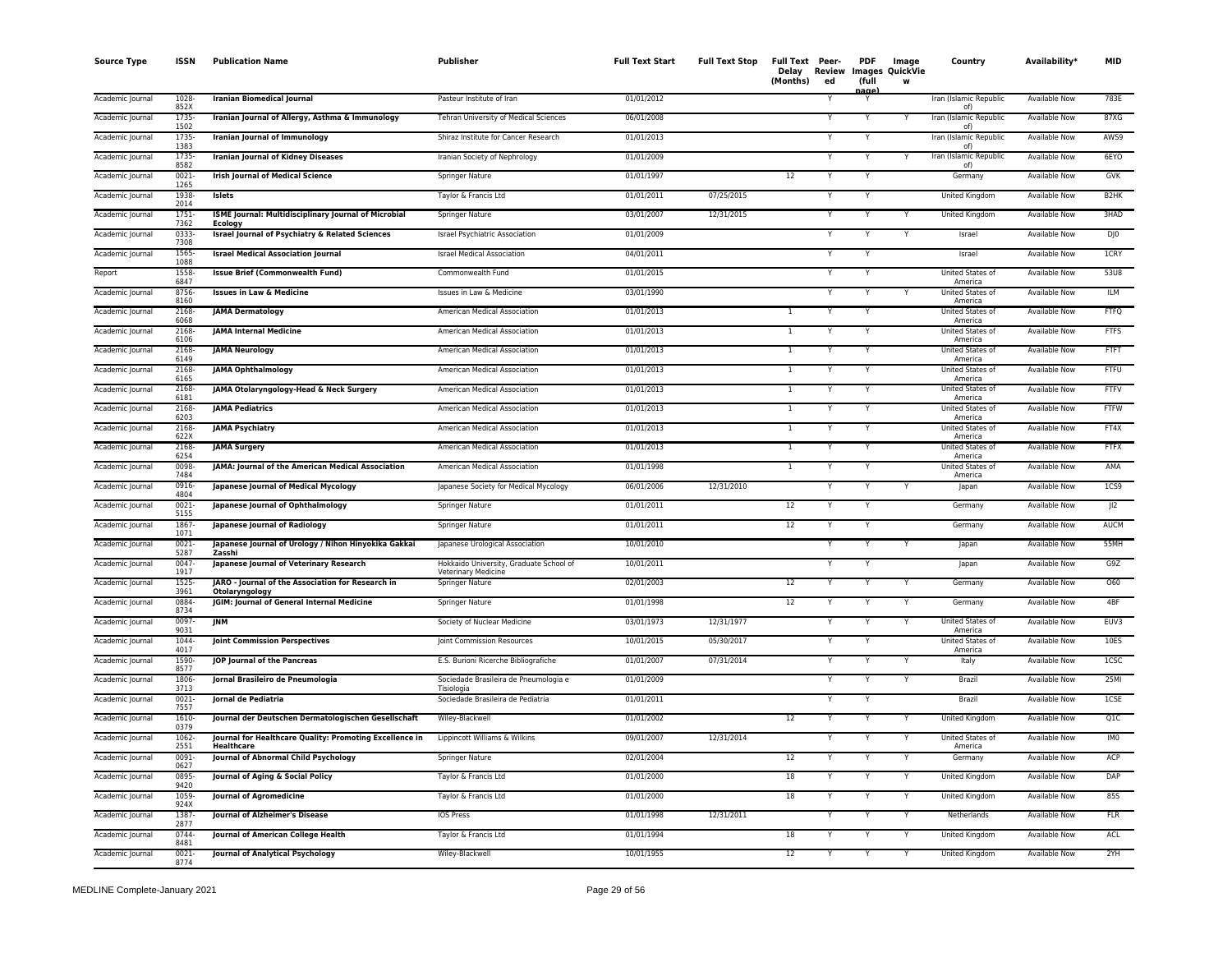| <b>Source Type</b> | <b>ISSN</b>      | <b>Publication Name</b>                                                      | <b>Publisher</b>                                                      | <b>Full Text Start</b> | <b>Full Text Stop</b> | Full Text Peer-<br>Delay<br>(Months) | Review<br>ed | <b>PDF</b><br>(full<br>nage <sup>1</sup> | Image<br><b>Images QuickVie</b><br>W | Country                            | Availability <sup>*</sup> | <b>MID</b>        |
|--------------------|------------------|------------------------------------------------------------------------------|-----------------------------------------------------------------------|------------------------|-----------------------|--------------------------------------|--------------|------------------------------------------|--------------------------------------|------------------------------------|---------------------------|-------------------|
| Academic Journal   | 1028<br>852X     | <b>Iranian Biomedical Journal</b>                                            | Pasteur Institute of Iran                                             | 01/01/2012             |                       |                                      |              |                                          |                                      | Iran (Islamic Republic<br>of)      | <b>Available Now</b>      | 783E              |
| Academic Journal   | 1735-<br>1502    | Iranian Journal of Allergy, Asthma & Immunology                              | Tehran University of Medical Sciences                                 | 06/01/2008             |                       |                                      |              | Ÿ                                        |                                      | Iran (Islamic Republic<br>0f       | <b>Available Now</b>      | 87XG              |
| Academic Journal   | 1735-<br>1383    | Iranian Journal of Immunology                                                | Shiraz Institute for Cancer Research                                  | 01/01/2013             |                       |                                      |              | Y                                        |                                      | Iran (Islamic Republic<br>of)      | <b>Available Now</b>      | AWS9              |
| Academic Journal   | 1735-<br>8582    | <b>Iranian Journal of Kidney Diseases</b>                                    | Iranian Society of Nephrology                                         | 01/01/2009             |                       |                                      |              | Y                                        | Y                                    | Iran (Islamic Republic<br>of)      | <b>Available Now</b>      | 6EYO              |
| Academic Journal   | 0021<br>1265     | <b>Irish Journal of Medical Science</b>                                      | Springer Nature                                                       | 01/01/1997             |                       | 12                                   |              | Y                                        |                                      | Germany                            | Available Now             | GVK               |
| Academic Journal   | 1938<br>2014     | <b>Islets</b>                                                                | Taylor & Francis Ltd                                                  | 01/01/2011             | 07/25/2015            |                                      | Y            | Υ                                        |                                      | United Kingdom                     | Available Now             | B <sub>2</sub> HK |
| Academic Journal   | 1751-<br>7362    | ISME Journal: Multidisciplinary Journal of Microbial<br><b>Ecology</b>       | Springer Nature                                                       | 03/01/2007             | 12/31/2015            |                                      |              |                                          |                                      | United Kingdom                     | Available Now             | 3HAD              |
| Academic Journal   | 0333-<br>7308    | <b>Israel Journal of Psychiatry &amp; Related Sciences</b>                   | <b>Israel Psychiatric Association</b>                                 | 01/01/2009             |                       |                                      |              |                                          | Y                                    | Israel                             | <b>Available Now</b>      | $D$ ] $0$         |
| Academic Journal   | 1565-<br>1088    | <b>Israel Medical Association Journal</b>                                    | <b>Israel Medical Association</b>                                     | 04/01/2011             |                       |                                      |              |                                          |                                      | Israel                             | <b>Available Now</b>      | <b>ICRY</b>       |
| Report             | 1558<br>6847     | <b>Issue Brief (Commonwealth Fund)</b>                                       | Commonwealth Fund                                                     | 01/01/2015             |                       |                                      |              | Y                                        |                                      | United States of<br>America        | <b>Available Now</b>      | 53U8              |
| Academic Journal   | 8756-<br>8160    | <b>Issues in Law &amp; Medicine</b>                                          | Issues in Law & Medicine                                              | 03/01/1990             |                       |                                      |              | Y                                        | Υ                                    | <b>United States of</b><br>America | <b>Available Now</b>      | <b>ILM</b>        |
| Academic Journal   | 2168<br>6068     | <b>JAMA Dermatology</b>                                                      | American Medical Association                                          | 01/01/2013             |                       | $\mathbf{1}$                         |              | Υ                                        |                                      | United States of<br>America        | <b>Available Now</b>      | <b>FTFQ</b>       |
| Academic Journal   | 2168<br>6106     | <b>JAMA Internal Medicine</b>                                                | American Medical Association                                          | 01/01/2013             |                       | -1                                   |              | Y                                        |                                      | United States of<br>America        | Available Now             | <b>FTFS</b>       |
| Academic Journal   | 2168<br>6149     | <b>JAMA Neurology</b>                                                        | American Medical Association                                          | 01/01/2013             |                       | $\mathbf{1}$                         |              |                                          |                                      | United States of<br>America        | Available Now             | <b>FTFT</b>       |
| Academic Journal   | 2168<br>6165     | <b>JAMA Ophthalmology</b>                                                    | American Medical Association                                          | 01/01/2013             |                       | $\mathbf{1}$                         |              | Y                                        |                                      | United States of<br>America        | Available Now             | FTFU              |
| Academic Journal   | 2168<br>6181     | JAMA Otolaryngology-Head & Neck Surgery                                      | American Medical Association                                          | 01/01/2013             |                       | $\mathbf{1}$                         |              |                                          |                                      | United States of<br>America        | Available Now             | <b>FTFV</b>       |
| Academic Journal   | 2168<br>6203     | <b>JAMA Pediatrics</b>                                                       | American Medical Association                                          | 01/01/2013             |                       | $\overline{1}$                       |              | Y                                        |                                      | United States of<br>America        | <b>Available Now</b>      | <b>FTFW</b>       |
| Academic Journal   | 2168<br>622X     | <b>JAMA Psychiatry</b>                                                       | American Medical Association                                          | 01/01/2013             |                       | $\overline{1}$                       |              | Y                                        |                                      | United States of<br>America        | <b>Available Now</b>      | FT4X              |
| Academic Journal   | 2168<br>6254     | <b>JAMA Surgery</b>                                                          | American Medical Association                                          | 01/01/2013             |                       | $\mathbf{1}$                         |              |                                          |                                      | United States of<br>America        | Available Now             | <b>FTFX</b>       |
| Academic Journal   | 0098<br>7484     | JAMA: Journal of the American Medical Association                            | American Medical Association                                          | 01/01/1998             |                       | $\mathbf{1}$                         |              | Y                                        |                                      | United States of<br>America        | Available Now             | AMA               |
| Academic Journal   | 0916<br>4804     | Japanese Journal of Medical Mycology                                         | Japanese Society for Medical Mycology                                 | 06/01/2006             | 12/31/2010            |                                      |              | Υ                                        | Y                                    | Japan                              | Available Now             | 1C59              |
| Academic Journal   | 0021<br>5155     | Japanese Journal of Ophthalmology                                            | Springer Nature                                                       | 01/01/2011             |                       | 12                                   | Y            | Y                                        |                                      | Germany                            | Available Now             | J12               |
| Academic Journal   | 1867<br>1071     | Japanese Journal of Radiology                                                | Springer Nature                                                       | 01/01/2011             |                       | 12                                   |              |                                          |                                      | Germany                            | <b>Available Now</b>      | <b>AUCM</b>       |
| Academic Journal   | $0021 -$<br>5287 | Japanese Journal of Urology / Nihon Hinyokika Gakkai<br>Zasshi               | Japanese Urological Association                                       | 10/01/2010             |                       |                                      |              |                                          | Y                                    | Japan                              | Available Now             | 55MH              |
| Academic Journal   | 0047<br>1917     | Japanese Journal of Veterinary Research                                      | Hokkaido University, Graduate School of<br><b>Veterinary Medicine</b> | 10/01/2011             |                       |                                      |              | Y                                        |                                      | Japan                              | Available Now             | G9Z               |
| Academic Journal   | 1525<br>3961     | JARO - Journal of the Association for Research in<br>Otolaryngology          | Springer Nature                                                       | 02/01/2003             |                       | $\overline{12}$                      |              |                                          | Ÿ                                    | Germany                            | <b>Available Now</b>      | 060               |
| Academic Journal   | 0884<br>8734     | JGIM: Journal of General Internal Medicine                                   | Springer Nature                                                       | 01/01/1998             |                       | 12                                   |              | Υ                                        | Y                                    | Germany                            | <b>Available Now</b>      | 4BF               |
| Academic Journal   | 0097<br>9031     | JNM                                                                          | Society of Nuclear Medicine                                           | 03/01/1973             | 12/31/1977            |                                      |              |                                          | Y                                    | United States of<br>America        | Available Now             | EUV3              |
| Academic Journal   | 1044-<br>4017    | Joint Commission Perspectives                                                | Joint Commission Resources                                            | 10/01/2015             | 05/30/2017            |                                      |              |                                          |                                      | United States of<br>America        | <b>Available Now</b>      | 10ES              |
| Academic Journal   | 1590-<br>8577    | JOP Journal of the Pancreas                                                  | E.S. Burioni Ricerche Bibliografiche                                  | 01/01/2007             | 07/31/2014            |                                      |              |                                          |                                      | Italy                              | Available Now             | 1CSC              |
| Academic Journa    | 1806<br>3713     | Jornal Brasileiro de Pneumologia                                             | Sociedade Brasileira de Pneumologia e<br>Tisiologia                   | 01/01/2009             |                       |                                      |              | Y                                        | Y                                    | Brazil                             | Available Now             | 25MI              |
| Academic Journal   | $0021 -$<br>7557 | Jornal de Pediatria                                                          | Sociedade Brasileira de Pediatria                                     | 01/01/2011             |                       |                                      |              | Y                                        |                                      | Brazil                             | <b>Available Now</b>      | 1CSE              |
| Academic Journal   | 1610-<br>0379    | Journal der Deutschen Dermatologischen Gesellschaft                          | Wiley-Blackwell                                                       | 01/01/2002             |                       | 12                                   |              |                                          | Y                                    | United Kingdom                     | <b>Available Now</b>      | Q1C               |
| Academic Journal   | 1062-<br>2551    | Journal for Healthcare Quality: Promoting Excellence in<br><b>Healthcare</b> | Lippincott Williams & Wilkins                                         | 09/01/2007             | 12/31/2014            |                                      |              | Y                                        | Y                                    | United States of<br>America        | <b>Available Now</b>      | IM <sub>0</sub>   |
| Academic Journa    | 0091-<br>0627    | Journal of Abnormal Child Psychology                                         | Springer Nature                                                       | 02/01/2004             |                       | 12                                   |              |                                          | Y                                    | Germany                            | <b>Available Now</b>      | ACP               |
| Academic Journal   | 0895<br>9420     | Journal of Aging & Social Policy                                             | Taylor & Francis Ltd                                                  | 01/01/2000             |                       | 18                                   |              | Υ                                        | Y                                    | United Kingdom                     | Available Now             | DAP               |
| Academic Journal   | 1059<br>924X     | Journal of Agromedicine                                                      | Taylor & Francis Ltd                                                  | 01/01/2000             |                       | 18                                   |              |                                          | Y                                    | United Kingdom                     | Available Now             | <b>85S</b>        |
| Academic Journal   | 1387-<br>2877    | Journal of Alzheimer's Disease                                               | <b>IOS Press</b>                                                      | 01/01/1998             | 12/31/2011            |                                      |              |                                          | Y                                    | Netherlands                        | <b>Available Now</b>      | <b>FLR</b>        |
| Academic Journal   | 0744<br>8481     | Journal of American College Health                                           | Taylor & Francis Ltd                                                  | 01/01/1994             |                       | 18                                   |              |                                          | Y                                    | United Kingdom                     | Available Now             | ACL               |
| Academic Journal   | $0021 -$<br>8774 | <b>Journal of Analytical Psychology</b>                                      | Wiley-Blackwell                                                       | 10/01/1955             |                       | 12                                   | Y            | Y                                        | Ÿ                                    | <b>United Kingdom</b>              | <b>Available Now</b>      | 2YH               |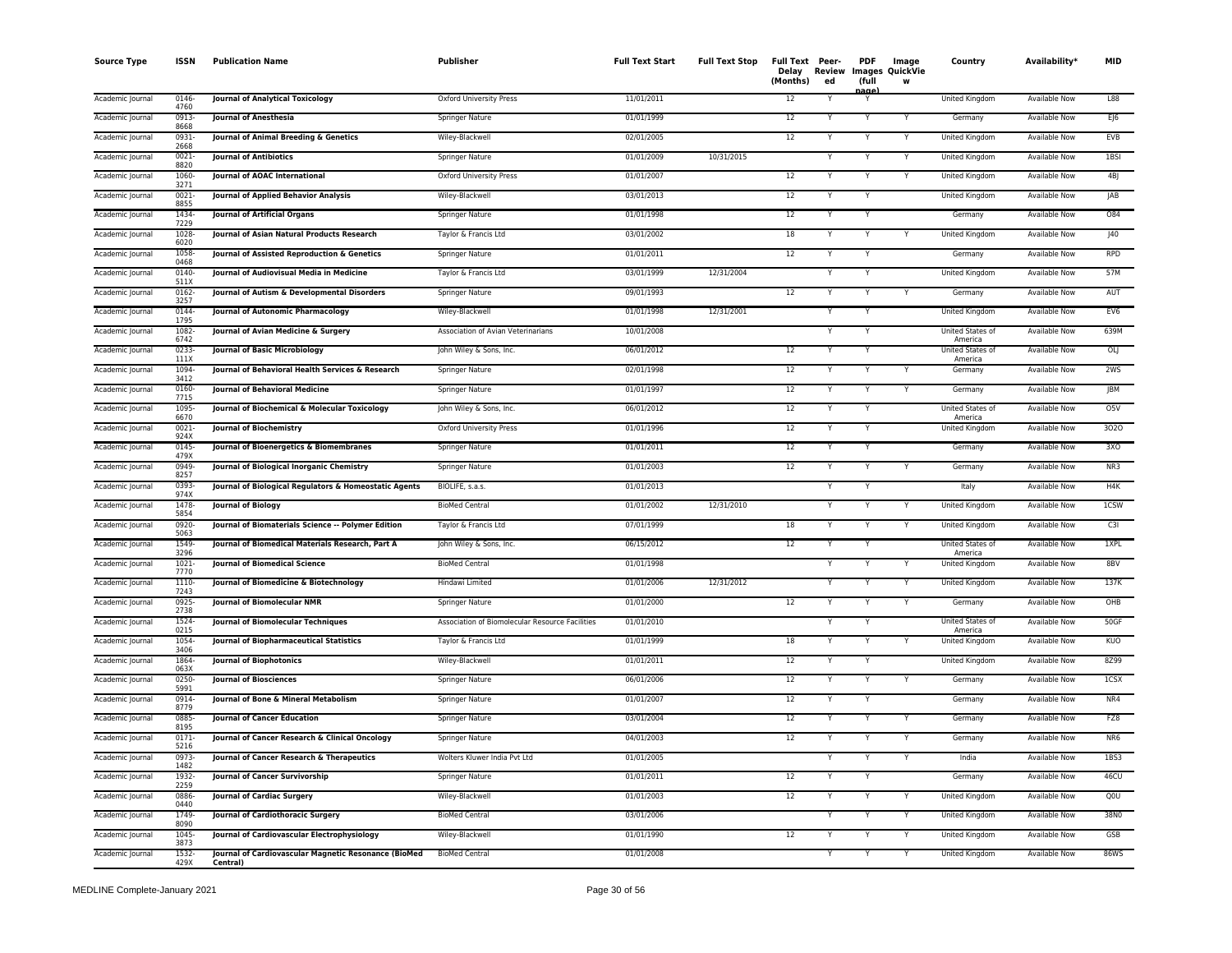| <b>Source Type</b> | <b>ISSN</b>      | <b>Publication Name</b>                                          | <b>Publisher</b>                                | <b>Full Text Start</b> | <b>Full Text Stop</b> | Full Text Peer-<br>Delay<br>(Months) | Review<br>ed | <b>PDF</b><br>(full<br>nage | Image<br>Images QuickVie<br>w | Country                     | Availability*        | <b>MID</b>      |
|--------------------|------------------|------------------------------------------------------------------|-------------------------------------------------|------------------------|-----------------------|--------------------------------------|--------------|-----------------------------|-------------------------------|-----------------------------|----------------------|-----------------|
| Academic Journal   | 0146-<br>4760    | <b>Journal of Analytical Toxicology</b>                          | Oxford University Press                         | 11/01/2011             |                       | 12                                   |              |                             |                               | United Kingdom              | <b>Available Now</b> | L88             |
| Academic Journal   | 0913-<br>8668    | Journal of Anesthesia                                            | Springer Nature                                 | 01/01/1999             |                       | 12                                   |              |                             |                               | Germany                     | Available Now        | E 6             |
| Academic Journal   | 0931<br>2668     | Journal of Animal Breeding & Genetics                            | Wiley-Blackwell                                 | 02/01/2005             |                       | 12                                   | Υ            | Υ                           | Y                             | United Kingdom              | <b>Available Now</b> | <b>EVB</b>      |
| Academic Journal   | $0021 -$<br>8820 | <b>Journal of Antibiotics</b>                                    | <b>Springer Nature</b>                          | 01/01/2009             | 10/31/2015            |                                      | Y            | Y                           | Y                             | United Kingdom              | <b>Available Now</b> | 1BSI            |
| Academic Journal   | 1060-<br>3271    | Journal of AOAC International                                    | Oxford University Press                         | 01/01/2007             |                       | $12\,$                               | Υ            | Υ                           | Y                             | United Kingdom              | Available Now        | 4BJ             |
| Academic Journal   | $0021 -$<br>8855 | Journal of Applied Behavior Analysis                             | Wiley-Blackwell                                 | 03/01/2013             |                       | 12                                   | Y            | Y                           |                               | United Kingdom              | Available Now        | JAB             |
| Academic Journal   | 1434-<br>7229    | <b>Journal of Artificial Organs</b>                              | Springer Nature                                 | 01/01/1998             |                       | 12                                   | Υ            | Y                           |                               | Germany                     | <b>Available Now</b> | 084             |
| Academic Journal   | 1028<br>6020     | Journal of Asian Natural Products Research                       | Taylor & Francis Ltd                            | 03/01/2002             |                       | 18                                   | Υ            | Y                           | Y                             | United Kingdom              | Available Now        | J40             |
| Academic Journal   | 1058<br>0468     | Journal of Assisted Reproduction & Genetics                      | Springer Nature                                 | 01/01/2011             |                       | 12                                   |              | Y                           |                               | Germany                     | Available Now        | <b>RPD</b>      |
| Academic Journal   | 0140-<br>511X    | Journal of Audiovisual Media in Medicine                         | Taylor & Francis Ltd                            | 03/01/1999             | 12/31/2004            |                                      | Y            | Y                           |                               | United Kingdom              | Available Now        | 57M             |
| Academic Journal   | $0162 -$<br>3257 | Journal of Autism & Developmental Disorders                      | <b>Springer Nature</b>                          | 09/01/1993             |                       | $\overline{12}$                      |              | Ÿ                           |                               | Germany                     | <b>Available Now</b> | AUT             |
| Academic Journal   | 0144<br>1795     | Journal of Autonomic Pharmacology                                | Wiley-Blackwell                                 | 01/01/1998             | 12/31/2001            |                                      | Y            | Ÿ                           |                               | <b>United Kingdom</b>       | <b>Available Now</b> | EV <sub>6</sub> |
| Academic Journal   | 1082-<br>6742    | Journal of Avian Medicine & Surgery                              | Association of Avian Veterinarians              | 10/01/2008             |                       |                                      |              | Y                           |                               | United States of<br>America | <b>Available Now</b> | 639M            |
| Academic Journal   | $0233 -$<br>111X | <b>Journal of Basic Microbiology</b>                             | John Wiley & Sons, Inc.                         | 06/01/2012             |                       | 12                                   | Y            | Υ                           |                               | United States of<br>America | Available Now        | OLJ             |
| Academic Journal   | 1094<br>3412     | Journal of Behavioral Health Services & Research                 | Springer Nature                                 | 02/01/1998             |                       | $12\,$                               |              | Y                           |                               | Germany                     | Available Now        | 2WS             |
| Academic Journal   | 0160<br>7715     | <b>Journal of Behavioral Medicine</b>                            | Springer Nature                                 | 01/01/1997             |                       | 12                                   |              | Y                           | Y                             | Germany                     | Available Now        | <b>JBM</b>      |
| Academic Journal   | 1095<br>6670     | Journal of Biochemical & Molecular Toxicology                    | John Wiley & Sons, Inc.                         | 06/01/2012             |                       | 12                                   | Y            | Y                           |                               | United States of<br>America | Available Now        | O5V             |
| Academic Journal   | 0021-<br>924X    | Journal of Biochemistry                                          | Oxford University Press                         | 01/01/1996             |                       | 12                                   |              |                             |                               | United Kingdom              | Available Now        | 3020            |
| Academic Journal   | 0145-<br>479X    | Journal of Bioenergetics & Biomembranes                          | <b>Springer Nature</b>                          | 01/01/2011             |                       | 12                                   | Y            | Y                           |                               | Germany                     | <b>Available Now</b> | 3XO             |
| Academic Journal   | 0949<br>8257     | Journal of Biological Inorganic Chemistry                        | Springer Nature                                 | 01/01/2003             |                       | 12                                   |              | Y                           |                               | Germany                     | <b>Available Now</b> | NR3             |
| Academic Journal   | 0393<br>974X     | Journal of Biological Regulators & Homeostatic Agents            | BIOLIFE, s.a.s.                                 | 01/01/2013             |                       |                                      | Ÿ            | Y                           |                               | Italy                       | <b>Available Now</b> | H4K             |
| Academic Journal   | 1478-<br>5854    | <b>Journal of Biology</b>                                        | <b>BioMed Central</b>                           | 01/01/2002             | 12/31/2010            |                                      | Y            | Y                           | Y                             | United Kingdom              | <b>Available Now</b> | 1CSW            |
| Academic Journal   | 0920-<br>5063    | Journal of Biomaterials Science -- Polymer Edition               | Taylor & Francis Ltd                            | 07/01/1999             |                       | 18                                   | Υ            | Y                           | Y                             | United Kingdom              | <b>Available Now</b> | C3I             |
| Academic Journal   | 1549<br>3296     | Journal of Biomedical Materials Research, Part A                 | John Wiley & Sons, Inc.                         | 06/15/2012             |                       | 12                                   | Y            | Y                           |                               | United States of<br>America | Available Now        | 1XPL            |
| Academic Journal   | $1021 -$<br>7770 | <b>Journal of Biomedical Science</b>                             | <b>BioMed Central</b>                           | 01/01/1998             |                       |                                      |              | v                           |                               | United Kingdom              | Available Now        | 8BV             |
| Academic Journal   | 1110-<br>7243    | Journal of Biomedicine & Biotechnology                           | Hindawi Limited                                 | 01/01/2006             | 12/31/2012            |                                      | Y            | Y                           | Y                             | United Kingdom              | Available Now        | 137K            |
| Academic Journal   | 0925-<br>2738    | <b>Journal of Biomolecular NMR</b>                               | <b>Springer Nature</b>                          | 01/01/2000             |                       | 12                                   |              | Y                           | Y                             | Germany                     | <b>Available Now</b> | OHB             |
| Academic Journal   | 1524-<br>0215    | Journal of Biomolecular Techniques                               | Association of Biomolecular Resource Facilities | 01/01/2010             |                       |                                      | Y            | Y                           |                               | United States of<br>America | Available Now        | 50GF            |
| Academic Journal   | 1054-<br>3406    | <b>Journal of Biopharmaceutical Statistics</b>                   | Taylor & Francis Ltd                            | 01/01/1999             |                       | 18                                   |              |                             |                               | United Kingdom              | Available Now        | KUO             |
| Academic Journal   | 1864<br>063X     | <b>Journal of Biophotonics</b>                                   | Wiley-Blackwell                                 | 01/01/2011             |                       | $12\,$                               | Y            | Y                           |                               | United Kingdom              | <b>Available Now</b> | 8Z99            |
| Academic Journal   | $0250 -$<br>5991 | <b>Journal of Biosciences</b>                                    | <b>Springer Nature</b>                          | 06/01/2006             |                       | 12                                   | Y            | Y                           | Ŷ                             | Germany                     | <b>Available Now</b> | 1CSX            |
| Academic Journal   | 0914-<br>8779    | Journal of Bone & Mineral Metabolism                             | Springer Nature                                 | 01/01/2007             |                       | 12                                   | Y            | Y                           |                               | Germany                     | <b>Available Now</b> | NR4             |
| Academic Journal   | 0885-<br>8195    | <b>Journal of Cancer Education</b>                               | Springer Nature                                 | 03/01/2004             |                       | 12                                   | Y            | Y                           | Y                             | Germany                     | Available Now        | FZ8             |
| Academic Journal   | $0171 -$<br>5216 | Journal of Cancer Research & Clinical Oncology                   | Springer Nature                                 | 04/01/2003             |                       | 12                                   |              |                             | Υ                             | Germany                     | Available Now        | NR <sub>6</sub> |
| Academic Journal   | 0973-<br>1482    | Journal of Cancer Research & Therapeutics                        | Wolters Kluwer India Pvt Ltd                    | 01/01/2005             |                       |                                      | Y            | Y                           | Y                             | India                       | Available Now        | 1BS3            |
| Academic Journal   | 1932-<br>2259    | Journal of Cancer Survivorship                                   | Springer Nature                                 | 01/01/2011             |                       | 12                                   |              |                             |                               | Germany                     | <b>Available Now</b> | 46CU            |
| Academic Journal   | 0886-<br>0440    | Journal of Cardiac Surgery                                       | Wiley-Blackwell                                 | 01/01/2003             |                       | 12                                   | Y            |                             | Y                             | United Kingdom              | Available Now        | QOU             |
| Academic Journal   | 1749-<br>8090    | <b>Journal of Cardiothoracic Surgery</b>                         | <b>BioMed Central</b>                           | 03/01/2006             |                       |                                      |              |                             | Υ                             | United Kingdom              | <b>Available Now</b> | 38N0            |
| Academic Journal   | 1045<br>3873     | Journal of Cardiovascular Electrophysiology                      | Wiley-Blackwell                                 | 01/01/1990             |                       | 12                                   |              |                             | Y                             | United Kingdom              | <b>Available Now</b> | GSB             |
| Academic Journal   | 1532<br>429X     | Journal of Cardiovascular Magnetic Resonance (BioMed<br>Central) | <b>BioMed Central</b>                           | 01/01/2008             |                       |                                      | Y            | Υ                           | Y                             | United Kingdom              | <b>Available Now</b> | 86WS            |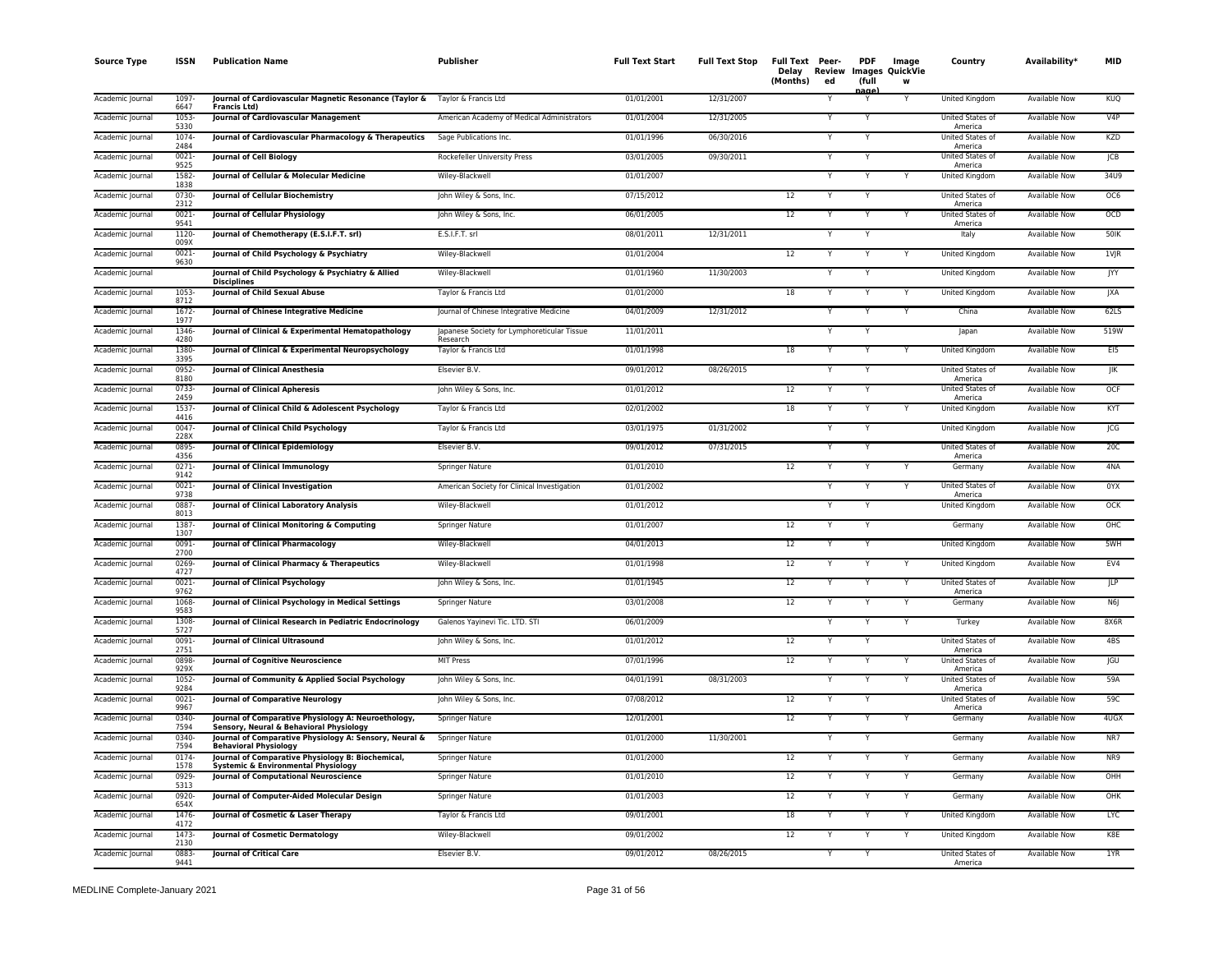| <b>Source Type</b> | <b>ISSN</b>      | <b>Publication Name</b>                                                                             | Publisher                                               | <b>Full Text Start</b> | <b>Full Text Stop</b> | Full Text Peer-<br>Delay Review<br>(Months) | ed | <b>PDF</b><br>(full | Image<br>Images QuickVie<br>w | Country                            | Availability*        | <b>MID</b> |
|--------------------|------------------|-----------------------------------------------------------------------------------------------------|---------------------------------------------------------|------------------------|-----------------------|---------------------------------------------|----|---------------------|-------------------------------|------------------------------------|----------------------|------------|
| Academic Journal   | 1097<br>6647     | Journal of Cardiovascular Magnetic Resonance (Taylor &<br><b>Francis Ltd)</b>                       | Taylor & Francis Ltd                                    | 01/01/2001             | 12/31/2007            |                                             |    | nage<br>Y           |                               | United Kingdom                     | <b>Available Now</b> | <b>KUQ</b> |
| Academic Journal   | 1053<br>5330     | <b>Journal of Cardiovascular Management</b>                                                         | American Academy of Medical Administrators              | 01/01/2004             | 12/31/2005            |                                             |    | Y                   |                               | United States of<br>America        | <b>Available Now</b> | V4P        |
| Academic Journal   | 1074<br>2484     | Journal of Cardiovascular Pharmacology & Therapeutics                                               | Sage Publications Inc.                                  | 01/01/1996             | 06/30/2016            |                                             |    | Y                   |                               | United States of<br>America        | <b>Available Now</b> | KZD        |
| Academic Journal   | $0021 -$<br>9525 | Journal of Cell Biology                                                                             | Rockefeller University Press                            | 03/01/2005             | 09/30/2011            |                                             |    | Y                   |                               | United States of<br>America        | <b>Available Now</b> | ICB        |
| Academic Journal   | 1582<br>1838     | Journal of Cellular & Molecular Medicine                                                            | Wiley-Blackwell                                         | 01/01/2007             |                       |                                             |    | Y                   |                               | United Kingdom                     | Available Now        | 34U9       |
| Academic Journal   | 0730<br>2312     | Journal of Cellular Biochemistry                                                                    | John Wiley & Sons, Inc.                                 | 07/15/2012             |                       | 12                                          |    | Y                   |                               | <b>United States of</b><br>America | Available Now        | OC6        |
| Academic Journal   | $0021 -$<br>9541 | Journal of Cellular Physiology                                                                      | John Wiley & Sons, Inc.                                 | 06/01/2005             |                       | 12                                          |    |                     |                               | United States of<br>America        | <b>Available Now</b> | OCD        |
| Academic Journal   | 1120<br>009X     | Journal of Chemotherapy (E.S.I.F.T. srl)                                                            | E.S.I.F.T. srl                                          | 08/01/2011             | 12/31/2011            |                                             |    |                     |                               | Italy                              | Available Now        | 50IK       |
| Academic Journal   | $0021 -$<br>9630 | Journal of Child Psychology & Psychiatry                                                            | Wiley-Blackwell                                         | 01/01/2004             |                       | 12                                          |    |                     |                               | United Kingdom                     | <b>Available Now</b> | $1V$ JR    |
| Academic Journal   |                  | Journal of Child Psychology & Psychiatry & Allied<br><b>Disciplines</b>                             | Wiley-Blackwell                                         | 01/01/1960             | 11/30/2003            |                                             |    |                     |                               | United Kingdom                     | <b>Available Now</b> | JYY        |
| Academic Journal   | 1053-<br>8712    | <b>Journal of Child Sexual Abuse</b>                                                                | Taylor & Francis Ltd                                    | 01/01/2000             |                       | 18                                          |    | Y                   |                               | United Kingdom                     | <b>Available Now</b> | <b>JXA</b> |
| Academic Journal   | $1672 -$<br>1977 | Journal of Chinese Integrative Medicine                                                             | Journal of Chinese Integrative Medicine                 | 04/01/2009             | 12/31/2012            |                                             |    | Y                   | Y                             | China                              | <b>Available Now</b> | 62LS       |
| Academic Journal   | 1346-<br>4280    | Journal of Clinical & Experimental Hematopathology                                                  | Japanese Society for Lymphoreticular Tissue<br>Research | 11/01/2011             |                       |                                             |    | Y                   |                               | Japan                              | <b>Available Now</b> | 519W       |
| Academic Journal   | 1380-<br>3395    | Journal of Clinical & Experimental Neuropsychology                                                  | Taylor & Francis Ltd                                    | 01/01/1998             |                       | 18                                          |    |                     |                               | United Kingdom                     | Available Now        | EI5        |
| Academic Journal   | 0952-<br>8180    | Journal of Clinical Anesthesia                                                                      | Elsevier B.V.                                           | 09/01/2012             | 08/26/2015            |                                             |    | Y                   |                               | United States of<br>America        | Available Now        | JIK        |
| Academic Journal   | 0733-<br>2459    | <b>Journal of Clinical Apheresis</b>                                                                | John Wiley & Sons, Inc.                                 | 01/01/2012             |                       | 12                                          |    |                     |                               | United States of<br>America        | <b>Available Now</b> | OCF        |
| Academic Journal   | 1537-<br>4416    | Journal of Clinical Child & Adolescent Psychology                                                   | Taylor & Francis Ltd                                    | 02/01/2002             |                       | 18                                          |    | Y                   |                               | <b>United Kingdom</b>              | <b>Available Now</b> | KYT        |
| Academic Journal   | 0047<br>228X     | Journal of Clinical Child Psychology                                                                | Taylor & Francis Ltd                                    | 03/01/1975             | 01/31/2002            |                                             |    |                     |                               | United Kingdom                     | Available Now        | JCG        |
| Academic Journal   | 0895-<br>4356    | Journal of Clinical Epidemiology                                                                    | Elsevier B.V.                                           | 09/01/2012             | 07/31/2015            |                                             |    |                     |                               | United States of<br>America        | <b>Available Now</b> | 20C        |
| Academic Journal   | $0271 -$<br>9142 | Journal of Clinical Immunology                                                                      | Springer Nature                                         | 01/01/2010             |                       | 12                                          |    | Y                   |                               | Germany                            | <b>Available Now</b> | 4NA        |
| Academic Journal   | $0021 -$<br>9738 | Journal of Clinical Investigation                                                                   | American Society for Clinical Investigation             | 01/01/2002             |                       |                                             |    | Y                   |                               | United States of<br>America        | Available Now        | 0YX        |
| Academic Journal   | 0887<br>8013     | Journal of Clinical Laboratory Analysis                                                             | Wiley-Blackwell                                         | 01/01/2012             |                       |                                             |    |                     |                               | United Kingdom                     | Available Now        | <b>OCK</b> |
| Academic Journal   | 1387<br>1307     | Journal of Clinical Monitoring & Computing                                                          | Springer Nature                                         | 01/01/2007             |                       | 12                                          |    |                     |                               | Germany                            | Available Now        | OHC        |
| Academic Journal   | 0091<br>2700     | Journal of Clinical Pharmacology                                                                    | Wiley-Blackwell                                         | 04/01/2013             |                       | 12                                          |    |                     |                               | United Kingdom                     | Available Now        | 5WH        |
| Academic Journal   | 0269-<br>4727    | Journal of Clinical Pharmacy & Therapeutics                                                         | Wiley-Blackwell                                         | 01/01/1998             |                       | 12                                          |    |                     |                               | United Kingdom                     | <b>Available Now</b> | EV4        |
| Academic Journal   | 0021<br>9762     | Journal of Clinical Psychology                                                                      | John Wiley & Sons, Inc.                                 | 01/01/1945             |                       | 12                                          |    |                     |                               | United States of<br>America        | <b>Available Now</b> | JLP        |
| Academic Journal   | 1068<br>9583     | Journal of Clinical Psychology in Medical Settings                                                  | <b>Springer Nature</b>                                  | 03/01/2008             |                       | 12                                          |    | Y                   |                               | Germany                            | <b>Available Now</b> | N6         |
| Academic Journal   | 1308-<br>5727    | Journal of Clinical Research in Pediatric Endocrinology                                             | Galenos Yayinevi Tic. LTD. STI                          | 06/01/2009             |                       |                                             |    | Y                   |                               | Turkey                             | <b>Available Now</b> | 8X6R       |
| Academic Journal   | 0091-<br>2751    | <b>Journal of Clinical Ultrasound</b>                                                               | John Wiley & Sons, Inc.                                 | 01/01/2012             |                       | 12                                          |    | Y                   |                               | United States of<br>America        | <b>Available Now</b> | 4BS        |
| Academic Journal   | 0898<br>929X     | Journal of Cognitive Neuroscience                                                                   | <b>MIT Press</b>                                        | 07/01/1996             |                       | 12                                          |    |                     |                               | United States of<br>America        | <b>Available Now</b> | <b>JGU</b> |
| Academic Journal   | 1052<br>9284     | Journal of Community & Applied Social Psychology                                                    | John Wiley & Sons, Inc.                                 | 04/01/1991             | 08/31/2003            |                                             |    | Y                   | Y                             | United States of<br>America        | Available Now        | 59A        |
| Academic Journal   | 0021-<br>9967    | Journal of Comparative Neurology                                                                    | John Wiley & Sons, Inc.                                 | 07/08/2012             |                       | 12                                          |    |                     |                               | United States of<br>America        | Available Now        | 59C        |
| Academic Journal   | 0340-<br>7594    | Journal of Comparative Physiology A: Neuroethology,<br>.<br>Sensory, Neural & Behavioral Physiology | Springer Nature                                         | 12/01/2001             |                       | 12                                          |    | Y                   |                               | Germany                            | <b>Available Now</b> | 4USX       |
| Academic Journal   | 0340-<br>7594    | Journal of Comparative Physiology A: Sensory, Neural &<br><b>Behavioral Physiology</b>              | Springer Nature                                         | 01/01/2000             | 11/30/2001            |                                             |    |                     |                               | Germany                            | Available Now        | NR7        |
| Academic Journal   | 0174<br>1578     | Journal of Comparative Physiology B: Biochemical,<br>Systemic & Environmental Physiology            | Springer Nature                                         | 01/01/2000             |                       | 12                                          |    |                     |                               | Germany                            | Available Now        | NR9        |
| Academic Journal   | 0929-<br>5313    | Journal of Computational Neuroscience                                                               | Springer Nature                                         | 01/01/2010             |                       | 12                                          |    | Y                   | Y                             | Germany                            | <b>Available Now</b> | OHH        |
| Academic Journal   | 0920-<br>654X    | Journal of Computer-Aided Molecular Design                                                          | Springer Nature                                         | 01/01/2003             |                       | 12                                          |    |                     |                               | Germany                            | <b>Available Now</b> | OHK        |
| Academic Journal   | 1476<br>4172     | Journal of Cosmetic & Laser Therapy                                                                 | Taylor & Francis Ltd                                    | 09/01/2001             |                       | 18                                          |    |                     |                               | United Kingdom                     | Available Now        | LYC        |
| Academic Journal   | 1473<br>2130     | Journal of Cosmetic Dermatology                                                                     | Wiley-Blackwell                                         | 09/01/2002             |                       | 12                                          |    |                     |                               | United Kingdom                     | Available Now        | K8E        |
| Academic Journal   | 0883<br>9441     | <b>Journal of Critical Care</b>                                                                     | Elsevier B.V.                                           | 09/01/2012             | 08/26/2015            |                                             |    |                     |                               | United States of<br>America        | <b>Available Now</b> | 1YR        |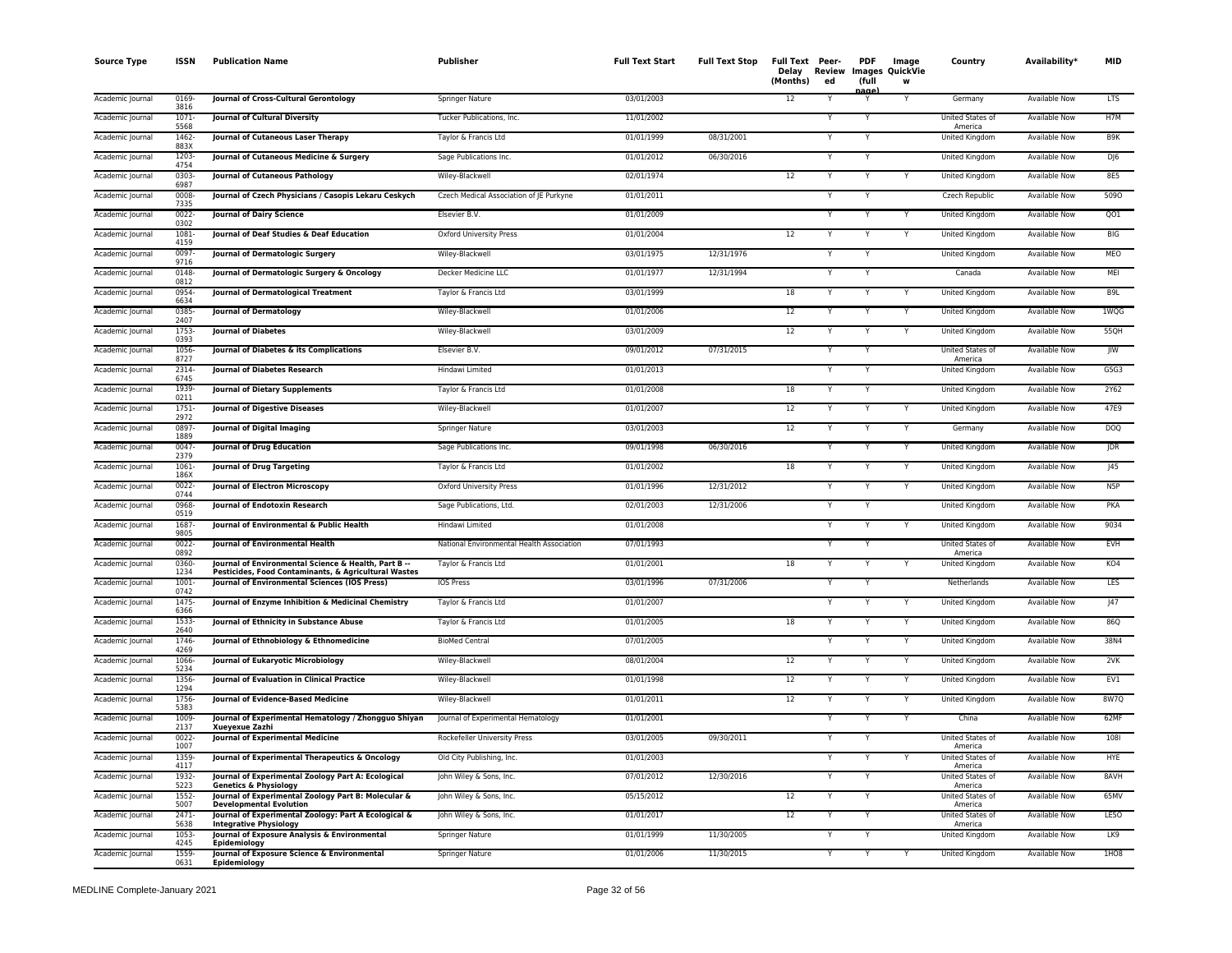| <b>Source Type</b> | <b>ISSN</b>      | <b>Publication Name</b>                                                                                      | Publisher                                 | <b>Full Text Start</b> | <b>Full Text Stop</b> | Full Text Peer-<br>Delay Review<br>(Months) | ed           | <b>PDF</b><br>(full | Image<br><b>Images QuickVie</b><br>W | Country                            | Availability*        | <b>MID</b>       |
|--------------------|------------------|--------------------------------------------------------------------------------------------------------------|-------------------------------------------|------------------------|-----------------------|---------------------------------------------|--------------|---------------------|--------------------------------------|------------------------------------|----------------------|------------------|
| Academic Journal   | 0169<br>3816     | Journal of Cross-Cultural Gerontology                                                                        | Springer Nature                           | 03/01/2003             |                       | 12                                          |              | nage                |                                      | Germany                            | <b>Available Now</b> | <b>LTS</b>       |
| Academic Journal   | $1071 -$<br>5568 | Journal of Cultural Diversity                                                                                | Tucker Publications, Inc.                 | 11/01/2002             |                       |                                             |              | Y                   |                                      | <b>United States of</b><br>America | <b>Available Now</b> | H7M              |
| Academic Journal   | 1462<br>883X     | Journal of Cutaneous Laser Therapy                                                                           | Taylor & Francis Ltd                      | 01/01/1999             | 08/31/2001            |                                             |              | Y                   |                                      | <b>United Kingdom</b>              | <b>Available Now</b> | B <sub>9</sub> K |
| Academic Journal   | 1203<br>4754     | Journal of Cutaneous Medicine & Surgery                                                                      | Sage Publications Inc.                    | 01/01/2012             | 06/30/2016            |                                             |              |                     |                                      | United Kingdom                     | <b>Available Now</b> | $D$ $6$          |
| Academic Journal   | 0303<br>6987     | Journal of Cutaneous Pathology                                                                               | Wiley-Blackwell                           | 02/01/1974             |                       | 12                                          |              |                     |                                      | United Kingdom                     | Available Now        | 8E5              |
| Academic Journal   | 0008<br>7335     | Journal of Czech Physicians / Casopis Lekaru Ceskych                                                         | Czech Medical Association of JE Purkyne   | 01/01/2011             |                       |                                             | $\checkmark$ |                     |                                      | Czech Republic                     | Available Now        | 5090             |
| Academic Journal   | $0022 -$<br>0302 | <b>Journal of Dairy Science</b>                                                                              | Elsevier B.V.                             | 01/01/2009             |                       |                                             |              |                     |                                      | <b>United Kingdom</b>              | <b>Available Now</b> | QO1              |
| Academic Journal   | 1081<br>4159     | Journal of Deaf Studies & Deaf Education                                                                     | <b>Oxford University Press</b>            | 01/01/2004             |                       | 12                                          |              |                     |                                      | United Kingdom                     | <b>Available Now</b> | <b>BIG</b>       |
| Academic Journal   | 0097<br>9716     | Journal of Dermatologic Surgery                                                                              | Wiley-Blackwell                           | 03/01/1975             | 12/31/1976            |                                             |              |                     |                                      | United Kingdom                     | Available Now        | MEO              |
| Academic Journal   | 0148<br>0812     | Journal of Dermatologic Surgery & Oncology                                                                   | Decker Medicine LLC                       | 01/01/1977             | 12/31/1994            |                                             |              |                     |                                      | Canada                             | <b>Available Now</b> | MEI              |
| Academic Journal   | 0954-<br>6634    | Journal of Dermatological Treatment                                                                          | Taylor & Francis Ltd                      | 03/01/1999             |                       | 18                                          |              | Y                   |                                      | United Kingdom                     | <b>Available Now</b> | B <sub>9L</sub>  |
| Academic Journal   | 0385<br>2407     | <b>Journal of Dermatology</b>                                                                                | Wiley-Blackwell                           | 01/01/2006             |                       | 12                                          |              |                     |                                      | United Kingdom                     | <b>Available Now</b> | 1WQG             |
| Academic Journal   | 1753<br>0393     | <b>Journal of Diabetes</b>                                                                                   | Wiley-Blackwell                           | 03/01/2009             |                       | 12                                          |              |                     |                                      | United Kingdom                     | Available Now        | 55QH             |
| Academic Journal   | 1056<br>8727     | Journal of Diabetes & its Complications                                                                      | Elsevier B.V.                             | 09/01/2012             | 07/31/2015            |                                             |              |                     |                                      | United States of<br>America        | Available Now        | $J_{\text{IW}}$  |
| Academic Journal   | 2314-<br>6745    | <b>Journal of Diabetes Research</b>                                                                          | Hindawi Limited                           | 01/01/2013             |                       |                                             |              | Y                   |                                      | United Kingdom                     | Available Now        | G5G3             |
| Academic Journal   | 1939<br>0211     | Journal of Dietary Supplements                                                                               | Taylor & Francis Ltd                      | 01/01/2008             |                       | 18                                          |              |                     |                                      | United Kingdom                     | <b>Available Now</b> | 2Y62             |
| Academic Journal   | 1751<br>2972     | <b>Journal of Digestive Diseases</b>                                                                         | Wiley-Blackwell                           | 01/01/2007             |                       | 12                                          |              |                     |                                      | United Kingdom                     | Available Now        | 47E9             |
| Academic Journal   | 0897<br>1889     | Journal of Digital Imaging                                                                                   | <b>Springer Nature</b>                    | 03/01/2003             |                       | 12                                          |              |                     |                                      | Germany                            | <b>Available Now</b> | <b>DOQ</b>       |
| Academic Journal   | $0047 -$<br>2379 | Journal of Drug Education                                                                                    | Sage Publications Inc.                    | 09/01/1998             | 06/30/2016            |                                             |              |                     |                                      | United Kingdom                     | <b>Available Now</b> | <b>JDR</b>       |
| Academic Journal   | 1061<br>186X     | Journal of Drug Targeting                                                                                    | Taylor & Francis Ltd                      | 01/01/2002             |                       | 18                                          |              |                     | Y                                    | United Kingdom                     | Available Now        | J45              |
| Academic Journal   | 0022<br>0744     | Journal of Electron Microscopy                                                                               | <b>Oxford University Press</b>            | 01/01/1996             | 12/31/2012            |                                             |              |                     |                                      | <b>United Kingdom</b>              | <b>Available Now</b> | N <sub>5</sub> P |
| Academic Journal   | 0968<br>0519     | Journal of Endotoxin Research                                                                                | Sage Publications, Ltd.                   | 02/01/2003             | 12/31/2006            |                                             |              |                     |                                      | United Kingdom                     | Available Now        | PKA              |
| Academic Journal   | 1687<br>9805     | Journal of Environmental & Public Health                                                                     | Hindawi Limited                           | 01/01/2008             |                       |                                             |              |                     |                                      | United Kingdom                     | Available Now        | 9034             |
| Academic Journal   | $0022 -$<br>0892 | Journal of Environmental Health                                                                              | National Environmental Health Association | 07/01/1993             |                       |                                             |              |                     |                                      | United States of<br>America        | <b>Available Now</b> | <b>EVH</b>       |
| Academic Journal   | 0360-<br>1234    | Journal of Environmental Science & Health, Part B --<br>Pesticides, Food Contaminants, & Agricultural Wastes | Taylor & Francis Ltd                      | 01/01/2001             |                       | 18                                          |              |                     |                                      | United Kingdom                     | <b>Available Now</b> | KO4              |
| Academic Journal   | 1001<br>0742     | Journal of Environmental Sciences (IOS Press)                                                                | <b>IOS Press</b>                          | 03/01/1996             | 07/31/2006            |                                             |              |                     |                                      | Netherlands                        | <b>Available Now</b> | LES              |
| Academic Journal   | $1475 -$<br>6366 | Journal of Enzyme Inhibition & Medicinal Chemistry                                                           | Taylor & Francis Ltd                      | 01/01/2007             |                       |                                             |              | Y                   |                                      | United Kingdom                     | <b>Available Now</b> | J47              |
| Academic Journal   | 1533<br>2640     | Journal of Ethnicity in Substance Abuse                                                                      | Taylor & Francis Ltd                      | 01/01/2005             |                       | 18                                          |              |                     |                                      | United Kingdom                     | <b>Available Now</b> | 86Q              |
| Academic Journal   | 1746-<br>4269    | Journal of Ethnobiology & Ethnomedicine                                                                      | <b>BioMed Central</b>                     | 07/01/2005             |                       |                                             |              |                     |                                      | United Kingdom                     | Available Now        | 38N4             |
| Academic Journal   | 1066<br>5234     | Journal of Eukaryotic Microbiology                                                                           | Wiley-Blackwell                           | 08/01/2004             |                       | 12                                          |              |                     | Y                                    | United Kingdom                     | <b>Available Now</b> | 2VK              |
| Academic Journal   | 1356<br>1294     | Journal of Evaluation in Clinical Practice                                                                   | Wiley-Blackwell                           | 01/01/1998             |                       | 12                                          | Ŷ            | Y                   | Y                                    | United Kingdom                     | Available Now        | EV1              |
| Academic Journal   | 1756-<br>5383    | Journal of Evidence-Based Medicine                                                                           | Wiley-Blackwell                           | 01/01/2011             |                       | 12                                          |              |                     |                                      | <b>United Kingdom</b>              | <b>Available Now</b> | 8W7Q             |
| Academic Journal   | 1009<br>2137     | Journal of Experimental Hematology / Zhongguo Shiyan<br>Xuevexue Zazhi                                       | Journal of Experimental Hematology        | 01/01/2001             |                       |                                             |              | Y                   |                                      | China                              | <b>Available Now</b> | 62MF             |
| Academic Journal   | 0022<br>1007     | Journal of Experimental Medicine                                                                             | Rockefeller University Press              | 03/01/2005             | 09/30/2011            |                                             |              |                     |                                      | United States of<br>America        | Available Now        | 108              |
| Academic Journal   | 1359<br>4117     | Journal of Experimental Therapeutics & Oncology                                                              | Old City Publishing, Inc.                 | 01/01/2003             |                       |                                             |              |                     |                                      | United States of<br>America        | <b>Available Now</b> | <b>HYE</b>       |
| Academic Journal   | 1932-<br>5223    | Journal of Experimental Zoology Part A: Ecological<br><b>Genetics &amp; Physiology</b>                       | John Wiley & Sons, Inc.                   | 07/01/2012             | 12/30/2016            |                                             |              | Y                   |                                      | United States of<br>America        | <b>Available Now</b> | 8AVH             |
| Academic Journal   | $1552 -$<br>5007 | Journal of Experimental Zoology Part B: Molecular &<br><b>Developmental Evolution</b>                        | John Wiley & Sons, Inc.                   | 05/15/2012             |                       | 12                                          |              |                     |                                      | United States of<br>America        | <b>Available Now</b> | 65MV             |
| Academic Journal   | 2471<br>5638     | Journal of Experimental Zoology: Part A Ecological &<br><b>Integrative Physiology</b>                        | John Wiley & Sons, Inc.                   | 01/01/2017             |                       | 12                                          |              |                     |                                      | United States of<br>America        | Available Now        | LE50             |
| Academic Journal   | 1053-<br>4245    | Journal of Exposure Analysis & Environmental<br>Epidemiology                                                 | Springer Nature                           | 01/01/1999             | 11/30/2005            |                                             |              |                     |                                      | United Kingdom                     | <b>Available Now</b> | LK9              |
| Academic Journal   | 1559<br>0631     | Journal of Exposure Science & Environmental<br>Epidemiology                                                  | Springer Nature                           | 01/01/2006             | 11/30/2015            |                                             |              |                     |                                      | United Kingdom                     | <b>Available Now</b> | 1HO <sub>8</sub> |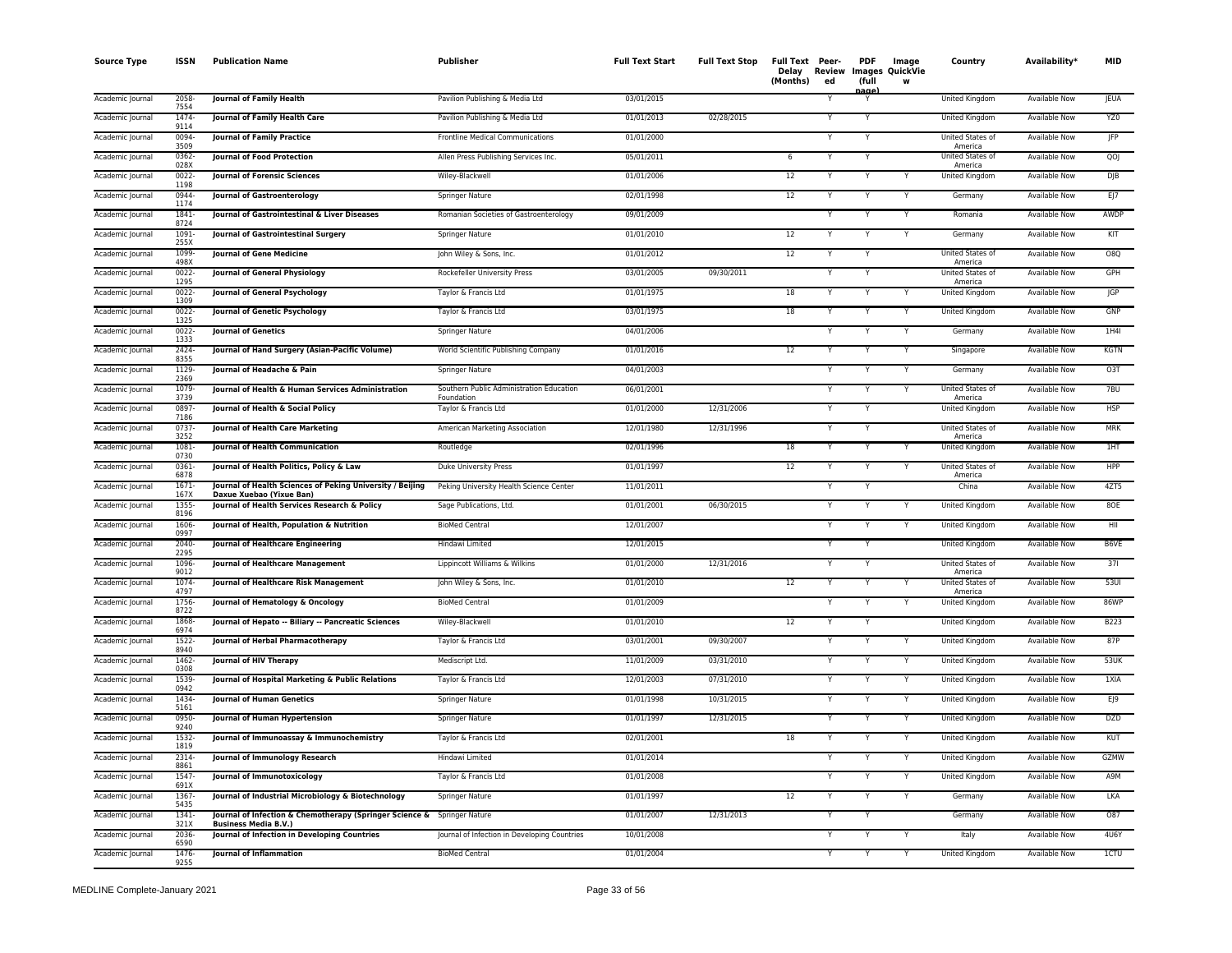| <b>Source Type</b> | <b>ISSN</b>              | <b>Publication Name</b>                                                                                | Publisher                                              | <b>Full Text Start</b> | <b>Full Text Stop</b> | Full Text Peer-<br>Delay Review<br>(Months) | ed | <b>PDF</b><br>(full<br>nage. | Image<br><b>Images QuickVie</b><br>w | Country                     | Availability*        | <b>MID</b>  |
|--------------------|--------------------------|--------------------------------------------------------------------------------------------------------|--------------------------------------------------------|------------------------|-----------------------|---------------------------------------------|----|------------------------------|--------------------------------------|-----------------------------|----------------------|-------------|
| Academic Journal   | 2058-<br>7554            | <b>Journal of Family Health</b>                                                                        | Pavilion Publishing & Media Ltd                        | 03/01/2015             |                       |                                             |    |                              |                                      | United Kingdom              | <b>Available Now</b> | <b>JEUA</b> |
| Academic Journal   | $1474-$<br>9114          | Journal of Family Health Care                                                                          | Pavilion Publishing & Media Ltd                        | 01/01/2013             | 02/28/2015            |                                             | Y  | Y                            |                                      | <b>United Kingdom</b>       | <b>Available Now</b> | YZ0         |
| Academic Journal   | 0094<br>3509             | <b>Journal of Family Practice</b>                                                                      | Frontline Medical Communications                       | 01/01/2000             |                       |                                             |    | Y                            |                                      | United States of<br>America | <b>Available Now</b> | JFP         |
| Academic Journal   | 0362-<br>028X            | Journal of Food Protection                                                                             | Allen Press Publishing Services Inc.                   | 05/01/2011             |                       | 6                                           |    |                              |                                      | United States of<br>America | Available Now        | QOJ         |
| Academic Journal   | 0022-<br>1198            | Journal of Forensic Sciences                                                                           | Wiley-Blackwell                                        | 01/01/2006             |                       | 12                                          | Y  |                              |                                      | United Kingdom              | Available Now        | DJB         |
| Academic Journal   | 0944-<br>1174            | <b>Journal of Gastroenterology</b>                                                                     | <b>Springer Nature</b>                                 | 02/01/1998             |                       | 12                                          | Y  | Y                            | Y                                    | Germany                     | <b>Available Now</b> | EJ          |
| Academic Journal   | $1841 -$<br>8724         | Journal of Gastrointestinal & Liver Diseases                                                           | Romanian Societies of Gastroenterology                 | 09/01/2009             |                       |                                             |    |                              |                                      | Romania                     | <b>Available Now</b> | AWDP        |
| Academic Journal   | 1091-<br>255X            | Journal of Gastrointestinal Surgery                                                                    | Springer Nature                                        | 01/01/2010             |                       | 12                                          |    |                              |                                      | Germany                     | <b>Available Now</b> | KIT         |
| Academic Journal   | 1099-<br>498X            | <b>Journal of Gene Medicine</b>                                                                        | John Wiley & Sons, Inc.                                | 01/01/2012             |                       | 12                                          |    |                              |                                      | United States of<br>America | Available Now        | O8Q         |
| Academic Journal   | $0022 -$<br>1295         | <b>Journal of General Physiology</b>                                                                   | Rockefeller University Press                           | 03/01/2005             | 09/30/2011            |                                             | Y  |                              |                                      | United States of<br>America | <b>Available Now</b> | GPH         |
| Academic Journal   | 0022-<br>1309            | Journal of General Psychology                                                                          | Taylor & Francis Ltd                                   | 01/01/1975             |                       | 18                                          |    | Y                            |                                      | United Kingdom              | <b>Available Now</b> | <b>JGP</b>  |
| Academic Journal   | $0022 -$<br>1325         | Journal of Genetic Psychology                                                                          | Taylor & Francis Ltd                                   | 03/01/1975             |                       | 18                                          |    |                              |                                      | United Kingdom              | Available Now        | GNP         |
| Academic Journal   | $0022 -$<br>1333         | <b>Journal of Genetics</b>                                                                             | Springer Nature                                        | 04/01/2006             |                       |                                             | Y  |                              |                                      | Germany                     | Available Now        | 1H4I        |
| Academic Journal   | 2424-<br>8355            | Journal of Hand Surgery (Asian-Pacific Volume)                                                         | World Scientific Publishing Company                    | 01/01/2016             |                       | 12                                          |    |                              |                                      | Singapore                   | Available Now        | <b>KGTN</b> |
| Academic Journal   | 1129-<br>2369            | Journal of Headache & Pain                                                                             | Springer Nature                                        | 04/01/2003             |                       |                                             |    |                              |                                      | Germany                     | Available Now        | O3T         |
| Academic Journal   | 1079-<br>3739            | Journal of Health & Human Services Administration                                                      | Southern Public Administration Education<br>Foundation | 06/01/2001             |                       |                                             |    |                              |                                      | United States of<br>America | Available Now        | 7BU         |
| Academic Journal   | 0897<br>7186             | Journal of Health & Social Policy                                                                      | Taylor & Francis Ltd                                   | 01/01/2000             | 12/31/2006            |                                             |    |                              |                                      | <b>United Kingdom</b>       | <b>Available Now</b> | <b>HSP</b>  |
| Academic Journal   | 0737-<br>3252            | Journal of Health Care Marketing                                                                       | American Marketing Association                         | 12/01/1980             | 12/31/1996            |                                             | Y  | Y                            |                                      | United States of<br>America | <b>Available Now</b> | <b>MRK</b>  |
| Academic Journal   | 1081<br>0730             | Journal of Health Communication                                                                        | Routledge                                              | 02/01/1996             |                       | 18                                          |    | Y                            |                                      | United Kingdom              | <b>Available Now</b> | 1HT         |
| Academic Journal   | $0361 -$<br>6878         | Journal of Health Politics, Policy & Law                                                               | <b>Duke University Press</b>                           | 01/01/1997             |                       | 12                                          | Y  | Y                            |                                      | United States of<br>America | <b>Available Now</b> | <b>HPP</b>  |
| Academic Journal   | $1671 -$<br>167X         | Journal of Health Sciences of Peking University / Beijing<br>Daxue Xuebao (Yixue Ban)                  | Peking University Health Science Center                | 11/01/2011             |                       |                                             | Y  |                              |                                      | China                       | <b>Available Now</b> | 4ZT5        |
| Academic Journal   | 1355-<br>8196            | Journal of Health Services Research & Policy                                                           | Sage Publications, Ltd.                                | 01/01/2001             | 06/30/2015            |                                             |    |                              |                                      | United Kingdom              | Available Now        | 80E         |
| Academic Journal   | 1606-<br>0997            | Journal of Health, Population & Nutrition                                                              | <b>BioMed Central</b>                                  | 12/01/2007             |                       |                                             |    |                              |                                      | <b>United Kingdom</b>       | <b>Available Now</b> | HII         |
| Academic Journal   | 2040-<br>2295            | Journal of Healthcare Engineering                                                                      | Hindawi Limited                                        | 12/01/2015             |                       |                                             |    |                              |                                      | United Kingdom              | <b>Available Now</b> | B6VE        |
| Academic Journal   | 1096-<br>9012            | <b>Journal of Healthcare Management</b>                                                                | Lippincott Williams & Wilkins                          | 01/01/2000             | 12/31/2016            |                                             |    | Y                            |                                      | United States of<br>America | <b>Available Now</b> | 371         |
| Academic Journal   | 1074-<br>4797            | Journal of Healthcare Risk Management                                                                  | John Wiley & Sons, Inc.                                | 01/01/2010             |                       | 12                                          |    |                              |                                      | United States of<br>America | <b>Available Now</b> | $53$ UI     |
| Academic Journal   | 1756-<br>8722            | Journal of Hematology & Oncology                                                                       | <b>BioMed Central</b>                                  | 01/01/2009             |                       |                                             | Y  | $\mathsf{v}$                 | Y                                    | United Kingdom              | <b>Available Now</b> | <b>86WP</b> |
| Academic Journal   | 1868-<br>6974            | Journal of Hepato -- Biliary -- Pancreatic Sciences                                                    | Wiley-Blackwell                                        | 01/01/2010             |                       | 12                                          |    |                              |                                      | United Kingdom              | Available Now        | <b>B223</b> |
| Academic Journal   | 1522-<br>8940            | Journal of Herbal Pharmacotherapy                                                                      | Taylor & Francis Ltd                                   | 03/01/2001             | 09/30/2007            |                                             | Y  |                              |                                      | United Kingdom              | Available Now        | 87P         |
| Academic Journal   | 1462-<br>0308            | Journal of HIV Therapy                                                                                 | Mediscript Ltd.                                        | 11/01/2009             | 03/31/2010            |                                             |    |                              | Y                                    | United Kingdom              | <b>Available Now</b> | 53UK        |
| Academic Journal   | 1539<br>0942             | Journal of Hospital Marketing & Public Relations                                                       | Taylor & Francis Ltd                                   | 12/01/2003             | 07/31/2010            |                                             |    |                              | Y                                    | United Kingdom              | <b>Available Now</b> | 1XIA        |
| Academic Journal   | 1434-<br>5161            | <b>Journal of Human Genetics</b>                                                                       | Springer Nature                                        | 01/01/1998             | 10/31/2015            |                                             |    |                              |                                      | United Kingdom              | <b>Available Now</b> | EJ9         |
| Academic Journal   | 0950-<br>9240            | Journal of Human Hypertension                                                                          | <b>Springer Nature</b>                                 | 01/01/1997             | 12/31/2015            |                                             |    |                              |                                      | <b>United Kingdom</b>       | <b>Available Now</b> | <b>DZD</b>  |
| Academic Journal   | $1532 -$<br>1819         | Journal of Immunoassay & Immunochemistry                                                               | Taylor & Francis Ltd                                   | 02/01/2001             |                       | 18                                          |    |                              | Y                                    | United Kingdom              | <b>Available Now</b> | KUT         |
| Academic Journal   | 2314<br>8861             | Journal of Immunology Research                                                                         | Hindawi Limited                                        | 01/01/2014             |                       |                                             |    |                              |                                      | <b>United Kingdom</b>       | <b>Available Now</b> | GZMW        |
| Academic Journal   | 1547<br>691 <sup>X</sup> | Journal of Immunotoxicology                                                                            | Taylor & Francis Ltd                                   | 01/01/2008             |                       |                                             | Y  |                              | Y                                    | United Kingdom              | Available Now        | A9M         |
| Academic Journal   | 1367-<br>5435            | Journal of Industrial Microbiology & Biotechnology                                                     | Springer Nature                                        | 01/01/1997             |                       | 12                                          | Y  |                              |                                      | Germany                     | <b>Available Now</b> | <b>LKA</b>  |
| Academic Journal   | 1341-<br>321X            | Journal of Infection & Chemotherapy (Springer Science & Springer Nature<br><b>Business Media B.V.)</b> |                                                        | 01/01/2007             | 12/31/2013            |                                             | Y  |                              |                                      | Germany                     | Available Now        | 087         |
| Academic Journal   | 2036<br>6590             | Journal of Infection in Developing Countries                                                           | Journal of Infection in Developing Countries           | 10/01/2008             |                       |                                             |    |                              |                                      | Italy                       | Available Now        | 4U6Y        |
| Academic Journal   | 1476-<br>9255            | <b>Journal of Inflammation</b>                                                                         | <b>BioMed Central</b>                                  | 01/01/2004             |                       |                                             |    |                              |                                      | United Kingdom              | <b>Available Now</b> | 1CTU        |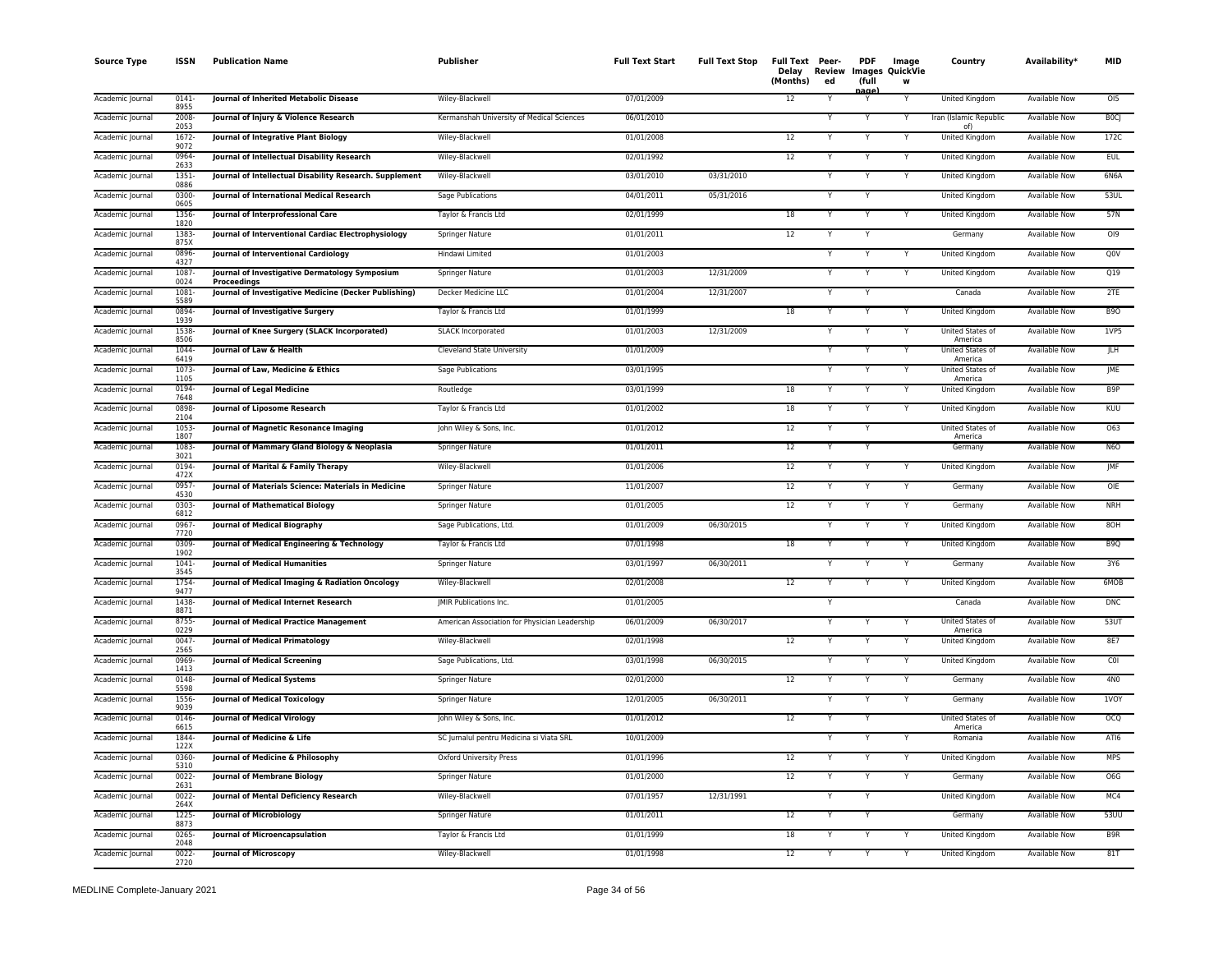| <b>Source Type</b> | <b>ISSN</b>      | <b>Publication Name</b>                                       | <b>Publisher</b>                              | <b>Full Text Start</b> | <b>Full Text Stop</b> | Full Text Peer-<br>Delay<br>(Months) | Review<br>ed            | <b>PDF</b><br>(full | Image<br>Images QuickVie<br>w | Country                            | Availability*        | <b>MID</b>      |
|--------------------|------------------|---------------------------------------------------------------|-----------------------------------------------|------------------------|-----------------------|--------------------------------------|-------------------------|---------------------|-------------------------------|------------------------------------|----------------------|-----------------|
| Academic Journal   | $0141 -$<br>8955 | Journal of Inherited Metabolic Disease                        | Wiley-Blackwell                               | 07/01/2009             |                       | 12                                   | Y                       | nage                | Y                             | United Kingdom                     | Available Now        | O <sub>0</sub>  |
| Academic Journal   | 2008<br>2053     | Journal of Injury & Violence Research                         | Kermanshah University of Medical Sciences     | 06/01/2010             |                       |                                      |                         |                     |                               | Iran (Islamic Republic<br>of)      | <b>Available Now</b> | <b>BOCJ</b>     |
| Academic Journal   | 1672-<br>9072    | Journal of Integrative Plant Biology                          | Wiley-Blackwell                               | 01/01/2008             |                       | 12                                   | Y                       | Y                   |                               | United Kingdom                     | <b>Available Now</b> | 172C            |
| Academic Journal   | 0964-<br>2633    | Journal of Intellectual Disability Research                   | Wiley-Blackwell                               | 02/01/1992             |                       | 12                                   | Y                       | Y                   | Y                             | United Kingdom                     | <b>Available Now</b> | <b>EUL</b>      |
| Academic Journal   | $1351 -$<br>0886 | Journal of Intellectual Disability Research. Supplement       | Wiley-Blackwell                               | 03/01/2010             | 03/31/2010            |                                      | Y                       | $\mathsf{v}$        |                               | <b>United Kingdom</b>              | Available Now        | 6N6A            |
| Academic Journal   | 0300<br>0605     | Journal of International Medical Research                     | Sage Publications                             | 04/01/2011             | 05/31/2016            |                                      |                         |                     |                               | United Kingdom                     | Available Now        | 53UL            |
| Academic Journal   | 1356-<br>1820    | Journal of Interprofessional Care                             | Taylor & Francis Ltd                          | 02/01/1999             |                       | 18                                   | Y                       |                     |                               | <b>United Kingdom</b>              | <b>Available Now</b> | 57N             |
| Academic Journal   | 1383-<br>875X    | Journal of Interventional Cardiac Electrophysiology           | Springer Nature                               | 01/01/2011             |                       | 12                                   | Y                       |                     |                               | Germany                            | Available Now        | 019             |
| Academic Journal   | 0896-<br>4327    | Journal of Interventional Cardiology                          | Hindawi Limited                               | 01/01/2003             |                       |                                      |                         |                     |                               | United Kingdom                     | Available Now        | Q0V             |
| Academic Journal   | 1087<br>0024     | Journal of Investigative Dermatology Symposium<br>Proceedinas | Springer Nature                               | 01/01/2003             | 12/31/2009            |                                      | $\overline{\mathsf{Y}}$ |                     |                               | United Kingdom                     | <b>Available Now</b> | Q19             |
| Academic Journal   | 1081-<br>5589    | Journal of Investigative Medicine (Decker Publishing)         | Decker Medicine LLC                           | 01/01/2004             | 12/31/2007            |                                      |                         | Y                   |                               | Canada                             | <b>Available Now</b> | 2TE             |
| Academic Journal   | 0894<br>1939     | Journal of Investigative Surgery                              | Taylor & Francis Ltd                          | 01/01/1999             |                       | 18                                   |                         |                     |                               | <b>United Kingdom</b>              | <b>Available Now</b> | <b>B90</b>      |
| Academic Journal   | 1538-<br>8506    | Journal of Knee Surgery (SLACK Incorporated)                  | <b>SLACK Incorporated</b>                     | 01/01/2003             | 12/31/2009            |                                      |                         |                     | Y                             | United States of<br>America        | <b>Available Now</b> | 1VP5            |
| Academic Journal   | 1044<br>6419     | Journal of Law & Health                                       | Cleveland State University                    | 01/01/2009             |                       |                                      | Y                       |                     |                               | United States of<br>America        | Available Now        | <b>JLH</b>      |
| Academic Journal   | 1073-<br>1105    | Journal of Law, Medicine & Ethics                             | Sage Publications                             | 03/01/1995             |                       |                                      | Y                       | Y                   | Y                             | United States of<br>America        | Available Now        | <b>IME</b>      |
| Academic Journal   | 0194-<br>7648    | Journal of Legal Medicine                                     | Routledge                                     | 03/01/1999             |                       | 18                                   |                         |                     |                               | <b>United Kingdom</b>              | <b>Available Now</b> | B <sub>9P</sub> |
| Academic Journal   | 0898<br>2104     | Journal of Liposome Research                                  | Taylor & Francis Ltd                          | 01/01/2002             |                       | 18                                   | Y                       |                     |                               | <b>United Kingdom</b>              | <b>Available Now</b> | KUU             |
| Academic Journal   | 1053-<br>1807    | Journal of Magnetic Resonance Imaging                         | John Wiley & Sons, Inc.                       | 01/01/2012             |                       | 12                                   |                         |                     |                               | United States of<br>America        | <b>Available Now</b> | 063             |
| Academic Journal   | 1083-<br>3021    | Journal of Mammary Gland Biology & Neoplasia                  | <b>Springer Nature</b>                        | 01/01/2011             |                       | 12                                   |                         |                     |                               | Germany                            | <b>Available Now</b> | <b>N6O</b>      |
| Academic Journal   | 0194<br>472X     | Journal of Marital & Family Therapy                           | Wiley-Blackwell                               | 01/01/2006             |                       | 12                                   |                         |                     |                               | United Kingdom                     | Available Now        | JMF             |
| Academic Journal   | 0957<br>4530     | Journal of Materials Science: Materials in Medicine           | Springer Nature                               | 11/01/2007             |                       | 12                                   | Y                       |                     | Y                             | Germany                            | <b>Available Now</b> | OIE             |
| Academic Journal   | 0303-<br>6812    | Journal of Mathematical Biology                               | Springer Nature                               | 01/01/2005             |                       | 12                                   | Y                       |                     | Y                             | Germany                            | Available Now        | <b>NRH</b>      |
| Academic Journal   | 0967-<br>7720    | Journal of Medical Biography                                  | Sage Publications, Ltd.                       | 01/01/2009             | 06/30/2015            |                                      |                         |                     |                               | United Kingdom                     | Available Now        | 8OH             |
| Academic Journal   | 0309<br>1902     | Journal of Medical Engineering & Technology                   | Taylor & Francis Ltd                          | 07/01/1998             |                       | 18                                   |                         |                     |                               | United Kingdom                     | <b>Available Now</b> | B <sub>9Q</sub> |
| Academic Journal   | $1041 -$<br>3545 | <b>Journal of Medical Humanities</b>                          | Springer Nature                               | 03/01/1997             | 06/30/2011            |                                      |                         |                     |                               | Germany                            | <b>Available Now</b> | 3Y6             |
| Academic Journal   | 1754<br>9477     | Journal of Medical Imaging & Radiation Oncology               | Wiley-Blackwell                               | 02/01/2008             |                       | $\overline{12}$                      |                         | Y                   |                               | <b>United Kingdom</b>              | <b>Available Now</b> | 6MOB            |
| Academic Journal   | 1438-<br>8871    | Journal of Medical Internet Research                          | JMIR Publications Inc.                        | 01/01/2005             |                       |                                      | ٧                       |                     |                               | Canada                             | <b>Available Now</b> | DNC             |
| Academic Journal   | 8755-<br>0229    | Journal of Medical Practice Management                        | American Association for Physician Leadership | 06/01/2009             | 06/30/2017            |                                      | Y                       |                     |                               | United States of<br>America        | <b>Available Now</b> | 53UT            |
| Academic Journal   | 0047-<br>2565    | Journal of Medical Primatology                                | Wiley-Blackwell                               | 02/01/1998             |                       | 12                                   |                         |                     |                               | United Kingdom                     | Available Now        | 8E7             |
| Academic Journal   | 0969-<br>1413    | <b>Journal of Medical Screening</b>                           | Sage Publications, Ltd.                       | 03/01/1998             | 06/30/2015            |                                      |                         |                     |                               | United Kingdom                     | <b>Available Now</b> | COI             |
| Academic Journal   | 0148<br>5598     | <b>Journal of Medical Systems</b>                             | Springer Nature                               | 02/01/2000             |                       | 12                                   |                         | $\mathsf{v}$        |                               | Germany                            | <b>Available Now</b> | 4N <sub>0</sub> |
| Academic Journal   | 1556-<br>9039    | <b>Journal of Medical Toxicology</b>                          | <b>Springer Nature</b>                        | 12/01/2005             | 06/30/2011            |                                      |                         |                     |                               | Germany                            | <b>Available Now</b> | <b>IVOY</b>     |
| Academic Journal   | $0146 -$<br>6615 | <b>Journal of Medical Virology</b>                            | John Wiley & Sons, Inc.                       | 01/01/2012             |                       | 12                                   |                         |                     |                               | <b>United States of</b><br>America | <b>Available Now</b> | OCQ             |
| Academic Journal   | 1844<br>122X     | Journal of Medicine & Life                                    | SC Jurnalul pentru Medicina si Viata SRL      | 10/01/2009             |                       |                                      |                         |                     |                               | Romania                            | <b>Available Now</b> | ATI6            |
| Academic Journal   | 0360-<br>5310    | Journal of Medicine & Philosophy                              | <b>Oxford University Press</b>                | 01/01/1996             |                       | 12                                   |                         |                     |                               | <b>United Kingdom</b>              | <b>Available Now</b> | <b>MPS</b>      |
| Academic Journal   | $0022 -$<br>2631 | <b>Journal of Membrane Biology</b>                            | Springer Nature                               | 01/01/2000             |                       | 12                                   | Y                       | $\mathsf{v}$        | Y                             | Germany                            | Available Now        | O6G             |
| Academic Journal   | 0022-<br>264X    | Journal of Mental Deficiency Research                         | Wiley-Blackwell                               | 07/01/1957             | 12/31/1991            |                                      | Y                       |                     |                               | United Kingdom                     | Available Now        | MC4             |
| Academic Journal   | 1225-<br>8873    | <b>Journal of Microbiology</b>                                | Springer Nature                               | 01/01/2011             |                       | 12                                   |                         |                     |                               | Germany                            | <b>Available Now</b> | 53UU            |
| Academic Journal   | 0265<br>2048     | Journal of Microencapsulation                                 | Taylor & Francis Ltd                          | 01/01/1999             |                       | 18                                   |                         |                     |                               | United Kingdom                     | Available Now        | B9R             |
| Academic Journal   | $0022 -$<br>2720 | <b>Journal of Microscopy</b>                                  | Wiley-Blackwell                               | 01/01/1998             |                       | 12                                   | Ŷ                       | Y                   |                               | <b>United Kingdom</b>              | <b>Available Now</b> | 81T             |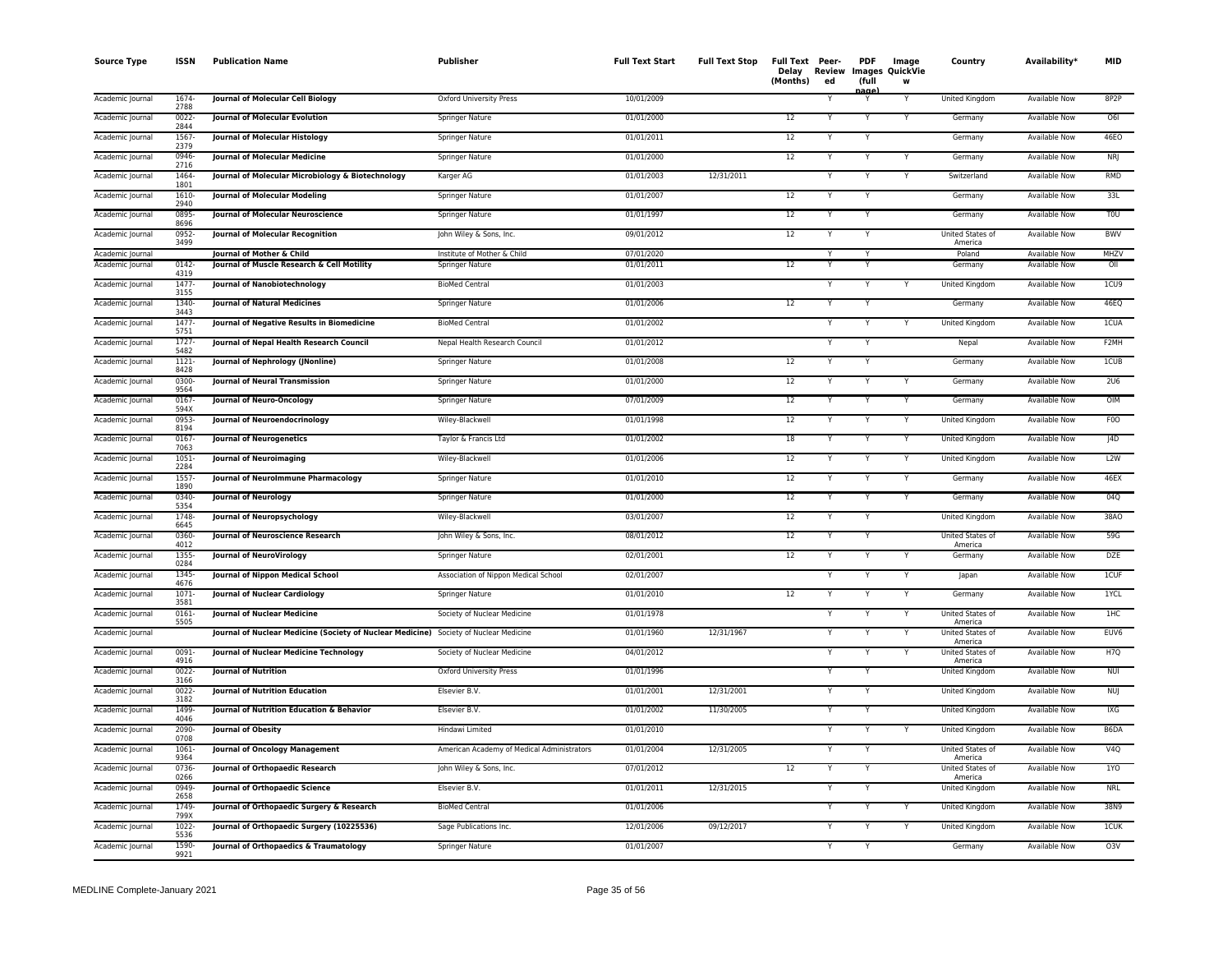| <b>Source Type</b> | <b>ISSN</b>      | <b>Publication Name</b>                                                               | Publisher                                  | <b>Full Text Start</b> | <b>Full Text Stop</b> | Full Text Peer-<br>Delav<br>(Months) | Review<br>ed | <b>PDF</b><br>(full | Image<br>Images QuickVie<br>w | Country                     | Availability*        | MID               |
|--------------------|------------------|---------------------------------------------------------------------------------------|--------------------------------------------|------------------------|-----------------------|--------------------------------------|--------------|---------------------|-------------------------------|-----------------------------|----------------------|-------------------|
| Academic Journal   | 1674<br>2788     | Journal of Molecular Cell Biology                                                     | Oxford University Press                    | 10/01/2009             |                       |                                      |              | aαe<br>Y            | Y                             | <b>United Kingdom</b>       | <b>Available Now</b> | 8P <sub>2</sub> P |
| Academic Journal   | 0022-<br>2844    | Journal of Molecular Evolution                                                        | Springer Nature                            | 01/01/2000             |                       | 12                                   |              | Y                   |                               | Germany                     | Available Now        | O6I               |
| Academic Journal   | 1567<br>2379     | Journal of Molecular Histology                                                        | Springer Nature                            | 01/01/2011             |                       | 12                                   |              |                     |                               | Germany                     | <b>Available Now</b> | <b>46EO</b>       |
| Academic Journal   | 0946-<br>2716    | <b>Journal of Molecular Medicine</b>                                                  | <b>Springer Nature</b>                     | 01/01/2000             |                       | 12                                   |              |                     |                               | Germany                     | <b>Available Now</b> | <b>NRI</b>        |
| Academic Journal   | 1464<br>1801     | Journal of Molecular Microbiology & Biotechnology                                     | Karger AG                                  | 01/01/2003             | 12/31/2011            |                                      |              | Y                   | Y                             | Switzerland                 | Available Now        | <b>RMD</b>        |
| Academic Journal   | 1610-<br>2940    | Journal of Molecular Modeling                                                         | Springer Nature                            | 01/01/2007             |                       | 12                                   |              | Y                   |                               | Germany                     | <b>Available Now</b> | 33L               |
| Academic Journal   | 0895<br>8696     | Journal of Molecular Neuroscience                                                     | Springer Nature                            | 01/01/1997             |                       | 12                                   |              | Y                   |                               | Germany                     | Available Now        | <b>TOU</b>        |
| Academic Journal   | 0952<br>3499     | Journal of Molecular Recognition                                                      | John Wiley & Sons, Inc.                    | 09/01/2012             |                       | 12                                   |              |                     |                               | United States of<br>America | Available Now        | <b>BWV</b>        |
| Academic Journal   |                  | Journal of Mother & Child                                                             | Institute of Mother & Child                | 07/01/2020             |                       |                                      |              |                     |                               | Poland                      | <b>Available Now</b> | <b>MHZV</b>       |
| Academic Journal   | 0142<br>4319     | Journal of Muscle Research & Cell Motility                                            | <b>Springer Nature</b>                     | 01/01/2011             |                       | 12                                   |              |                     |                               | Germany                     | <b>Available Now</b> | OII               |
| Academic Journal   | $1477 -$<br>3155 | Journal of Nanobiotechnology                                                          | <b>BioMed Central</b>                      | 01/01/2003             |                       |                                      |              | Y                   | Y                             | <b>United Kingdom</b>       | <b>Available Now</b> | 1CU9              |
| Academic Journal   | 1340-<br>3443    | <b>Journal of Natural Medicines</b>                                                   | Springer Nature                            | 01/01/2006             |                       | 12                                   |              |                     |                               | Germany                     | Available Now        | 46EQ              |
| Academic Journal   | 1477-<br>5751    | Journal of Negative Results in Biomedicine                                            | <b>BioMed Central</b>                      | 01/01/2002             |                       |                                      |              |                     |                               | United Kingdom              | Available Now        | <b>1CUA</b>       |
| Academic Journal   | $1727 -$<br>5482 | Journal of Nepal Health Research Council                                              | Nepal Health Research Council              | 01/01/2012             |                       |                                      |              |                     |                               | Nepal                       | <b>Available Now</b> | F2MH              |
| Academic Journal   | $1121 -$<br>8428 | Journal of Nephrology (JNonline)                                                      | Springer Nature                            | 01/01/2008             |                       | 12                                   |              | Y                   |                               | Germany                     | <b>Available Now</b> | 1CUB              |
| Academic Journal   | 0300-<br>9564    | <b>Journal of Neural Transmission</b>                                                 | <b>Springer Nature</b>                     | 01/01/2000             |                       | 12                                   |              | Y                   | Y                             | Germany                     | <b>Available Now</b> | 2U6               |
| Academic Journal   | $0167 -$<br>594X | Journal of Neuro-Oncology                                                             | Springer Nature                            | 07/01/2009             |                       | 12                                   |              | Y                   | Y                             | Germany                     | Available Now        | OIM               |
| Academic Journal   | 0953-<br>8194    | <b>Journal of Neuroendocrinology</b>                                                  | Wiley-Blackwell                            | 01/01/1998             |                       | 12                                   |              |                     | Y                             | United Kingdom              | Available Now        | F <sub>0</sub>    |
| Academic Journal   | 0167<br>7063     | <b>Journal of Neurogenetics</b>                                                       | Taylor & Francis Ltd                       | 01/01/2002             |                       | 18                                   |              |                     |                               | <b>United Kingdom</b>       | <b>Available Now</b> | 4D                |
| Academic Journal   | 1051<br>2284     | <b>Journal of Neuroimaging</b>                                                        | Wiley-Blackwell                            | 01/01/2006             |                       | 12                                   |              | Y                   | Y                             | United Kingdom              | <b>Available Now</b> | L2W               |
| Academic Journal   | 1557<br>1890     | Journal of NeuroImmune Pharmacology                                                   | Springer Nature                            | 01/01/2010             |                       | 12                                   |              | Y                   | Y                             | Germany                     | <b>Available Now</b> | 46EX              |
| Academic Journal   | 0340<br>5354     | Journal of Neurology                                                                  | Springer Nature                            | 01/01/2000             |                       | 12                                   |              | Y                   | Y                             | Germany                     | Available Now        | 04Q               |
| Academic Journal   | 1748-<br>6645    | Journal of Neuropsychology                                                            | Wiley-Blackwell                            | 03/01/2007             |                       | 12                                   |              | Y                   |                               | United Kingdom              | Available Now        | 38A0              |
| Academic Journal   | 0360-<br>4012    | <b>Journal of Neuroscience Research</b>                                               | John Wiley & Sons, Inc.                    | 08/01/2012             |                       | 12                                   |              |                     |                               | United States of<br>America | <b>Available Now</b> | 59G               |
| Academic Journal   | 1355-<br>0284    | <b>Journal of NeuroVirology</b>                                                       | Springer Nature                            | 02/01/2001             |                       | 12                                   |              | Y                   |                               | Germany                     | <b>Available Now</b> | <b>DZE</b>        |
| Academic Journal   | 1345-<br>4676    | Journal of Nippon Medical School                                                      | Association of Nippon Medical School       | 02/01/2007             |                       |                                      |              | Y                   | Y                             | Japan                       | <b>Available Now</b> | 1CUF              |
| Academic Journal   | 1071-<br>3581    | <b>Journal of Nuclear Cardiology</b>                                                  | Springer Nature                            | 01/01/2010             |                       | 12                                   |              |                     |                               | Germany                     | Available Now        | 1YCL              |
| Academic Journal   | 0161-<br>5505    | <b>Journal of Nuclear Medicine</b>                                                    | Society of Nuclear Medicine                | 01/01/1978             |                       |                                      |              |                     |                               | United States of<br>America | Available Now        | 1HC               |
| Academic Journal   |                  | Journal of Nuclear Medicine (Society of Nuclear Medicine) Society of Nuclear Medicine |                                            | 01/01/1960             | 12/31/1967            |                                      |              |                     |                               | United States of<br>America | <b>Available Now</b> | EUV <sub>6</sub>  |
| Academic Journal   | 0091-<br>4916    | <b>Journal of Nuclear Medicine Technology</b>                                         | Society of Nuclear Medicine                | 04/01/2012             |                       |                                      |              | Y                   |                               | United States of<br>America | Available Now        | H7Q               |
| Academic Journal   | $0022 -$<br>3166 | <b>Journal of Nutrition</b>                                                           | Oxford University Press                    | 01/01/1996             |                       |                                      |              | Y                   |                               | United Kingdom              | <b>Available Now</b> | <b>NUI</b>        |
| Academic Journal   | $0022 -$<br>3182 | <b>Journal of Nutrition Education</b>                                                 | Elsevier B.V.                              | 01/01/2001             | 12/31/2001            |                                      | Y            | Y                   |                               | United Kingdom              | Available Now        | <b>NUJ</b>        |
| Academic Journal   | 1499<br>4046     | Journal of Nutrition Education & Behavior                                             | Elsevier B.V.                              | 01/01/2002             | 11/30/2005            |                                      |              | Y                   |                               | United Kingdom              | Available Now        | IXG               |
| Academic Journal   | 2090-<br>0708    | <b>Journal of Obesity</b>                                                             | Hindawi Limited                            | 01/01/2010             |                       |                                      |              |                     |                               | United Kingdom              | <b>Available Now</b> | B6DA              |
| Academic Journal   | $1061 -$<br>9364 | <b>Journal of Oncology Management</b>                                                 | American Academy of Medical Administrators | 01/01/2004             | 12/31/2005            |                                      |              | Y                   |                               | United States of<br>America | <b>Available Now</b> | V4O               |
| Academic Journal   | 0736<br>0266     | Journal of Orthopaedic Research                                                       | John Wiley & Sons, Inc.                    | 07/01/2012             |                       | $\overline{12}$                      |              | Y                   |                               | United States of<br>America | <b>Available Now</b> | 1YO               |
| Academic Journal   | 0949-<br>2658    | Journal of Orthopaedic Science                                                        | Elsevier B.V.                              | 01/01/2011             | 12/31/2015            |                                      |              |                     |                               | United Kingdom              | Available Now        | <b>NRL</b>        |
| Academic Journal   | 1749-<br>799X    | Journal of Orthopaedic Surgery & Research                                             | <b>BioMed Central</b>                      | 01/01/2006             |                       |                                      |              | $\checkmark$        | Y                             | United Kingdom              | Available Now        | 38N9              |
| Academic Journal   | 1022-<br>5536    | Journal of Orthopaedic Surgery (10225536)                                             | Sage Publications Inc.                     | 12/01/2006             | 09/12/2017            |                                      |              |                     |                               | United Kingdom              | <b>Available Now</b> | <b>ICUK</b>       |
| Academic Journal   | 1590-<br>9921    | Journal of Orthopaedics & Traumatology                                                | Springer Nature                            | 01/01/2007             |                       |                                      |              | Y                   |                               | Germany                     | <b>Available Now</b> | O3V               |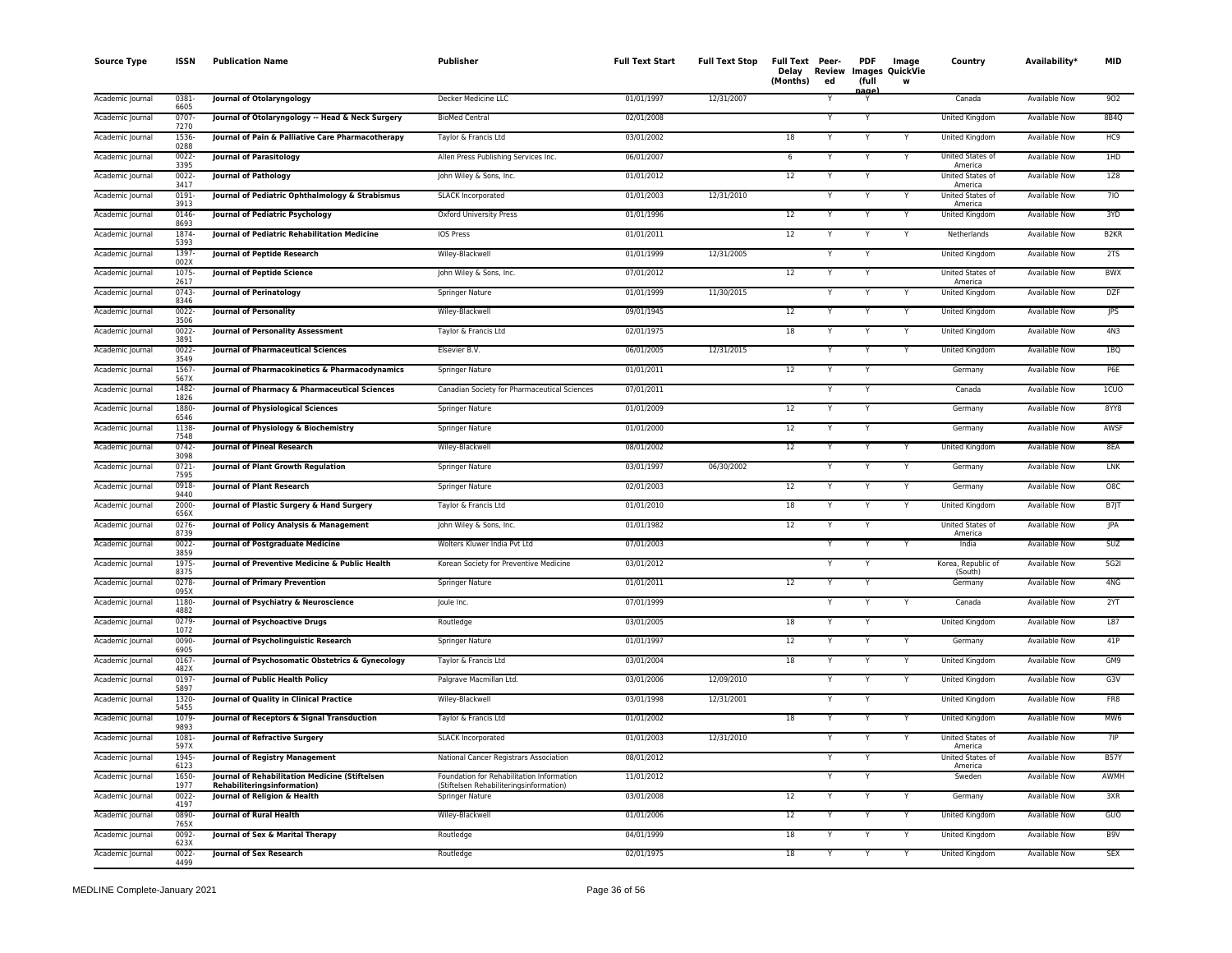| <b>Source Type</b> | <b>ISSN</b>      | <b>Publication Name</b>                                                       | <b>Publisher</b>                                                                     | <b>Full Text Start</b> | <b>Full Text Stop</b> | Full Text Peer-<br>Delay<br>(Months) | Review<br>ed | <b>PDF</b><br>(full<br>nage <sup>1</sup> | Image<br><b>Images QuickVie</b><br>W | Country                       | Availability <sup>*</sup> | <b>MID</b>        |
|--------------------|------------------|-------------------------------------------------------------------------------|--------------------------------------------------------------------------------------|------------------------|-----------------------|--------------------------------------|--------------|------------------------------------------|--------------------------------------|-------------------------------|---------------------------|-------------------|
| Academic Journal   | 0381<br>6605     | Journal of Otolaryngology                                                     | Decker Medicine LLC                                                                  | 01/01/1997             | 12/31/2007            |                                      |              |                                          |                                      | Canada                        | <b>Available Now</b>      | 902               |
| Academic Journal   | $0707 -$<br>7270 | Journal of Otolaryngology -- Head & Neck Surgery                              | <b>BioMed Central</b>                                                                | 02/01/2008             |                       |                                      |              | Υ                                        |                                      | <b>United Kingdom</b>         | <b>Available Now</b>      | 8B4Q              |
| Academic Journal   | 1536-<br>0288    | Journal of Pain & Palliative Care Pharmacotherapy                             | Taylor & Francis Ltd                                                                 | 03/01/2002             |                       | 18                                   | Y            | Y                                        | $\overline{\mathsf{Y}}$              | <b>United Kingdom</b>         | <b>Available Now</b>      | HC <sub>9</sub>   |
| Academic Journal   | $0022 -$<br>3395 | Journal of Parasitology                                                       | Allen Press Publishing Services Inc.                                                 | 06/01/2007             |                       | 6                                    | Y            | Y                                        | Y                                    | United States of<br>America   | <b>Available Now</b>      | 1HD               |
| Academic Journal   | $0022 -$<br>3417 | <b>Journal of Pathology</b>                                                   | John Wiley & Sons, Inc.                                                              | 01/01/2012             |                       | 12                                   |              |                                          |                                      | United States of<br>America   | Available Now             | 1Z8               |
| Academic Journal   | 0191-<br>3913    | Journal of Pediatric Ophthalmology & Strabismus                               | SLACK Incorporated                                                                   | 01/01/2003             | 12/31/2010            |                                      |              | Υ                                        | Y                                    | United States of<br>America   | Available Now             | 710               |
| Academic Journal   | 0146<br>8693     | Journal of Pediatric Psychology                                               | Oxford University Press                                                              | 01/01/1996             |                       | 12                                   |              |                                          | Y                                    | United Kingdom                | <b>Available Now</b>      | 3YD               |
| Academic Journal   | 1874<br>5393     | Journal of Pediatric Rehabilitation Medicine                                  | <b>IOS Press</b>                                                                     | 01/01/2011             |                       | 12                                   |              |                                          | Y                                    | Netherlands                   | <b>Available Now</b>      | B <sub>2</sub> KR |
| Academic Journal   | 1397<br>002X     | Journal of Peptide Research                                                   | Wiley-Blackwell                                                                      | 01/01/1999             | 12/31/2005            |                                      |              |                                          |                                      | United Kingdom                | Available Now             | 2TS               |
| Academic Journal   | 1075<br>2617     | <b>Journal of Peptide Science</b>                                             | John Wiley & Sons, Inc.                                                              | 07/01/2012             |                       | 12                                   |              | Y                                        |                                      | United States of<br>America   | <b>Available Now</b>      | <b>BWX</b>        |
| Academic Journal   | $0743 -$<br>8346 | <b>Journal of Perinatology</b>                                                | <b>Springer Nature</b>                                                               | 01/01/1999             | 11/30/2015            |                                      |              | Υ                                        | Υ                                    | <b>United Kingdom</b>         | <b>Available Now</b>      | <b>DZF</b>        |
| Academic Journal   | $0022 -$<br>3506 | Journal of Personality                                                        | Wiley-Blackwell                                                                      | 09/01/1945             |                       | 12                                   |              |                                          | Y                                    | United Kingdom                | <b>Available Now</b>      | <b>JPS</b>        |
| Academic Journal   | 0022-<br>3891    | Journal of Personality Assessment                                             | Taylor & Francis Ltd                                                                 | 02/01/1975             |                       | 18                                   |              | Y                                        | Y                                    | United Kingdom                | Available Now             | 4N3               |
| Academic Journal   | 0022<br>3549     | <b>Journal of Pharmaceutical Sciences</b>                                     | Elsevier B.V.                                                                        | 06/01/2005             | 12/31/2015            |                                      |              |                                          | Y                                    | United Kingdom                | Available Now             | 1BQ               |
| Academic Journal   | 1567-<br>567X    | Journal of Pharmacokinetics & Pharmacodynamics                                | Springer Nature                                                                      | 01/01/2011             |                       | 12                                   |              | Y                                        |                                      | Germany                       | Available Now             | P6E               |
| Academic Journal   | 1482<br>1826     | Journal of Pharmacy & Pharmaceutical Sciences                                 | Canadian Society for Pharmaceutical Sciences                                         | 07/01/2011             |                       |                                      |              |                                          |                                      | Canada                        | Available Now             | 1 <sub>C</sub>    |
| Academic Journal   | 1880-<br>6546    | <b>Journal of Physiological Sciences</b>                                      | <b>Springer Nature</b>                                                               | 01/01/2009             |                       | 12                                   |              | Y                                        |                                      | Germany                       | <b>Available Now</b>      | 8YY8              |
| Academic Journal   | 1138<br>7548     | Journal of Physiology & Biochemistry                                          | <b>Springer Nature</b>                                                               | 01/01/2000             |                       | 12                                   |              | Y                                        |                                      | Germany                       | <b>Available Now</b>      | AWSF              |
| Academic Journal   | 0742<br>3098     | Journal of Pineal Research                                                    | Wiley-Blackwell                                                                      | 08/01/2002             |                       | 12                                   |              |                                          | Y                                    | United Kingdom                | Available Now             | 8EA               |
| Academic Journal   | $0721 -$<br>7595 | Journal of Plant Growth Regulation                                            | Springer Nature                                                                      | 03/01/1997             | 06/30/2002            |                                      | Y            | Y                                        | Y                                    | Germany                       | Available Now             | <b>LNK</b>        |
| Academic Journal   | 0918<br>9440     | Journal of Plant Research                                                     | Springer Nature                                                                      | 02/01/2003             |                       | 12                                   |              |                                          | Y                                    | Germany                       | Available Now             | O8C               |
| Academic Journal   | 2000-<br>656X    | Journal of Plastic Surgery & Hand Surgery                                     | Taylor & Francis Ltd                                                                 | 01/01/2010             |                       | 18                                   | Y            | Y                                        | Y                                    | United Kingdom                | Available Now             | B7JT              |
| Academic Journal   | 0276<br>8739     | Journal of Policy Analysis & Management                                       | John Wiley & Sons, Inc.                                                              | 01/01/1982             |                       | 12                                   |              |                                          |                                      | United States of<br>America   | <b>Available Now</b>      | JPA               |
| Academic Journal   | 0022-<br>3859    | Journal of Postgraduate Medicine                                              | Wolters Kluwer India Pvt Ltd                                                         | 07/01/2003             |                       |                                      |              |                                          |                                      | India                         | Available Now             | SUZ               |
| Academic Journal   | 1975-<br>8375    | Journal of Preventive Medicine & Public Health                                | Korean Society for Preventive Medicine                                               | 03/01/2012             |                       |                                      | Y            | Y                                        |                                      | Korea, Republic of<br>(South) | Available Now             | 5G2I              |
| Academic Journal   | 0278<br>095X     | <b>Journal of Primary Prevention</b>                                          | <b>Springer Nature</b>                                                               | 01/01/2011             |                       | $\overline{12}$                      | Y            | Y                                        |                                      | Germany                       | <b>Available Now</b>      | 4NG               |
| Academic Journal   | 1180<br>4882     | Journal of Psychiatry & Neuroscience                                          | Joule Inc.                                                                           | 07/01/1999             |                       |                                      |              | Υ                                        | Υ                                    | Canada                        | <b>Available Now</b>      | 2YT               |
| Academic Journal   | 0279<br>1072     | Journal of Psychoactive Drugs                                                 | Routledge                                                                            | 03/01/2005             |                       | 18                                   |              |                                          |                                      | United Kingdom                | Available Now             | L87               |
| Academic Journal   | 0090-<br>6905    | Journal of Psycholinguistic Research                                          | Springer Nature                                                                      | 01/01/1997             |                       | 12                                   |              |                                          | Y                                    | Germany                       | Available Now             | 41P               |
| Academic Journal   | 0167<br>482X     | Journal of Psychosomatic Obstetrics & Gynecology                              | Taylor & Francis Ltd                                                                 | 03/01/2004             |                       | 18                                   |              |                                          | Y                                    | United Kingdom                | Available Now             | GM9               |
| Academic Journal   | 0197<br>5897     | Journal of Public Health Policy                                               | Palgrave Macmillan Ltd.                                                              | 03/01/2006             | 12/09/2010            |                                      |              |                                          | Y                                    | United Kingdom                | Available Now             | G3V               |
| Academic Journal   | 1320-<br>5455    | Journal of Quality in Clinical Practice                                       | Wiley-Blackwell                                                                      | 03/01/1998             | 12/31/2001            |                                      |              | Y                                        |                                      | <b>United Kingdom</b>         | <b>Available Now</b>      | FR8               |
| Academic Journal   | 1079<br>9893     | Journal of Receptors & Signal Transduction                                    | Taylor & Francis Ltd                                                                 | 01/01/2002             |                       | 18                                   |              |                                          | Y                                    | <b>United Kingdom</b>         | <b>Available Now</b>      | MW6               |
| Academic Journal   | 1081<br>597X     | Journal of Refractive Surgery                                                 | <b>SLACK Incorporated</b>                                                            | 01/01/2003             | 12/31/2010            |                                      |              | Y                                        | Υ                                    | United States of<br>America   | <b>Available Now</b>      | 7IP               |
| Academic Journal   | 1945-<br>6123    | <b>Journal of Registry Management</b>                                         | National Cancer Registrars Association                                               | 08/01/2012             |                       |                                      |              |                                          |                                      | United States of<br>America   | <b>Available Now</b>      | <b>B57Y</b>       |
| Academic Journal   | 1650-<br>1977    | Journal of Rehabilitation Medicine (Stiftelsen<br>Rehabiliteringsinformation) | Foundation for Rehabilitation Information<br>(Stiftelsen Rehabiliteringsinformation) | 11/01/2012             |                       |                                      | $\checkmark$ | Υ                                        |                                      | Sweden                        | Available Now             | AWMH              |
| Academic Journal   | 0022-<br>4197    | Journal of Religion & Health                                                  | Springer Nature                                                                      | 03/01/2008             |                       | 12                                   |              |                                          |                                      | Germany                       | Available Now             | 3XR               |
| Academic Journal   | 0890-<br>765X    | Journal of Rural Health                                                       | Wiley-Blackwell                                                                      | 01/01/2006             |                       | 12                                   |              |                                          | Y                                    | United Kingdom                | <b>Available Now</b>      | GIO               |
| Academic Journal   | 0092-<br>623X    | Journal of Sex & Marital Therapy                                              | Routledge                                                                            | 04/01/1999             |                       | 18                                   |              |                                          | Y                                    | United Kingdom                | Available Now             | B <sub>9</sub> V  |
| Academic Journal   | $0022 -$<br>4499 | <b>Journal of Sex Research</b>                                                | Routledge                                                                            | 02/01/1975             |                       | 18                                   | Y            | Y                                        | $\overline{Y}$                       | <b>United Kingdom</b>         | <b>Available Now</b>      | <b>SEX</b>        |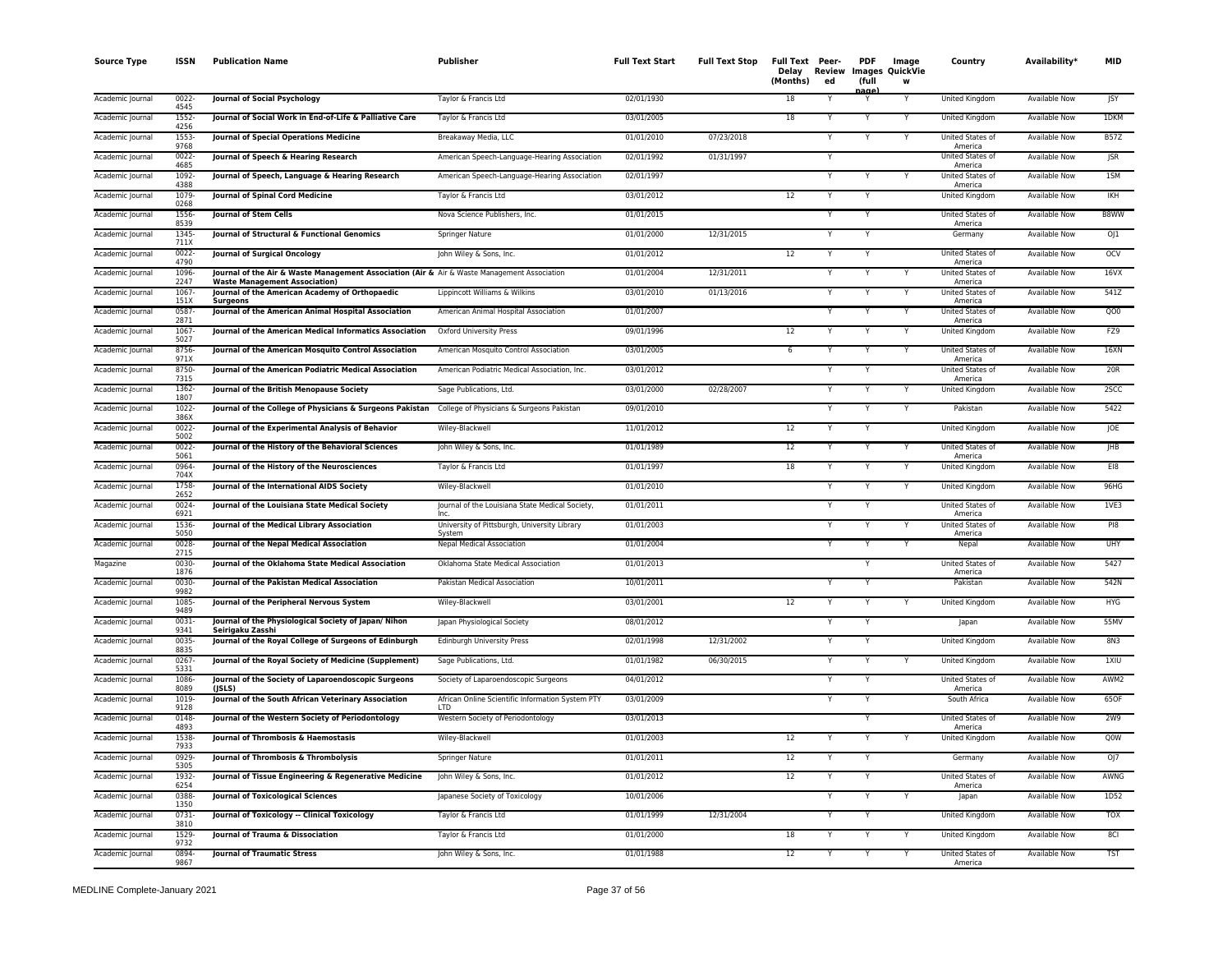| <b>Source Type</b> | <b>ISSN</b>      | <b>Publication Name</b>                                                                                                             | <b>Publisher</b>                                               | <b>Full Text Start</b> | <b>Full Text Stop</b> | Full Text Peer-<br>Delay<br>(Months) | Review<br>ed | <b>PDF</b><br>(full | Image<br><b>Images QuickVie</b><br>W | Country                            | Availability*        | <b>MID</b>  |
|--------------------|------------------|-------------------------------------------------------------------------------------------------------------------------------------|----------------------------------------------------------------|------------------------|-----------------------|--------------------------------------|--------------|---------------------|--------------------------------------|------------------------------------|----------------------|-------------|
| Academic Journal   | $0022 -$<br>4545 | Journal of Social Psychology                                                                                                        | Taylor & Francis Ltd                                           | 02/01/1930             |                       | 18                                   |              | aage                |                                      | United Kingdom                     | <b>Available Now</b> | <b>JSY</b>  |
| Academic Journal   | 1552<br>4256     | Journal of Social Work in End-of-Life & Palliative Care                                                                             | Taylor & Francis Ltd                                           | 03/01/2005             |                       | 18                                   | Y            | $\checkmark$        | Y                                    | United Kingdom                     | Available Now        | 1DKM        |
| Academic Journal   | 1553<br>9768     | Journal of Special Operations Medicine                                                                                              | Breakaway Media, LLC                                           | 01/01/2010             | 07/23/2018            |                                      |              |                     |                                      | United States of<br>America        | <b>Available Now</b> | <b>B57Z</b> |
| Academic Journal   | 0022-<br>4685    | Journal of Speech & Hearing Research                                                                                                | American Speech-Language-Hearing Association                   | 02/01/1992             | 01/31/1997            |                                      | $\checkmark$ |                     |                                      | United States of<br>America        | <b>Available Now</b> | <b>ISR</b>  |
| Academic Journal   | 1092<br>4388     | Journal of Speech, Language & Hearing Research                                                                                      | American Speech-Language-Hearing Association                   | 02/01/1997             |                       |                                      |              |                     |                                      | United States of<br>America        | <b>Available Now</b> | 1SM         |
| Academic Journal   | 1079<br>0268     | <b>Journal of Spinal Cord Medicine</b>                                                                                              | Taylor & Francis Ltd                                           | 03/01/2012             |                       | 12                                   |              | Y                   |                                      | <b>United Kingdom</b>              | <b>Available Now</b> | <b>IKH</b>  |
| Academic Journal   | 1556-<br>8539    | <b>Journal of Stem Cells</b>                                                                                                        | Nova Science Publishers, Inc.                                  | 01/01/2015             |                       |                                      |              | Y                   |                                      | United States of<br>America        | <b>Available Now</b> | B8WW        |
| Academic Journal   | 1345<br>711X     | Journal of Structural & Functional Genomics                                                                                         | Springer Nature                                                | 01/01/2000             | 12/31/2015            |                                      |              |                     |                                      | Germany                            | <b>Available Now</b> | OJ1         |
| Academic Journal   | 0022-<br>4790    | Journal of Surgical Oncology                                                                                                        | John Wiley & Sons, Inc.                                        | 01/01/2012             |                       | 12                                   |              |                     |                                      | United States of<br>America        | <b>Available Now</b> | <b>OCV</b>  |
| Academic Journal   | 1096<br>2247     | Journal of the Air & Waste Management Association (Air & Air & Waste Management Association<br><b>Waste Management Association)</b> |                                                                | 01/01/2004             | 12/31/2011            |                                      |              |                     |                                      | United States of<br>America        | Available Now        | 16VX        |
| Academic Journal   | 1067<br>151X     | Journal of the American Academy of Orthopaedic<br><b>Surgeons</b>                                                                   | Lippincott Williams & Wilkins                                  | 03/01/2010             | 01/13/2016            |                                      | Y            | $\checkmark$        | Y                                    | United States of<br>America        | Available Now        | 541Z        |
| Academic Journal   | 0587<br>2871     | Journal of the American Animal Hospital Association                                                                                 | American Animal Hospital Association                           | 01/01/2007             |                       |                                      |              |                     |                                      | United States of<br>America        | Available Now        | QO0         |
| Academic Journal   | 1067<br>5027     | Journal of the American Medical Informatics Association                                                                             | Oxford University Press                                        | 09/01/1996             |                       | 12                                   |              | Y                   | $\checkmark$                         | United Kingdom                     | <b>Available Now</b> | FZ9         |
| Academic Journal   | 8756<br>971X     | Journal of the American Mosquito Control Association                                                                                | American Mosquito Control Association                          | 03/01/2005             |                       | 6                                    |              |                     |                                      | United States of<br>America        | <b>Available Now</b> | 16XN        |
| Academic Journal   | 8750-<br>7315    | Journal of the American Podiatric Medical Association                                                                               | American Podiatric Medical Association, Inc.                   | 03/01/2012             |                       |                                      |              | Y                   |                                      | United States of<br>America        | <b>Available Now</b> | 20R         |
| Academic Journal   | 1362-<br>1807    | Journal of the British Menopause Society                                                                                            | Sage Publications, Ltd.                                        | 03/01/2000             | 02/28/2007            |                                      |              |                     |                                      | <b>United Kingdom</b>              | <b>Available Now</b> | 2SCC        |
| Academic Journal   | 1022<br>386X     | Journal of the College of Physicians & Surgeons Pakistan                                                                            | College of Physicians & Surgeons Pakistan                      | 09/01/2010             |                       |                                      |              |                     |                                      | Pakistan                           | <b>Available Now</b> | 5422        |
| Academic Journal   | 0022-<br>5002    | Journal of the Experimental Analysis of Behavior                                                                                    | Wiley-Blackwell                                                | 11/01/2012             |                       | 12                                   | Y            |                     |                                      | United Kingdom                     | Available Now        | JOE         |
| Academic Journal   | 0022<br>5061     | Journal of the History of the Behavioral Sciences                                                                                   | John Wiley & Sons, Inc.                                        | 01/01/1989             |                       | 12                                   |              |                     |                                      | United States of<br>America        | Available Now        | JHB         |
| Academic Journal   | 0964-<br>704X    | Journal of the History of the Neurosciences                                                                                         | Taylor & Francis Ltd                                           | 01/01/1997             |                       | 18                                   | Y            | $\checkmark$        | Y                                    | <b>United Kingdom</b>              | Available Now        | E18         |
| Academic Journal   | 1758<br>2652     | Journal of the International AIDS Society                                                                                           | Wiley-Blackwell                                                | 01/01/2010             |                       |                                      |              |                     |                                      | United Kingdom                     | <b>Available Now</b> | 96HG        |
| Academic Journal   | 0024<br>6921     | Journal of the Louisiana State Medical Society                                                                                      | Journal of the Louisiana State Medical Society,                | 01/01/2011             |                       |                                      |              |                     |                                      | United States of<br>America        | <b>Available Now</b> | 1VE3        |
| Academic Journal   | 1536<br>5050     | Journal of the Medical Library Association                                                                                          | University of Pittsburgh, University Library<br>System         | 01/01/2003             |                       |                                      |              |                     |                                      | United States of<br>America        | Available Now        | PI8         |
| Academic Journal   | 0028<br>2715     | Journal of the Nepal Medical Association                                                                                            | Nepal Medical Association                                      | 01/01/2004             |                       |                                      |              |                     |                                      | Nepal                              | <b>Available Now</b> | <b>UHY</b>  |
| Magazine           | 0030<br>1876     | Journal of the Oklahoma State Medical Association                                                                                   | Oklahoma State Medical Association                             | 01/01/2013             |                       |                                      |              | Y                   |                                      | United States of<br>America        | Available Now        | 5427        |
| Academic Journal   | 0030<br>9982     | Journal of the Pakistan Medical Association                                                                                         | Pakistan Medical Association                                   | 10/01/2011             |                       |                                      |              |                     |                                      | Pakistan                           | <b>Available Now</b> | 542N        |
| Academic Journal   | 1085<br>9489     | Journal of the Peripheral Nervous System                                                                                            | Wiley-Blackwell                                                | 03/01/2001             |                       | $\overline{12}$                      | Υ            | Y                   |                                      | United Kingdom                     | Available Now        | HYG         |
| Academic Journal   | 0031<br>9341     | Journal of the Physiological Society of Japan/ Nihon<br>Seirigaku Zasshi                                                            | Japan Physiological Society                                    | 08/01/2012             |                       |                                      |              |                     |                                      | Japan                              | <b>Available Now</b> | 55MV        |
| Academic Journal   | 0035<br>8835     | Journal of the Royal College of Surgeons of Edinburgh                                                                               | <b>Edinburgh University Press</b>                              | 02/01/1998             | 12/31/2002            |                                      |              |                     |                                      | United Kingdom                     | Available Now        | 8N3         |
| Academic Journal   | 0267<br>5331     | Journal of the Royal Society of Medicine (Supplement)                                                                               | Sage Publications, Ltd.                                        | 01/01/1982             | 06/30/2015            |                                      |              |                     |                                      | United Kingdom                     | <b>Available Now</b> | 1XIU        |
| Academic Journal   | 1086<br>8089     | Journal of the Society of Laparoendoscopic Surgeons<br>(ISLS)                                                                       | Society of Laparoendoscopic Surgeons                           | 04/01/2012             |                       |                                      |              |                     |                                      | United States of<br>America        | <b>Available Now</b> | AWM2        |
| Academic Journal   | 1019-<br>9128    | Journal of the South African Veterinary Association                                                                                 | African Online Scientific Information System PTY<br><b>LTD</b> | 03/01/2009             |                       |                                      |              |                     |                                      | South Africa                       | <b>Available Now</b> | 65OF        |
| Academic Journal   | 0148<br>4893     | Journal of the Western Society of Periodontology                                                                                    | Western Society of Periodontology                              | 03/01/2013             |                       |                                      |              |                     |                                      | <b>United States of</b><br>America | <b>Available Now</b> | 2W9         |
| Academic Journal   | 1538<br>7933     | Journal of Thrombosis & Haemostasis                                                                                                 | Wiley-Blackwell                                                | 01/01/2003             |                       | 12                                   |              |                     |                                      | United Kingdom                     | <b>Available Now</b> | Q0W         |
| Academic Journal   | 0929<br>5305     | Journal of Thrombosis & Thrombolysis                                                                                                | Springer Nature                                                | 01/01/2011             |                       | 12                                   |              |                     |                                      | Germany                            | <b>Available Now</b> | OJ          |
| Academic Journal   | 1932<br>6254     | Journal of Tissue Engineering & Regenerative Medicine                                                                               | John Wiley & Sons, Inc.                                        | 01/01/2012             |                       | 12                                   | Υ            |                     |                                      | <b>United States of</b><br>America | Available Now        | AWNG        |
| Academic Journal   | 0388<br>1350     | Journal of Toxicological Sciences                                                                                                   | Japanese Society of Toxicology                                 | 10/01/2006             |                       |                                      |              |                     |                                      | Japan                              | Available Now        | 1D52        |
| Academic Journal   | 0731-<br>3810    | Journal of Toxicology -- Clinical Toxicology                                                                                        | Taylor & Francis Ltd                                           | 01/01/1999             | 12/31/2004            |                                      |              |                     |                                      | United Kingdom                     | Available Now        | <b>TOX</b>  |
| Academic Journal   | 1529<br>9732     | Journal of Trauma & Dissociation                                                                                                    | Taylor & Francis Ltd                                           | 01/01/2000             |                       | 18                                   |              |                     |                                      | United Kingdom                     | Available Now        | 8CI         |
| Academic Journal   | 0894<br>9867     | <b>Journal of Traumatic Stress</b>                                                                                                  | John Wiley & Sons, Inc.                                        | 01/01/1988             |                       | $\overline{12}$                      |              |                     |                                      | United States of<br>America        | <b>Available Now</b> | <b>TST</b>  |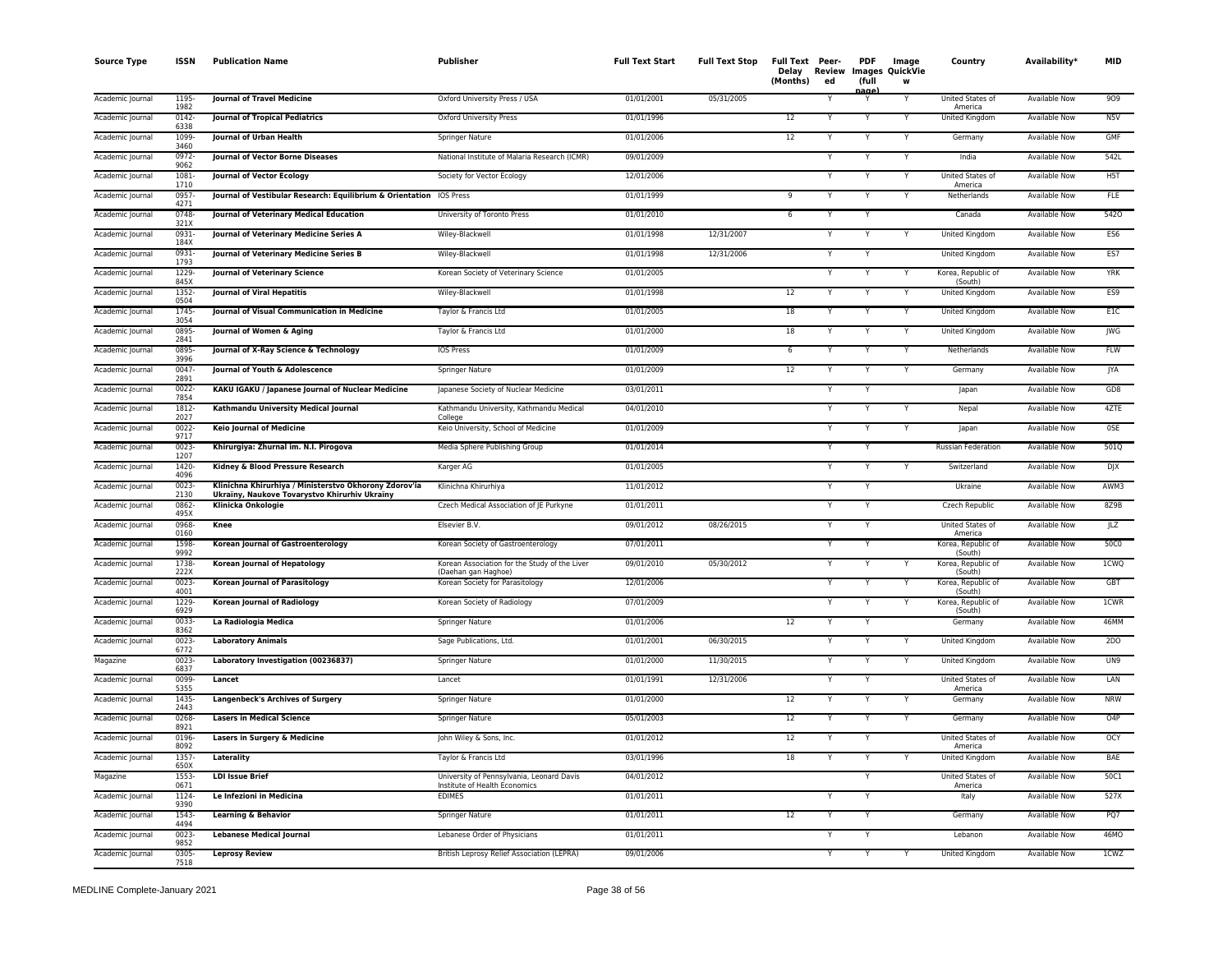| <b>Source Type</b> | <b>ISSN</b>      | <b>Publication Name</b>                                                                                 | Publisher                                                                  | <b>Full Text Start</b> | <b>Full Text Stop</b> | Full Text Peer-<br>Delay<br>(Months) | <b>Review</b><br>ed | <b>PDF</b><br>(full<br>aac | Image<br>Images QuickVie<br>w | Country                       | Availability <sup>*</sup> | <b>MID</b>      |
|--------------------|------------------|---------------------------------------------------------------------------------------------------------|----------------------------------------------------------------------------|------------------------|-----------------------|--------------------------------------|---------------------|----------------------------|-------------------------------|-------------------------------|---------------------------|-----------------|
| Academic Journal   | 1195<br>1982     | <b>Journal of Travel Medicine</b>                                                                       | Oxford University Press / USA                                              | 01/01/2001             | 05/31/2005            |                                      |                     |                            | $\overline{\mathsf{Y}}$       | United States of<br>America   | <b>Available Now</b>      | 909             |
| Academic Journal   | 0142<br>6338     | <b>Journal of Tropical Pediatrics</b>                                                                   | <b>Oxford University Press</b>                                             | 01/01/1996             |                       | $\overline{12}$                      |                     | Υ                          | Y                             | United Kingdom                | Available Now             | N5V             |
| Academic Journal   | 1099<br>3460     | Journal of Urban Health                                                                                 | Springer Nature                                                            | 01/01/2006             |                       | $\overline{12}$                      |                     | Y                          | Y                             | Germany                       | <b>Available Now</b>      | GMF             |
| Academic Journal   | 0972-<br>9062    | Journal of Vector Borne Diseases                                                                        | National Institute of Malaria Research (ICMR)                              | 09/01/2009             |                       |                                      |                     |                            | Y                             | India                         | Available Now             | 542L            |
| Academic Journal   | 1081<br>1710     | <b>Journal of Vector Ecology</b>                                                                        | Society for Vector Ecology                                                 | 12/01/2006             |                       |                                      |                     |                            | Y                             | United States of<br>America   | Available Now             | H5T             |
| Academic Journal   | 0957<br>4271     | Journal of Vestibular Research: Equilibrium & Orientation IOS Press                                     |                                                                            | 01/01/1999             |                       | 9                                    |                     |                            | Y                             | Netherlands                   | <b>Available Now</b>      | <b>FLE</b>      |
| Academic Journal   | 0748-<br>321X    | Journal of Veterinary Medical Education                                                                 | University of Toronto Press                                                | 01/01/2010             |                       | 6                                    |                     |                            |                               | Canada                        | <b>Available Now</b>      | 5420            |
| Academic Journal   | 0931-<br>184X    | Journal of Veterinary Medicine Series A                                                                 | Wiley-Blackwell                                                            | 01/01/1998             | 12/31/2007            |                                      |                     |                            | Y                             | United Kingdom                | Available Now             | ES <sub>6</sub> |
| Academic Journal   | 0931-<br>1793    | Journal of Veterinary Medicine Series B                                                                 | Wiley-Blackwell                                                            | 01/01/1998             | 12/31/2006            |                                      |                     | Y                          |                               | United Kingdom                | <b>Available Now</b>      | ES7             |
| Academic Journal   | 1229<br>845X     | <b>Journal of Veterinary Science</b>                                                                    | Korean Society of Veterinary Science                                       | 01/01/2005             |                       |                                      |                     |                            | Y                             | Korea, Republic of<br>(South) | <b>Available Now</b>      | <b>YRK</b>      |
| Academic Journal   | 1352<br>0504     | Journal of Viral Hepatitis                                                                              | Wiley-Blackwell                                                            | 01/01/1998             |                       | 12                                   |                     | Y                          | Y                             | United Kingdom                | Available Now             | ES9             |
| Academic Journal   | 1745-<br>3054    | Journal of Visual Communication in Medicine                                                             | Taylor & Francis Ltd                                                       | 01/01/2005             |                       | 18                                   |                     |                            | Y                             | United Kingdom                | <b>Available Now</b>      | E1C             |
| Academic Journal   | 0895<br>2841     | Journal of Women & Aging                                                                                | Taylor & Francis Ltd                                                       | 01/01/2000             |                       | 18                                   |                     |                            | Υ                             | United Kingdom                | Available Now             | JWG             |
| Academic Journal   | 0895<br>3996     | Journal of X-Ray Science & Technology                                                                   | IOS Press                                                                  | 01/01/2009             |                       | 6                                    |                     |                            |                               | Netherlands                   | Available Now             | FLW             |
| Academic Journal   | 0047-<br>2891    | Journal of Youth & Adolescence                                                                          | Springer Nature                                                            | 01/01/2009             |                       | 12                                   |                     |                            | Y                             | Germany                       | Available Now             | <b>JYA</b>      |
| Academic Journal   | 0022<br>7854     | KAKU IGAKU / Japanese Journal of Nuclear Medicine                                                       | Japanese Society of Nuclear Medicine                                       | 03/01/2011             |                       |                                      |                     | Y                          |                               | Japan                         | <b>Available Now</b>      | GDB             |
| Academic Journal   | 1812-<br>2027    | Kathmandu University Medical Journal                                                                    | Kathmandu University, Kathmandu Medical<br>College                         | 04/01/2010             |                       |                                      |                     | Y                          | $\overline{\mathsf{Y}}$       | Nepal                         | <b>Available Now</b>      | 4ZTE            |
| Academic Journal   | 0022<br>9717     | <b>Keio Journal of Medicine</b>                                                                         | Keio University, School of Medicine                                        | 01/01/2009             |                       |                                      |                     | Υ                          | Y                             | Japan                         | <b>Available Now</b>      | 0SE             |
| Academic Journal   | 0023<br>1207     | Khirurgiya: Zhurnal im. N.I. Pirogova                                                                   | Media Sphere Publishing Group                                              | 01/01/2014             |                       |                                      |                     |                            |                               | <b>Russian Federation</b>     | <b>Available Now</b>      | 501Q            |
| Academic Journal   | 1420-<br>4096    | Kidney & Blood Pressure Research                                                                        | Karger AG                                                                  | 01/01/2005             |                       |                                      |                     | Υ                          | Y                             | Switzerland                   | Available Now             | <b>DJX</b>      |
| Academic Journal   | 0023<br>2130     | Klinichna Khirurhiya / Ministerstvo Okhorony Zdorov'ia<br>Ukraïny, Naukove Tovarystvo Khirurhiv Ukraïny | Klinichna Khirurhiya                                                       | 11/01/2012             |                       |                                      |                     | Υ                          |                               | Ukraine                       | <b>Available Now</b>      | AWM3            |
| Academic Journal   | 0862-<br>495X    | Klinicka Onkologie                                                                                      | Czech Medical Association of JE Purkyne                                    | 01/01/2011             |                       |                                      |                     |                            |                               | Czech Republic                | <b>Available Now</b>      | 8Z9B            |
| Academic Journal   | 0968-<br>0160    | Knee                                                                                                    | Elsevier B.V.                                                              | 09/01/2012             | 08/26/2015            |                                      |                     |                            |                               | United States of<br>America   | Available Now             | JLZ             |
| Academic Journal   | 1598<br>9992     | <b>Korean Journal of Gastroenterology</b>                                                               | Korean Society of Gastroenterology                                         | 07/01/2011             |                       |                                      |                     |                            |                               | Korea, Republic of<br>(South) | Available Now             | 50C0            |
| Academic Journal   | 1738-<br>222X    | Korean Journal of Hepatology                                                                            | Korean Association for the Study of the Liver<br>(Daehan gan Haghoe)       | 09/01/2010             | 05/30/2012            |                                      |                     | Y                          | Y                             | Korea, Republic of<br>(South) | Available Now             | 1CWQ            |
| Academic Journal   | 0023<br>4001     | Korean Journal of Parasitology                                                                          | Korean Society for Parasitology                                            | 12/01/2006             |                       |                                      |                     |                            | Y                             | Korea, Republic of<br>(South) | <b>Available Now</b>      | GBT             |
| Academic Journal   | 1229<br>6929     | Korean Journal of Radiology                                                                             | Korean Society of Radiology                                                | 07/01/2009             |                       |                                      |                     | Y                          | Y                             | Korea, Republic of<br>(South) | Available Now             | 1CWR            |
| Academic Journal   | 0033-<br>8362    | La Radiologia Medica                                                                                    | Springer Nature                                                            | 01/01/2006             |                       | 12                                   |                     |                            |                               | Germany                       | Available Now             | 46MM            |
| Academic Journal   | 0023-<br>6772    | <b>Laboratory Animals</b>                                                                               | Sage Publications, Ltd.                                                    | 01/01/2001             | 06/30/2015            |                                      | $\checkmark$        | v                          | Υ                             | United Kingdom                | Available Now             | 2D <sub>0</sub> |
| Magazine           | 0023-<br>6837    | Laboratory Investigation (00236837)                                                                     | Springer Nature                                                            | 01/01/2000             | 11/30/2015            |                                      |                     |                            |                               | United Kingdom                | Available Now             | UN9             |
| Academic Journal   | 0099-<br>5355    | Lancet                                                                                                  | Lancet                                                                     | 01/01/1991             | 12/31/2006            |                                      |                     | Ÿ                          |                               | United States of<br>America   | <b>Available Now</b>      | LAN             |
| Academic Journal   | 1435<br>2443     | <b>Langenbeck's Archives of Surgery</b>                                                                 | <b>Springer Nature</b>                                                     | 01/01/2000             |                       | 12                                   |                     | Y                          | Y                             | Germany                       | <b>Available Now</b>      | <b>NRW</b>      |
| Academic Journal   | 0268<br>8921     | <b>Lasers in Medical Science</b>                                                                        | Springer Nature                                                            | 05/01/2003             |                       | 12                                   |                     | Υ                          | Υ                             | Germany                       | <b>Available Now</b>      | O4P             |
| Academic Journal   | 0196-<br>8092    | Lasers in Surgery & Medicine                                                                            | John Wiley & Sons, Inc.                                                    | 01/01/2012             |                       | 12                                   |                     | Y                          |                               | United States of<br>America   | <b>Available Now</b>      | <b>OCY</b>      |
| Academic Journal   | 1357-<br>650X    | Laterality                                                                                              | Taylor & Francis Ltd                                                       | 03/01/1996             |                       | 18                                   |                     |                            |                               | United Kingdom                | Available Now             | BAE             |
| Magazine           | 1553<br>0671     | <b>LDI Issue Brief</b>                                                                                  | University of Pennsylvania, Leonard Davis<br>Institute of Health Economics | 04/01/2012             |                       |                                      |                     | Υ                          |                               | United States of<br>America   | Available Now             | 50C1            |
| Academic Journal   | 1124-<br>9390    | Le Infezioni in Medicina                                                                                | <b>EDIMES</b>                                                              | 01/01/2011             |                       |                                      |                     |                            |                               | Italy                         | <b>Available Now</b>      | 527X            |
| Academic Journal   | 1543<br>4494     | <b>Learning &amp; Behavior</b>                                                                          | Springer Nature                                                            | 01/01/2011             |                       | 12                                   |                     |                            |                               | Germany                       | <b>Available Now</b>      | PQ7             |
| Academic Journal   | 0023<br>9852     | <b>Lebanese Medical Journal</b>                                                                         | Lebanese Order of Physicians                                               | 01/01/2011             |                       |                                      |                     |                            |                               | Lebanon                       | Available Now             | 46MO            |
| Academic Journal   | $0305 -$<br>7518 | <b>Leprosy Review</b>                                                                                   | British Leprosy Relief Association (LEPRA)                                 | 09/01/2006             |                       |                                      |                     | Y                          | Y                             | <b>United Kingdom</b>         | <b>Available Now</b>      | 1CWZ            |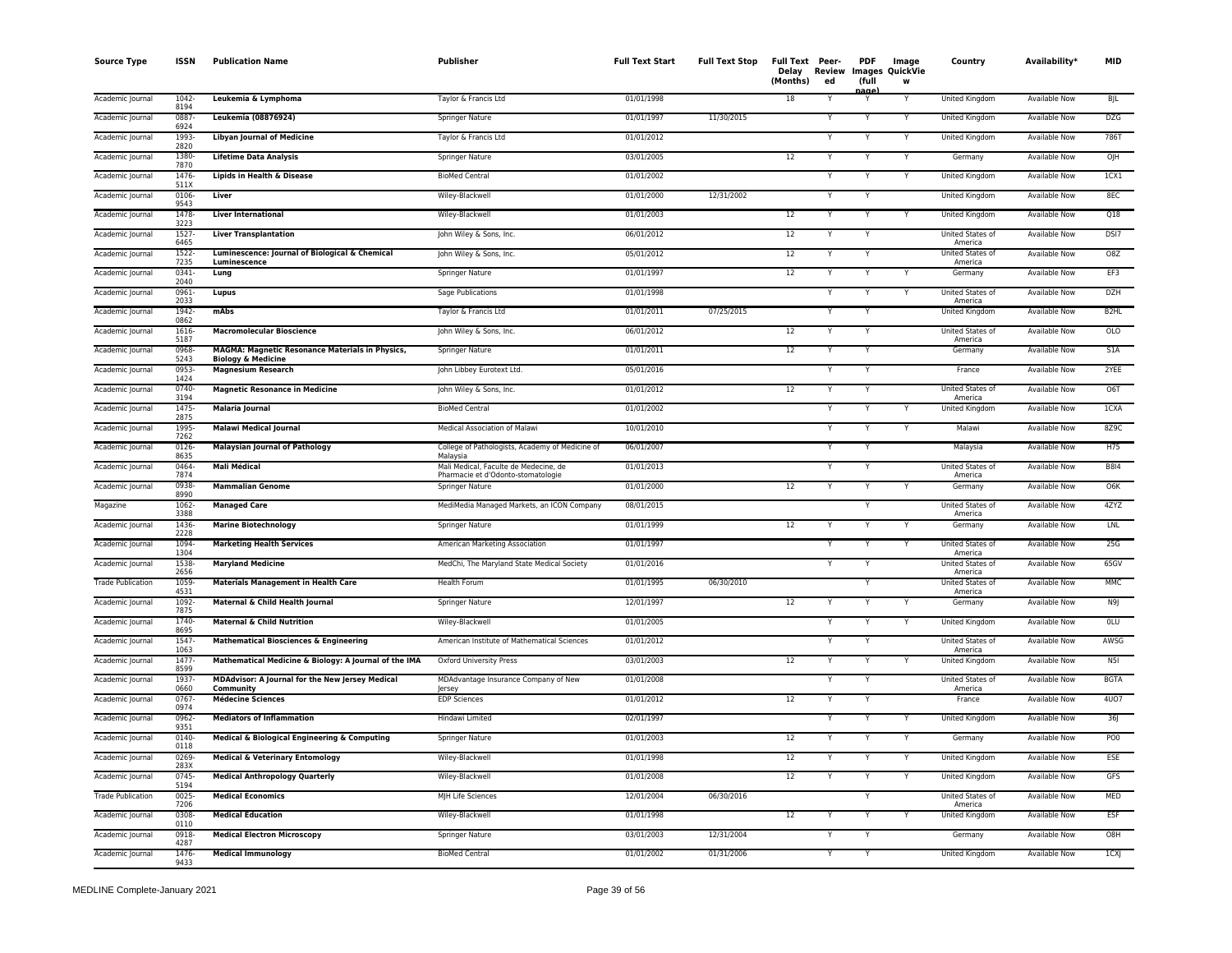| <b>Source Type</b>       | <b>ISSN</b>      | <b>Publication Name</b>                                                          | <b>Publisher</b>                                                            | <b>Full Text Start</b> | <b>Full Text Stop</b> | Full Text Peer-<br>Delay<br>(Months) | Review<br>ed | <b>PDF</b><br>(full<br>nage | Image<br><b>Images QuickVie</b><br>W | Country                            | Availability <sup>*</sup> | <b>MID</b>                   |
|--------------------------|------------------|----------------------------------------------------------------------------------|-----------------------------------------------------------------------------|------------------------|-----------------------|--------------------------------------|--------------|-----------------------------|--------------------------------------|------------------------------------|---------------------------|------------------------------|
| Academic Journal         | 1042<br>8194     | Leukemia & Lymphoma                                                              | Taylor & Francis Ltd                                                        | 01/01/1998             |                       | 18                                   |              |                             | Y                                    | United Kingdom                     | <b>Available Now</b>      | <b>BJL</b>                   |
| Academic Journal         | 0887<br>6924     | Leukemia (08876924)                                                              | <b>Springer Nature</b>                                                      | 01/01/1997             | 11/30/2015            |                                      |              | Υ                           | Y                                    | <b>United Kingdom</b>              | <b>Available Now</b>      | <b>DZG</b>                   |
| Academic Journal         | 1993-<br>2820    | <b>Libyan Journal of Medicine</b>                                                | Taylor & Francis Ltd                                                        | 01/01/2012             |                       |                                      |              | Y                           | Y                                    | <b>United Kingdom</b>              | <b>Available Now</b>      | <b>786T</b>                  |
| Academic Journal         | 1380-<br>7870    | <b>Lifetime Data Analysis</b>                                                    | Springer Nature                                                             | 03/01/2005             |                       | 12                                   |              | Y                           | Y                                    | Germany                            | <b>Available Now</b>      | OJH                          |
| Academic Journal         | 1476<br>511X     | Lipids in Health & Disease                                                       | <b>BioMed Central</b>                                                       | 01/01/2002             |                       |                                      |              | Y                           | Υ                                    | United Kingdom                     | Available Now             | 1 <sub>C</sub> <sub>X1</sub> |
| Academic Journal         | 0106<br>9543     | Liver                                                                            | Wiley-Blackwell                                                             | 01/01/2000             | 12/31/2002            |                                      |              | Υ                           |                                      | United Kingdom                     | Available Now             | 8EC                          |
| Academic Journal         | 1478<br>3223     | <b>Liver International</b>                                                       | Wiley-Blackwell                                                             | 01/01/2003             |                       | 12                                   |              | Υ                           | Y                                    | United Kingdom                     | Available Now             | Q18                          |
| Academic Journal         | 1527<br>6465     | <b>Liver Transplantation</b>                                                     | John Wiley & Sons, Inc.                                                     | 06/01/2012             |                       | 12                                   |              |                             |                                      | United States of<br>America        | <b>Available Now</b>      | DSI7                         |
| Academic Journal         | 1522<br>7235     | Luminescence: Journal of Biological & Chemical<br>Luminescence                   | John Wiley & Sons, Inc.                                                     | 05/01/2012             |                       | 12                                   |              |                             |                                      | United States of<br>America        | <b>Available Now</b>      | O8Z                          |
| Academic Journal         | 0341-<br>2040    | Lung                                                                             | Springer Nature                                                             | 01/01/1997             |                       | 12                                   |              | Y                           | Y                                    | Germany                            | <b>Available Now</b>      | EF3                          |
| Academic Journal         | 0961<br>2033     | Lupus                                                                            | Sage Publications                                                           | 01/01/1998             |                       |                                      |              | Y                           | Y                                    | <b>United States of</b><br>America | <b>Available Now</b>      | DZH                          |
| Academic Journal         | 1942<br>0862     | mAbs                                                                             | Taylor & Francis Ltd                                                        | 01/01/2011             | 07/25/2015            |                                      |              | v                           |                                      | United Kingdom                     | <b>Available Now</b>      | B <sub>2HL</sub>             |
| Academic Journal         | 1616<br>5187     | <b>Macromolecular Bioscience</b>                                                 | John Wiley & Sons, Inc.                                                     | 06/01/2012             |                       | 12                                   |              | Y                           |                                      | United States of<br>America        | Available Now             | OLO                          |
| Academic Journal         | 0968-<br>5243    | MAGMA: Magnetic Resonance Materials in Physics,<br><b>Biology &amp; Medicine</b> | Springer Nature                                                             | 01/01/2011             |                       | 12                                   |              |                             |                                      | Germany                            | Available Now             | S1A                          |
| Academic Journal         | 0953<br>1424     | <b>Magnesium Research</b>                                                        | John Libbey Eurotext Ltd.                                                   | 05/01/2016             |                       |                                      | Y            | Y                           |                                      | France                             | Available Now             | 2YEE                         |
| Academic Journal         | 0740-<br>3194    | <b>Magnetic Resonance in Medicine</b>                                            | John Wiley & Sons, Inc.                                                     | 01/01/2012             |                       | 12                                   |              |                             |                                      | United States of<br>America        | Available Now             | O6T                          |
| Academic Journal         | 1475-<br>2875    | <b>Malaria Journal</b>                                                           | <b>BioMed Central</b>                                                       | 01/01/2002             |                       |                                      |              |                             | Y                                    | <b>United Kingdom</b>              | <b>Available Now</b>      | 1CXA                         |
| Academic Journal         | 1995-<br>7262    | <b>Malawi Medical Journal</b>                                                    | Medical Association of Malawi                                               | 10/01/2010             |                       |                                      |              | Y                           | Y                                    | Malawi                             | <b>Available Now</b>      | 8Z9C                         |
| Academic Journal         | 0126<br>8635     | <b>Malaysian Journal of Pathology</b>                                            | College of Pathologists, Academy of Medicine of<br>Malaysia                 | 06/01/2007             |                       |                                      |              |                             |                                      | Malaysia                           | Available Now             | H75                          |
| Academic Journal         | 0464<br>7874     | <b>Mali Médical</b>                                                              | Mali Medical, Faculte de Medecine, de<br>Pharmacie et d'Odonto-stomatologie | 01/01/2013             |                       |                                      |              | Y                           |                                      | United States of<br>America        | Available Now             | <b>B8I4</b>                  |
| Academic Journal         | 0938<br>8990     | <b>Mammalian Genome</b>                                                          | Springer Nature                                                             | 01/01/2000             |                       | 12                                   | Y            | Υ                           |                                      | Germany                            | Available Now             | O6K                          |
| Magazine                 | 1062<br>3388     | <b>Managed Care</b>                                                              | MediMedia Managed Markets, an ICON Company                                  | 08/01/2015             |                       |                                      |              | Y                           |                                      | United States of<br>America        | Available Now             | 4ZYZ                         |
| Academic Journal         | 1436<br>2228     | <b>Marine Biotechnology</b>                                                      | Springer Nature                                                             | 01/01/1999             |                       | 12                                   |              |                             |                                      | Germany                            | <b>Available Now</b>      | LNL                          |
| Academic Journal         | 1094<br>1304     | <b>Marketing Health Services</b>                                                 | American Marketing Association                                              | 01/01/1997             |                       |                                      |              | Y                           | Y                                    | United States of<br>America        | Available Now             | 25G                          |
| Academic Journal         | 1538<br>2656     | <b>Maryland Medicine</b>                                                         | MedChi, The Maryland State Medical Society                                  | 01/01/2016             |                       |                                      | Y            | Y                           |                                      | United States of<br>America        | Available Now             | 65GV                         |
| <b>Trade Publication</b> | 1059<br>4531     | <b>Materials Management in Health Care</b>                                       | <b>Health Forum</b>                                                         | 01/01/1995             | 06/30/2010            |                                      |              | Y                           |                                      | United States of<br>America        | <b>Available Now</b>      | <b>MMC</b>                   |
| Academic Journal         | 1092-<br>7875    | Maternal & Child Health Journal                                                  | Springer Nature                                                             | 12/01/1997             |                       | 12                                   |              | Υ                           | Υ                                    | Germany                            | Available Now             | N <sub>9</sub>               |
| Academic Journal         | 1740-<br>8695    | <b>Maternal &amp; Child Nutrition</b>                                            | Wiley-Blackwell                                                             | 01/01/2005             |                       |                                      |              |                             | Y                                    | United Kingdom                     | Available Now             | <b>OLU</b>                   |
| Academic Journal         | 1547<br>1063     | Mathematical Biosciences & Engineering                                           | American Institute of Mathematical Sciences                                 | 01/01/2012             |                       |                                      |              |                             |                                      | United States of<br>America        | Available Now             | AWSG                         |
| Academic Journal         | 1477<br>8599     | Mathematical Medicine & Biology: A Journal of the IMA                            | <b>Oxford University Press</b>                                              | 03/01/2003             |                       | 12                                   |              |                             |                                      | United Kingdom                     | Available Now             | N5I                          |
| Academic Journa          | 1937<br>0660     | MDAdvisor: A Journal for the New Jersey Medical<br>Community                     | MDAdvantage Insurance Company of New<br>lersey                              | 01/01/2008             |                       |                                      | Y            | Y                           |                                      | United States of<br>America        | Available Now             | <b>BGTA</b>                  |
| Academic Journal         | $0767 -$<br>0974 | <b>Médecine Sciences</b>                                                         | <b>EDP Sciences</b>                                                         | 01/01/2012             |                       | 12                                   |              | Y                           |                                      | France                             | <b>Available Now</b>      | 4U07                         |
| Academic Journal         | $0962 -$<br>9351 | <b>Mediators of Inflammation</b>                                                 | Hindawi Limited                                                             | 02/01/1997             |                       |                                      |              |                             | Υ                                    | <b>United Kingdom</b>              | <b>Available Now</b>      | 36                           |
| Academic Journal         | 0140<br>0118     | Medical & Biological Engineering & Computing                                     | Springer Nature                                                             | 01/01/2003             |                       | 12                                   |              | Y                           | Υ                                    | Germany                            | <b>Available Now</b>      | PO <sub>0</sub>              |
| Academic Journal         | 0269<br>283X     | <b>Medical &amp; Veterinary Entomology</b>                                       | Wiley-Blackwell                                                             | 01/01/1998             |                       | 12                                   |              |                             | Y                                    | United Kingdom                     | Available Now             | ESE                          |
| Academic Journal         | 0745<br>5194     | <b>Medical Anthropology Quarterly</b>                                            | Wiley-Blackwell                                                             | 01/01/2008             |                       | 12                                   |              | Υ                           | Y                                    | United Kingdom                     | Available Now             | GFS                          |
| <b>Trade Publication</b> | 0025-<br>7206    | <b>Medical Economics</b>                                                         | MJH Life Sciences                                                           | 12/01/2004             | 06/30/2016            |                                      |              |                             |                                      | United States of<br>America        | Available Now             | MED                          |
| Academic Journal         | 0308<br>0110     | <b>Medical Education</b>                                                         | Wiley-Blackwell                                                             | 01/01/1998             |                       | 12                                   |              | Y                           |                                      | United Kingdom                     | <b>Available Now</b>      | <b>ESF</b>                   |
| Academic Journal         | 0918<br>4287     | <b>Medical Electron Microscopy</b>                                               | Springer Nature                                                             | 03/01/2003             | 12/31/2004            |                                      |              | Y                           |                                      | Germany                            | Available Now             | O8H                          |
| Academic Journal         | 1476<br>9433     | <b>Medical Immunology</b>                                                        | <b>BioMed Central</b>                                                       | 01/01/2002             | 01/31/2006            |                                      |              | Y                           |                                      | <b>United Kingdom</b>              | <b>Available Now</b>      | 1 <sub>C</sub> <sub>X</sub>  |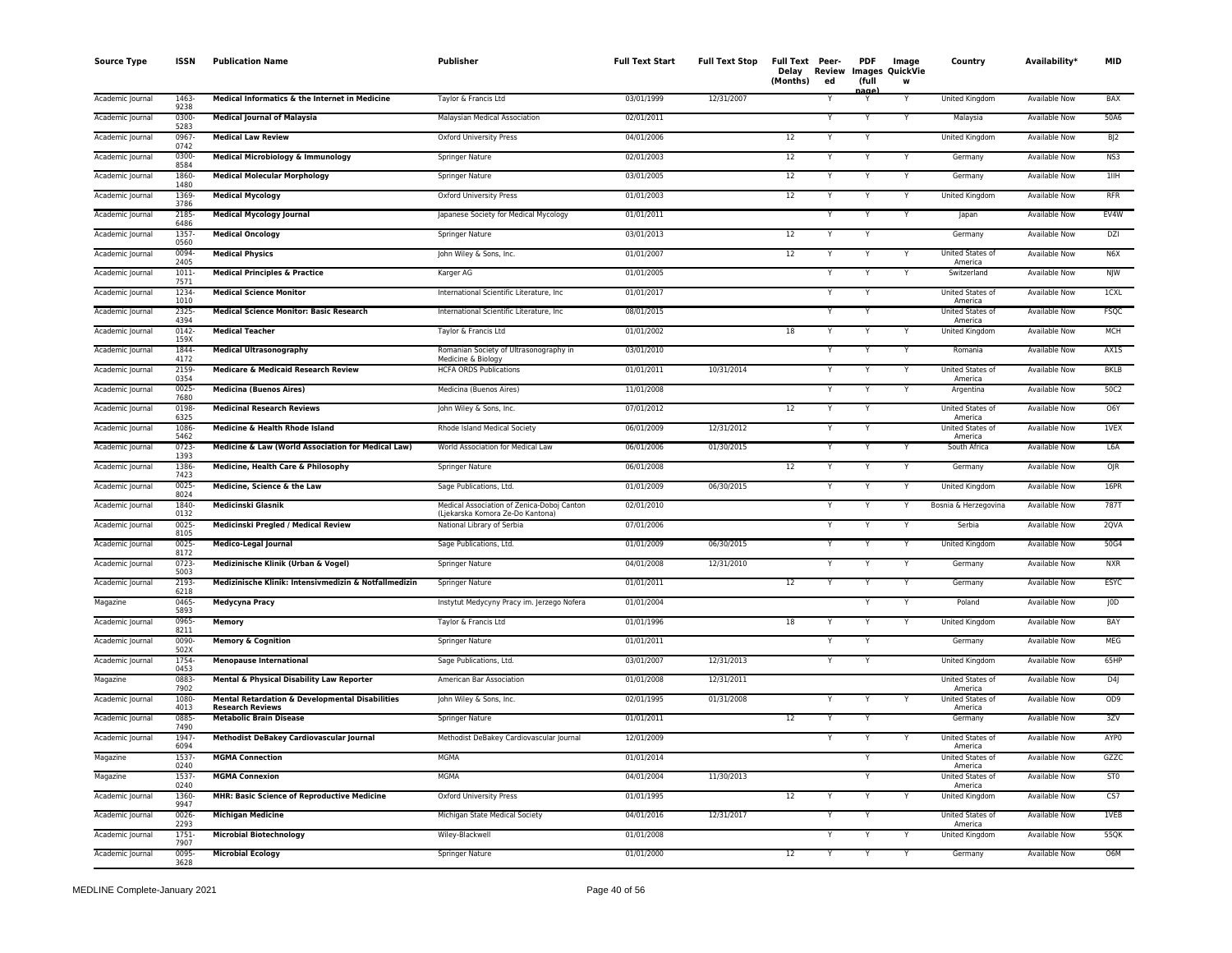| <b>Source Type</b> | <b>ISSN</b>      | <b>Publication Name</b>                                                    | Publisher                                                                      | <b>Full Text Start</b> | <b>Full Text Stop</b> | Full Text Peer-<br>(Months) | Delay Review<br>ed | <b>PDF</b><br>(full<br>nage | Image<br>Images QuickVie<br>W | Country                            | Availability*        | <b>MID</b>       |
|--------------------|------------------|----------------------------------------------------------------------------|--------------------------------------------------------------------------------|------------------------|-----------------------|-----------------------------|--------------------|-----------------------------|-------------------------------|------------------------------------|----------------------|------------------|
| Academic Journal   | 1463-<br>9238    | Medical Informatics & the Internet in Medicine                             | Taylor & Francis Ltd                                                           | 03/01/1999             | 12/31/2007            |                             |                    | Y                           |                               | <b>United Kingdom</b>              | <b>Available Now</b> | <b>BAX</b>       |
| Academic Journal   | 0300-<br>5283    | <b>Medical Journal of Malaysia</b>                                         | Malaysian Medical Association                                                  | 02/01/2011             |                       |                             |                    | Y                           | Y                             | Malaysia                           | <b>Available Now</b> | 50A6             |
| Academic Journal   | 0967<br>0742     | <b>Medical Law Review</b>                                                  | Oxford University Press                                                        | 04/01/2006             |                       | 12                          |                    | Y                           |                               | <b>United Kingdom</b>              | <b>Available Now</b> | B/2              |
| Academic Journal   | 0300-<br>8584    | Medical Microbiology & Immunology                                          | Springer Nature                                                                | 02/01/2003             |                       | 12                          |                    |                             |                               | Germany                            | Available Now        | NS3              |
| Academic Journal   | 1860-<br>1480    | <b>Medical Molecular Morphology</b>                                        | Springer Nature                                                                | 03/01/2005             |                       | 12                          |                    |                             | Y                             | Germany                            | Available Now        | 11IH             |
| Academic Journal   | 1369-<br>3786    | <b>Medical Mycology</b>                                                    | Oxford University Press                                                        | 01/01/2003             |                       | 12                          |                    |                             | Y                             | United Kingdom                     | <b>Available Now</b> | <b>RFR</b>       |
| Academic Journal   | 2185<br>6486     | <b>Medical Mycology Journal</b>                                            | Japanese Society for Medical Mycology                                          | 01/01/2011             |                       |                             |                    |                             |                               | Japan                              | <b>Available Now</b> | EV4W             |
| Academic Journa    | 1357<br>0560     | <b>Medical Oncology</b>                                                    | Springer Nature                                                                | 03/01/2013             |                       | 12                          |                    | Y                           |                               | Germany                            | Available Now        | DZI              |
| Academic Journal   | 0094-<br>2405    | <b>Medical Physics</b>                                                     | John Wiley & Sons, Inc.                                                        | 01/01/2007             |                       | 12                          |                    |                             |                               | United States of<br>America        | <b>Available Now</b> | N <sub>6</sub> X |
| Academic Journal   | $1011 -$<br>7571 | <b>Medical Principles &amp; Practice</b>                                   | Karger AG                                                                      | 01/01/2005             |                       |                             |                    | Y                           |                               | Switzerland                        | <b>Available Now</b> | <b>NJW</b>       |
| Academic Journal   | 1234<br>1010     | <b>Medical Science Monitor</b>                                             | International Scientific Literature, Inc                                       | 01/01/2017             |                       |                             |                    | Y                           |                               | United States of<br>America        | <b>Available Now</b> | TCXL             |
| Academic Journal   | 2325-<br>4394    | <b>Medical Science Monitor: Basic Research</b>                             | International Scientific Literature, Inc.                                      | 08/01/2015             |                       |                             |                    |                             |                               | United States of<br>America        | Available Now        | <b>FSQC</b>      |
| Academic Journal   | 0142<br>159X     | <b>Medical Teacher</b>                                                     | Taylor & Francis Ltd                                                           | 01/01/2002             |                       | 18                          |                    | Y                           | Y                             | United Kingdom                     | Available Now        | <b>MCH</b>       |
| Academic Journal   | 1844-<br>4172    | <b>Medical Ultrasonography</b>                                             | Romanian Society of Ultrasonography in<br>Medicine & Biology                   | 03/01/2010             |                       |                             |                    |                             | Y                             | Romania                            | Available Now        | AX1S             |
| Academic Journal   | 2159<br>0354     | <b>Medicare &amp; Medicaid Research Review</b>                             | <b>HCFA ORDS Publications</b>                                                  | 01/01/2011             | 10/31/2014            |                             |                    | Y                           |                               | United States of<br>America        | Available Now        | <b>BKLB</b>      |
| Academic Journal   | 0025<br>7680     | <b>Medicina (Buenos Aires)</b>                                             | Medicina (Buenos Aires)                                                        | 11/01/2008             |                       |                             |                    | Y                           |                               | Argentina                          | <b>Available Now</b> | 50C2             |
| Academic Journal   | 0198<br>6325     | <b>Medicinal Research Reviews</b>                                          | John Wiley & Sons, Inc.                                                        | 07/01/2012             |                       | 12                          |                    | Y                           |                               | <b>United States of</b><br>America | <b>Available Now</b> | O6Y              |
| Academic Journal   | 1086<br>5462     | Medicine & Health Rhode Island                                             | Rhode Island Medical Society                                                   | 06/01/2009             | 12/31/2012            |                             |                    |                             |                               | United States of<br>America        | <b>Available Now</b> | 1VEX             |
| Academic Journal   | $0723 -$<br>1393 | Medicine & Law (World Association for Medical Law)                         | World Association for Medical Law                                              | 06/01/2006             | 01/30/2015            |                             |                    |                             |                               | South Africa                       | <b>Available Now</b> | L6A              |
| Academic Journal   | 1386-<br>7423    | Medicine, Health Care & Philosophy                                         | Springer Nature                                                                | 06/01/2008             |                       | 12                          |                    | Y                           | Y                             | Germany                            | Available Now        | <b>OJR</b>       |
| Academic Journal   | 0025<br>8024     | Medicine, Science & the Law                                                | Sage Publications, Ltd.                                                        | 01/01/2009             | 06/30/2015            |                             |                    |                             | Y                             | United Kingdom                     | Available Now        | 16PR             |
| Academic Journal   | 1840-<br>0132    | <b>Medicinski Glasnik</b>                                                  | Medical Association of Zenica-Doboj Canton<br>(Liekarska Komora Ze-Do Kantona) | 02/01/2010             |                       |                             |                    | $\checkmark$                | $\checkmark$                  | Bosnia & Herzegovina               | <b>Available Now</b> | 787T             |
| Academic Journal   | 0025<br>8105     | Medicinski Pregled / Medical Review                                        | National Library of Serbia                                                     | 07/01/2006             |                       |                             |                    |                             |                               | Serbia                             | <b>Available Now</b> | 2QVA             |
| Academic Journal   | 0025<br>8172     | <b>Medico-Legal Journal</b>                                                | Sage Publications, Ltd.                                                        | 01/01/2009             | 06/30/2015            |                             |                    |                             |                               | United Kingdom                     | Available Now        | 50G4             |
| Academic Journal   | $0723 -$<br>5003 | Medizinische Klinik (Urban & Vogel)                                        | Springer Nature                                                                | 04/01/2008             | 12/31/2010            |                             |                    | Y                           | Y                             | Germany                            | <b>Available Now</b> | <b>NXR</b>       |
| Academic Journal   | 2193<br>6218     | Medizinische Klinik: Intensivmedizin & Notfallmedizin                      | <b>Springer Nature</b>                                                         | 01/01/2011             |                       | 12                          |                    |                             | $\checkmark$                  | Germany                            | <b>Available Now</b> | <b>ESYC</b>      |
| Magazine           | 0465<br>5893     | Medycyna Pracy                                                             | Instytut Medycyny Pracy im. Jerzego Nofera                                     | 01/01/2004             |                       |                             |                    |                             |                               | Poland                             | Available Now        | J0D              |
| Academic Journal   | 0965<br>8211     | <b>Memory</b>                                                              | Taylor & Francis Ltd                                                           | 01/01/1996             |                       | 18                          |                    |                             |                               | United Kingdom                     | Available Now        | BAY              |
| Academic Journal   | 0090-<br>502X    | <b>Memory &amp; Cognition</b>                                              | Springer Nature                                                                | 01/01/2011             |                       |                             |                    |                             |                               | Germany                            | Available Now        | MEG              |
| Academic Journal   | 1754<br>0453     | <b>Menopause International</b>                                             | Sage Publications, Ltd.                                                        | 03/01/2007             | 12/31/2013            |                             |                    |                             |                               | United Kingdom                     | <b>Available Now</b> | 65HP             |
| Magazine           | 0883<br>7902     | Mental & Physical Disability Law Reporter                                  | American Bar Association                                                       | 01/01/2008             | 12/31/2011            |                             |                    |                             |                               | United States of<br>America        | <b>Available Now</b> | D4               |
| Academic Journal   | 1080-<br>4013    | Mental Retardation & Developmental Disabilities<br><b>Research Reviews</b> | John Wiley & Sons, Inc.                                                        | 02/01/1995             | 01/31/2008            |                             |                    | Y                           |                               | <b>United States of</b><br>America | <b>Available Now</b> | OD <sub>9</sub>  |
| Academic Journal   | 0885<br>7490     | <b>Metabolic Brain Disease</b>                                             | Springer Nature                                                                | 01/01/2011             |                       | 12                          |                    |                             |                               | Germany                            | <b>Available Now</b> | 3ZV              |
| Academic Journal   | 1947<br>6094     | Methodist DeBakey Cardiovascular Journal                                   | Methodist DeBakey Cardiovascular Journal                                       | 12/01/2009             |                       |                             |                    |                             |                               | United States of<br>America        | <b>Available Now</b> | AYP0             |
| Magazine           | 1537<br>0240     | <b>MGMA Connection</b>                                                     | <b>MGMA</b>                                                                    | 01/01/2014             |                       |                             |                    |                             |                               | United States of<br>America        | <b>Available Now</b> | GZZC             |
| Magazine           | 1537<br>0240     | <b>MGMA Connexion</b>                                                      | <b>MGMA</b>                                                                    | 04/01/2004             | 11/30/2013            |                             |                    | Y                           |                               | United States of<br>America        | Available Now        | ST <sub>0</sub>  |
| Academic Journal   | 1360-<br>9947    | MHR: Basic Science of Reproductive Medicine                                | <b>Oxford University Press</b>                                                 | 01/01/1995             |                       | 12                          |                    |                             |                               | <b>United Kingdom</b>              | <b>Available Now</b> | CS7              |
| Academic Journal   | 0026<br>2293     | <b>Michigan Medicine</b>                                                   | Michigan State Medical Society                                                 | 04/01/2016             | 12/31/2017            |                             |                    |                             |                               | United States of<br>America        | <b>Available Now</b> | 1VEB             |
| Academic Journal   | 1751-<br>7907    | <b>Microbial Biotechnology</b>                                             | Wiley-Blackwell                                                                | 01/01/2008             |                       |                             |                    |                             |                               | United Kingdom                     | <b>Available Now</b> | 55QK             |
| Academic Journal   | 0095-<br>3628    | <b>Microbial Ecology</b>                                                   | Springer Nature                                                                | 01/01/2000             |                       | $\overline{12}$             |                    | Y                           |                               | Germany                            | <b>Available Now</b> | O6M              |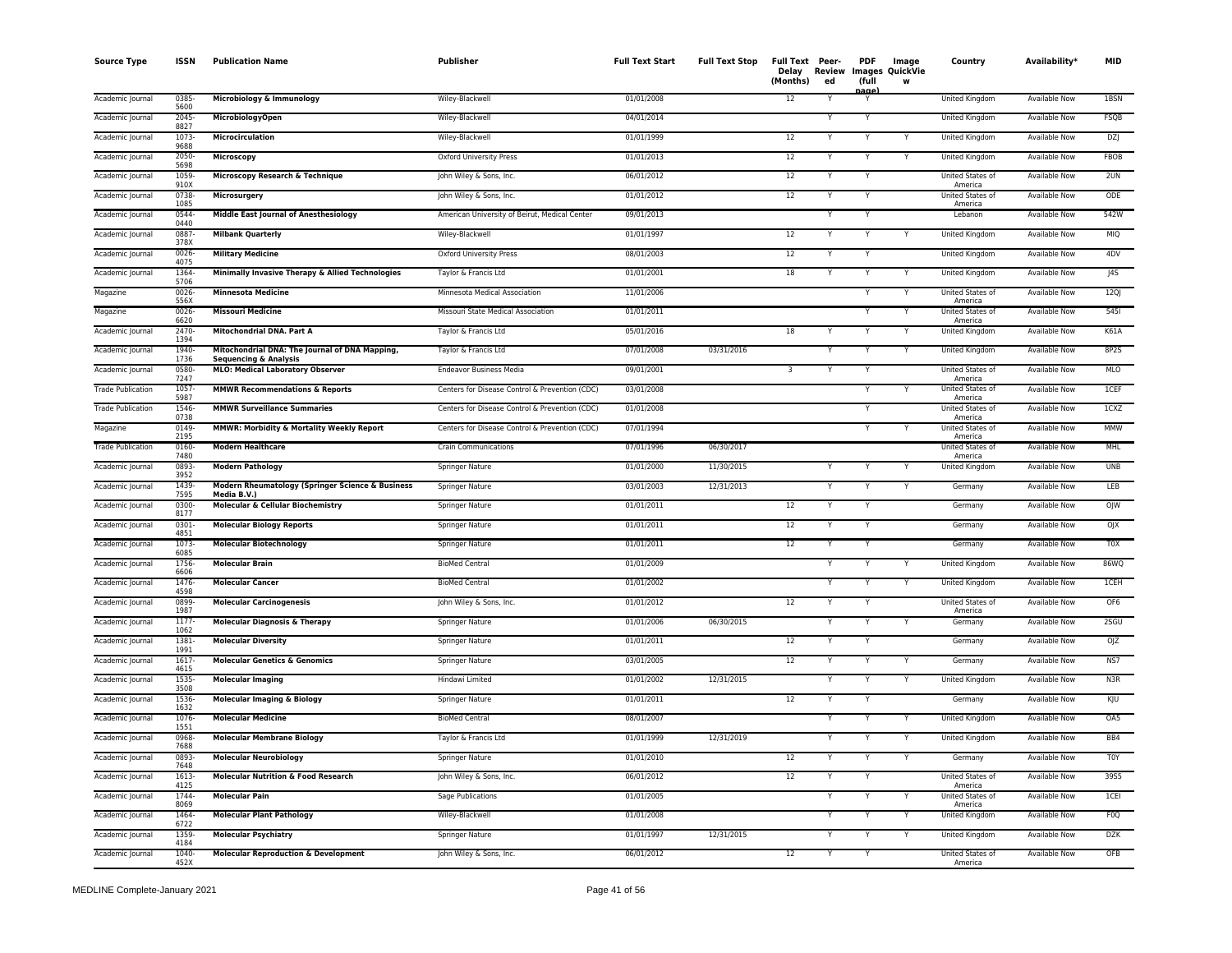| <b>Source Type</b>       | ISSN             | <b>Publication Name</b>                                                            | Publisher                                      | <b>Full Text Start</b> | <b>Full Text Stop</b> | Full Text Peer-<br>Delay<br>(Months) | ed | <b>PDF</b><br>(full<br>nage | Image<br>Review Images QuickVie<br>w | Country                            | Availability*        | MID              |
|--------------------------|------------------|------------------------------------------------------------------------------------|------------------------------------------------|------------------------|-----------------------|--------------------------------------|----|-----------------------------|--------------------------------------|------------------------------------|----------------------|------------------|
| Academic Journal         | 0385-<br>5600    | Microbiology & Immunology                                                          | Wiley-Blackwell                                | 01/01/2008             |                       | 12                                   | Y  |                             |                                      | United Kingdom                     | <b>Available Now</b> | 1BSN             |
| Academic Journal         | 2045-<br>8827    | <b>MicrobiologyOpen</b>                                                            | Wiley-Blackwell                                | 04/01/2014             |                       |                                      |    |                             |                                      | United Kingdom                     | Available Now        | FSQB             |
| Academic Journal         | 1073-<br>9688    | Microcirculation                                                                   | Wiley-Blackwell                                | 01/01/1999             |                       | 12                                   |    |                             |                                      | United Kingdom                     | Available Now        | DZJ              |
| Academic Journal         | 2050-<br>5698    | Microscopy                                                                         | Oxford University Press                        | 01/01/2013             |                       | 12                                   | Y  |                             | Y                                    | United Kingdom                     | <b>Available Now</b> | FBOB             |
| Academic Journal         | 1059<br>910X     | Microscopy Research & Technique                                                    | John Wiley & Sons, Inc.                        | 06/01/2012             |                       | 12                                   | Y  |                             |                                      | United States of<br>America        | <b>Available Now</b> | 2UN              |
| Academic Journal         | 0738-<br>1085    | Microsurgery                                                                       | John Wiley & Sons, Inc.                        | 01/01/2012             |                       | 12                                   | Y  |                             |                                      | <b>United States of</b><br>America | <b>Available Now</b> | ODE              |
| Academic Journal         | 0544<br>0440     | <b>Middle East Journal of Anesthesiology</b>                                       | American University of Beirut, Medical Center  | 09/01/2013             |                       |                                      | Y  | Y                           |                                      | Lebanon                            | Available Now        | 542W             |
| Academic Journal         | 0887-<br>378X    | <b>Milbank Quarterly</b>                                                           | Wiley-Blackwell                                | 01/01/1997             |                       | 12                                   | Y  | Y                           | Y                                    | United Kingdom                     | <b>Available Now</b> | <b>MIQ</b>       |
| Academic Journal         | 0026-<br>4075    | <b>Military Medicine</b>                                                           | Oxford University Press                        | 08/01/2003             |                       | $12 \overline{ }$                    |    |                             |                                      | United Kingdom                     | Available Now        | 4DV              |
| Academic Journal         | 1364-<br>5706    | Minimally Invasive Therapy & Allied Technologies                                   | Taylor & Francis Ltd                           | 01/01/2001             |                       | 18                                   | Y  | Y                           | Y                                    | United Kingdom                     | Available Now        | J4S              |
| Magazine                 | 0026<br>556X     | <b>Minnesota Medicine</b>                                                          | Minnesota Medical Association                  | 11/01/2006             |                       |                                      |    | Y                           | Y                                    | United States of<br>America        | Available Now        | 12Q              |
| Magazine                 | 0026-<br>6620    | <b>Missouri Medicine</b>                                                           | Missouri State Medical Association             | 01/01/2011             |                       |                                      |    |                             | Y                                    | United States of<br>America        | <b>Available Now</b> | 5451             |
| Academic Journal         | 2470-<br>1394    | Mitochondrial DNA. Part A                                                          | Taylor & Francis Ltd                           | 05/01/2016             |                       | 18                                   |    |                             | Y                                    | United Kingdom                     | <b>Available Now</b> | K61A             |
| Academic Journal         | 1940-<br>1736    | Mitochondrial DNA: The Journal of DNA Mapping,<br><b>Sequencing &amp; Analysis</b> | Taylor & Francis Ltd                           | 07/01/2008             | 03/31/2016            |                                      | Y  |                             | Y                                    | United Kingdom                     | Available Now        | 8P2S             |
| Academic Journal         | 0580<br>7247     | <b>MLO: Medical Laboratory Observer</b>                                            | <b>Endeavor Business Media</b>                 | 09/01/2001             |                       | 3                                    | Y  |                             |                                      | United States of<br>America        | Available Now        | MLO              |
| <b>Trade Publication</b> | 1057<br>5987     | <b>MMWR Recommendations &amp; Reports</b>                                          | Centers for Disease Control & Prevention (CDC) | 03/01/2008             |                       |                                      |    |                             |                                      | United States of<br>America        | <b>Available Now</b> | 1CEF             |
| <b>Trade Publication</b> | 1546<br>0738     | <b>MMWR Surveillance Summaries</b>                                                 | Centers for Disease Control & Prevention (CDC) | 01/01/2008             |                       |                                      |    | Y                           |                                      | United States of<br>America        | <b>Available Now</b> | 1CXZ             |
| Magazine                 | 0149<br>2195     | MMWR: Morbidity & Mortality Weekly Report                                          | Centers for Disease Control & Prevention (CDC) | 07/01/1994             |                       |                                      |    | Y                           | Y                                    | United States of<br>America        | Available Now        | MMW              |
| <b>Trade Publication</b> | 0160-<br>7480    | <b>Modern Healthcare</b>                                                           | <b>Crain Communications</b>                    | 07/01/1996             | 06/30/2017            |                                      |    |                             |                                      | <b>United States of</b><br>America | <b>Available Now</b> | MHL              |
| Academic Journal         | 0893-<br>3952    | <b>Modern Pathology</b>                                                            | Springer Nature                                | 01/01/2000             | 11/30/2015            |                                      | Y  |                             | Y                                    | United Kingdom                     | Available Now        | <b>UNB</b>       |
| Academic Journal         | 1439-<br>7595    | Modern Rheumatology (Springer Science & Business<br>Media B.V.)                    | Springer Nature                                | 03/01/2003             | 12/31/2013            |                                      | Y  | Y                           | Y                                    | Germany                            | Available Now        | LEB              |
| Academic Journal         | 0300-<br>8177    | <b>Molecular &amp; Cellular Biochemistry</b>                                       | Springer Nature                                | 01/01/2011             |                       | 12                                   | Y  |                             |                                      | Germany                            | Available Now        | OJW              |
| Academic Journal         | 0301-<br>4851    | <b>Molecular Biology Reports</b>                                                   | Springer Nature                                | 01/01/2011             |                       | 12                                   | Y  |                             |                                      | Germany                            | <b>Available Now</b> | OJX              |
| Academic Journal         | 1073-<br>6085    | <b>Molecular Biotechnology</b>                                                     | Springer Nature                                | 01/01/2011             |                       | 12                                   | Y  | Y                           |                                      | Germany                            | <b>Available Now</b> | T <sub>0</sub> X |
| Academic Journal         | 1756<br>6606     | <b>Molecular Brain</b>                                                             | <b>BioMed Central</b>                          | 01/01/2009             |                       |                                      | Y  | Y                           | Y                                    | United Kingdom                     | <b>Available Now</b> | 86WQ             |
| Academic Journal         | 1476<br>4598     | <b>Molecular Cancer</b>                                                            | <b>BioMed Central</b>                          | 01/01/2002             |                       |                                      | Y  |                             | Y                                    | United Kingdom                     | Available Now        | <b>ICEH</b>      |
| Academic Journal         | 0899<br>1987     | <b>Molecular Carcinogenesis</b>                                                    | John Wiley & Sons, Inc.                        | 01/01/2012             |                       | 12                                   | Y  |                             |                                      | United States of<br>America        | Available Now        | OF <sub>6</sub>  |
| Academic Journal         | 1177-<br>1062    | <b>Molecular Diagnosis &amp; Therapy</b>                                           | Springer Nature                                | 01/01/2006             | 06/30/2015            |                                      | Y  |                             | Y                                    | Germany                            | Available Now        | 2SGU             |
| Academic Journal         | 1381-<br>1991    | <b>Molecular Diversity</b>                                                         | Springer Nature                                | 01/01/2011             |                       | 12                                   |    |                             |                                      | Germany                            | Available Now        | OJZ              |
| Academic Journal         | 1617-<br>4615    | <b>Molecular Genetics &amp; Genomics</b>                                           | Springer Nature                                | 03/01/2005             |                       | 12                                   | Y  | Y                           | Y                                    | Germany                            | Available Now        | NS7              |
| Academic Journal         | 1535<br>3508     | <b>Molecular Imaging</b>                                                           | Hindawi Limited                                | 01/01/2002             | 12/31/2015            |                                      | Y  | Y                           | Y                                    | United Kingdom                     | Available Now        | N3R              |
| Academic Journal         | 1536<br>1632     | <b>Molecular Imaging &amp; Biology</b>                                             | Springer Nature                                | 01/01/2011             |                       | 12                                   | Y  |                             |                                      | Germany                            | Available Now        | KJU              |
| Academic Journal         | 1076<br>1551     | <b>Molecular Medicine</b>                                                          | <b>BioMed Central</b>                          | 08/01/2007             |                       |                                      |    |                             | Y                                    | United Kingdom                     | <b>Available Now</b> | OA5              |
| Academic Journal         | 0968-<br>7688    | <b>Molecular Membrane Biology</b>                                                  | Taylor & Francis Ltd                           | 01/01/1999             | 12/31/2019            |                                      |    |                             | Y                                    | United Kingdom                     | Available Now        | BB4              |
| Academic Journal         | 0893-<br>7648    | <b>Molecular Neurobiology</b>                                                      | Springer Nature                                | 01/01/2010             |                       | 12                                   | Y  | Υ                           | Y                                    | Germany                            | Available Now        | T0Y              |
| Academic Journal         | 1613-<br>4125    | <b>Molecular Nutrition &amp; Food Research</b>                                     | John Wiley & Sons, Inc.                        | 06/01/2012             |                       | 12                                   |    |                             |                                      | United States of<br>America        | <b>Available Now</b> | 39S5             |
| Academic Journal         | 1744-<br>8069    | <b>Molecular Pain</b>                                                              | <b>Sage Publications</b>                       | 01/01/2005             |                       |                                      | Y  | Υ                           | Y                                    | United States of<br>America        | <b>Available Now</b> | 1CEI             |
| Academic Journal         | 1464<br>6722     | <b>Molecular Plant Pathology</b>                                                   | Wiley-Blackwell                                | 01/01/2008             |                       |                                      | Y  | Y                           | Y                                    | <b>United Kingdom</b>              | Available Now        | F <sub>0</sub> Q |
| Academic Journal         | 1359-<br>4184    | <b>Molecular Psychiatry</b>                                                        | Springer Nature                                | 01/01/1997             | 12/31/2015            |                                      | Y  |                             | Y                                    | United Kingdom                     | Available Now        | DZK              |
| Academic Journal         | $1040 -$<br>452X | <b>Molecular Reproduction &amp; Development</b>                                    | John Wiley & Sons, Inc.                        | 06/01/2012             |                       | 12                                   | Y  | Y                           |                                      | United States of<br>America        | <b>Available Now</b> | OFB              |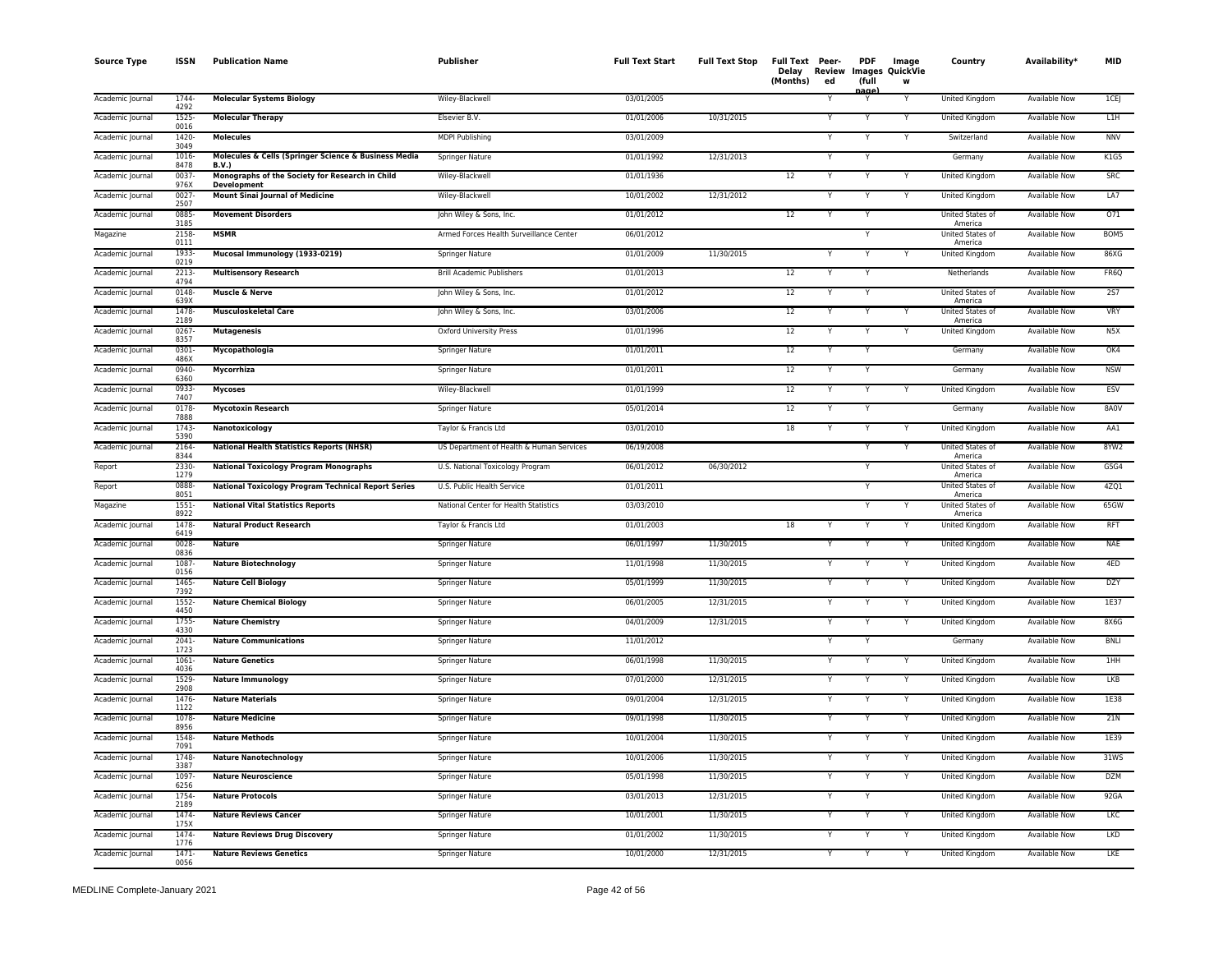| <b>Source Type</b> | <b>ISSN</b>      | <b>Publication Name</b>                                               | <b>Publisher</b>                         | <b>Full Text Start</b> | <b>Full Text Stop</b> | Full Text Peer-<br>Delay<br>(Months) | Review<br>ed | <b>PDF</b><br>(full | Image<br>Images QuickVie<br>W | Country                     | Availability*        | <b>MID</b>       |
|--------------------|------------------|-----------------------------------------------------------------------|------------------------------------------|------------------------|-----------------------|--------------------------------------|--------------|---------------------|-------------------------------|-----------------------------|----------------------|------------------|
| Academic Journal   | 1744<br>4292     | <b>Molecular Systems Biology</b>                                      | Wiley-Blackwell                          | 03/01/2005             |                       |                                      |              | aane<br>Y           |                               | <b>United Kingdom</b>       | <b>Available Now</b> | ICE              |
| Academic Journal   | 1525<br>0016     | <b>Molecular Therapy</b>                                              | Elsevier B.V.                            | 01/01/2006             | 10/31/2015            |                                      |              | Y                   |                               | <b>United Kingdom</b>       | <b>Available Now</b> | L <sub>1</sub> H |
| Academic Journal   | 1420-<br>3049    | <b>Molecules</b>                                                      | <b>MDPI Publishing</b>                   | 03/01/2009             |                       |                                      |              | Y                   | Y                             | Switzerland                 | <b>Available Now</b> | <b>NNV</b>       |
| Academic Journal   | 1016<br>8478     | Molecules & Cells (Springer Science & Business Media<br><b>B.V.)</b>  | Springer Nature                          | 01/01/1992             | 12/31/2013            |                                      |              | Y                   |                               | Germany                     | <b>Available Now</b> | K1G5             |
| Academic Journal   | 0037<br>976X     | Monographs of the Society for Research in Child<br><b>Development</b> | Wiley-Blackwell                          | 01/01/1936             |                       | 12                                   |              | Y                   | Y                             | United Kingdom              | Available Now        | <b>SRC</b>       |
| Academic Journal   | 0027<br>2507     | <b>Mount Sinai Journal of Medicine</b>                                | Wiley-Blackwell                          | 10/01/2002             | 12/31/2012            |                                      |              | Y                   | Y                             | United Kingdom              | Available Now        | LA7              |
| Academic Journal   | 0885<br>3185     | <b>Movement Disorders</b>                                             | John Wiley & Sons, Inc.                  | 01/01/2012             |                       | 12                                   |              |                     |                               | United States of<br>America | <b>Available Now</b> | 071              |
| Magazine           | 2158<br>0111     | <b>MSMR</b>                                                           | Armed Forces Health Surveillance Center  | 06/01/2012             |                       |                                      |              | Y                   |                               | United States of<br>America | <b>Available Now</b> | BOM5             |
| Academic Journal   | 1933<br>0219     | Mucosal Immunology (1933-0219)                                        | Springer Nature                          | 01/01/2009             | 11/30/2015            |                                      |              |                     |                               | United Kingdom              | <b>Available Now</b> | 86XG             |
| Academic Journal   | 2213-<br>4794    | <b>Multisensory Research</b>                                          | <b>Brill Academic Publishers</b>         | 01/01/2013             |                       | 12                                   |              | $\overline{Y}$      |                               | Netherlands                 | <b>Available Now</b> | FR6Q             |
| Academic Journal   | 0148<br>639X     | <b>Muscle &amp; Nerve</b>                                             | John Wiley & Sons, Inc.                  | 01/01/2012             |                       | 12                                   |              | Y                   |                               | United States of<br>America | <b>Available Now</b> | 257              |
| Academic Journal   | 1478<br>2189     | <b>Musculoskeletal Care</b>                                           | John Wiley & Sons, Inc.                  | 03/01/2006             |                       | 12                                   |              | Y                   |                               | United States of<br>America | <b>Available Now</b> | <b>VRY</b>       |
| Academic Journal   | 0267<br>8357     | <b>Mutagenesis</b>                                                    | Oxford University Press                  | 01/01/1996             |                       | 12                                   |              | Y                   | Y                             | United Kingdom              | Available Now        | N5X              |
| Academic Journal   | 0301<br>486X     | Mycopathologia                                                        | Springer Nature                          | 01/01/2011             |                       | 12                                   |              |                     |                               | Germany                     | Available Now        | OK4              |
| Academic Journal   | 0940-<br>6360    | Mycorrhiza                                                            | Springer Nature                          | 01/01/2011             |                       | $12\,$                               |              | Y                   |                               | Germany                     | Available Now        | <b>NSW</b>       |
| Academic Journal   | 0933<br>7407     | Mycoses                                                               | Wiley-Blackwell                          | 01/01/1999             |                       | 12                                   |              |                     |                               | United Kingdom              | <b>Available Now</b> | ESV              |
| Academic Journal   | 0178<br>7888     | <b>Mycotoxin Research</b>                                             | <b>Springer Nature</b>                   | 05/01/2014             |                       | 12                                   |              | Y                   |                               | Germany                     | <b>Available Now</b> | 8A0V             |
| Academic Journal   | 1743<br>5390     | Nanotoxicology                                                        | Taylor & Francis Ltd                     | 03/01/2010             |                       | 18                                   |              | Y                   | Y                             | United Kingdom              | <b>Available Now</b> | AA1              |
| Academic Journal   | 2164<br>8344     | <b>National Health Statistics Reports (NHSR)</b>                      | US Department of Health & Human Services | 06/19/2008             |                       |                                      |              | Y                   | Y                             | United States of<br>America | <b>Available Now</b> | 8YW2             |
| Report             | 2330-<br>1279    | <b>National Toxicology Program Monographs</b>                         | U.S. National Toxicology Program         | 06/01/2012             | 06/30/2012            |                                      |              | Y                   |                               | United States of<br>America | Available Now        | G5G4             |
| Report             | 0888<br>8051     | <b>National Toxicology Program Technical Report Series</b>            | U.S. Public Health Service               | 01/01/2011             |                       |                                      |              | Y                   |                               | United States of<br>America | Available Now        | 4ZQ1             |
| Magazine           | 1551<br>8922     | <b>National Vital Statistics Reports</b>                              | National Center for Health Statistics    | 03/03/2010             |                       |                                      |              | Y                   | Y                             | United States of<br>America | Available Now        | 65GW             |
| Academic Journal   | 1478<br>6419     | <b>Natural Product Research</b>                                       | Taylor & Francis Ltd                     | 01/01/2003             |                       | 18                                   |              |                     |                               | United Kingdom              | <b>Available Now</b> | <b>RFT</b>       |
| Academic Journal   | 0028<br>0836     | <b>Nature</b>                                                         | Springer Nature                          | 06/01/1997             | 11/30/2015            |                                      |              | Y                   |                               | United Kingdom              | Available Now        | <b>NAE</b>       |
| Academic Journal   | 1087<br>0156     | <b>Nature Biotechnology</b>                                           | Springer Nature                          | 11/01/1998             | 11/30/2015            |                                      |              | Y                   | Y                             | United Kingdom              | Available Now        | 4ED              |
| Academic Journal   | 1465<br>7392     | <b>Nature Cell Biology</b>                                            | <b>Springer Nature</b>                   | 05/01/1999             | 11/30/2015            |                                      |              | Y                   | $\overline{Y}$                | <b>United Kingdom</b>       | <b>Available Now</b> | DZY              |
| Academic Journal   | $1552 -$<br>4450 | <b>Nature Chemical Biology</b>                                        | Springer Nature                          | 06/01/2005             | 12/31/2015            |                                      |              | Y                   | Y                             | United Kingdom              | Available Now        | 1E37             |
| Academic Journal   | 1755<br>4330     | <b>Nature Chemistry</b>                                               | Springer Nature                          | 04/01/2009             | 12/31/2015            |                                      |              |                     |                               | United Kingdom              | Available Now        | 8X6G             |
| Academic Journal   | 2041<br>1723     | <b>Nature Communications</b>                                          | Springer Nature                          | 11/01/2012             |                       |                                      |              | Y                   |                               | Germany                     | Available Now        | <b>BNLI</b>      |
| Academic Journal   | 1061<br>4036     | <b>Nature Genetics</b>                                                | Springer Nature                          | 06/01/1998             | 11/30/2015            |                                      |              |                     |                               | United Kingdom              | <b>Available Now</b> | 1HH              |
| Academic Journal   | 1529<br>2908     | <b>Nature Immunology</b>                                              | Springer Nature                          | 07/01/2000             | 12/31/2015            |                                      |              | Y                   | Y                             | United Kingdom              | <b>Available Now</b> | LKB              |
| Academic Journal   | 1476-<br>1122    | <b>Nature Materials</b>                                               | <b>Springer Nature</b>                   | 09/01/2004             | 12/31/2015            |                                      |              | Y                   | Y                             | <b>United Kingdom</b>       | <b>Available Now</b> | 1E38             |
| Academic Journal   | 1078<br>8956     | <b>Nature Medicine</b>                                                | Springer Nature                          | 09/01/1998             | 11/30/2015            |                                      |              | Y                   | Y                             | <b>United Kingdom</b>       | <b>Available Now</b> | 21N              |
| Academic Journal   | 1548<br>7091     | <b>Nature Methods</b>                                                 | Springer Nature                          | 10/01/2004             | 11/30/2015            |                                      |              | Y                   | Y                             | United Kingdom              | <b>Available Now</b> | 1E39             |
| Academic Journal   | 1748<br>3387     | <b>Nature Nanotechnology</b>                                          | Springer Nature                          | 10/01/2006             | 11/30/2015            |                                      |              | N                   | Y                             | United Kingdom              | <b>Available Now</b> | 31WS             |
| Academic Journal   | 1097<br>6256     | <b>Nature Neuroscience</b>                                            | Springer Nature                          | 05/01/1998             | 11/30/2015            |                                      |              | Y                   | Y                             | United Kingdom              | Available Now        | DZM              |
| Academic Journal   | 1754<br>2189     | <b>Nature Protocols</b>                                               | Springer Nature                          | 03/01/2013             | 12/31/2015            |                                      |              |                     |                               | United Kingdom              | Available Now        | 92GA             |
| Academic Journal   | 1474-<br>175X    | <b>Nature Reviews Cancer</b>                                          | Springer Nature                          | 10/01/2001             | 11/30/2015            |                                      |              | Y                   | Y                             | United Kingdom              | <b>Available Now</b> | <b>LKC</b>       |
| Academic Journal   | 1474<br>1776     | <b>Nature Reviews Drug Discovery</b>                                  | Springer Nature                          | 01/01/2002             | 11/30/2015            |                                      |              |                     |                               | United Kingdom              | Available Now        | <b>LKD</b>       |
| Academic Journal   | 1471<br>0056     | <b>Nature Reviews Genetics</b>                                        | Springer Nature                          | 10/01/2000             | 12/31/2015            |                                      |              | Y                   | Y                             | United Kingdom              | <b>Available Now</b> | LKE              |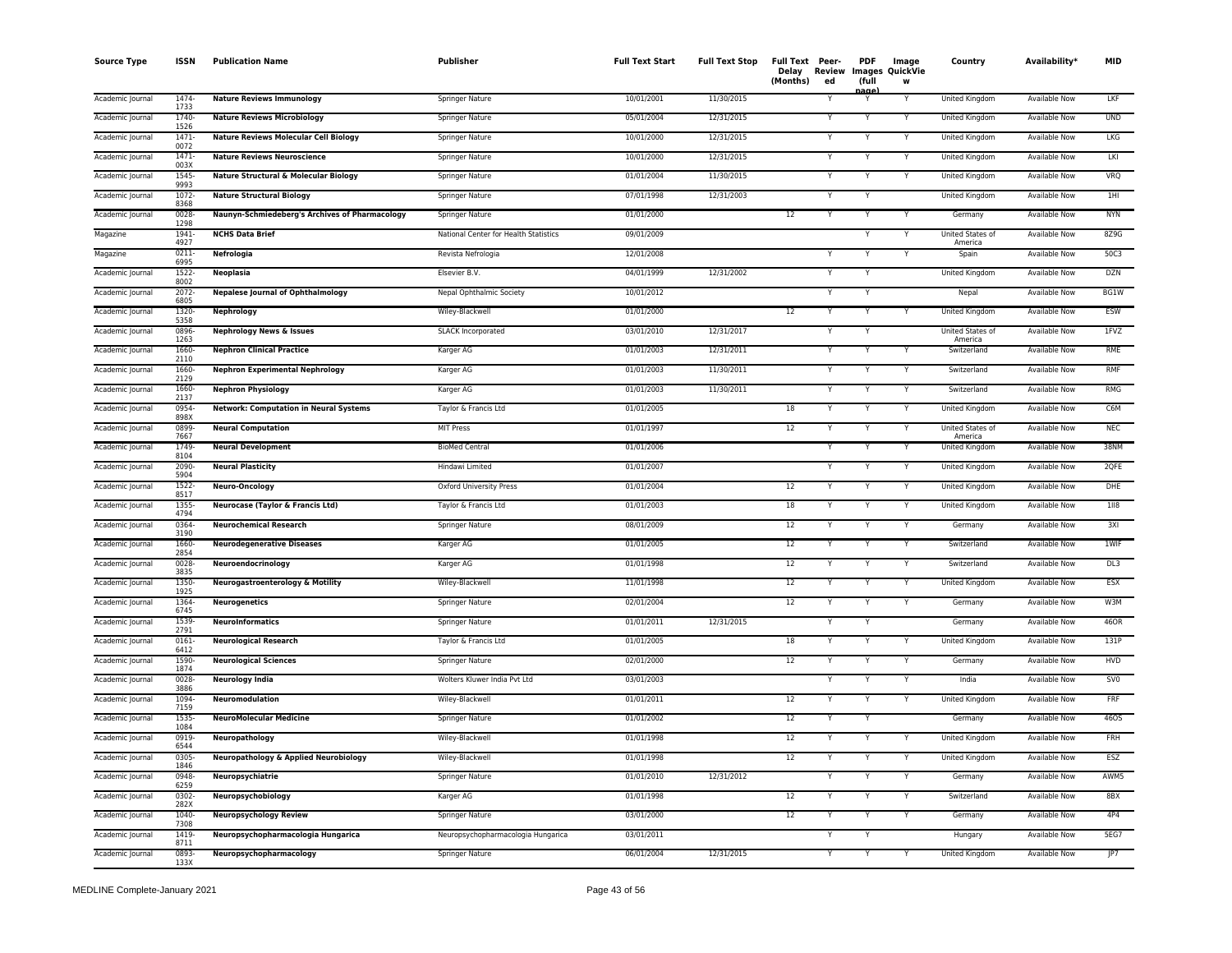| <b>Source Type</b> | <b>ISSN</b>      | <b>Publication Name</b>                          | Publisher                             | <b>Full Text Start</b> | <b>Full Text Stop</b> | Full Text Peer-<br>Review<br>Delay<br>(Months)<br>ed | <b>PDF</b><br>(full | Image<br><b>Images QuickVie</b><br>w | Country                     | Availability*        | <b>MID</b>      |
|--------------------|------------------|--------------------------------------------------|---------------------------------------|------------------------|-----------------------|------------------------------------------------------|---------------------|--------------------------------------|-----------------------------|----------------------|-----------------|
| Academic Journal   | 1474-<br>1733    | <b>Nature Reviews Immunology</b>                 | Springer Nature                       | 10/01/2001             | 11/30/2015            |                                                      | aαe                 | Y                                    | United Kingdom              | Available Now        | LKF             |
| Academic Journal   | 1740-<br>1526    | <b>Nature Reviews Microbiology</b>               | Springer Nature                       | 05/01/2004             | 12/31/2015            |                                                      |                     |                                      | <b>United Kingdom</b>       | <b>Available Now</b> | <b>UND</b>      |
| Academic Journal   | 1471<br>0072     | <b>Nature Reviews Molecular Cell Biology</b>     | Springer Nature                       | 10/01/2000             | 12/31/2015            |                                                      | Y                   | Y                                    | United Kingdom              | <b>Available Now</b> | LKG             |
| Academic Journal   | 1471-<br>003X    | <b>Nature Reviews Neuroscience</b>               | Springer Nature                       | 10/01/2000             | 12/31/2015            |                                                      |                     |                                      | United Kingdom              | Available Now        | LKI             |
| Academic Journal   | $1545 -$<br>9993 | <b>Nature Structural &amp; Molecular Biology</b> | Springer Nature                       | 01/01/2004             | 11/30/2015            |                                                      | Y                   | Y                                    | United Kingdom              | Available Now        | VRQ             |
| Academic Journal   | $1072 -$<br>8368 | <b>Nature Structural Biology</b>                 | Springer Nature                       | 07/01/1998             | 12/31/2003            |                                                      | Y                   |                                      | United Kingdom              | Available Now        | 1H              |
| Academic Journal   | 0028<br>1298     | Naunyn-Schmiedeberg's Archives of Pharmacology   | Springer Nature                       | 01/01/2000             |                       | 12                                                   | Y                   | Y                                    | Germany                     | <b>Available Now</b> | <b>NYN</b>      |
| Magazine           | 1941<br>4927     | <b>NCHS Data Brief</b>                           | National Center for Health Statistics | 09/01/2009             |                       |                                                      | Y                   | Y                                    | United States of<br>America | Available Now        | 8Z9G            |
| Magazine           | $0211 -$<br>6995 | Nefrologia                                       | Revista Nefrologia                    | 12/01/2008             |                       |                                                      |                     | Y                                    | Spain                       | Available Now        | 50C3            |
| Academic Journal   | 1522<br>8002     | Neoplasia                                        | Elsevier B.V.                         | 04/01/1999             | 12/31/2002            |                                                      | Y                   |                                      | United Kingdom              | <b>Available Now</b> | <b>DZN</b>      |
| Academic Journal   | $2072 -$<br>6805 | <b>Nepalese Journal of Ophthalmology</b>         | Nepal Ophthalmic Society              | 10/01/2012             |                       |                                                      | Y                   |                                      | Nepal                       | <b>Available Now</b> | BG1W            |
| Academic Journal   | 1320-<br>5358    | Nephrology                                       | Wiley-Blackwell                       | 01/01/2000             |                       | 12                                                   |                     |                                      | <b>United Kingdom</b>       | <b>Available Now</b> | <b>ESW</b>      |
| Academic Journal   | 0896-<br>1263    | <b>Nephrology News &amp; Issues</b>              | <b>SLACK Incorporated</b>             | 03/01/2010             | 12/31/2017            |                                                      | Y                   |                                      | United States of<br>America | <b>Available Now</b> | 1FVZ            |
| Academic Journal   | 1660-<br>2110    | <b>Nephron Clinical Practice</b>                 | Karger AG                             | 01/01/2003             | 12/31/2011            |                                                      | Y                   | Y                                    | Switzerland                 | <b>Available Now</b> | RME             |
| Academic Journal   | 1660-<br>2129    | <b>Nephron Experimental Nephrology</b>           | Karger AG                             | 01/01/2003             | 11/30/2011            |                                                      | Y                   | Y                                    | Switzerland                 | Available Now        | RMF             |
| Academic Journal   | 1660<br>2137     | <b>Nephron Physiology</b>                        | Karger AG                             | 01/01/2003             | 11/30/2011            |                                                      |                     | Y                                    | Switzerland                 | Available Now        | <b>RMG</b>      |
| Academic Journal   | 0954<br>898X     | <b>Network: Computation in Neural Systems</b>    | Taylor & Francis Ltd                  | 01/01/2005             |                       | 18                                                   | Y                   | $\checkmark$                         | United Kingdom              | <b>Available Now</b> | C6M             |
| Academic Journal   | 0899<br>7667     | <b>Neural Computation</b>                        | <b>MIT Press</b>                      | 01/01/1997             |                       | 12                                                   |                     |                                      | United States of<br>America | <b>Available Now</b> | <b>NEC</b>      |
| Academic Journal   | 1749<br>8104     | <b>Neural Development</b>                        | <b>BioMed Central</b>                 | 01/01/2006             |                       |                                                      |                     |                                      | United Kingdom              | <b>Available Now</b> | 38NM            |
| Academic Journal   | 2090-<br>5904    | <b>Neural Plasticity</b>                         | Hindawi Limited                       | 01/01/2007             |                       |                                                      | N                   | Y                                    | United Kingdom              | <b>Available Now</b> | 2QFE            |
| Academic Journal   | $1522 -$<br>8517 | Neuro-Oncology                                   | Oxford University Press               | 01/01/2004             |                       | 12                                                   | Y                   | Y                                    | United Kingdom              | <b>Available Now</b> | DHE             |
| Academic Journal   | 1355<br>4794     | Neurocase (Taylor & Francis Ltd)                 | Taylor & Francis Ltd                  | 01/01/2003             |                       | 18                                                   | Y                   | Y                                    | <b>United Kingdom</b>       | <b>Available Now</b> | 1118            |
| Academic Journal   | 0364-<br>3190    | <b>Neurochemical Research</b>                    | Springer Nature                       | 08/01/2009             |                       | 12                                                   |                     | Υ                                    | Germany                     | Available Now        | 3XI             |
| Academic Journal   | 1660-<br>2854    | <b>Neurodegenerative Diseases</b>                | Karger AG                             | 01/01/2005             |                       | 12<br>v                                              | Y                   | Y                                    | Switzerland                 | Available Now        | 1WIF            |
| Academic Journal   | 0028<br>3835     | Neuroendocrinology                               | Karger AG                             | 01/01/1998             |                       | 12                                                   |                     |                                      | Switzerland                 | Available Now        | DL3             |
| Academic Journal   | 1350<br>1925     | <b>Neurogastroenterology &amp; Motility</b>      | Wiley-Blackwell                       | 11/01/1998             |                       | 12                                                   | Y                   | Y                                    | United Kingdom              | <b>Available Now</b> | <b>ESX</b>      |
| Academic Journal   | 1364<br>6745     | <b>Neurogenetics</b>                             | Springer Nature                       | 02/01/2004             |                       | 12                                                   | Y                   | Y                                    | Germany                     | <b>Available Now</b> | W3M             |
| Academic Journal   | 1539<br>2791     | <b>NeuroInformatics</b>                          | <b>Springer Nature</b>                | 01/01/2011             | 12/31/2015            |                                                      |                     |                                      | Germany                     | Available Now        | 46OR            |
| Academic Journal   | $0161 -$<br>6412 | <b>Neurological Research</b>                     | Taylor & Francis Ltd                  | 01/01/2005             |                       | 18                                                   | Y                   |                                      | United Kingdom              | Available Now        | 131P            |
| Academic Journal   | 1590<br>1874     | <b>Neurological Sciences</b>                     | Springer Nature                       | 02/01/2000             |                       | 12                                                   |                     | Y                                    | Germany                     | <b>Available Now</b> | HVD             |
| Academic Journal   | 0028<br>3886     | <b>Neurology India</b>                           | Wolters Kluwer India Pvt Ltd          | 03/01/2003             |                       | v                                                    | Y                   | Y                                    | India                       | <b>Available Now</b> | SV <sub>0</sub> |
| Academic Journal   | 1094<br>7159     | <b>Neuromodulation</b>                           | Wiley-Blackwell                       | 01/01/2011             |                       | 12                                                   |                     |                                      | <b>United Kingdom</b>       | <b>Available Now</b> | FRF             |
| Academic Journal   | 1535<br>1084     | <b>NeuroMolecular Medicine</b>                   | Springer Nature                       | 01/01/2002             |                       | 12                                                   |                     |                                      | Germany                     | <b>Available Now</b> | 460S            |
| Academic Journal   | 0919-<br>6544    | Neuropathology                                   | Wiley-Blackwell                       | 01/01/1998             |                       | 12                                                   | Y                   |                                      | United Kingdom              | <b>Available Now</b> | FRH             |
| Academic Journal   | $0305 -$<br>1846 | <b>Neuropathology &amp; Applied Neurobiology</b> | Wiley-Blackwell                       | 01/01/1998             |                       | 12                                                   |                     |                                      | United Kingdom              | <b>Available Now</b> | ESZ             |
| Academic Journal   | 0948<br>6259     | Neuropsychiatrie                                 | Springer Nature                       | 01/01/2010             | 12/31/2012            |                                                      | Y                   | Y                                    | Germany                     | Available Now        | AWM5            |
| Academic Journal   | 0302-<br>282X    | Neuropsychobiology                               | Karger AG                             | 01/01/1998             |                       | 12                                                   |                     | Y                                    | Switzerland                 | <b>Available Now</b> | 8BX             |
| Academic Journal   | 1040-<br>7308    | <b>Neuropsychology Review</b>                    | Springer Nature                       | 03/01/2000             |                       | 12                                                   | $\checkmark$        | Y                                    | Germany                     | Available Now        | 4P4             |
| Academic Journal   | 1419<br>8711     | Neuropsychopharmacologia Hungarica               | Neuropsychopharmacologia Hungarica    | 03/01/2011             |                       |                                                      |                     |                                      | Hungary                     | Available Now        | 5EG7            |
| Academic Journal   | 0893<br>133X     | Neuropsychopharmacology                          | Springer Nature                       | 06/01/2004             | 12/31/2015            |                                                      |                     |                                      | United Kingdom              | <b>Available Now</b> | IP7             |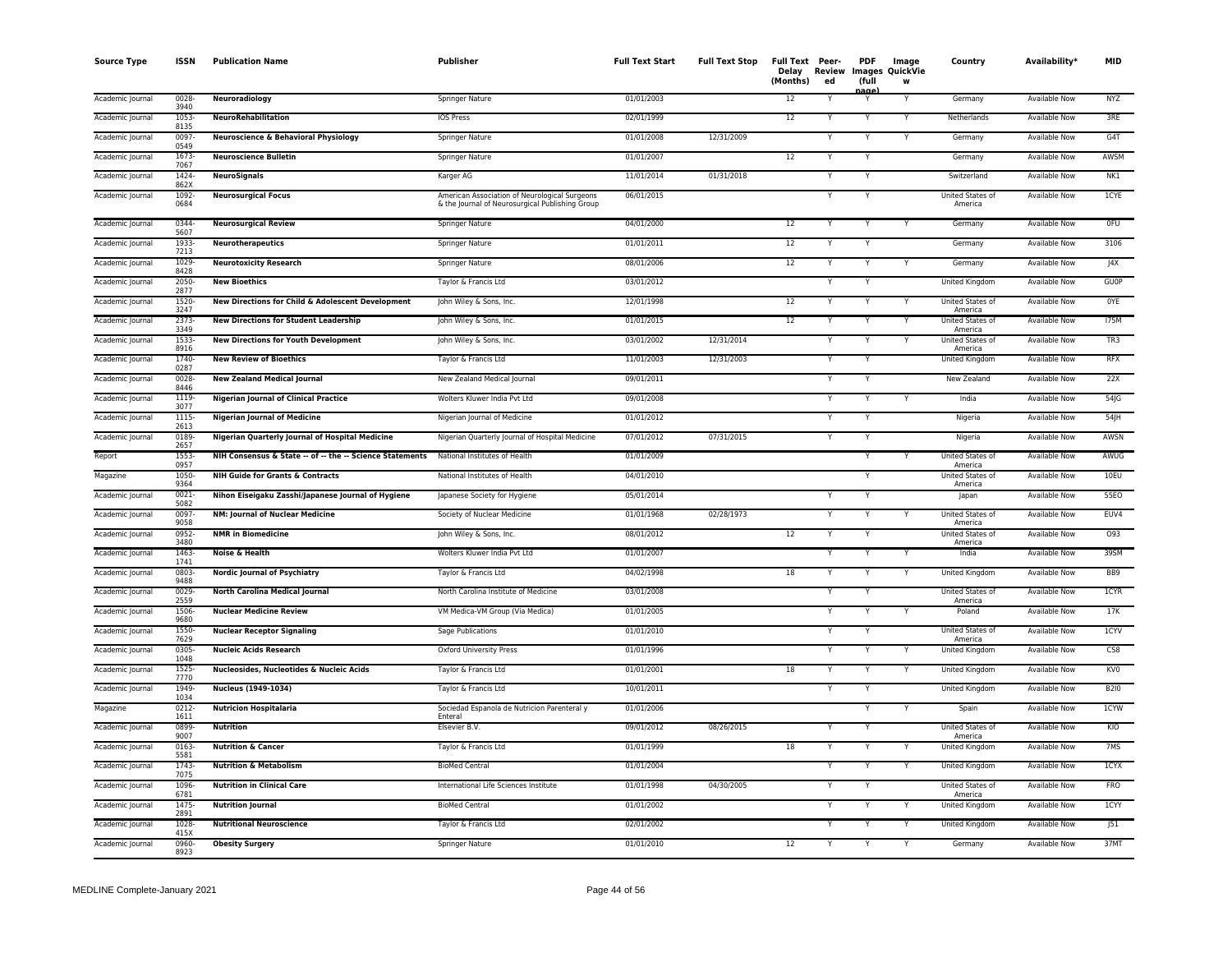| <b>Source Type</b> | <b>ISSN</b>      | <b>Publication Name</b>                                  | <b>Publisher</b>                                                                                 | <b>Full Text Start</b> | <b>Full Text Stop</b> | Full Text Peer-<br>Delay<br>(Months) | Review<br>ed | <b>PDF</b><br>(full | Image<br>Images QuickVie<br>W | Country                     | Availability*        | <b>MID</b>      |
|--------------------|------------------|----------------------------------------------------------|--------------------------------------------------------------------------------------------------|------------------------|-----------------------|--------------------------------------|--------------|---------------------|-------------------------------|-----------------------------|----------------------|-----------------|
| Academic Journal   | $0028 -$<br>3940 | <b>Neuroradiology</b>                                    | Springer Nature                                                                                  | 01/01/2003             |                       | 12                                   |              | anar<br>Y           | Y                             | Germany                     | <b>Available Now</b> | <b>NYZ</b>      |
| Academic Journal   | 1053<br>8135     | <b>NeuroRehabilitation</b>                               | <b>IOS Press</b>                                                                                 | 02/01/1999             |                       | 12                                   |              | Y                   | Y                             | Netherlands                 | <b>Available Now</b> | 3RE             |
| Academic Journal   | 0097<br>0549     | <b>Neuroscience &amp; Behavioral Physiology</b>          | Springer Nature                                                                                  | 01/01/2008             | 12/31/2009            |                                      |              | Y                   | Y                             | Germany                     | <b>Available Now</b> | G4T             |
| Academic Journal   | 1673<br>7067     | <b>Neuroscience Bulletin</b>                             | Springer Nature                                                                                  | 01/01/2007             |                       | 12                                   | v            | Y                   |                               | Germany                     | Available Now        | AWSM            |
| Academic Journal   | 1424<br>862X     | <b>NeuroSignals</b>                                      | Karger AG                                                                                        | 11/01/2014             | 01/31/2018            |                                      |              | Y                   |                               | Switzerland                 | Available Now        | NK1             |
| Academic Journal   | 1092-<br>0684    | <b>Neurosurgical Focus</b>                               | American Association of Neurological Surgeons<br>& the Journal of Neurosurgical Publishing Group | 06/01/2015             |                       |                                      |              | Y                   |                               | United States of<br>America | <b>Available Now</b> | 1CYE            |
| Academic Journal   | 0344-<br>5607    | <b>Neurosurgical Review</b>                              | Springer Nature                                                                                  | 04/01/2000             |                       | 12                                   |              |                     |                               | Germany                     | Available Now        | 0FU             |
| Academic Journal   | 1933<br>7213     | <b>Neurotherapeutics</b>                                 | Springer Nature                                                                                  | 01/01/2011             |                       | 12                                   |              | $\overline{Y}$      |                               | Germany                     | <b>Available Now</b> | 3106            |
| Academic Journal   | 1029<br>8428     | <b>Neurotoxicity Research</b>                            | Springer Nature                                                                                  | 08/01/2006             |                       | 12                                   | Υ            | Y                   | Y                             | Germany                     | <b>Available Now</b> | J4X             |
| Academic Journal   | 2050-<br>2877    | <b>New Bioethics</b>                                     | Taylor & Francis Ltd                                                                             | 03/01/2012             |                       |                                      |              | Y                   |                               | United Kingdom              | <b>Available Now</b> | <b>GUOP</b>     |
| Academic Journal   | 1520<br>3247     | New Directions for Child & Adolescent Development        | John Wiley & Sons, Inc.                                                                          | 12/01/1998             |                       | 12                                   |              | Y                   | Y                             | United States of<br>America | Available Now        | <b>OYE</b>      |
| Academic Journal   | 2373-<br>3349    | <b>New Directions for Student Leadership</b>             | John Wiley & Sons, Inc.                                                                          | 01/01/2015             |                       | 12                                   |              |                     |                               | United States of<br>America | Available Now        | <b>175M</b>     |
| Academic Journal   | 1533<br>8916     | <b>New Directions for Youth Development</b>              | John Wiley & Sons, Inc.                                                                          | 03/01/2002             | 12/31/2014            |                                      |              | Ÿ                   | $\overline{Y}$                | United States of<br>America | <b>Available Now</b> | TR3             |
| Academic Journal   | 1740<br>0287     | <b>New Review of Bioethics</b>                           | Taylor & Francis Ltd                                                                             | 11/01/2003             | 12/31/2003            |                                      |              | Y                   |                               | United Kingdom              | Available Now        | <b>RFX</b>      |
| Academic Journal   | 0028<br>8446     | <b>New Zealand Medical Journal</b>                       | New Zealand Medical Journal                                                                      | 09/01/2011             |                       |                                      |              |                     |                               | New Zealand                 | Available Now        | 22X             |
| Academic Journal   | 1119<br>3077     | <b>Nigerian Journal of Clinical Practice</b>             | Wolters Kluwer India Pvt Ltd                                                                     | 09/01/2008             |                       |                                      |              | Y                   |                               | India                       | <b>Available Now</b> | 54              |
| Academic Journal   | 1115-<br>2613    | <b>Nigerian Journal of Medicine</b>                      | Nigerian Journal of Medicine                                                                     | 01/01/2012             |                       |                                      |              | Y                   |                               | Nigeria                     | <b>Available Now</b> | $54$ JH         |
| Academic Journal   | 0189<br>2657     | Nigerian Quarterly Journal of Hospital Medicine          | Nigerian Quarterly Journal of Hospital Medicine                                                  | 07/01/2012             | 07/31/2015            |                                      |              | Y                   |                               | Nigeria                     | <b>Available Now</b> | AWSN            |
| Report             | 1553<br>0957     | NIH Consensus & State -- of -- the -- Science Statements | National Institutes of Health                                                                    | 01/01/2009             |                       |                                      |              | Y                   | Y                             | United States of<br>America | Available Now        | AWUG            |
| Magazine           | 1050-<br>9364    | <b>NIH Guide for Grants &amp; Contracts</b>              | National Institutes of Health                                                                    | 04/01/2010             |                       |                                      |              |                     |                               | United States of<br>America | <b>Available Now</b> | 10EU            |
| Academic Journal   | 0021<br>5082     | Nihon Eiseigaku Zasshi/Japanese Journal of Hygiene       | Japanese Society for Hygiene                                                                     | 05/01/2014             |                       |                                      |              | Y                   |                               | Japan                       | Available Now        | 55EO            |
| Academic Journal   | 0097<br>9058     | NM: Journal of Nuclear Medicine                          | Society of Nuclear Medicine                                                                      | 01/01/1968             | 02/28/1973            |                                      |              | Y                   |                               | United States of<br>America | <b>Available Now</b> | EUV4            |
| Academic Journal   | 0952-<br>3480    | <b>NMR</b> in Biomedicine                                | John Wiley & Sons, Inc.                                                                          | 08/01/2012             |                       | 12                                   |              | Y                   |                               | United States of<br>America | Available Now        | 093             |
| Academic Journal   | 1463<br>1741     | Noise & Health                                           | Wolters Kluwer India Pvt Ltd                                                                     | 01/01/2007             |                       |                                      | v            | Y                   | Y                             | India                       | <b>Available Now</b> | 39SM            |
| Academic Journal   | 0803-<br>9488    | <b>Nordic Journal of Psychiatry</b>                      | Taylor & Francis Ltd                                                                             | 04/02/1998             |                       | 18                                   |              |                     |                               | United Kingdom              | <b>Available Now</b> | BB9             |
| Academic Journal   | 0029<br>2559     | North Carolina Medical Journal                           | North Carolina Institute of Medicine                                                             | 03/01/2008             |                       |                                      |              |                     |                               | United States of<br>America | <b>Available Now</b> | 1CYR            |
| Academic Journal   | 1506-<br>9680    | <b>Nuclear Medicine Review</b>                           | VM Medica-VM Group (Via Medica)                                                                  | 01/01/2005             |                       |                                      |              | Y                   | Y                             | Poland                      | <b>Available Now</b> | 17K             |
| Academic Journal   | 1550-<br>7629    | <b>Nuclear Receptor Signaling</b>                        | Sage Publications                                                                                | 01/01/2010             |                       |                                      |              |                     |                               | United States of<br>America | Available Now        | 1CYV            |
| Academic Journal   | 0305<br>1048     | <b>Nucleic Acids Research</b>                            | <b>Oxford University Press</b>                                                                   | 01/01/1996             |                       |                                      |              | Y                   | Y                             | United Kingdom              | <b>Available Now</b> | CS8             |
| Academic Journal   | $1525 -$<br>7770 | Nucleosides, Nucleotides & Nucleic Acids                 | Taylor & Francis Ltd                                                                             | 01/01/2001             |                       | 18                                   |              | Y                   | Y                             | United Kingdom              | <b>Available Now</b> | KV <sub>0</sub> |
| Academic Journal   | 1949<br>1034     | Nucleus (1949-1034)                                      | Taylor & Francis Ltd                                                                             | 10/01/2011             |                       |                                      |              | Y                   |                               | <b>United Kingdom</b>       | <b>Available Now</b> | <b>B2I0</b>     |
| Magazine           | 0212-<br>1611    | <b>Nutricion Hospitalaria</b>                            | Sociedad Espanola de Nutricion Parenteral y<br>Enteral                                           | 01/01/2006             |                       |                                      |              | Y                   |                               | Spain                       | Available Now        | 1CYW            |
| Academic Journal   | 0899<br>9007     | <b>Nutrition</b>                                         | Elsevier B.V.                                                                                    | 09/01/2012             | 08/26/2015            |                                      |              |                     |                               | United States of<br>America | Available Now        | KIO             |
| Academic Journal   | $0163 -$<br>5581 | <b>Nutrition &amp; Cancer</b>                            | Taylor & Francis Ltd                                                                             | 01/01/1999             |                       | 18                                   |              | $\overline{Y}$      | $\overline{Y}$                | United Kingdom              | <b>Available Now</b> | 7MS             |
| Academic Journal   | 1743<br>7075     | <b>Nutrition &amp; Metabolism</b>                        | <b>BioMed Central</b>                                                                            | 01/01/2004             |                       |                                      |              | Y                   | Y                             | <b>United Kingdom</b>       | <b>Available Now</b> | 1CYX            |
| Academic Journal   | 1096<br>6781     | <b>Nutrition in Clinical Care</b>                        | International Life Sciences Institute                                                            | 01/01/1998             | 04/30/2005            |                                      |              | Y                   |                               | United States of<br>America | <b>Available Now</b> | <b>FRO</b>      |
| Academic Journal   | 1475<br>2891     | <b>Nutrition Journal</b>                                 | <b>BioMed Central</b>                                                                            | 01/01/2002             |                       |                                      |              | Y                   |                               | United Kingdom              | Available Now        | <b>ICYY</b>     |
| Academic Journal   | 1028<br>415X     | <b>Nutritional Neuroscience</b>                          | Taylor & Francis Ltd                                                                             | 02/01/2002             |                       |                                      |              |                     |                               | United Kingdom              | <b>Available Now</b> | 51              |
| Academic Journal   | 0960-<br>8923    | <b>Obesity Surgery</b>                                   | <b>Springer Nature</b>                                                                           | 01/01/2010             |                       | 12                                   |              | Y                   | Y                             | Germany                     | <b>Available Now</b> | 37MT            |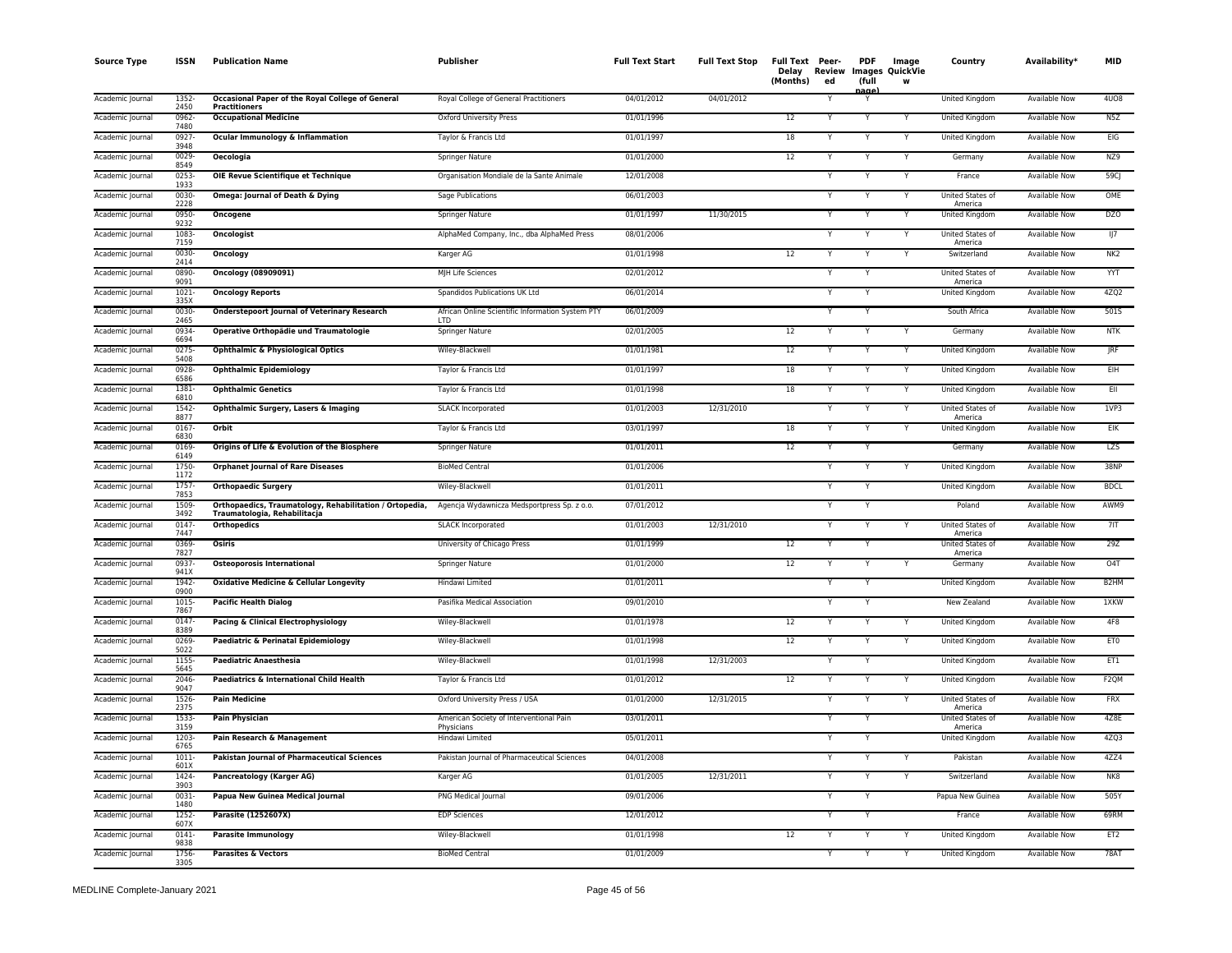| <b>Source Type</b> | <b>ISSN</b>      | <b>Publication Name</b>                                                                 | Publisher                                                      | <b>Full Text Start</b> | <b>Full Text Stop</b> | Full Text Peer-<br>Delay<br>(Months) | Review<br>ed | <b>PDF</b><br>(full<br>nage | Image<br>Images QuickVie<br>w | Country                            | Availability*        | <b>MID</b>        |
|--------------------|------------------|-----------------------------------------------------------------------------------------|----------------------------------------------------------------|------------------------|-----------------------|--------------------------------------|--------------|-----------------------------|-------------------------------|------------------------------------|----------------------|-------------------|
| Academic Journal   | 1352<br>2450     | Occasional Paper of the Royal College of General<br><b>Practitioners</b>                | Royal College of General Practitioners                         | 04/01/2012             | 04/01/2012            |                                      |              | Y                           |                               | United Kingdom                     | <b>Available Now</b> | <b>4U08</b>       |
| Academic Journal   | $0962 -$<br>7480 | <b>Occupational Medicine</b>                                                            | <b>Oxford University Press</b>                                 | 01/01/1996             |                       | 12                                   |              | $\overline{Y}$              |                               | <b>United Kingdom</b>              | <b>Available Now</b> | N5Z               |
| Academic Journal   | 0927-<br>3948    | Ocular Immunology & Inflammation                                                        | Taylor & Francis Ltd                                           | 01/01/1997             |                       | 18                                   |              | Y                           |                               | United Kingdom                     | <b>Available Now</b> | EIG               |
| Academic Journal   | $0029 -$<br>8549 | <b>Oecologia</b>                                                                        | Springer Nature                                                | 01/01/2000             |                       | 12                                   | Y            | Y                           | Y                             | Germany                            | <b>Available Now</b> | NZ9               |
| Academic Journal   | $0253 -$<br>1933 | OIE Revue Scientifique et Technique                                                     | Organisation Mondiale de la Sante Animale                      | 12/01/2008             |                       |                                      |              | Y                           | Y                             | France                             | Available Now        | 59CJ              |
| Academic Journal   | 0030-<br>2228    | Omega: Journal of Death & Dying                                                         | Sage Publications                                              | 06/01/2003             |                       |                                      |              | Y                           | Y                             | <b>United States of</b><br>America | Available Now        | OME               |
| Academic Journal   | 0950-<br>9232    | Oncogene                                                                                | Springer Nature                                                | 01/01/1997             | 11/30/2015            |                                      |              |                             |                               | United Kingdom                     | <b>Available Now</b> | <b>DZO</b>        |
| Academic Journal   | 1083<br>7159     | <b>Oncologist</b>                                                                       | AlphaMed Company, Inc., dba AlphaMed Press                     | 08/01/2006             |                       |                                      |              |                             |                               | United States of<br>America        | <b>Available Now</b> | 117               |
| Academic Journal   | 0030-<br>2414    | Oncology                                                                                | Karger AG                                                      | 01/01/1998             |                       | 12                                   |              |                             |                               | Switzerland                        | <b>Available Now</b> | NK <sub>2</sub>   |
| Academic Journal   | 0890-<br>9091    | Oncology (08909091)                                                                     | MJH Life Sciences                                              | 02/01/2012             |                       |                                      |              | Y                           |                               | United States of<br>America        | <b>Available Now</b> | YYT               |
| Academic Journal   | $1021 -$<br>335X | <b>Oncology Reports</b>                                                                 | Spandidos Publications UK Ltd                                  | 06/01/2014             |                       |                                      |              | Y                           |                               | <b>United Kingdom</b>              | <b>Available Now</b> | 4ZQ2              |
| Academic Journal   | 0030-<br>2465    | <b>Onderstepoort Journal of Veterinary Research</b>                                     | African Online Scientific Information System PTY<br><b>LTD</b> | 06/01/2009             |                       |                                      |              | Y                           |                               | South Africa                       | <b>Available Now</b> | 501S              |
| Academic Journal   | 0934<br>6694     | Operative Orthopädie und Traumatologie                                                  | Springer Nature                                                | 02/01/2005             |                       | $\overline{12}$                      |              | Y                           |                               | Germany                            | <b>Available Now</b> | <b>NTK</b>        |
| Academic Journal   | 0275<br>5408     | <b>Ophthalmic &amp; Physiological Optics</b>                                            | Wiley-Blackwell                                                | 01/01/1981             |                       | 12                                   |              |                             |                               | United Kingdom                     | Available Now        | <b>JRF</b>        |
| Academic Journal   | 0928-<br>6586    | <b>Ophthalmic Epidemiology</b>                                                          | Taylor & Francis Ltd                                           | 01/01/1997             |                       | 18                                   |              |                             |                               | United Kingdom                     | Available Now        | EIH               |
| Academic Journal   | 1381-<br>6810    | <b>Ophthalmic Genetics</b>                                                              | Taylor & Francis Ltd                                           | 01/01/1998             |                       | 18                                   |              |                             |                               | United Kingdom                     | Available Now        | EII               |
| Academic Journal   | 1542-<br>8877    | Ophthalmic Surgery, Lasers & Imaging                                                    | <b>SLACK Incorporated</b>                                      | 01/01/2003             | 12/31/2010            |                                      |              | Y                           |                               | United States of<br>America        | <b>Available Now</b> | 1VP3              |
| Academic Journal   | $0167 -$<br>6830 | Orbit                                                                                   | Taylor & Francis Ltd                                           | 03/01/1997             |                       | 18                                   |              | Y                           | Y                             | United Kingdom                     | <b>Available Now</b> | EIK               |
| Academic Journal   | 0169<br>6149     | Origins of Life & Evolution of the Biosphere                                            | Springer Nature                                                | 01/01/2011             |                       | 12                                   |              | Y                           |                               | Germany                            | <b>Available Now</b> | <b>LZS</b>        |
| Academic Journal   | 1750-<br>1172    | <b>Orphanet Journal of Rare Diseases</b>                                                | <b>BioMed Central</b>                                          | 01/01/2006             |                       |                                      |              | Y                           |                               | United Kingdom                     | Available Now        | 38NP              |
| Academic Journal   | 1757<br>7853     | <b>Orthopaedic Surgery</b>                                                              | Wiley-Blackwell                                                | 01/01/2011             |                       |                                      |              |                             |                               | United Kingdom                     | <b>Available Now</b> | <b>BDCL</b>       |
| Academic Journal   | 1509<br>3492     | Orthopaedics, Traumatology, Rehabilitation / Ortopedia,<br>Traumatologia, Rehabilitacja | Agencja Wydawnicza Medsportpress Sp. z o.o.                    | 07/01/2012             |                       |                                      |              |                             |                               | Poland                             | Available Now        | AWM9              |
| Academic Journal   | 0147<br>7447     | <b>Orthopedics</b>                                                                      | <b>SLACK Incorporated</b>                                      | 01/01/2003             | 12/31/2010            |                                      |              |                             |                               | United States of<br>America        | <b>Available Now</b> | 7IT               |
| Academic Journal   | 0369<br>7827     | <b>Osiris</b>                                                                           | University of Chicago Press                                    | 01/01/1999             |                       | 12                                   |              |                             |                               | United States of<br>America        | <b>Available Now</b> | 29Z               |
| Academic Journal   | 0937-<br>941X    | <b>Osteoporosis International</b>                                                       | Springer Nature                                                | 01/01/2000             |                       | 12                                   |              | Y                           |                               | Germany                            | <b>Available Now</b> | O <sub>4</sub> T  |
| Academic Journal   | 1942-<br>0900    | <b>Oxidative Medicine &amp; Cellular Longevity</b>                                      | Hindawi Limited                                                | 01/01/2011             |                       |                                      |              | Y                           |                               | <b>United Kingdom</b>              | <b>Available Now</b> | B <sub>2</sub> HM |
| Academic Journal   | 1015<br>7867     | <b>Pacific Health Dialog</b>                                                            | Pasifika Medical Association                                   | 09/01/2010             |                       |                                      |              |                             |                               | New Zealand                        | Available Now        | 1XKW              |
| Academic Journal   | 0147<br>8389     | Pacing & Clinical Electrophysiology                                                     | Wiley-Blackwell                                                | 01/01/1978             |                       | 12                                   |              |                             |                               | United Kingdom                     | Available Now        | 4F8               |
| Academic Journal   | 0269-<br>5022    | Paediatric & Perinatal Epidemiology                                                     | Wiley-Blackwell                                                | 01/01/1998             |                       | 12                                   |              |                             |                               | United Kingdom                     | Available Now        | ET <sub>0</sub>   |
| Academic Journal   | 1155<br>5645     | <b>Paediatric Anaesthesia</b>                                                           | Wiley-Blackwell                                                | 01/01/1998             | 12/31/2003            |                                      |              |                             |                               | United Kingdom                     | <b>Available Now</b> | ET1               |
| Academic Journal   | 2046-<br>9047    | Paediatrics & International Child Health                                                | Taylor & Francis Ltd                                           | 01/01/2012             |                       | $\overline{12}$                      |              | Y                           |                               | United Kingdom                     | Available Now        | F <sub>2</sub> QM |
| Academic Journal   | 1526-<br>2375    | <b>Pain Medicine</b>                                                                    | Oxford University Press / USA                                  | 01/01/2000             | 12/31/2015            |                                      |              | Y                           |                               | <b>United States of</b><br>America | <b>Available Now</b> | <b>FRX</b>        |
| Academic Journal   | 1533-<br>3159    | <b>Pain Physician</b>                                                                   | American Society of Interventional Pain<br>Physicians          | 03/01/2011             |                       |                                      |              | Y                           |                               | United States of<br>America        | <b>Available Now</b> | 4Z8E              |
| Academic Journal   | 1203<br>6765     | Pain Research & Management                                                              | Hindawi Limited                                                | 05/01/2011             |                       |                                      |              | Y                           |                               | <b>United Kingdom</b>              | <b>Available Now</b> | 4ZQ3              |
| Academic Journal   | $1011 -$<br>601X | <b>Pakistan Journal of Pharmaceutical Sciences</b>                                      | Pakistan Journal of Pharmaceutical Sciences                    | 04/01/2008             |                       |                                      |              | Y                           |                               | Pakistan                           | <b>Available Now</b> | 4ZZ4              |
| Academic Journal   | 1424-<br>3903    | Pancreatology (Karger AG)                                                               | Karger AG                                                      | 01/01/2005             | 12/31/2011            |                                      |              | Y                           |                               | Switzerland                        | Available Now        | NK8               |
| Academic Journal   | 0031-<br>1480    | Papua New Guinea Medical Journal                                                        | PNG Medical Journal                                            | 09/01/2006             |                       |                                      |              |                             |                               | Papua New Guinea                   | <b>Available Now</b> | 505Y              |
| Academic Journal   | 1252<br>607X     | Parasite (1252607X)                                                                     | <b>EDP Sciences</b>                                            | 12/01/2012             |                       |                                      |              | Y                           |                               | France                             | <b>Available Now</b> | 69RM              |
| Academic Journal   | 0141<br>9838     | <b>Parasite Immunology</b>                                                              | Wiley-Blackwell                                                | 01/01/1998             |                       | 12                                   |              |                             |                               | United Kingdom                     | Available Now        | ET <sub>2</sub>   |
| Academic Journal   | 1756-<br>3305    | <b>Parasites &amp; Vectors</b>                                                          | <b>BioMed Central</b>                                          | 01/01/2009             |                       |                                      |              | Y                           | Y                             | <b>United Kingdom</b>              | <b>Available Now</b> | <b>78AT</b>       |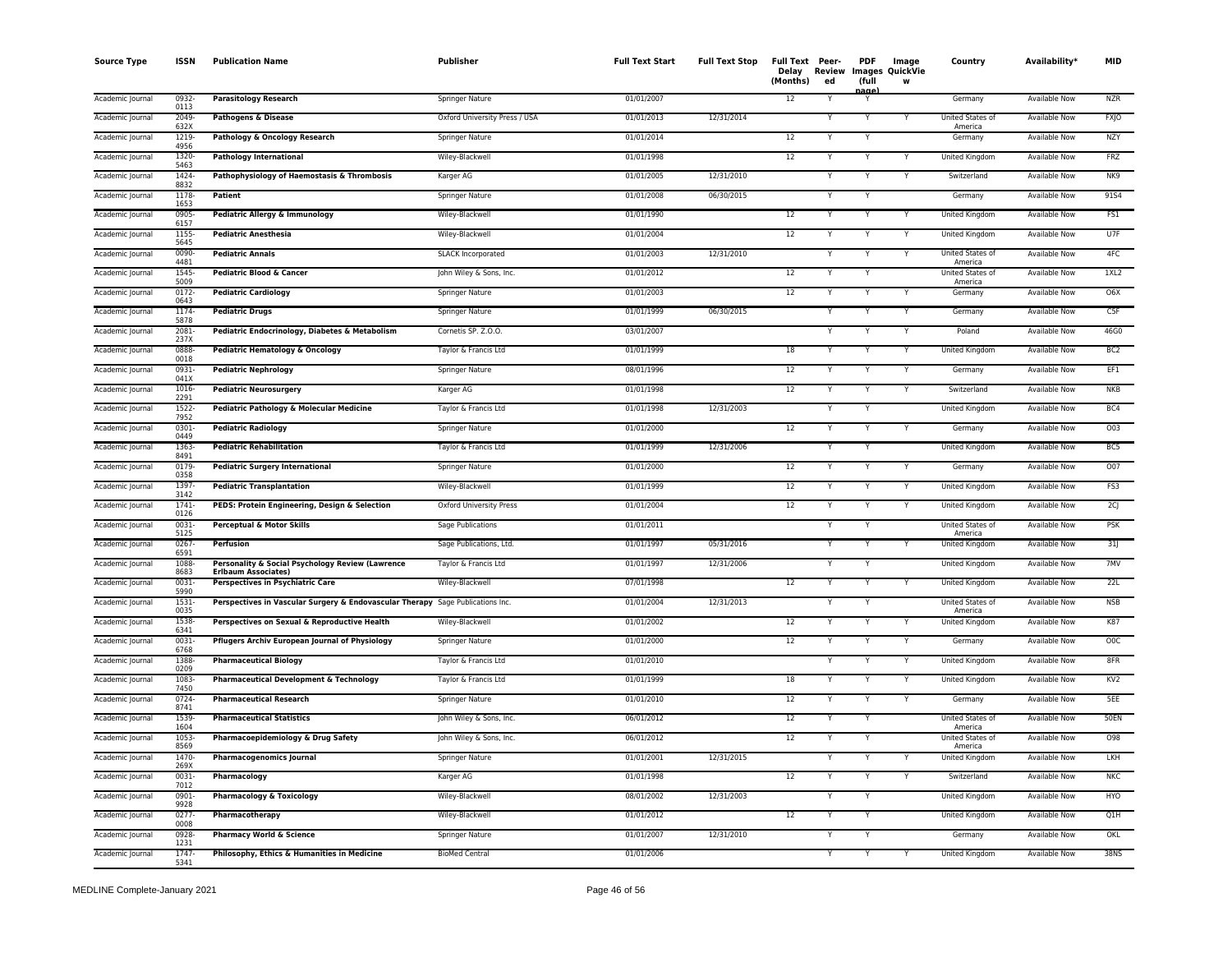| <b>Source Type</b> | <b>ISSN</b>      | <b>Publication Name</b>                                                        | <b>Publisher</b>              | <b>Full Text Start</b> | <b>Full Text Stop</b> | Full Text Peer-<br>Delay<br>(Months) | Review<br>ed | <b>PDF</b><br>(full<br>nage | Image<br>Images QuickVie<br>w | Country                            | Availability*        | <b>MID</b>      |
|--------------------|------------------|--------------------------------------------------------------------------------|-------------------------------|------------------------|-----------------------|--------------------------------------|--------------|-----------------------------|-------------------------------|------------------------------------|----------------------|-----------------|
| Academic Journal   | 0932<br>0113     | <b>Parasitology Research</b>                                                   | Springer Nature               | 01/01/2007             |                       | 12                                   |              | Y                           |                               | Germany                            | <b>Available Now</b> | <b>NZR</b>      |
| Academic Journal   | 2049-<br>632X    | <b>Pathogens &amp; Disease</b>                                                 | Oxford University Press / USA | 01/01/2013             | 12/31/2014            |                                      |              | Y                           |                               | <b>United States of</b><br>America | <b>Available Now</b> | <b>FXJO</b>     |
| Academic Journal   | 1219<br>4956     | Pathology & Oncology Research                                                  | <b>Springer Nature</b>        | 01/01/2014             |                       | 12                                   |              | Y                           |                               | Germany                            | <b>Available Now</b> | <b>NZY</b>      |
| Academic Journal   | 1320<br>5463     | <b>Pathology International</b>                                                 | Wiley-Blackwell               | 01/01/1998             |                       | 12                                   | Y            | Y                           | Y                             | United Kingdom                     | <b>Available Now</b> | <b>FRZ</b>      |
| Academic Journal   | 1424<br>8832     | Pathophysiology of Haemostasis & Thrombosis                                    | Karger AG                     | 01/01/2005             | 12/31/2010            |                                      |              | Y                           | Y                             | Switzerland                        | Available Now        | NK9             |
| Academic Journal   | 1178<br>1653     | Patient                                                                        | Springer Nature               | 01/01/2008             | 06/30/2015            |                                      |              | Y                           |                               | Germany                            | Available Now        | 91S4            |
| Academic Journal   | 0905<br>6157     | Pediatric Allergy & Immunology                                                 | Wiley-Blackwell               | 01/01/1990             |                       | 12                                   |              |                             |                               | United Kingdom                     | <b>Available Now</b> | FS1             |
| Academic Journal   | 1155<br>5645     | <b>Pediatric Anesthesia</b>                                                    | Wiley-Blackwell               | 01/01/2004             |                       | 12                                   |              | Y                           | Y                             | United Kingdom                     | <b>Available Now</b> | U7F             |
| Academic Journal   | 0090-<br>4481    | <b>Pediatric Annals</b>                                                        | <b>SLACK Incorporated</b>     | 01/01/2003             | 12/31/2010            |                                      |              |                             |                               | United States of<br>America        | <b>Available Now</b> | 4FC             |
| Academic Journal   | $1545 -$<br>5009 | Pediatric Blood & Cancer                                                       | John Wiley & Sons, Inc.       | 01/01/2012             |                       | 12                                   |              | Y                           |                               | United States of<br>America        | <b>Available Now</b> | 1XL2            |
| Academic Journal   | $0172 -$<br>0643 | <b>Pediatric Cardiology</b>                                                    | <b>Springer Nature</b>        | 01/01/2003             |                       | 12                                   |              | Y                           | Y                             | Germany                            | <b>Available Now</b> | 06X             |
| Academic Journal   | 1174<br>5878     | <b>Pediatric Drugs</b>                                                         | Springer Nature               | 01/01/1999             | 06/30/2015            |                                      |              | Y                           | Y                             | Germany                            | <b>Available Now</b> | C5F             |
| Academic Journal   | 2081-<br>237X    | Pediatric Endocrinology, Diabetes & Metabolism                                 | Cornetis SP. Z.O.O.           | 03/01/2007             |                       |                                      |              | Y                           | Y                             | Poland                             | Available Now        | 46G0            |
| Academic Journal   | 0888<br>0018     | Pediatric Hematology & Oncology                                                | Taylor & Francis Ltd          | 01/01/1999             |                       | 18                                   |              |                             |                               | United Kingdom                     | Available Now        | BC <sub>2</sub> |
| Academic Journal   | 0931-<br>041X    | <b>Pediatric Nephrology</b>                                                    | Springer Nature               | 08/01/1996             |                       | 12                                   |              | Y                           | Y                             | Germany                            | Available Now        | EF1             |
| Academic Journal   | 1016<br>2291     | <b>Pediatric Neurosurgery</b>                                                  | Karger AG                     | 01/01/1998             |                       | 12                                   |              | Y                           |                               | Switzerland                        | <b>Available Now</b> | <b>NKB</b>      |
| Academic Journal   | $1522 -$<br>7952 | Pediatric Pathology & Molecular Medicine                                       | Taylor & Francis Ltd          | 01/01/1998             | 12/31/2003            |                                      |              | Y                           |                               | <b>United Kingdom</b>              | <b>Available Now</b> | BC4             |
| Academic Journal   | $0301 -$<br>0449 | <b>Pediatric Radiology</b>                                                     | <b>Springer Nature</b>        | 01/01/2000             |                       | 12                                   |              | Y                           | Y                             | Germany                            | <b>Available Now</b> | 003             |
| Academic Journal   | 1363<br>8491     | <b>Pediatric Rehabilitation</b>                                                | Taylor & Francis Ltd          | 01/01/1999             | 12/31/2006            |                                      |              | Y                           |                               | United Kingdom                     | Available Now        | BC5             |
| Academic Journal   | 0179<br>0358     | <b>Pediatric Surgery International</b>                                         | Springer Nature               | 01/01/2000             |                       | 12                                   |              | Y                           | Y                             | Germany                            | Available Now        | 007             |
| Academic Journal   | 1397<br>3142     | <b>Pediatric Transplantation</b>                                               | Wiley-Blackwell               | 01/01/1999             |                       | 12                                   |              | Y                           | Y                             | United Kingdom                     | Available Now        | FS3             |
| Academic Journal   | 1741<br>0126     | PEDS: Protein Engineering, Design & Selection                                  | Oxford University Press       | 01/01/2004             |                       | 12                                   |              | Y                           | Y                             | United Kingdom                     | Available Now        | 2C              |
| Academic Journal   | 0031-<br>5125    | <b>Perceptual &amp; Motor Skills</b>                                           | Sage Publications             | 01/01/2011             |                       |                                      |              |                             |                               | United States of<br>America        | <b>Available Now</b> | PSK             |
| Academic Journal   | 0267<br>6591     | Perfusion                                                                      | Sage Publications, Ltd.       | 01/01/1997             | 05/31/2016            |                                      |              | Y                           |                               | United Kingdom                     | Available Now        | 31              |
| Academic Journal   | 1088<br>8683     | Personality & Social Psychology Review (Lawrence<br><b>Erlbaum Associates)</b> | Taylor & Francis Ltd          | 01/01/1997             | 12/31/2006            |                                      |              | Y                           |                               | <b>United Kingdom</b>              | Available Now        | 7MV             |
| Academic Journal   | 0031<br>5990     | <b>Perspectives in Psychiatric Care</b>                                        | Wiley-Blackwell               | 07/01/1998             |                       | 12                                   |              | Y                           |                               | United Kingdom                     | <b>Available Now</b> | 22L             |
| Academic Journal   | 1531-<br>0035    | Perspectives in Vascular Surgery & Endovascular Therapy Sage Publications Inc. |                               | 01/01/2004             | 12/31/2013            |                                      |              | Y                           |                               | United States of<br>America        | Available Now        | <b>NSB</b>      |
| Academic Journal   | 1538<br>6341     | Perspectives on Sexual & Reproductive Health                                   | Wiley-Blackwell               | 01/01/2002             |                       | 12                                   |              |                             |                               | United Kingdom                     | Available Now        | K87             |
| Academic Journal   | 0031<br>6768     | Pflugers Archiv European Journal of Physiology                                 | Springer Nature               | 01/01/2000             |                       | 12                                   |              | Y                           | Y                             | Germany                            | Available Now        | OOC             |
| Academic Journal   | 1388<br>0209     | <b>Pharmaceutical Biology</b>                                                  | Taylor & Francis Ltd          | 01/01/2010             |                       |                                      |              |                             |                               | United Kingdom                     | <b>Available Now</b> | 8FR             |
| Academic Journal   | 1083<br>7450     | <b>Pharmaceutical Development &amp; Technology</b>                             | Taylor & Francis Ltd          | 01/01/1999             |                       | 18                                   |              | Y                           | Y                             | United Kingdom                     | <b>Available Now</b> | KV2             |
| Academic Journal   | $0724 -$<br>8741 | <b>Pharmaceutical Research</b>                                                 | <b>Springer Nature</b>        | 01/01/2010             |                       | 12                                   |              | Y                           | Y                             | Germany                            | <b>Available Now</b> | 5EE             |
| Academic Journal   | 1539<br>1604     | <b>Pharmaceutical Statistics</b>                                               | John Wiley & Sons, Inc.       | 06/01/2012             |                       | 12                                   |              | Y                           |                               | United States of<br>America        | <b>Available Now</b> | <b>50EN</b>     |
| Academic Journal   | 1053<br>8569     | Pharmacoepidemiology & Drug Safety                                             | John Wiley & Sons, Inc.       | 06/01/2012             |                       | 12                                   |              | Y                           |                               | <b>United States of</b><br>America | <b>Available Now</b> | 098             |
| Academic Journal   | 1470<br>269X     | <b>Pharmacogenomics Journal</b>                                                | <b>Springer Nature</b>        | 01/01/2001             | 12/31/2015            |                                      |              | N                           |                               | United Kingdom                     | <b>Available Now</b> | LKH             |
| Academic Journal   | 0031<br>7012     | Pharmacology                                                                   | Karger AG                     | 01/01/1998             |                       | 12                                   |              | Y                           | Y                             | Switzerland                        | Available Now        | NKC             |
| Academic Journal   | 0901<br>9928     | <b>Pharmacology &amp; Toxicology</b>                                           | Wiley-Blackwell               | 08/01/2002             | 12/31/2003            |                                      |              |                             |                               | United Kingdom                     | Available Now        | HYO             |
| Academic Journal   | $0277 -$<br>0008 | Pharmacotherapy                                                                | Wiley-Blackwell               | 01/01/2012             |                       | 12                                   |              | Y                           |                               | United Kingdom                     | <b>Available Now</b> | Q1H             |
| Academic Journal   | 0928<br>1231     | <b>Pharmacy World &amp; Science</b>                                            | Springer Nature               | 01/01/2007             | 12/31/2010            |                                      |              | Y                           |                               | Germany                            | Available Now        | OKL             |
| Academic Journal   | 1747<br>5341     | Philosophy, Ethics & Humanities in Medicine                                    | <b>BioMed Central</b>         | 01/01/2006             |                       |                                      |              | Y                           |                               | United Kingdom                     | <b>Available Now</b> | 38NS            |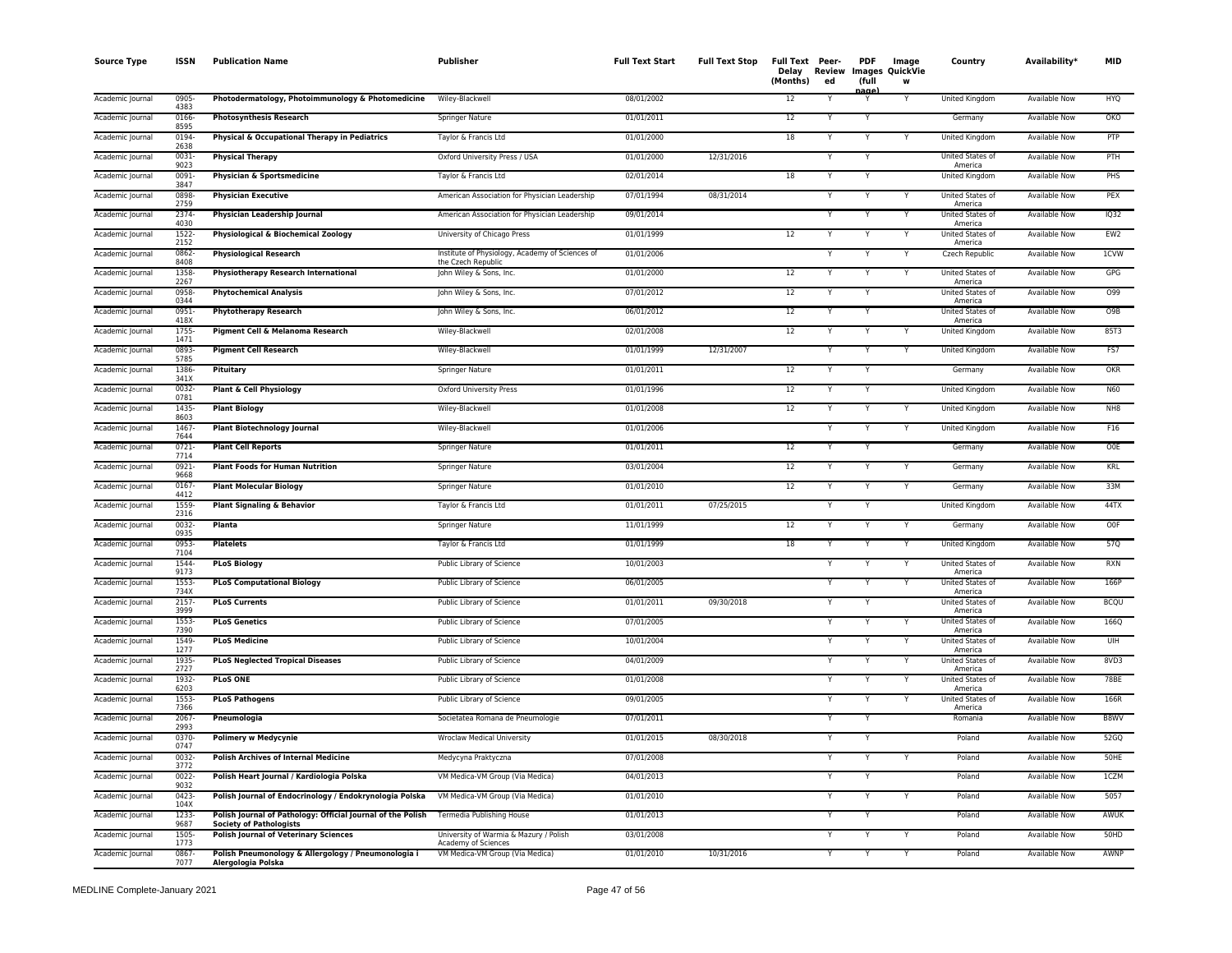| <b>Source Type</b> | ISSN             | <b>Publication Name</b>                                                                       | <b>Publisher</b>                                                      | <b>Full Text Start</b> | <b>Full Text Stop</b> | <b>Full Text Peer-</b><br>Delay<br>(Months) | ed | PDF<br>(full<br>لعمده | Image<br>Review Images QuickVie<br>W | Country                     | Availability*        | <b>MID</b>       |
|--------------------|------------------|-----------------------------------------------------------------------------------------------|-----------------------------------------------------------------------|------------------------|-----------------------|---------------------------------------------|----|-----------------------|--------------------------------------|-----------------------------|----------------------|------------------|
| Academic Journal   | 0905<br>4383     | Photodermatology, Photoimmunology & Photomedicine                                             | Wiley-Blackwell                                                       | 08/01/2002             |                       | 12                                          |    |                       | Y                                    | United Kingdom              | Available Now        | <b>HYQ</b>       |
| Academic Journal   | 0166<br>8595     | <b>Photosynthesis Research</b>                                                                | Springer Nature                                                       | 01/01/2011             |                       | 12                                          | Y  | Y                     |                                      | Germany                     | Available Now        | OKO              |
| Academic Journal   | 0194<br>2638     | Physical & Occupational Therapy in Pediatrics                                                 | Taylor & Francis Ltd                                                  | 01/01/2000             |                       | 18                                          | Υ  | Y                     | Y                                    | United Kingdom              | Available Now        | PTP              |
| Academic Journal   | 0031<br>9023     | <b>Physical Therapy</b>                                                                       | Oxford University Press / USA                                         | 01/01/2000             | 12/31/2016            |                                             | Y  |                       |                                      | United States of<br>America | <b>Available Now</b> | PTH              |
| Academic Journal   | 0091-<br>3847    | Physician & Sportsmedicine                                                                    | Taylor & Francis Ltd                                                  | 02/01/2014             |                       | 18                                          | Υ  |                       |                                      | United Kingdom              | <b>Available Now</b> | PHS              |
| Academic Journal   | 0898<br>2759     | <b>Physician Executive</b>                                                                    | American Association for Physician Leadership                         | 07/01/1994             | 08/31/2014            |                                             | Y  | Y                     | Y                                    | United States of<br>America | Available Now        | PEX              |
| Academic Journal   | 2374<br>4030     | Physician Leadership Journal                                                                  | American Association for Physician Leadership                         | 09/01/2014             |                       |                                             | Υ  |                       | Y                                    | United States of<br>America | Available Now        | IQ32             |
| Academic Journal   | 1522<br>2152     | <b>Physiological &amp; Biochemical Zoology</b>                                                | University of Chicago Press                                           | 01/01/1999             |                       | 12                                          | Y  |                       | Y                                    | United States of<br>America | <b>Available Now</b> | EW <sub>2</sub>  |
| Academic Journal   | 0862<br>8408     | <b>Physiological Research</b>                                                                 | Institute of Physiology, Academy of Sciences of<br>the Czech Republic | 01/01/2006             |                       |                                             | Y  | Y                     | Υ                                    | <b>Czech Republic</b>       | <b>Available Now</b> | 1CVW             |
| Academic Journal   | 1358<br>2267     | <b>Physiotherapy Research International</b>                                                   | John Wiley & Sons, Inc.                                               | 01/01/2000             |                       | 12                                          | Y  | Y                     | Y                                    | United States of<br>America | Available Now        | GPG              |
| Academic Journal   | 0958<br>0344     | <b>Phytochemical Analysis</b>                                                                 | John Wiley & Sons, Inc.                                               | 07/01/2012             |                       | 12                                          | Y  |                       |                                      | United States of<br>America | <b>Available Now</b> | 099              |
| Academic Journal   | 0951<br>418X     | <b>Phytotherapy Research</b>                                                                  | John Wiley & Sons, Inc.                                               | 06/01/2012             |                       | 12                                          | Y  |                       |                                      | United States of<br>America | Available Now        | O <sub>9</sub> B |
| Academic Journal   | 1755<br>1471     | Pigment Cell & Melanoma Research                                                              | Wiley-Blackwell                                                       | 02/01/2008             |                       | 12                                          | Υ  |                       | Y                                    | United Kingdom              | Available Now        | 85T3             |
| Academic Journal   | 0893-<br>5785    | <b>Pigment Cell Research</b>                                                                  | Wiley-Blackwell                                                       | 01/01/1999             | 12/31/2007            |                                             |    |                       |                                      | United Kingdom              | Available Now        | FS7              |
| Academic Journal   | 1386<br>341X     | Pituitary                                                                                     | Springer Nature                                                       | 01/01/2011             |                       | 12                                          | Y  |                       |                                      | Germany                     | Available Now        | OKR              |
| Academic Journal   | 0032<br>0781     | Plant & Cell Physiology                                                                       | <b>Oxford University Press</b>                                        | 01/01/1996             |                       | 12                                          | Υ  |                       |                                      | United Kingdom              | Available Now        | <b>N60</b>       |
| Academic Journal   | 1435<br>8603     | <b>Plant Biology</b>                                                                          | Wiley-Blackwell                                                       | 01/01/2008             |                       | $12 \overline{ }$                           |    |                       | Y                                    | United Kingdom              | Available Now        | NH8              |
| Academic Journal   | 1467<br>7644     | <b>Plant Biotechnology Journal</b>                                                            | Wiley-Blackwell                                                       | 01/01/2006             |                       |                                             | Υ  |                       | Y                                    | <b>United Kingdom</b>       | <b>Available Now</b> | F16              |
| Academic Journal   | $0721 -$<br>7714 | <b>Plant Cell Reports</b>                                                                     | Springer Nature                                                       | 01/01/2011             |                       | 12                                          |    |                       |                                      | Germany                     | Available Now        | O0E              |
| Academic Journal   | 0921<br>9668     | <b>Plant Foods for Human Nutrition</b>                                                        | Springer Nature                                                       | 03/01/2004             |                       | 12                                          | Υ  |                       | Υ                                    | Germany                     | Available Now        | KRL              |
| Academic Journal   | 0167<br>4412     | <b>Plant Molecular Biology</b>                                                                | Springer Nature                                                       | 01/01/2010             |                       | 12                                          | Υ  |                       | Y                                    | Germany                     | Available Now        | 33M              |
| Academic Journal   | 1559<br>2316     | <b>Plant Signaling &amp; Behavior</b>                                                         | Taylor & Francis Ltd                                                  | 01/01/2011             | 07/25/2015            |                                             | Υ  | Y                     |                                      | United Kingdom              | <b>Available Now</b> | 44TX             |
| Academic Journal   | 0032<br>0935     | Planta                                                                                        | Springer Nature                                                       | 11/01/1999             |                       | 12                                          | Y  | Y                     | Y                                    | Germany                     | <b>Available Now</b> | OOF              |
| Academic Journal   | 0953-<br>7104    | <b>Platelets</b>                                                                              | Taylor & Francis Ltd                                                  | 01/01/1999             |                       | 18                                          | Y  | Y                     | Y                                    | United Kingdom              | <b>Available Now</b> | 57Q              |
| Academic Journal   | 1544<br>9173     | <b>PLoS Biology</b>                                                                           | Public Library of Science                                             | 10/01/2003             |                       |                                             | Υ  |                       | Y                                    | United States of<br>America | Available Now        | <b>RXN</b>       |
| Academic Journal   | 1553<br>734X     | <b>PLoS Computational Biology</b>                                                             | Public Library of Science                                             | 06/01/2005             |                       |                                             | Y  | Y                     | Y                                    | United States of<br>America | <b>Available Now</b> | 166P             |
| Academic Journal   | 2157<br>3999     | <b>PLoS Currents</b>                                                                          | Public Library of Science                                             | 01/01/2011             | 09/30/2018            |                                             |    |                       |                                      | United States of<br>America | Available Now        | <b>BCQU</b>      |
| Academic Journal   | 1553<br>7390     | <b>PLoS Genetics</b>                                                                          | Public Library of Science                                             | 07/01/2005             |                       |                                             |    |                       | Y                                    | United States of<br>America | Available Now        | 166Q             |
| Academic Journal   | 1549<br>1277     | <b>PLoS Medicine</b>                                                                          | Public Library of Science                                             | 10/01/2004             |                       |                                             | Y  | Y                     | Y                                    | United States of<br>America | Available Now        | UIH              |
| Academic Journal   | 1935<br>2727     | <b>PLoS Neglected Tropical Diseases</b>                                                       | Public Library of Science                                             | 04/01/2009             |                       |                                             | Y  |                       | Y                                    | United States of<br>America | Available Now        | 8VD3             |
| Academic Journal   | 1932<br>6203     | <b>PLoS ONE</b>                                                                               | Public Library of Science                                             | 01/01/2008             |                       |                                             |    |                       | Y                                    | United States of<br>America | <b>Available Now</b> | 78BE             |
| Academic Journal   | 1553<br>7366     | <b>PLoS Pathogens</b>                                                                         | Public Library of Science                                             | 09/01/2005             |                       |                                             |    |                       | Y                                    | United States of<br>America | <b>Available Now</b> | 166R             |
| Academic Journal   | 2067<br>2993     | Pneumologia                                                                                   | Societatea Romana de Pneumologie                                      | 07/01/2011             |                       |                                             | Υ  |                       |                                      | Romania                     | Available Now        | B8WV             |
| Academic Journal   | 0370-<br>0747    | <b>Polimery w Medycynie</b>                                                                   | <b>Wroclaw Medical University</b>                                     | 01/01/2015             | 08/30/2018            |                                             |    |                       |                                      | Poland                      | <b>Available Now</b> | 52GQ             |
| Academic Journal   | 0032-<br>3772    | <b>Polish Archives of Internal Medicine</b>                                                   | Medycyna Praktyczna                                                   | 07/01/2008             |                       |                                             | Y  | Y                     | Y                                    | Poland                      | <b>Available Now</b> | 50HE             |
| Academic Journal   | 0022<br>9032     | Polish Heart Journal / Kardiologia Polska                                                     | VM Medica-VM Group (Via Medica)                                       | 04/01/2013             |                       |                                             | Y  | Y                     |                                      | Poland                      | Available Now        | 1CZM             |
| Academic Journal   | $0423 -$<br>104X | Polish Journal of Endocrinology / Endokrynologia Polska                                       | VM Medica-VM Group (Via Medica)                                       | 01/01/2010             |                       |                                             | Y  |                       | Y                                    | Poland                      | <b>Available Now</b> | 5057             |
| Academic Journal   | 1233-<br>9687    | Polish Journal of Pathology: Official Journal of the Polish<br><b>Society of Pathologists</b> | Termedia Publishing House                                             | 01/01/2013             |                       |                                             | Y  |                       |                                      | Poland                      | <b>Available Now</b> | AWUK             |
| Academic Journal   | 1505<br>1773     | <b>Polish Journal of Veterinary Sciences</b>                                                  | University of Warmia & Mazury / Polish<br>Academy of Sciences         | 03/01/2008             |                       |                                             |    |                       | Y                                    | Poland                      | Available Now        | 50HD             |
| Academic Journal   | 0867<br>7077     | Polish Pneumonology & Allergology / Pneumonologia i<br>Alergologia Polska                     | VM Medica-VM Group (Via Medica)                                       | 01/01/2010             | 10/31/2016            |                                             | Y  |                       | Y                                    | Poland                      | Available Now        | AWNP             |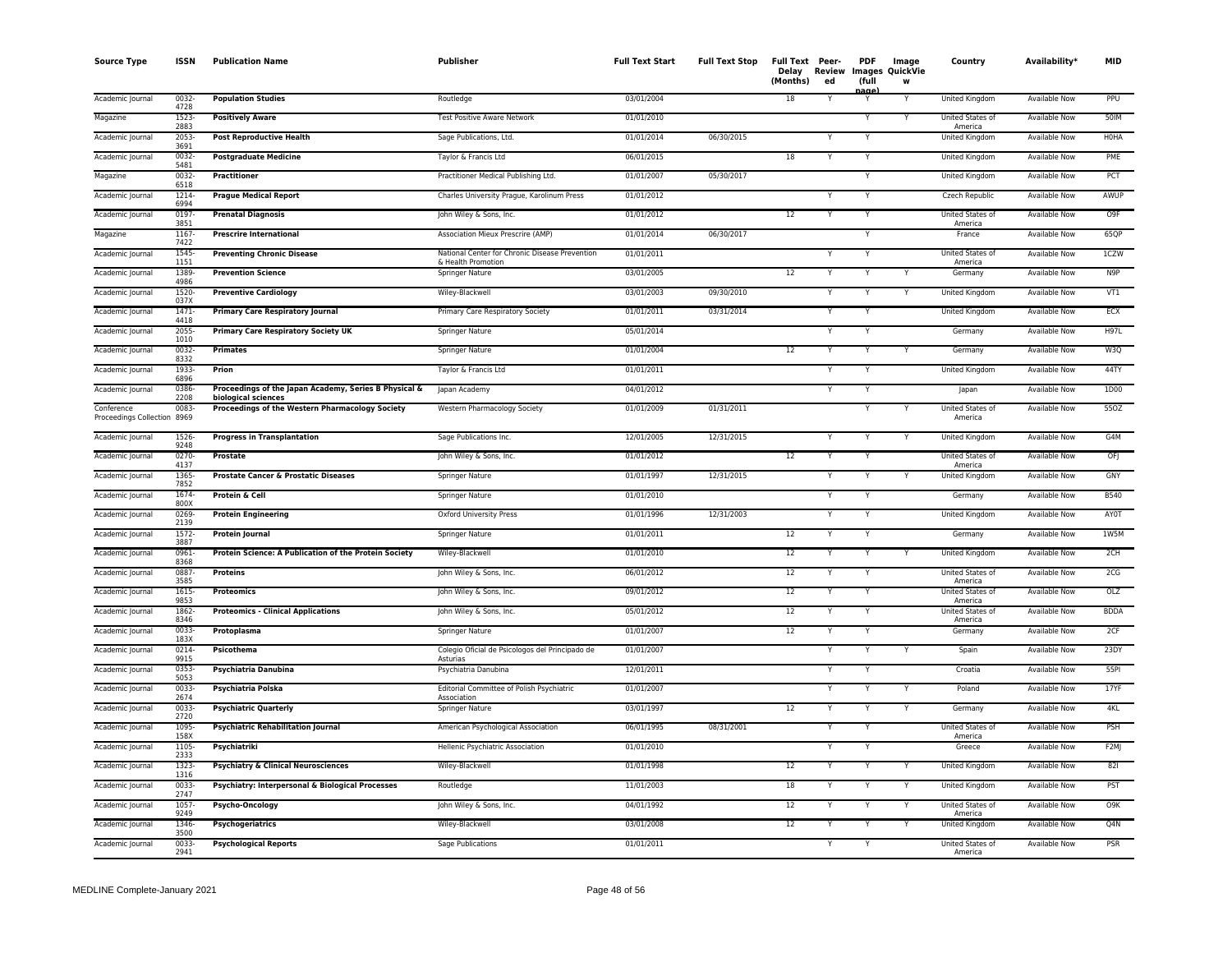| <b>Source Type</b>                        | <b>ISSN</b>           | <b>Publication Name</b>                                                | <b>Publisher</b>                                                     | <b>Full Text Start</b> | <b>Full Text Stop</b> | Full Text Peer-<br>Delay<br>(Months) | Review<br>ed | <b>PDF</b><br>(full     | Image<br><b>Images QuickVie</b><br>W | Country                            | Availability <sup>*</sup> | <b>MID</b>       |
|-------------------------------------------|-----------------------|------------------------------------------------------------------------|----------------------------------------------------------------------|------------------------|-----------------------|--------------------------------------|--------------|-------------------------|--------------------------------------|------------------------------------|---------------------------|------------------|
| Academic Journal                          | $0032 -$<br>4728      | <b>Population Studies</b>                                              | Routledge                                                            | 03/01/2004             |                       | 18                                   | Y            | ane<br>Υ                | $\overline{Y}$                       | United Kingdom                     | <b>Available Now</b>      | PPU              |
| Magazine                                  | $1523 -$<br>2883      | <b>Positively Aware</b>                                                | <b>Test Positive Aware Network</b>                                   | 01/01/2010             |                       |                                      |              | Y                       | Υ                                    | United States of<br>America        | <b>Available Now</b>      | 50IM             |
| Academic Journal                          | 2053-<br>3691         | <b>Post Reproductive Health</b>                                        | Sage Publications, Ltd.                                              | 01/01/2014             | 06/30/2015            |                                      |              | Υ                       |                                      | United Kingdom                     | Available Now             | <b>H0HA</b>      |
| Academic Journal                          | 0032-<br>5481         | <b>Postgraduate Medicine</b>                                           | Taylor & Francis Ltd                                                 | 06/01/2015             |                       | 18                                   | Y            | Y                       |                                      | United Kingdom                     | Available Now             | PMF              |
| Magazine                                  | 0032<br>6518          | Practitioner                                                           | Practitioner Medical Publishing Ltd.                                 | 01/01/2007             | 05/30/2017            |                                      |              | Y                       |                                      | United Kingdom                     | Available Now             | PCT              |
| Academic Journal                          | 1214<br>6994          | <b>Prague Medical Report</b>                                           | Charles University Prague, Karolinum Press                           | 01/01/2012             |                       |                                      | Y            | Υ                       |                                      | Czech Republic                     | <b>Available Now</b>      | AWUP             |
| Academic Journal                          | 0197-<br>3851         | <b>Prenatal Diagnosis</b>                                              | John Wiley & Sons, Inc.                                              | 01/01/2012             |                       | 12                                   |              | Υ                       |                                      | United States of<br>America        | Available Now             | O <sub>9F</sub>  |
| Magazine                                  | 1167<br>7422          | <b>Prescrire International</b>                                         | Association Mieux Prescrire (AMP)                                    | 01/01/2014             | 06/30/2017            |                                      |              | Υ                       |                                      | France                             | Available Now             | 65QP             |
| Academic Journal                          | 1545<br>1151          | <b>Preventing Chronic Disease</b>                                      | National Center for Chronic Disease Prevention<br>& Health Promotion | 01/01/2011             |                       |                                      | Y            | Y                       |                                      | United States of<br>America        | <b>Available Now</b>      | 1CZW             |
| Academic Journal                          | 1389<br>4986          | <b>Prevention Science</b>                                              | Springer Nature                                                      | 03/01/2005             |                       | 12                                   | Y            | Y                       | Y                                    | Germany                            | <b>Available Now</b>      | N <sub>9</sub> P |
| Academic Journal                          | 1520-                 | <b>Preventive Cardiology</b>                                           | Wiley-Blackwell                                                      | 03/01/2003             | 09/30/2010            |                                      | Y            | Υ                       | Υ                                    | United Kingdom                     | Available Now             | VT1              |
| Academic Journal                          | 037X<br>1471-         | <b>Primary Care Respiratory Journal</b>                                | Primary Care Respiratory Society                                     | 01/01/2011             | 03/31/2014            |                                      | Υ            | Y                       |                                      | United Kingdom                     | Available Now             | ECX              |
| Academic Journal                          | 4418<br>2055          | <b>Primary Care Respiratory Society UK</b>                             | Springer Nature                                                      | 05/01/2014             |                       |                                      |              | Y                       |                                      | Germany                            | <b>Available Now</b>      | <b>H97L</b>      |
| Academic Journal                          | 1010<br>0032-         | <b>Primates</b>                                                        | Springer Nature                                                      | 01/01/2004             |                       | 12                                   | Y            | Υ                       |                                      | Germany                            | Available Now             | W3Q              |
| Academic Journal                          | 8332<br>1933-         | Prion                                                                  | Taylor & Francis Ltd                                                 | 01/01/2011             |                       |                                      | Y            | Y                       |                                      | <b>United Kingdom</b>              | Available Now             | 44TY             |
| Academic Journal                          | 6896<br>0386          | Proceedings of the Japan Academy, Series B Physical &                  | Japan Academy                                                        | 04/01/2012             |                       |                                      | Y            | Υ                       |                                      | Japan                              | <b>Available Now</b>      | 1D00             |
| Conference<br>Proceedings Collection 8969 | 2208<br>0083-         | biological sciences<br>Proceedings of the Western Pharmacology Society | Western Pharmacology Society                                         | 01/01/2009             | 01/31/2011            |                                      |              | Y                       | Υ                                    | United States of<br>America        | Available Now             | 550Z             |
| Academic Journal                          | 1526<br>9248          | <b>Progress in Transplantation</b>                                     | Sage Publications Inc.                                               | 12/01/2005             | 12/31/2015            |                                      | Y            | Y                       | Υ                                    | United Kingdom                     | Available Now             | G4M              |
| Academic Journal                          | 0270-                 | Prostate                                                               | John Wiley & Sons, Inc.                                              | 01/01/2012             |                       | 12                                   | Y            | Y                       |                                      | United States of                   | Available Now             | OFJ              |
| Academic Journal                          | 4137<br>1365-<br>7852 | <b>Prostate Cancer &amp; Prostatic Diseases</b>                        | <b>Springer Nature</b>                                               | 01/01/1997             | 12/31/2015            |                                      |              |                         |                                      | America<br><b>United Kingdom</b>   | <b>Available Now</b>      | <b>GNY</b>       |
| Academic Journal                          | 1674<br>800X          | Protein & Cell                                                         | Springer Nature                                                      | 01/01/2010             |                       |                                      | Y            |                         |                                      | Germany                            | Available Now             | <b>B540</b>      |
| Academic Journal                          | $0269 -$<br>2139      | <b>Protein Engineering</b>                                             | <b>Oxford University Press</b>                                       | 01/01/1996             | 12/31/2003            |                                      | Y            | Y                       |                                      | United Kingdom                     | <b>Available Now</b>      | AYOT             |
| Academic Journal                          | $1572 -$              | Protein Journal                                                        | Springer Nature                                                      | 01/01/2011             |                       | 12                                   | Y            | Y                       |                                      | Germany                            | Available Now             | 1W5M             |
| Academic Journal                          | 3887<br>0961<br>8368  | Protein Science: A Publication of the Protein Society                  | Wiley-Blackwell                                                      | 01/01/2010             |                       | 12                                   | Y            | Y                       | Υ                                    | United Kingdom                     | Available Now             | 2CH              |
| Academic Journal                          | 0887-<br>3585         | <b>Proteins</b>                                                        | John Wiley & Sons, Inc.                                              | 06/01/2012             |                       | 12                                   |              |                         |                                      | United States of                   | Available Now             | 2CG              |
| Academic Journal                          | $1615-$<br>9853       | <b>Proteomics</b>                                                      | John Wiley & Sons, Inc.                                              | 09/01/2012             |                       | 12                                   |              | Υ                       |                                      | America<br>United States of        | <b>Available Now</b>      | OLZ              |
| Academic Journal                          | 1862-                 | <b>Proteomics - Clinical Applications</b>                              | John Wiley & Sons, Inc.                                              | 05/01/2012             |                       | $12\,$                               | Y            | Y                       |                                      | America<br>United States of        | Available Now             | <b>BDDA</b>      |
| Academic Journal                          | 8346<br>0033-         | Protoplasma                                                            | Springer Nature                                                      | 01/01/2007             |                       | 12                                   |              | Y                       |                                      | America<br>Germany                 | Available Now             | 2CF              |
| Academic Journal                          | 183X<br>0214          | Psicothema                                                             | Colegio Oficial de Psicologos del Principado de                      | 01/01/2007             |                       |                                      | Y            | Y                       | Y                                    | Spain                              | <b>Available Now</b>      | 23DY             |
| Academic Journal                          | 9915<br>0353-         | Psychiatria Danubina                                                   | Asturias<br>Psychiatria Danubina                                     | 12/01/2011             |                       |                                      | Y            | Y                       |                                      | Croatia                            | <b>Available Now</b>      | <b>55PI</b>      |
| Academic Journal                          | 5053<br>0033-         | Psychiatria Polska                                                     | Editorial Committee of Polish Psychiatric                            | 01/01/2007             |                       |                                      | Y            | Υ                       | Υ                                    | Poland                             | <b>Available Now</b>      | 17YF             |
| Academic Journal                          | 2674<br>0033-         | <b>Psychiatric Quarterly</b>                                           | Association<br>Springer Nature                                       | 03/01/1997             |                       | 12                                   | Y            | Y                       | Y                                    | Germany                            | Available Now             | 4KL              |
| Academic Journal                          | 2720<br>1095          | <b>Psychiatric Rehabilitation Journal</b>                              | American Psychological Association                                   | 06/01/1995             | 08/31/2001            |                                      |              |                         |                                      | United States of                   | Available Now             | PSH              |
| Academic Journal                          | 158X<br>1105          | Psychiatriki                                                           | Hellenic Psychiatric Association                                     | 01/01/2010             |                       |                                      | Y            | Ÿ                       |                                      | America<br>Greece                  | <b>Available Now</b>      | F <sub>2M</sub>  |
| Academic Journal                          | 2333<br>$1323 -$      | <b>Psychiatry &amp; Clinical Neurosciences</b>                         | Wiley-Blackwell                                                      | 01/01/1998             |                       | 12                                   | Y            | Y                       | Y                                    | <b>United Kingdom</b>              | <b>Available Now</b>      | 821              |
| Academic Journal                          | 1316<br>0033          | <b>Psychiatry: Interpersonal &amp; Biological Processes</b>            | Routledge                                                            | 11/01/2003             |                       | 18                                   | Υ            | Y                       | Y                                    | United Kingdom                     | Available Now             | PST              |
| Academic Journal                          | 2747<br>1057          | Psycho-Oncology                                                        | John Wiley & Sons, Inc.                                              | 04/01/1992             |                       | 12                                   |              | Y                       | Y                                    | United States of                   | Available Now             | 09K              |
| Academic Journal                          | 9249<br>1346-         | Psychogeriatrics                                                       | Wiley-Blackwell                                                      | 03/01/2008             |                       | $\overline{12}$                      |              |                         |                                      | America<br>United Kingdom          | Available Now             | Q4N              |
| Academic Journal                          | 3500<br>0033-<br>2941 | <b>Psychological Reports</b>                                           | <b>Sage Publications</b>                                             | 01/01/2011             |                       |                                      | Y            | $\overline{\mathsf{Y}}$ |                                      | <b>United States of</b><br>America | <b>Available Now</b>      | <b>PSR</b>       |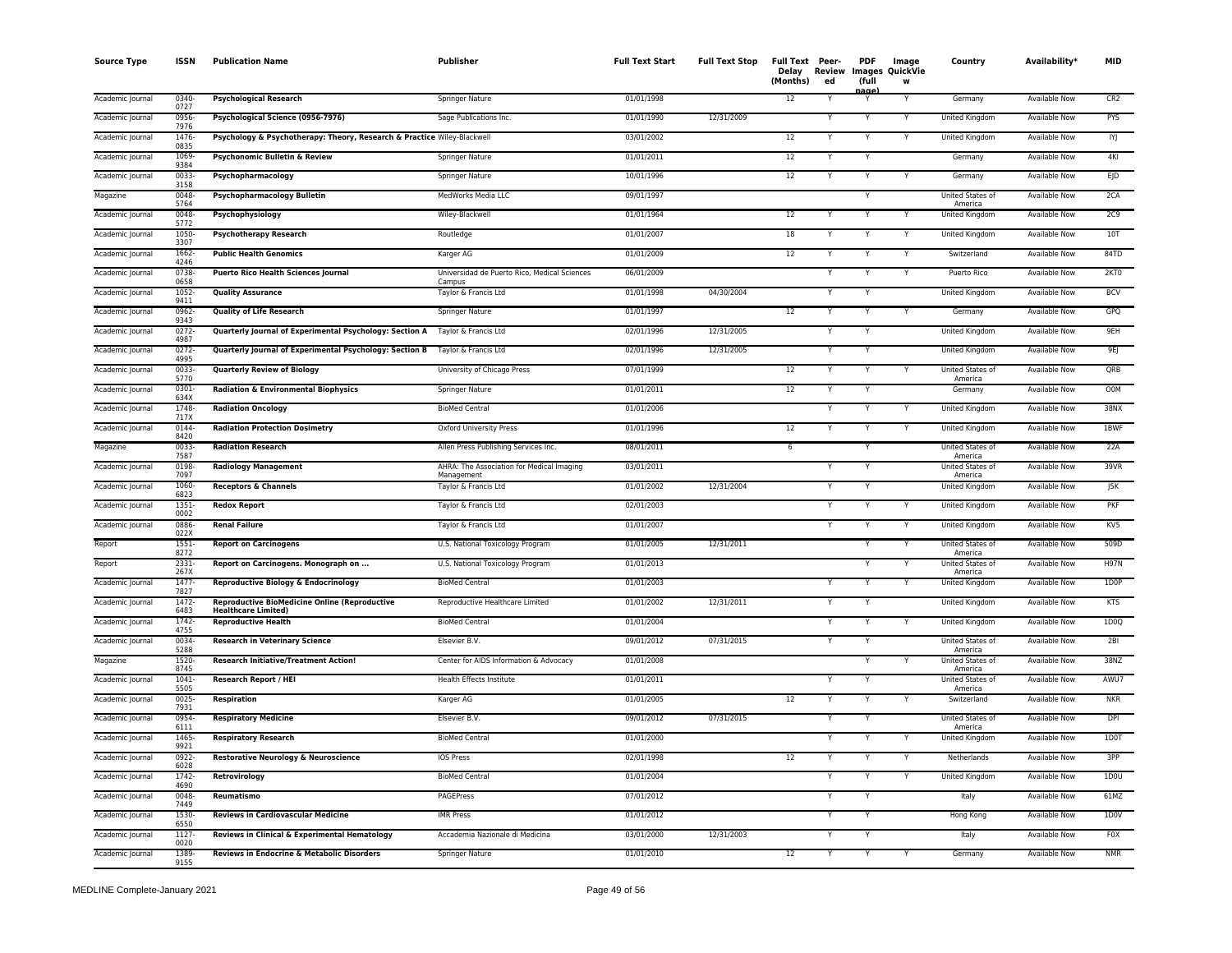| <b>Source Type</b> | <b>ISSN</b>      | <b>Publication Name</b>                                                            | Publisher                                               | <b>Full Text Start</b> | <b>Full Text Stop</b> | Full Text Peer-<br>Delay<br>(Months) | Review<br>ed | <b>PDF</b><br>(full | Image<br><b>Images QuickVie</b><br>W | Country                            | Availability*        | <b>MID</b>        |
|--------------------|------------------|------------------------------------------------------------------------------------|---------------------------------------------------------|------------------------|-----------------------|--------------------------------------|--------------|---------------------|--------------------------------------|------------------------------------|----------------------|-------------------|
| Academic Journal   | 0340-<br>0727    | <b>Psychological Research</b>                                                      | Springer Nature                                         | 01/01/1998             |                       | 12                                   |              | aage                | Y                                    | Germany                            | Available Now        | CR2               |
| Academic Journal   | 0956<br>7976     | Psychological Science (0956-7976)                                                  | Sage Publications Inc.                                  | 01/01/1990             | 12/31/2009            |                                      |              |                     |                                      | <b>United Kingdom</b>              | <b>Available Now</b> | PYS               |
| Academic Journal   | 1476<br>0835     | Psychology & Psychotherapy: Theory, Research & Practice Wiley-Blackwell            |                                                         | 03/01/2002             |                       | 12                                   |              | Y                   |                                      | United Kingdom                     | <b>Available Now</b> | IYJ               |
| Academic Journal   | 1069<br>9384     | Psychonomic Bulletin & Review                                                      | <b>Springer Nature</b>                                  | 01/01/2011             |                       | 12                                   |              | Y                   |                                      | Germany                            | <b>Available Now</b> | 4KI               |
| Academic Journal   | 0033-<br>3158    | Psychopharmacology                                                                 | Springer Nature                                         | 10/01/1996             |                       | 12                                   |              | Y                   |                                      | Germany                            | Available Now        | $E$ <sub>D</sub>  |
| Magazine           | 0048<br>5764     | Psychopharmacology Bulletin                                                        | MedWorks Media LLC                                      | 09/01/1997             |                       |                                      |              | Y                   |                                      | <b>United States of</b><br>America | Available Now        | 2CA               |
| Academic Journal   | 0048<br>5772     | Psychophysiology                                                                   | Wiley-Blackwell                                         | 01/01/1964             |                       | 12                                   |              |                     |                                      | <b>United Kingdom</b>              | <b>Available Now</b> | 2C9               |
| Academic Journal   | 1050-<br>3307    | <b>Psychotherapy Research</b>                                                      | Routledge                                               | 01/01/2007             |                       | 18                                   |              | $\checkmark$        | Y                                    | United Kingdom                     | Available Now        | 10T               |
| Academic Journal   | 1662-<br>4246    | <b>Public Health Genomics</b>                                                      | Karger AG                                               | 01/01/2009             |                       | 12                                   |              |                     | Y                                    | Switzerland                        | Available Now        | 84TD              |
| Academic Journal   | 0738-<br>0658    | <b>Puerto Rico Health Sciences Journal</b>                                         | Universidad de Puerto Rico, Medical Sciences<br>Campus  | 06/01/2009             |                       |                                      |              | Y                   |                                      | Puerto Rico                        | <b>Available Now</b> | 2KT0              |
| Academic Journal   | $1052 -$<br>9411 | <b>Quality Assurance</b>                                                           | Taylor & Francis Ltd                                    | 01/01/1998             | 04/30/2004            |                                      |              | Y                   |                                      | United Kingdom                     | <b>Available Now</b> | <b>BCV</b>        |
| Academic Journal   | 0962<br>9343     | <b>Quality of Life Research</b>                                                    | Springer Nature                                         | 01/01/1997             |                       | $\overline{12}$                      |              | Y                   |                                      | Germany                            | <b>Available Now</b> | GPQ               |
| Academic Journal   | $0272 -$<br>4987 | Quarterly Journal of Experimental Psychology: Section A                            | Taylor & Francis Ltd                                    | 02/01/1996             | 12/31/2005            |                                      |              | N                   |                                      | United Kingdom                     | <b>Available Now</b> | 9EH               |
| Academic Journal   | $0272 -$<br>4995 | Quarterly Journal of Experimental Psychology: Section B                            | Taylor & Francis Ltd                                    | 02/01/1996             | 12/31/2005            |                                      |              |                     |                                      | United Kingdom                     | Available Now        | 9E                |
| Academic Journal   | 0033-<br>5770    | <b>Quarterly Review of Biology</b>                                                 | University of Chicago Press                             | 07/01/1999             |                       | 12                                   |              | Y                   |                                      | United States of<br>America        | Available Now        | QRB               |
| Academic Journal   | 0301-<br>634X    | <b>Radiation &amp; Environmental Biophysics</b>                                    | Springer Nature                                         | 01/01/2011             |                       | 12                                   |              |                     |                                      | Germany                            | <b>Available Now</b> | <b>OOM</b>        |
| Academic Journal   | 1748<br>717X     | <b>Radiation Oncology</b>                                                          | <b>BioMed Central</b>                                   | 01/01/2006             |                       |                                      |              | Y                   | $\checkmark$                         | <b>United Kingdom</b>              | <b>Available Now</b> | 38NX              |
| Academic Journal   | 0144-<br>8420    | <b>Radiation Protection Dosimetry</b>                                              | Oxford University Press                                 | 01/01/1996             |                       | 12                                   |              | Y                   |                                      | United Kingdom                     | <b>Available Now</b> | 1BWF              |
| Magazine           | 0033-<br>7587    | <b>Radiation Research</b>                                                          | Allen Press Publishing Services Inc.                    | 08/01/2011             |                       | 6                                    |              | Y                   |                                      | United States of<br>America        | <b>Available Now</b> | 22A               |
| Academic Journal   | 0198<br>7097     | <b>Radiology Management</b>                                                        | AHRA: The Association for Medical Imaging<br>Management | 03/01/2011             |                       |                                      |              | Y                   |                                      | <b>United States of</b><br>America | Available Now        | 39VR              |
| Academic Journal   | 1060-<br>6823    | <b>Receptors &amp; Channels</b>                                                    | Taylor & Francis Ltd                                    | 01/01/2002             | 12/31/2004            |                                      |              | Y                   |                                      | United Kingdom                     | <b>Available Now</b> | JSK               |
| Academic Journal   | 1351-<br>0002    | <b>Redox Report</b>                                                                | Taylor & Francis Ltd                                    | 02/01/2003             |                       |                                      |              | Y                   | Y                                    | United Kingdom                     | Available Now        | <b>PKF</b>        |
| Academic Journal   | 0886-<br>022X    | <b>Renal Failure</b>                                                               | Taylor & Francis Ltd                                    | 01/01/2007             |                       |                                      |              |                     | Y                                    | United Kingdom                     | Available Now        | KV5               |
| Report             | 1551-<br>8272    | <b>Report on Carcinogens</b>                                                       | U.S. National Toxicology Program                        | 01/01/2005             | 12/31/2011            |                                      |              | $\mathsf{v}$        | Y                                    | United States of<br>America        | <b>Available Now</b> | 509D              |
| Report             | 2331-<br>267X    | Report on Carcinogens. Monograph on                                                | U.S. National Toxicology Program                        | 01/01/2013             |                       |                                      |              | Y                   |                                      | United States of<br>America        | <b>Available Now</b> | <b>H97N</b>       |
| Academic Journal   | 1477<br>7827     | <b>Reproductive Biology &amp; Endocrinology</b>                                    | <b>BioMed Central</b>                                   | 01/01/2003             |                       |                                      |              | Y                   |                                      | <b>United Kingdom</b>              | <b>Available Now</b> | 1D <sub>0</sub> P |
| Academic Journal   | $1472 -$<br>6483 | <b>Reproductive BioMedicine Online (Reproductive</b><br><b>Healthcare Limited)</b> | Reproductive Healthcare Limited                         | 01/01/2002             | 12/31/2011            |                                      |              | Y                   |                                      | <b>United Kingdom</b>              | <b>Available Now</b> | KTS               |
| Academic Journal   | 1742-<br>4755    | <b>Reproductive Health</b>                                                         | <b>BioMed Central</b>                                   | 01/01/2004             |                       |                                      |              |                     |                                      | United Kingdom                     | <b>Available Now</b> | 1D0Q              |
| Academic Journal   | 0034-<br>5288    | <b>Research in Veterinary Science</b>                                              | Elsevier B.V.                                           | 09/01/2012             | 07/31/2015            |                                      |              |                     |                                      | United States of<br>America        | Available Now        | 2B1               |
| Magazine           | 1520-<br>8745    | <b>Research Initiative/Treatment Action!</b>                                       | Center for AIDS Information & Advocacy                  | 01/01/2008             |                       |                                      |              |                     |                                      | United States of<br>America        | <b>Available Now</b> | 38NZ              |
| Academic Journal   | 1041<br>5505     | <b>Research Report / HEI</b>                                                       | Health Effects Institute                                | 01/01/2011             |                       |                                      |              | Y                   |                                      | United States of<br>America        | <b>Available Now</b> | AWU7              |
| Academic Journal   | $0025 -$<br>7931 | <b>Respiration</b>                                                                 | Karger AG                                               | 01/01/2005             |                       | $\overline{12}$                      |              | Y                   |                                      | Switzerland                        | <b>Available Now</b> | <b>NKR</b>        |
| Academic Journal   | 0954-<br>6111    | <b>Respiratory Medicine</b>                                                        | Elsevier B.V.                                           | 09/01/2012             | 07/31/2015            |                                      |              | Y                   |                                      | United States of<br>America        | <b>Available Now</b> | DPI               |
| Academic Journal   | 1465<br>9921     | <b>Respiratory Research</b>                                                        | <b>BioMed Central</b>                                   | 01/01/2000             |                       |                                      |              |                     |                                      | United Kingdom                     | Available Now        | 1D0T              |
| Academic Journal   | 0922-<br>6028    | Restorative Neurology & Neuroscience                                               | <b>IOS Press</b>                                        | 02/01/1998             |                       | 12                                   |              | Y                   |                                      | Netherlands                        | <b>Available Now</b> | 3PP               |
| Academic Journal   | 1742-<br>4690    | Retrovirology                                                                      | <b>BioMed Central</b>                                   | 01/01/2004             |                       |                                      |              | Y                   | Y                                    | United Kingdom                     | Available Now        | 1D <sub>0</sub>   |
| Academic Journal   | 0048-<br>7449    | Reumatismo                                                                         | PAGEPress                                               | 07/01/2012             |                       |                                      |              |                     |                                      | Italy                              | Available Now        | 61MZ              |
| Academic Journal   | 1530-<br>6550    | <b>Reviews in Cardiovascular Medicine</b>                                          | <b>IMR Press</b>                                        | 01/01/2012             |                       |                                      |              |                     |                                      | Hong Kong                          | <b>Available Now</b> | 1D0V              |
| Academic Journal   | 1127<br>0020     | Reviews in Clinical & Experimental Hematology                                      | Accademia Nazionale di Medicina                         | 03/01/2000             | 12/31/2003            |                                      |              | Y                   |                                      | Italy                              | Available Now        | F <sub>0</sub> X  |
| Academic Journal   | 1389<br>9155     | <b>Reviews in Endocrine &amp; Metabolic Disorders</b>                              | Springer Nature                                         | 01/01/2010             |                       | 12                                   |              | Y                   |                                      | Germany                            | <b>Available Now</b> | <b>NMR</b>        |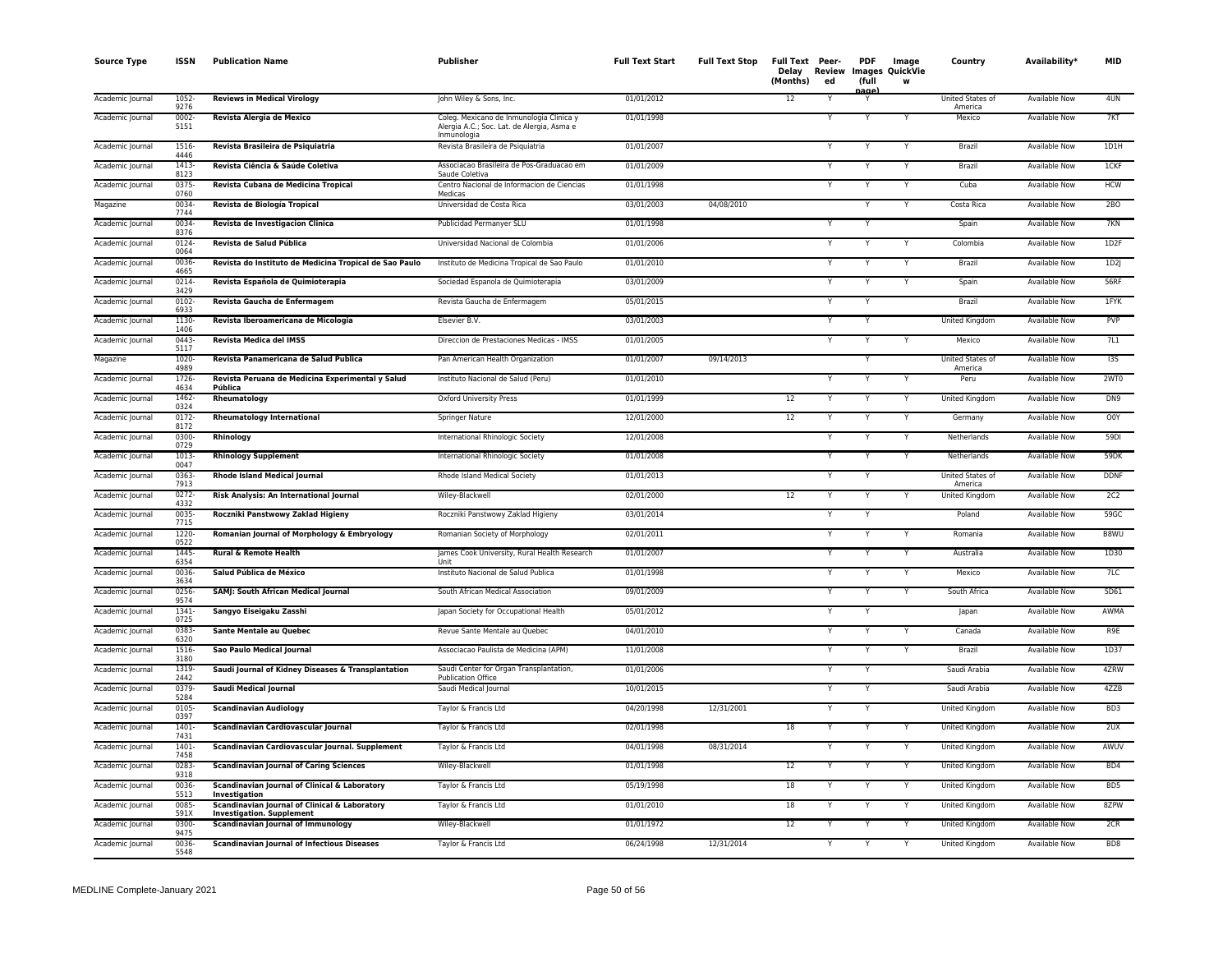| Source Type      | ISSN             | <b>Publication Name</b>                                                           | Publisher                                                                                             | <b>Full Text Start</b> | Full Text Stop | Full Text Peer-<br>Delay<br>(Months) | ed | <b>PDF</b><br>(full | Image<br>Review Images QuickVie | Country                     | Availability*        | <b>MID</b>      |
|------------------|------------------|-----------------------------------------------------------------------------------|-------------------------------------------------------------------------------------------------------|------------------------|----------------|--------------------------------------|----|---------------------|---------------------------------|-----------------------------|----------------------|-----------------|
| Academic Journal | $1052 -$<br>9276 | <b>Reviews in Medical Virology</b>                                                | John Wiley & Sons, Inc.                                                                               | 01/01/2012             |                | 12                                   | Y  | age                 |                                 | United States of<br>America | <b>Available Now</b> | 4UN             |
| Academic Journal | 0002-<br>5151    | Revista Alergia de Mexico                                                         | Coleg. Mexicano de Inmunologia Clinica y<br>Alergia A.C.; Soc. Lat. de Alergia, Asma e<br>Inmunologia | 01/01/1998             |                |                                      | Y  | Y                   |                                 | Mexico                      | Available Now        | 7KT             |
| Academic Journal | 1516-<br>4446    | Revista Brasileira de Psiquiatria                                                 | Revista Brasileira de Psiquiatria                                                                     | 01/01/2007             |                |                                      | Y  |                     |                                 | Brazil                      | <b>Available Now</b> | 1D1H            |
| Academic Journal | 1413<br>8123     | Revista Ciência & Saúde Coletiva                                                  | Associacao Brasileira de Pos-Graduacao em<br>Saude Coletiva                                           | 01/01/2009             |                |                                      | Y  | $\checkmark$        |                                 | Brazil                      | Available Now        | 1CKF            |
| Academic Journal | 0375<br>0760     | Revista Cubana de Medicina Tropical                                               | Centro Nacional de Informacion de Ciencias<br>Medicas                                                 | 01/01/1998             |                |                                      | Υ  |                     |                                 | Cuba                        | Available Now        | <b>HCW</b>      |
| Magazine         | 0034-<br>7744    | Revista de Biología Tropical                                                      | Universidad de Costa Rica                                                                             | 03/01/2003             | 04/08/2010     |                                      |    | $\checkmark$        | Y                               | Costa Rica                  | Available Now        | 2BO             |
| Academic Journal | 0034<br>8376     | Revista de Investigacion Clinica                                                  | Publicidad Permanyer SLU                                                                              | 01/01/1998             |                |                                      |    |                     |                                 | Spain                       | Available Now        | 7KN             |
| Academic Journal | 0124<br>0064     | Revista de Salud Pública                                                          | Universidad Nacional de Colombia                                                                      | 01/01/2006             |                |                                      | Y  |                     |                                 | Colombia                    | <b>Available Now</b> | 1D2F            |
| Academic Journal | 0036-<br>4665    | Revista do Instituto de Medicina Tropical de Sao Paulo                            | Instituto de Medicina Tropical de Sao Paulo                                                           | 01/01/2010             |                |                                      | Y  | Y                   | Y                               | Brazil                      | Available Now        | 1D2J            |
| Academic Journal | 0214-<br>3429    | Revista Española de Quimioterapia                                                 | Sociedad Espanola de Quimioterapia                                                                    | 03/01/2009             |                |                                      | Υ  |                     | Y                               | Spain                       | Available Now        | <b>56RF</b>     |
| Academic Journal | 0102<br>6933     | Revista Gaucha de Enfermagem                                                      | Revista Gaucha de Enfermagem                                                                          | 05/01/2015             |                |                                      | Y  |                     |                                 | Brazil                      | <b>Available Now</b> | 1FYK            |
| Academic Journal | 1130-<br>1406    | Revista Iberoamericana de Micologia                                               | Elsevier B.V.                                                                                         | 03/01/2003             |                |                                      |    |                     |                                 | <b>United Kingdom</b>       | <b>Available Now</b> | <b>PVP</b>      |
| Academic Journal | $0443 -$<br>5117 | <b>Revista Medica del IMSS</b>                                                    | Direccion de Prestaciones Medicas - IMSS                                                              | 01/01/2005             |                |                                      |    | $\checkmark$        |                                 | Mexico                      | Available Now        | 7L1             |
| Magazine         | 1020-<br>4989    | Revista Panamericana de Salud Publica                                             | Pan American Health Organization                                                                      | 01/01/2007             | 09/14/2013     |                                      |    | Y                   |                                 | United States of<br>America | Available Now        | I3S             |
| Academic Journal | 1726-<br>4634    | Revista Peruana de Medicina Experimental y Salud<br>Pública                       | Instituto Nacional de Salud (Peru)                                                                    | 01/01/2010             |                |                                      | Υ  |                     |                                 | Peru                        | <b>Available Now</b> | 2WTO            |
| Academic Journal | 1462<br>0324     | Rheumatology                                                                      | <b>Oxford University Press</b>                                                                        | 01/01/1999             |                | 12                                   | Y  |                     |                                 | United Kingdom              | Available Now        | DN9             |
| Academic Journal | $0172 -$<br>8172 | <b>Rheumatology International</b>                                                 | Springer Nature                                                                                       | 12/01/2000             |                | $12\,$                               | Y  | $\checkmark$        | Υ                               | Germany                     | Available Now        | O0Y             |
| Academic Journal | 0300<br>0729     | Rhinology                                                                         | International Rhinologic Society                                                                      | 12/01/2008             |                |                                      | Y  |                     | Y                               | Netherlands                 | <b>Available Now</b> | 59DI            |
| Academic Journal | 1013<br>0047     | <b>Rhinology Supplement</b>                                                       | International Rhinologic Society                                                                      | 01/01/2008             |                |                                      | Y  | Y                   | Y                               | Netherlands                 | Available Now        | 59DK            |
| Academic Journal | 0363-<br>7913    | <b>Rhode Island Medical Journal</b>                                               | Rhode Island Medical Society                                                                          | 01/01/2013             |                |                                      | Y  |                     |                                 | United States of<br>America | Available Now        | <b>DDNF</b>     |
| Academic Journal | $0272 -$<br>4332 | Risk Analysis: An International Journal                                           | Wiley-Blackwell                                                                                       | 02/01/2000             |                | 12                                   | Y  |                     |                                 | <b>United Kingdom</b>       | <b>Available Now</b> | 2C2             |
| Academic Journal | 0035-<br>7715    | Roczniki Panstwowy Zaklad Higieny                                                 | Roczniki Panstwowy Zaklad Higieny                                                                     | 03/01/2014             |                |                                      | Υ  |                     |                                 | Poland                      | <b>Available Now</b> | 59GC            |
| Academic Journal | 1220-<br>0522    | Romanian Journal of Morphology & Embryology                                       | Romanian Society of Morphology                                                                        | 02/01/2011             |                |                                      |    |                     |                                 | Romania                     | Available Now        | B8WU            |
| Academic Journal | 1445<br>6354     | <b>Rural &amp; Remote Health</b>                                                  | James Cook University, Rural Health Research                                                          | 01/01/2007             |                |                                      | Y  | $\checkmark$        |                                 | Australia                   | <b>Available Now</b> | 1D30            |
| Academic Journal | 0036-<br>3634    | Salud Pública de México                                                           | Instituto Nacional de Salud Publica                                                                   | 01/01/1998             |                |                                      | Υ  |                     |                                 | Mexico                      | Available Now        | 7LC             |
| Academic Journal | 0256<br>9574     | SAMJ: South African Medical Journal                                               | South African Medical Association                                                                     | 09/01/2009             |                |                                      | Υ  |                     |                                 | South Africa                | <b>Available Now</b> | 5D61            |
| Academic Journal | $1341 -$<br>0725 | Sangyo Eiseigaku Zasshi                                                           | Japan Society for Occupational Health                                                                 | 05/01/2012             |                |                                      | Υ  | $\checkmark$        |                                 | Japan                       | Available Now        | AWMA            |
| Academic Journal | 0383<br>6320     | Sante Mentale au Quebec                                                           | Revue Sante Mentale au Quebec                                                                         | 04/01/2010             |                |                                      | Υ  |                     |                                 | Canada                      | <b>Available Now</b> | R9E             |
| Academic Journal | 1516-<br>3180    | Sao Paulo Medical Journal                                                         | Associacao Paulista de Medicina (APM)                                                                 | 11/01/2008             |                |                                      | Y  |                     |                                 | Brazil                      | <b>Available Now</b> | 1D37            |
| Academic Journal | 1319-<br>2442    | Saudi Journal of Kidney Diseases & Transplantation                                | Saudi Center for Organ Transplantation,<br><b>Publication Office</b>                                  | 01/01/2006             |                |                                      | Y  | Y                   |                                 | Saudi Arabia                | <b>Available Now</b> | 4ZRW            |
| Academic Journal | 0379<br>5284     | <b>Saudi Medical Journal</b>                                                      | Saudi Medical Journal                                                                                 | 10/01/2015             |                |                                      | Υ  |                     |                                 | Saudi Arabia                | <b>Available Now</b> | 4ZZB            |
| Academic Journal | 0105<br>0397     | <b>Scandinavian Audiology</b>                                                     | Taylor & Francis Ltd                                                                                  | 04/20/1998             | 12/31/2001     |                                      | Υ  |                     |                                 | United Kingdom              | Available Now        | BD3             |
| Academic Journal | 1401-<br>7431    | Scandinavian Cardiovascular Journal                                               | Taylor & Francis Ltd                                                                                  | 02/01/1998             |                | 18                                   |    |                     |                                 | United Kingdom              | Available Now        | 2UX             |
| Academic Journal | $1401 -$<br>7458 | Scandinavian Cardiovascular Journal. Supplement                                   | Taylor & Francis Ltd                                                                                  | 04/01/1998             | 08/31/2014     |                                      | Y  |                     |                                 | <b>United Kingdom</b>       | <b>Available Now</b> | AWUV            |
| Academic Journal | 0283<br>9318     | <b>Scandinavian Journal of Caring Sciences</b>                                    | Wiley-Blackwell                                                                                       | 01/01/1998             |                | 12                                   | Y  |                     |                                 | United Kingdom              | <b>Available Now</b> | BD4             |
| Academic Journal | 0036<br>5513     | Scandinavian Journal of Clinical & Laboratory<br>Investigation                    | Taylor & Francis Ltd                                                                                  | 05/19/1998             |                | 18                                   |    |                     |                                 | United Kingdom              | Available Now        | BD <sub>5</sub> |
| Academic Journal | 0085<br>591X     | Scandinavian Journal of Clinical & Laboratory<br><b>Investigation. Supplement</b> | Taylor & Francis Ltd                                                                                  | 01/01/2010             |                | 18                                   | Y  |                     |                                 | United Kingdom              | Available Now        | 8ZPW            |
| Academic Journal | 0300-<br>9475    | <b>Scandinavian Journal of Immunology</b>                                         | Wiley-Blackwell                                                                                       | 01/01/1972             |                | $\overline{12}$                      |    |                     |                                 | United Kingdom              | <b>Available Now</b> | 2CR             |
| Academic Journal | 0036-<br>5548    | <b>Scandinavian Journal of Infectious Diseases</b>                                | Taylor & Francis Ltd                                                                                  | 06/24/1998             | 12/31/2014     |                                      | Y  |                     |                                 | United Kingdom              | <b>Available Now</b> | BD <sub>8</sub> |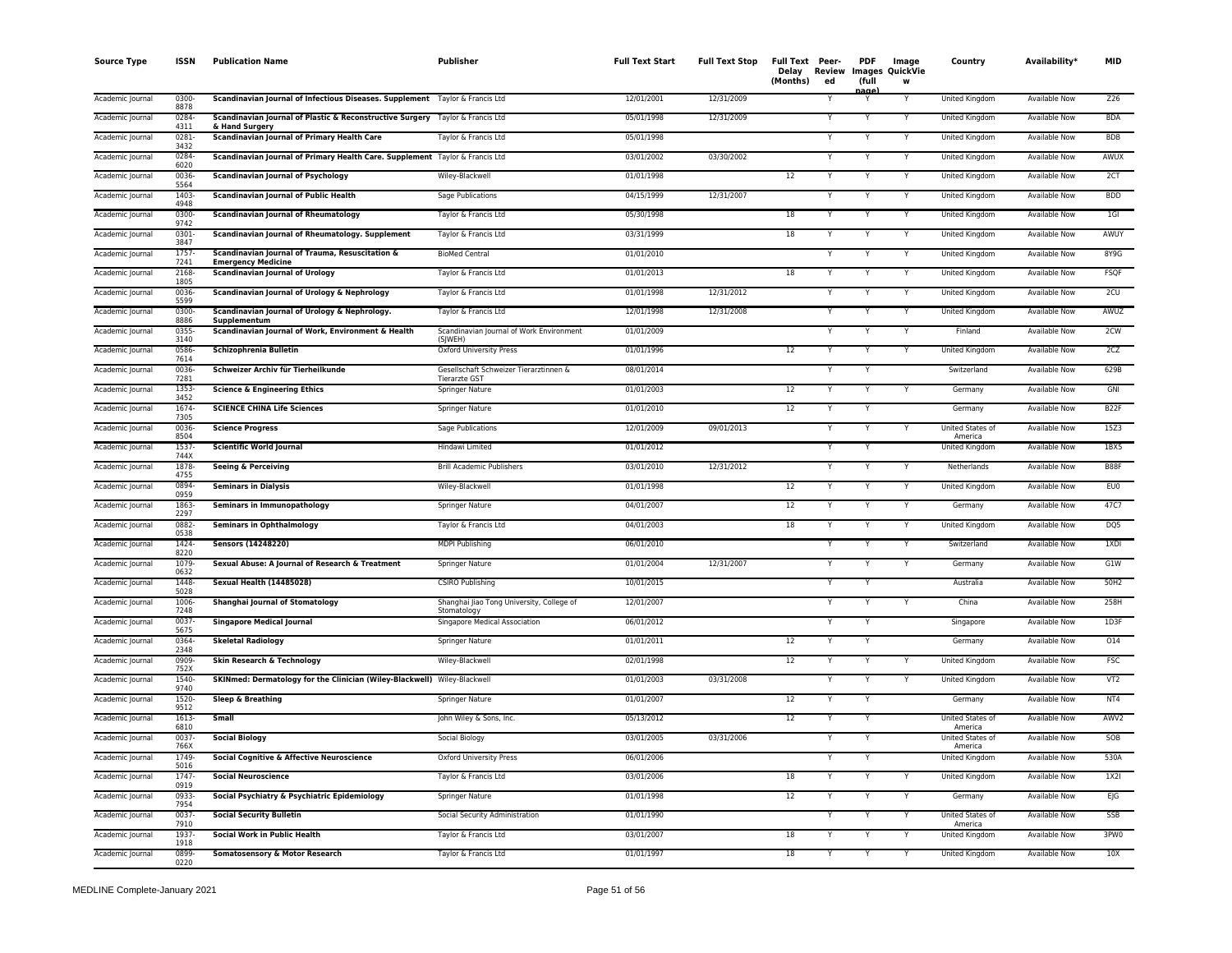| <b>Source Type</b> | <b>ISSN</b>     | <b>Publication Name</b>                                                                         | Publisher                                                      | <b>Full Text Start</b> | <b>Full Text Stop</b> | Full Text Peer-<br>Delay<br>Review<br>(Months)<br>ed | <b>PDF</b><br>(full | Image<br><b>Images QuickVie</b><br>w | Country                            | Availability*        | <b>MID</b>        |
|--------------------|-----------------|-------------------------------------------------------------------------------------------------|----------------------------------------------------------------|------------------------|-----------------------|------------------------------------------------------|---------------------|--------------------------------------|------------------------------------|----------------------|-------------------|
| Academic Journal   | 0300-<br>8878   | Scandinavian Journal of Infectious Diseases. Supplement Taylor & Francis Ltd                    |                                                                | 12/01/2001             | 12/31/2009            |                                                      | aαe                 | Y                                    | United Kingdom                     | Available Now        | Z26               |
| Academic Journal   | 0284<br>4311    | Scandinavian Journal of Plastic & Reconstructive Surgery Taylor & Francis Ltd<br>& Hand Surgery |                                                                | 05/01/1998             | 12/31/2009            |                                                      |                     |                                      | United Kingdom                     | <b>Available Now</b> | <b>BDA</b>        |
| Academic Journal   | 0281<br>3432    | <b>Scandinavian Journal of Primary Health Care</b>                                              | Taylor & Francis Ltd                                           | 05/01/1998             |                       |                                                      | Y                   | Y                                    | United Kingdom                     | <b>Available Now</b> | <b>BDB</b>        |
| Academic Journal   | 0284<br>6020    | Scandinavian Journal of Primary Health Care. Supplement Taylor & Francis Ltd                    |                                                                | 03/01/2002             | 03/30/2002            |                                                      |                     |                                      | United Kingdom                     | <b>Available Now</b> | AWUX              |
| Academic Journal   | 0036-<br>5564   | <b>Scandinavian Journal of Psychology</b>                                                       | Wiley-Blackwell                                                | 01/01/1998             |                       | 12                                                   |                     | Y                                    | United Kingdom                     | <b>Available Now</b> | 2CT               |
| Academic Journal   | 1403<br>4948    | <b>Scandinavian Journal of Public Health</b>                                                    | Sage Publications                                              | 04/15/1999             | 12/31/2007            |                                                      |                     | Y                                    | United Kingdom                     | Available Now        | <b>BDD</b>        |
| Academic Journal   | 0300-<br>9742   | <b>Scandinavian Journal of Rheumatology</b>                                                     | Taylor & Francis Ltd                                           | 05/30/1998             |                       | 18                                                   |                     | Y                                    | <b>United Kingdom</b>              | <b>Available Now</b> | $1$ GI            |
| Academic Journal   | 0301-<br>3847   | Scandinavian Journal of Rheumatology. Supplement                                                | Taylor & Francis Ltd                                           | 03/31/1999             |                       | 18                                                   |                     | Y                                    | United Kingdom                     | Available Now        | AWUY              |
| Academic Journal   | 1757<br>7241    | Scandinavian Journal of Trauma, Resuscitation &<br><b>Emergency Medicine</b>                    | <b>BioMed Central</b>                                          | 01/01/2010             |                       |                                                      |                     | Y                                    | United Kingdom                     | Available Now        | 8Y9G              |
| Academic Journal   | 2168<br>1805    | <b>Scandinavian Journal of Urology</b>                                                          | Taylor & Francis Ltd                                           | 01/01/2013             |                       | 18                                                   |                     |                                      | United Kingdom                     | <b>Available Now</b> | <b>FSQF</b>       |
| Academic Journal   | 0036-<br>5599   | Scandinavian Journal of Urology & Nephrology                                                    | Taylor & Francis Ltd                                           | 01/01/1998             | 12/31/2012            |                                                      |                     | Y                                    | United Kingdom                     | <b>Available Now</b> | 2CU               |
| Academic Journal   | 0300-<br>8886   | Scandinavian Journal of Urology & Nephrology.<br>Supplementum                                   | Taylor & Francis Ltd                                           | 12/01/1998             | 12/31/2008            |                                                      |                     |                                      | <b>United Kingdom</b>              | <b>Available Now</b> | AWUZ              |
| Academic Journal   | 0355-<br>3140   | Scandinavian Journal of Work, Environment & Health                                              | Scandinavian Journal of Work Environment<br>(SIWEH)            | 01/01/2009             |                       |                                                      |                     | Y                                    | Finland                            | <b>Available Now</b> | 2CW               |
| Academic Journal   | 0586-<br>7614   | Schizophrenia Bulletin                                                                          | Oxford University Press                                        | 01/01/1996             |                       | 12                                                   |                     |                                      | United Kingdom                     | Available Now        | 2CZ               |
| Academic Journal   | 0036<br>7281    | Schweizer Archiv für Tierheilkunde                                                              | Gesellschaft Schweizer Tierarztinnen &<br><b>Tierarzte GST</b> | 08/01/2014             |                       |                                                      |                     |                                      | Switzerland                        | Available Now        | 629B              |
| Academic Journal   | 1353-<br>3452   | <b>Science &amp; Engineering Ethics</b>                                                         | <b>Springer Nature</b>                                         | 01/01/2003             |                       | 12                                                   |                     |                                      | Germany                            | <b>Available Now</b> | GNI               |
| Academic Journa    | 1674<br>7305    | <b>SCIENCE CHINA Life Sciences</b>                                                              | Springer Nature                                                | 01/01/2010             |                       | 12                                                   | Y                   |                                      | Germany                            | <b>Available Now</b> | B <sub>2</sub> 2F |
| Academic Journal   | 0036-<br>8504   | <b>Science Progress</b>                                                                         | Sage Publications                                              | 12/01/2009             | 09/01/2013            |                                                      |                     |                                      | United States of<br>America        | <b>Available Now</b> | 15Z3              |
| Academic Journal   | 1537-<br>744X   | <b>Scientific World Journal</b>                                                                 | Hindawi Limited                                                | 01/01/2012             |                       |                                                      |                     |                                      | United Kingdom                     | <b>Available Now</b> | 1BX5              |
| Academic Journal   | 1878<br>4755    | Seeing & Perceiving                                                                             | <b>Brill Academic Publishers</b>                               | 03/01/2010             | 12/31/2012            |                                                      | Y                   |                                      | Netherlands                        | Available Now        | <b>B88F</b>       |
| Academic Journal   | 0894<br>0959    | <b>Seminars in Dialysis</b>                                                                     | Wiley-Blackwell                                                | 01/01/1998             |                       | $\overline{12}$                                      |                     |                                      | United Kingdom                     | <b>Available Now</b> | EU0               |
| Academic Journal   | 1863<br>2297    | Seminars in Immunopathology                                                                     | Springer Nature                                                | 04/01/2007             |                       | 12                                                   | Y                   | Y                                    | Germany                            | Available Now        | 47C7              |
| Academic Journal   | 0882-<br>0538   | <b>Seminars in Ophthalmology</b>                                                                | Taylor & Francis Ltd                                           | 04/01/2003             |                       | 18                                                   |                     | Υ                                    | United Kingdom                     | Available Now        | DQ5               |
| Academic Journal   | 1424<br>8220    | <b>Sensors (14248220)</b>                                                                       | <b>MDPI Publishing</b>                                         | 06/01/2010             |                       |                                                      | $\mathsf{v}$        | $\checkmark$                         | Switzerland                        | <b>Available Now</b> | 1XDI              |
| Academic Journal   | 1079<br>0632    | Sexual Abuse: A Journal of Research & Treatment                                                 | Springer Nature                                                | 01/01/2004             | 12/31/2007            |                                                      | Y                   |                                      | Germany                            | <b>Available Now</b> | G1W               |
| Academic Journal   | 1448<br>5028    | <b>Sexual Health (14485028)</b>                                                                 | <b>CSIRO Publishing</b>                                        | 10/01/2015             |                       |                                                      | Y                   |                                      | Australia                          | <b>Available Now</b> | 50H2              |
| Academic Journal   | 1006<br>7248    | <b>Shanghai Journal of Stomatology</b>                                                          | Shanghai Jiao Tong University, College of<br>Stomatology       | 12/01/2007             |                       |                                                      | Y                   |                                      | China                              | <b>Available Now</b> | 258H              |
| Academic Journal   | 0037-<br>5675   | <b>Singapore Medical Journal</b>                                                                | Singapore Medical Association                                  | 06/01/2012             |                       |                                                      |                     |                                      | Singapore                          | <b>Available Now</b> | 1D3F              |
| Academic Journal   | 0364-<br>2348   | <b>Skeletal Radiology</b>                                                                       | Springer Nature                                                | 01/01/2011             |                       | 12                                                   |                     |                                      | Germany                            | Available Now        | 014               |
| Academic Journal   | 0909-<br>752X   | Skin Research & Technology                                                                      | Wiley-Blackwell                                                | 02/01/1998             |                       | 12                                                   |                     |                                      | United Kingdom                     | <b>Available Now</b> | <b>FSC</b>        |
| Academic Journal   | 1540<br>9740    | SKINmed: Dermatology for the Clinician (Wiley-Blackwell) Wiley-Blackwell                        |                                                                | 01/01/2003             | 03/31/2008            |                                                      | Y                   |                                      | United Kingdom                     | <b>Available Now</b> | VT2               |
| Academic Journal   | 1520-<br>9512   | <b>Sleep &amp; Breathing</b>                                                                    | Springer Nature                                                | 01/01/2007             |                       | 12                                                   | Y                   |                                      | Germany                            | <b>Available Now</b> | NT4               |
| Academic Journal   | $1613-$<br>6810 | <b>Small</b>                                                                                    | John Wiley & Sons, Inc.                                        | 05/13/2012             |                       | 12                                                   | Y                   |                                      | United States of<br>America        | <b>Available Now</b> | AWV <sub>2</sub>  |
| Academic Journal   | 0037<br>766X    | <b>Social Biology</b>                                                                           | Social Biology                                                 | 03/01/2005             | 03/31/2006            |                                                      | Y                   |                                      | <b>United States of</b><br>America | <b>Available Now</b> | SOB               |
| Academic Journal   | 1749<br>5016    | Social Cognitive & Affective Neuroscience                                                       | <b>Oxford University Press</b>                                 | 06/01/2006             |                       |                                                      |                     |                                      | <b>United Kingdom</b>              | <b>Available Now</b> | 530A              |
| Academic Journal   | 1747-<br>0919   | <b>Social Neuroscience</b>                                                                      | Taylor & Francis Ltd                                           | 03/01/2006             |                       | 18                                                   | Y                   | Y                                    | United Kingdom                     | Available Now        | 1X2I              |
| Academic Journal   | 0933-<br>7954   | Social Psychiatry & Psychiatric Epidemiology                                                    | Springer Nature                                                | 01/01/1998             |                       | 12                                                   |                     | Υ                                    | Germany                            | Available Now        | EJG               |
| Academic Journal   | 0037-<br>7910   | <b>Social Security Bulletin</b>                                                                 | Social Security Administration                                 | 01/01/1990             |                       |                                                      |                     | $\checkmark$                         | United States of<br>America        | <b>Available Now</b> | SSB               |
| Academic Journal   | 1937<br>1918    | <b>Social Work in Public Health</b>                                                             | Taylor & Francis Ltd                                           | 03/01/2007             |                       | 18                                                   |                     |                                      | United Kingdom                     | Available Now        | 3PW0              |
| Academic Journal   | 0899<br>0220    | Somatosensory & Motor Research                                                                  | Taylor & Francis Ltd                                           | 01/01/1997             |                       | $\overline{18}$                                      | Y                   | Y                                    | United Kingdom                     | <b>Available Now</b> | 10X               |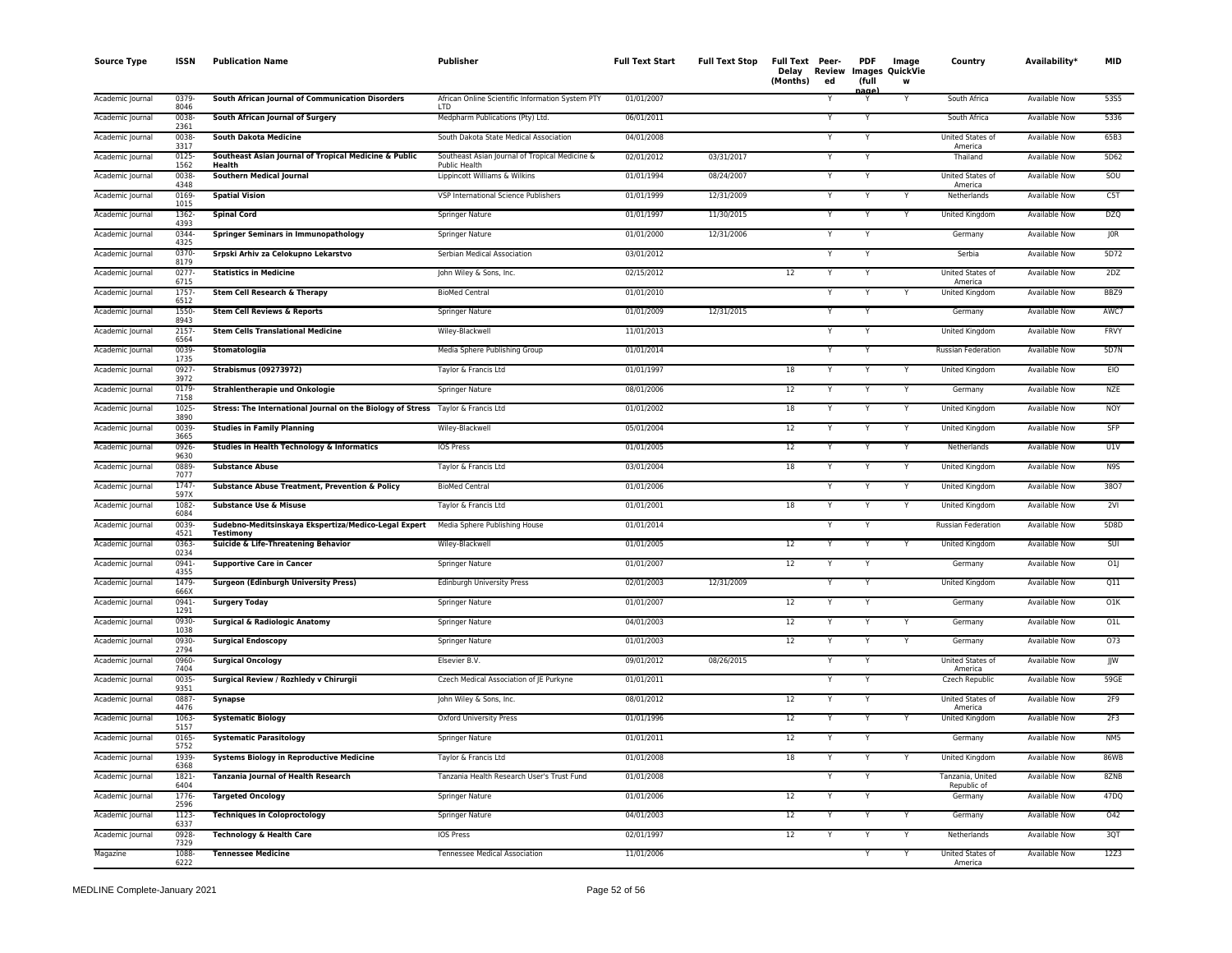| <b>Source Type</b> | ISSN             | <b>Publication Name</b>                                                         | <b>Publisher</b>                                                       | <b>Full Text Start</b> | <b>Full Text Stop</b> | <b>Full Text Peer-</b><br>Delay<br>(Months)<br>ed | PDF<br>(full<br>nage | Image<br>Review Images QuickVie<br>W | Country                         | Availability*        | <b>MID</b> |
|--------------------|------------------|---------------------------------------------------------------------------------|------------------------------------------------------------------------|------------------------|-----------------------|---------------------------------------------------|----------------------|--------------------------------------|---------------------------------|----------------------|------------|
| Academic Journal   | 0379<br>8046     | South African Journal of Communication Disorders                                | African Online Scientific Information System PTY<br>LTD                | 01/01/2007             |                       |                                                   |                      |                                      | South Africa                    | Available Now        | 53S5       |
| Academic Journal   | 0038<br>2361     | South African Journal of Surgery                                                | Medpharm Publications (Pty) Ltd.                                       | 06/01/2011             |                       | Y                                                 | Y                    |                                      | South Africa                    | Available Now        | 5336       |
| Academic Journal   | 0038<br>3317     | <b>South Dakota Medicine</b>                                                    | South Dakota State Medical Association                                 | 04/01/2008             |                       | Y                                                 | Y                    |                                      | United States of<br>America     | Available Now        | 65B3       |
| Academic Journal   | 0125<br>1562     | Southeast Asian Journal of Tropical Medicine & Public<br>Health                 | Southeast Asian Journal of Tropical Medicine &<br><b>Public Health</b> | 02/01/2012             | 03/31/2017            | Υ                                                 |                      |                                      | Thailand                        | <b>Available Now</b> | 5D62       |
| Academic Journal   | 0038<br>4348     | <b>Southern Medical Journal</b>                                                 | Lippincott Williams & Wilkins                                          | 01/01/1994             | 08/24/2007            | Y                                                 |                      |                                      | United States of<br>America     | <b>Available Now</b> | SOU        |
| Academic Journal   | 0169<br>1015     | <b>Spatial Vision</b>                                                           | VSP International Science Publishers                                   | 01/01/1999             | 12/31/2009            | Y                                                 | Y                    | Y                                    | Netherlands                     | <b>Available Now</b> | C5T        |
| Academic Journal   | 1362-<br>4393    | <b>Spinal Cord</b>                                                              | Springer Nature                                                        | 01/01/1997             | 11/30/2015            | Y                                                 | Y                    | Y                                    | United Kingdom                  | Available Now        | <b>DZQ</b> |
| Academic Journal   | 0344<br>4325     | <b>Springer Seminars in Immunopathology</b>                                     | Springer Nature                                                        | 01/01/2000             | 12/31/2006            | Y                                                 |                      |                                      | Germany                         | Available Now        | JOR        |
| Academic Journal   | 0370-<br>8179    | Srpski Arhiv za Celokupno Lekarstvo                                             | Serbian Medical Association                                            | 03/01/2012             |                       | Y                                                 | Y                    |                                      | Serbia                          | Available Now        | 5D72       |
| Academic Journal   | 0277<br>6715     | <b>Statistics in Medicine</b>                                                   | John Wiley & Sons, Inc.                                                | 02/15/2012             |                       | $12 \overline{ }$<br>Y                            | Y                    |                                      | United States of<br>America     | Available Now        | 2DZ        |
| Academic Journal   | 1757<br>6512     | Stem Cell Research & Therapy                                                    | <b>BioMed Central</b>                                                  | 01/01/2010             |                       | Y                                                 |                      | Y                                    | United Kingdom                  | <b>Available Now</b> | BBZ9       |
| Academic Journal   | 1550-<br>8943    | <b>Stem Cell Reviews &amp; Reports</b>                                          | Springer Nature                                                        | 01/01/2009             | 12/31/2015            | Υ                                                 |                      |                                      | Germany                         | Available Now        | AWC7       |
| Academic Journal   | 2157<br>6564     | <b>Stem Cells Translational Medicine</b>                                        | Wiley-Blackwell                                                        | 11/01/2013             |                       | Υ                                                 |                      |                                      | United Kingdom                  | Available Now        | FRVY       |
| Academic Journal   | 0039-<br>1735    | Stomatologiia                                                                   | Media Sphere Publishing Group                                          | 01/01/2014             |                       |                                                   |                      |                                      | Russian Federation              | Available Now        | 5D7N       |
| Academic Journal   | 0927<br>3972     | <b>Strabismus (09273972)</b>                                                    | Taylor & Francis Ltd                                                   | 01/01/1997             |                       | 18<br>Υ                                           |                      | Y                                    | United Kingdom                  | Available Now        | EIO        |
| Academic Journal   | 0179<br>7158     | Strahlentherapie und Onkologie                                                  | Springer Nature                                                        | 08/01/2006             |                       | 12<br>Υ                                           |                      | Y                                    | Germany                         | Available Now        | NZE        |
| Academic Journal   | 1025<br>3890     | Stress: The International Journal on the Biology of Stress Taylor & Francis Ltd |                                                                        | 01/01/2002             |                       | 18                                                |                      | Y                                    | United Kingdom                  | Available Now        | NOY        |
| Academic Journal   | 0039<br>3665     | <b>Studies in Family Planning</b>                                               | Wiley-Blackwell                                                        | 05/01/2004             |                       | 12                                                |                      | Y                                    | United Kingdom                  | <b>Available Now</b> | <b>SFP</b> |
| Academic Journal   | 0926<br>9630     | Studies in Health Technology & Informatics                                      | <b>IOS Press</b>                                                       | 01/01/2005             |                       | 12                                                |                      | Y                                    | Netherlands                     | Available Now        | U1V        |
| Academic Journal   | 0889<br>7077     | <b>Substance Abuse</b>                                                          | Taylor & Francis Ltd                                                   | 03/01/2004             |                       | 18<br>Υ                                           |                      | Y                                    | United Kingdom                  | Available Now        | N9S        |
| Academic Journal   | $1747 -$<br>597X | Substance Abuse Treatment, Prevention & Policy                                  | <b>BioMed Central</b>                                                  | 01/01/2006             |                       | Y                                                 |                      | Y                                    | United Kingdom                  | Available Now        | 3807       |
| Academic Journal   | 1082<br>6084     | <b>Substance Use &amp; Misuse</b>                                               | Taylor & Francis Ltd                                                   | 01/01/2001             |                       | 18<br>Y                                           | Y                    | Υ                                    | United Kingdom                  | <b>Available Now</b> | 2VI        |
| Academic Journal   | 0039-<br>4521    | Sudebno-Meditsinskaya Ekspertiza/Medico-Legal Expert<br>Testimony               | Media Sphere Publishing House                                          | 01/01/2014             |                       | Y                                                 | Y                    |                                      | Russian Federation              | <b>Available Now</b> | 5D8D       |
| Academic Journal   | 0363<br>0234     | Suicide & Life-Threatening Behavior                                             | Wiley-Blackwell                                                        | 01/01/2005             |                       | 12<br>Y                                           |                      | Y                                    | United Kingdom                  | <b>Available Now</b> | SUI        |
| Academic Journal   | 0941<br>4355     | <b>Supportive Care in Cancer</b>                                                | Springer Nature                                                        | 01/01/2007             |                       | 12<br>Y                                           |                      |                                      | Germany                         | Available Now        | O1J        |
| Academic Journal   | 1479<br>666X     | <b>Surgeon (Edinburgh University Press)</b>                                     | <b>Edinburgh University Press</b>                                      | 02/01/2003             | 12/31/2009            | Y                                                 | Y                    |                                      | United Kingdom                  | Available Now        | Q11        |
| Academic Journal   | 0941<br>1291     | <b>Surgery Today</b>                                                            | Springer Nature                                                        | 01/01/2007             |                       | 12                                                |                      |                                      | Germany                         | Available Now        | 01K        |
| Academic Journal   | 0930-<br>1038    | <b>Surgical &amp; Radiologic Anatomy</b>                                        | Springer Nature                                                        | 04/01/2003             |                       | 12                                                |                      | Y                                    | Germany                         | Available Now        | O1L        |
| Academic Journal   | 0930<br>2794     | <b>Surgical Endoscopy</b>                                                       | Springer Nature                                                        | 01/01/2003             |                       | 12<br>Y                                           | Y                    | Y                                    | Germany                         | Available Now        | 073        |
| Academic Journal   | 0960-<br>7404    | <b>Surgical Oncology</b>                                                        | Elsevier B.V.                                                          | 09/01/2012             | 08/26/2015            | Y                                                 | Y                    |                                      | United States of<br>America     | Available Now        | JJW        |
| Academic Journal   | 0035<br>9351     | Surgical Review / Rozhledy v Chirurgii                                          | Czech Medical Association of JE Purkyne                                | 01/01/2011             |                       |                                                   |                      |                                      | Czech Republic                  | <b>Available Now</b> | 59GE       |
| Academic Journal   | 0887<br>4476     | Synapse                                                                         | John Wiley & Sons, Inc.                                                | 08/01/2012             |                       | 12                                                |                      |                                      | United States of<br>America     | <b>Available Now</b> | 2F9        |
| Academic Journal   | 1063<br>5157     | <b>Systematic Biology</b>                                                       | <b>Oxford University Press</b>                                         | 01/01/1996             |                       | 12                                                |                      |                                      | United Kingdom                  | <b>Available Now</b> | 2F3        |
| Academic Journal   | 0165<br>5752     | <b>Systematic Parasitology</b>                                                  | Springer Nature                                                        | 01/01/2011             |                       | $12 \overline{ }$                                 |                      |                                      | Germany                         | <b>Available Now</b> | NM5        |
| Academic Journal   | 1939-<br>6368    | <b>Systems Biology in Reproductive Medicine</b>                                 | Taylor & Francis Ltd                                                   | 01/01/2008             |                       | 18<br>Y                                           | Y                    | Y                                    | United Kingdom                  | <b>Available Now</b> | 86WB       |
| Academic Journal   | 1821<br>6404     | Tanzania Journal of Health Research                                             | Tanzania Health Research User's Trust Fund                             | 01/01/2008             |                       | Y                                                 | Y                    |                                      | Tanzania, United<br>Republic of | Available Now        | 8ZNB       |
| Academic Journal   | 1776-<br>2596    | <b>Targeted Oncology</b>                                                        | <b>Springer Nature</b>                                                 | 01/01/2006             |                       | 12<br>Y                                           |                      |                                      | Germany                         | <b>Available Now</b> | 47DQ       |
| Academic Journal   | 1123<br>6337     | <b>Techniques in Coloproctology</b>                                             | Springer Nature                                                        | 04/01/2003             |                       | 12<br>Y                                           |                      | Y                                    | Germany                         | Available Now        | 042        |
| Academic Journal   | 0928<br>7329     | Technology & Health Care                                                        | IOS Press                                                              | 02/01/1997             |                       | 12                                                |                      | Y                                    | Netherlands                     | Available Now        | 3QT        |
| Magazine           | 1088<br>6222     | <b>Tennessee Medicine</b>                                                       | Tennessee Medical Association                                          | 11/01/2006             |                       |                                                   | Y                    | Y                                    | United States of<br>America     | Available Now        | 12Z3       |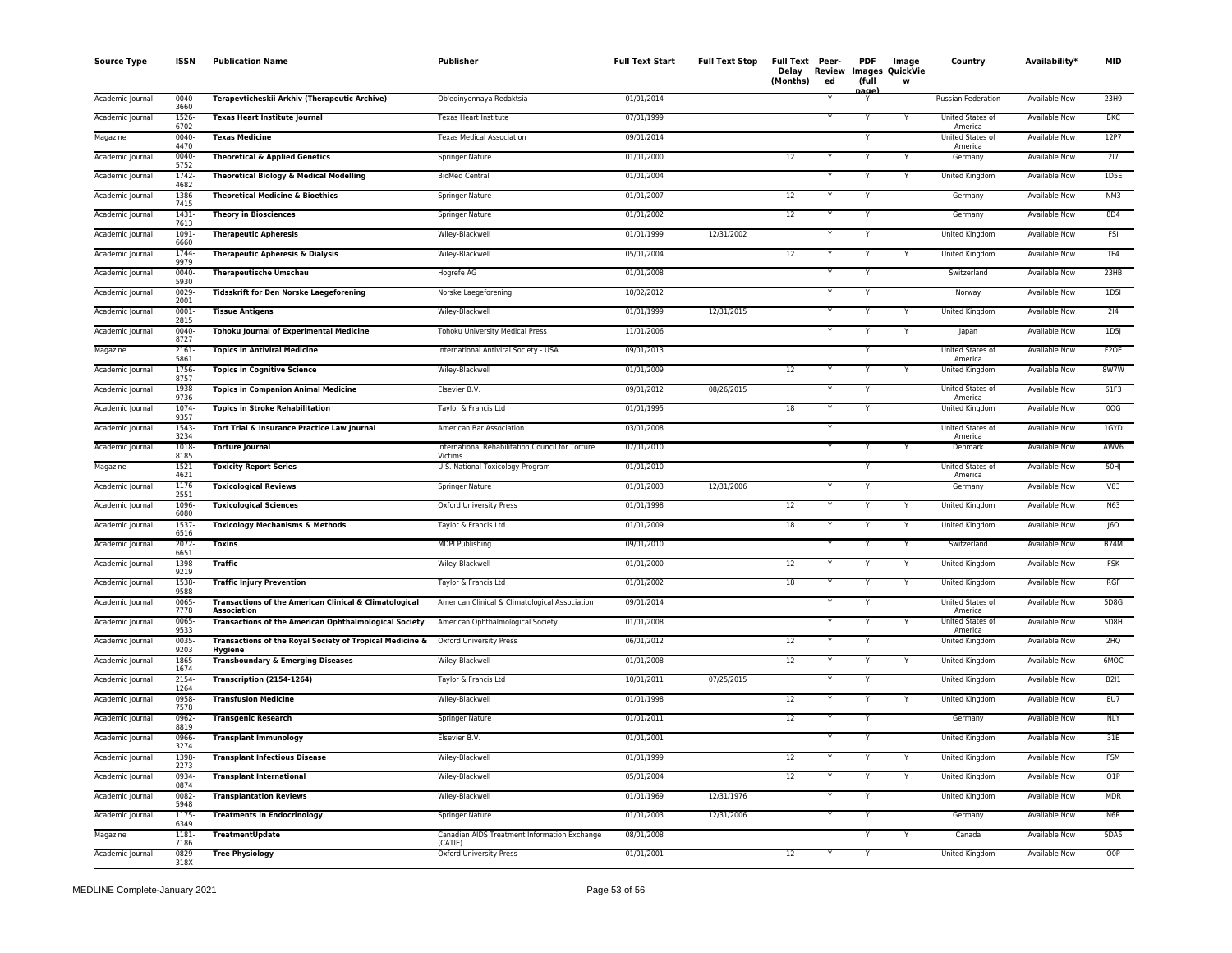| <b>Source Type</b> | <b>ISSN</b>      | <b>Publication Name</b>                                                    | <b>Publisher</b>                                            | <b>Full Text Start</b> | <b>Full Text Stop</b> | Full Text Peer-<br>Delay<br>(Months) | Review<br>ed | <b>PDF</b><br>(full<br>aane | Image<br><b>Images QuickVie</b><br>w | Country                     | Availability*        | <b>MID</b>      |
|--------------------|------------------|----------------------------------------------------------------------------|-------------------------------------------------------------|------------------------|-----------------------|--------------------------------------|--------------|-----------------------------|--------------------------------------|-----------------------------|----------------------|-----------------|
| Academic Journal   | 0040-<br>3660    | Terapevticheskii Arkhiv (Therapeutic Archive)                              | Ob'edinyonnaya Redaktsia                                    | 01/01/2014             |                       |                                      |              |                             |                                      | <b>Russian Federation</b>   | <b>Available Now</b> | 23H9            |
| Academic Journal   | $1526 -$<br>6702 | <b>Texas Heart Institute Journal</b>                                       | <b>Texas Heart Institute</b>                                | 07/01/1999             |                       |                                      | Y            | Y                           | Y                                    | United States of<br>America | <b>Available Now</b> | <b>BKC</b>      |
| Magazine           | 0040-<br>4470    | <b>Texas Medicine</b>                                                      | <b>Texas Medical Association</b>                            | 09/01/2014             |                       |                                      |              | Y                           |                                      | United States of<br>America | <b>Available Now</b> | 12P7            |
| Academic Journal   | 0040-<br>5752    | <b>Theoretical &amp; Applied Genetics</b>                                  | Springer Nature                                             | 01/01/2000             |                       | 12                                   | Y            | Y                           | Υ                                    | Germany                     | <b>Available Now</b> | 217             |
| Academic Journal   | 1742<br>4682     | <b>Theoretical Biology &amp; Medical Modelling</b>                         | <b>BioMed Central</b>                                       | 01/01/2004             |                       |                                      | Y            | Y                           | Y                                    | United Kingdom              | Available Now        | 1D5E            |
| Academic Journal   | 1386-<br>7415    | <b>Theoretical Medicine &amp; Bioethics</b>                                | Springer Nature                                             | 01/01/2007             |                       | 12                                   |              | Y                           |                                      | Germany                     | Available Now        | NM3             |
| Academic Journal   | 1431<br>7613     | <b>Theory in Biosciences</b>                                               | Springer Nature                                             | 01/01/2002             |                       | 12                                   |              | Y                           |                                      | Germany                     | Available Now        | 8D4             |
| Academic Journal   | 1091<br>6660     | <b>Therapeutic Apheresis</b>                                               | Wiley-Blackwell                                             | 01/01/1999             | 12/31/2002            |                                      | Y            | Y                           |                                      | <b>United Kingdom</b>       | <b>Available Now</b> | <b>FSI</b>      |
| Academic Journal   | 1744-<br>9979    | <b>Therapeutic Apheresis &amp; Dialysis</b>                                | Wiley-Blackwell                                             | 05/01/2004             |                       | 12                                   |              |                             |                                      | United Kingdom              | <b>Available Now</b> | TF4             |
| Academic Journal   | 0040-<br>5930    | <b>Therapeutische Umschau</b>                                              | Hogrefe AG                                                  | 01/01/2008             |                       |                                      | Y            | Y                           |                                      | Switzerland                 | <b>Available Now</b> | 23HB            |
| Academic Journal   | 0029<br>2001     | <b>Tidsskrift for Den Norske Laegeforening</b>                             | Norske Laegeforening                                        | 10/02/2012             |                       |                                      |              | Y                           |                                      | Norway                      | <b>Available Now</b> | 1D5I            |
| Academic Journal   | $0001 -$<br>2815 | <b>Tissue Antigens</b>                                                     | Wiley-Blackwell                                             | 01/01/1999             | 12/31/2015            |                                      |              | Υ                           |                                      | United Kingdom              | <b>Available Now</b> | 214             |
| Academic Journal   | 0040-<br>8727    | <b>Tohoku Journal of Experimental Medicine</b>                             | <b>Tohoku University Medical Press</b>                      | 11/01/2006             |                       |                                      | Y            | Y                           | Y                                    | Japan                       | Available Now        | 1D5             |
| Magazine           | 2161-<br>5861    | <b>Topics in Antiviral Medicine</b>                                        | International Antiviral Society - USA                       | 09/01/2013             |                       |                                      |              |                             |                                      | United States of<br>America | Available Now        | F2OE            |
| Academic Journal   | 1756-<br>8757    | <b>Topics in Cognitive Science</b>                                         | Wiley-Blackwell                                             | 01/01/2009             |                       | 12                                   |              | Y                           |                                      | United Kingdom              | Available Now        | 8W7W            |
| Academic Journal   | 1938-<br>9736    | <b>Topics in Companion Animal Medicine</b>                                 | Elsevier B.V.                                               | 09/01/2012             | 08/26/2015            |                                      |              | Y                           |                                      | United States of<br>America | Available Now        | 61F3            |
| Academic Journal   | 1074<br>9357     | <b>Topics in Stroke Rehabilitation</b>                                     | Taylor & Francis Ltd                                        | 01/01/1995             |                       | 18                                   | Ÿ            | Y                           |                                      | <b>United Kingdom</b>       | <b>Available Now</b> | 00G             |
| Academic Journal   | $1543-$<br>3234  | Tort Trial & Insurance Practice Law Journal                                | American Bar Association                                    | 03/01/2008             |                       |                                      | Y            |                             |                                      | United States of<br>America | <b>Available Now</b> | 1GYD            |
| Academic Journal   | 1018<br>8185     | <b>Torture Journal</b>                                                     | International Rehabilitation Council for Torture<br>Victims | 07/01/2010             |                       |                                      |              | Υ                           | Υ                                    | Denmark                     | Available Now        | AWV6            |
| Magazine           | $1521 -$<br>4621 | <b>Toxicity Report Series</b>                                              | U.S. National Toxicology Program                            | 01/01/2010             |                       |                                      |              | Y                           |                                      | United States of<br>America | Available Now        | 50HJ            |
| Academic Journal   | 1176<br>2551     | <b>Toxicological Reviews</b>                                               | Springer Nature                                             | 01/01/2003             | 12/31/2006            |                                      | Y            | Υ                           |                                      | Germany                     | Available Now        | V83             |
| Academic Journal   | 1096-<br>6080    | <b>Toxicological Sciences</b>                                              | Oxford University Press                                     | 01/01/1998             |                       | 12                                   |              | Y                           | Υ                                    | United Kingdom              | Available Now        | N63             |
| Academic Journal   | $1537 -$<br>6516 | <b>Toxicology Mechanisms &amp; Methods</b>                                 | Taylor & Francis Ltd                                        | 01/01/2009             |                       | 18                                   |              |                             |                                      | <b>United Kingdom</b>       | <b>Available Now</b> | J60             |
| Academic Journal   | 2072-<br>6651    | <b>Toxins</b>                                                              | <b>MDPI Publishing</b>                                      | 09/01/2010             |                       |                                      |              | Υ                           | Y                                    | Switzerland                 | Available Now        | <b>B74M</b>     |
| Academic Journal   | 1398-<br>9219    | <b>Traffic</b>                                                             | Wiley-Blackwell                                             | 01/01/2000             |                       | 12                                   | Y            | Y                           | Y                                    | United Kingdom              | Available Now        | FSK             |
| Academic Journal   | 1538-<br>9588    | <b>Traffic Injury Prevention</b>                                           | Taylor & Francis Ltd                                        | 01/01/2002             |                       | 18                                   | Y            | Y                           | Y                                    | <b>United Kingdom</b>       | <b>Available Now</b> | <b>RGF</b>      |
| Academic Journal   | 0065<br>7778     | Transactions of the American Clinical & Climatological<br>Association      | American Clinical & Climatological Association              | 09/01/2014             |                       |                                      |              | Υ                           |                                      | United States of<br>America | Available Now        | 5D8G            |
| Academic Journal   | 0065<br>9533     | <b>Transactions of the American Ophthalmological Society</b>               | American Ophthalmological Society                           | 01/01/2008             |                       |                                      |              |                             |                                      | United States of<br>America | Available Now        | 5D8H            |
| Academic Journal   | 0035<br>9203     | Transactions of the Royal Society of Tropical Medicine &<br><b>Hygiene</b> | Oxford University Press                                     | 06/01/2012             |                       | 12                                   |              | v                           |                                      | United Kingdom              | Available Now        | 2HQ             |
| Academic Journal   | 1865<br>1674     | <b>Transboundary &amp; Emerging Diseases</b>                               | Wiley-Blackwell                                             | 01/01/2008             |                       | 12                                   |              | Y                           |                                      | United Kingdom              | Available Now        | 6MOC            |
| Academic Journal   | 2154<br>1264     | Transcription (2154-1264)                                                  | Taylor & Francis Ltd                                        | 10/01/2011             | 07/25/2015            |                                      | Y            | Y                           |                                      | United Kingdom              | Available Now        | B211            |
| Academic Journal   | 0958-<br>7578    | <b>Transfusion Medicine</b>                                                | Wiley-Blackwell                                             | 01/01/1998             |                       | 12                                   | Y            | Y                           | Ÿ                                    | <b>United Kingdom</b>       | <b>Available Now</b> | EUT             |
| Academic Journal   | $0962 -$<br>8819 | <b>Transgenic Research</b>                                                 | Springer Nature                                             | 01/01/2011             |                       | 12                                   | Y            | Y                           |                                      | Germany                     | <b>Available Now</b> | <b>NLY</b>      |
| Academic Journal   | 0966<br>3274     | <b>Transplant Immunology</b>                                               | Elsevier B.V.                                               | 01/01/2001             |                       |                                      |              | Υ                           |                                      | United Kingdom              | <b>Available Now</b> | 31E             |
| Academic Journal   | 1398-<br>2273    | <b>Transplant Infectious Disease</b>                                       | Wiley-Blackwell                                             | 01/01/1999             |                       | 12                                   | Y            | v                           | v                                    | United Kingdom              | <b>Available Now</b> | <b>FSM</b>      |
| Academic Journal   | 0934<br>0874     | <b>Transplant International</b>                                            | Wiley-Blackwell                                             | 05/01/2004             |                       | 12                                   | Y            | Y                           | Υ                                    | United Kingdom              | Available Now        | O1P             |
| Academic Journal   | 0082-<br>5948    | <b>Transplantation Reviews</b>                                             | Wiley-Blackwell                                             | 01/01/1969             | 12/31/1976            |                                      |              |                             |                                      | United Kingdom              | Available Now        | <b>MDR</b>      |
| Academic Journal   | 1175<br>6349     | <b>Treatments in Endocrinology</b>                                         | <b>Springer Nature</b>                                      | 01/01/2003             | 12/31/2006            |                                      |              |                             |                                      | Germany                     | <b>Available Now</b> | N <sub>6R</sub> |
| Magazine           | 1181<br>7186     | <b>TreatmentUpdate</b>                                                     | Canadian AIDS Treatment Information Exchange<br>(CATIF)     | 08/01/2008             |                       |                                      |              | Y                           |                                      | Canada                      | Available Now        | 5DA5            |
| Academic Journal   | 0829-<br>318X    | <b>Tree Physiology</b>                                                     | Oxford University Press                                     | 01/01/2001             |                       | 12                                   | Y            | Y                           |                                      | <b>United Kingdom</b>       | <b>Available Now</b> | O <sub>OP</sub> |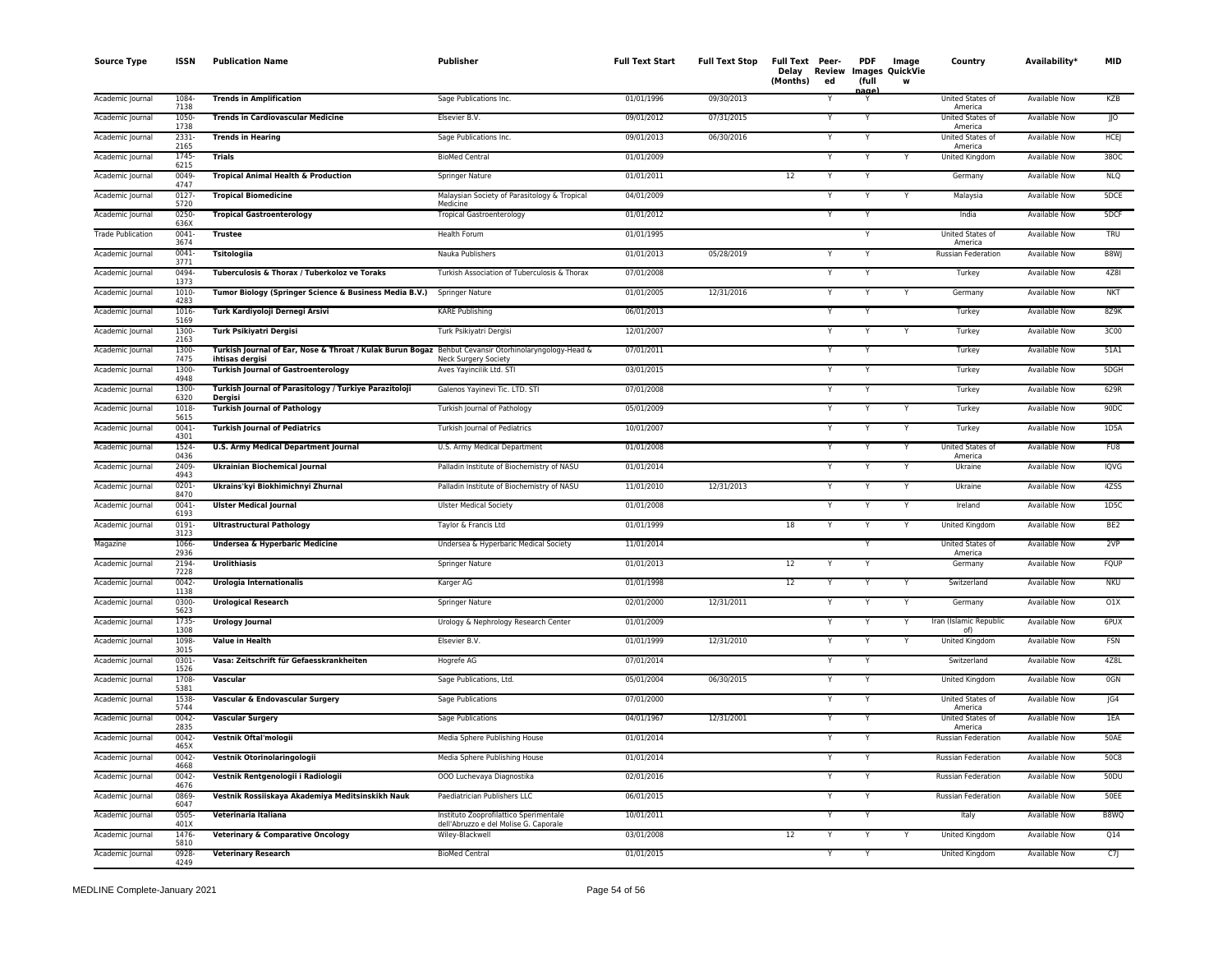| <b>Source Type</b>       | <b>ISSN</b>      | <b>Publication Name</b>                                                                                                 | <b>Publisher</b>                                                                | <b>Full Text Start</b> | <b>Full Text Stop</b> | Full Text Peer-<br>(Months) | Delay Review<br>ed | <b>PDF</b><br>(full | Image<br>Images QuickVie<br>w | Country                            | Availability*        | <b>MID</b>      |
|--------------------------|------------------|-------------------------------------------------------------------------------------------------------------------------|---------------------------------------------------------------------------------|------------------------|-----------------------|-----------------------------|--------------------|---------------------|-------------------------------|------------------------------------|----------------------|-----------------|
| Academic Journal         | 1084<br>7138     | <b>Trends in Amplification</b>                                                                                          | Sage Publications Inc.                                                          | 01/01/1996             | 09/30/2013            |                             |                    | nage<br>Y           |                               | United States of<br>America        | <b>Available Now</b> | KZB             |
| Academic Journal         | 1050-<br>1738    | <b>Trends in Cardiovascular Medicine</b>                                                                                | Elsevier B.V.                                                                   | 09/01/2012             | 07/31/2015            |                             |                    | $\overline{Y}$      |                               | <b>United States of</b><br>America | <b>Available Now</b> | $\overline{10}$ |
| Academic Journal         | 2331-<br>2165    | <b>Trends in Hearing</b>                                                                                                | Sage Publications Inc.                                                          | 09/01/2013             | 06/30/2016            |                             |                    | Y                   |                               | United States of<br>America        | <b>Available Now</b> | <b>HCEJ</b>     |
| Academic Journal         | 1745<br>6215     | <b>Trials</b>                                                                                                           | <b>BioMed Central</b>                                                           | 01/01/2009             |                       |                             |                    | Y                   | Y                             | United Kingdom                     | <b>Available Now</b> | 380C            |
| Academic Journal         | 0049<br>4747     | <b>Tropical Animal Health &amp; Production</b>                                                                          | Springer Nature                                                                 | 01/01/2011             |                       | 12                          |                    | Y                   |                               | Germany                            | Available Now        | <b>NLQ</b>      |
| Academic Journal         | 0127<br>5720     | <b>Tropical Biomedicine</b>                                                                                             | Malaysian Society of Parasitology & Tropical<br>Medicine                        | 04/01/2009             |                       |                             |                    | Y                   |                               | Malaysia                           | Available Now        | 5DCE            |
| Academic Journal         | 0250<br>636X     | <b>Tropical Gastroenterology</b>                                                                                        | <b>Tropical Gastroenterology</b>                                                | 01/01/2012             |                       |                             |                    |                     |                               | India                              | <b>Available Now</b> | 5DCF            |
| <b>Trade Publication</b> | 0041<br>3674     | <b>Trustee</b>                                                                                                          | <b>Health Forum</b>                                                             | 01/01/1995             |                       |                             |                    | Y                   |                               | United States of<br>America        | <b>Available Now</b> | TRU             |
| Academic Journal         | 0041<br>3771     | <b>Tsitologiia</b>                                                                                                      | Nauka Publishers                                                                | 01/01/2013             | 05/28/2019            |                             |                    |                     |                               | Russian Federation                 | <b>Available Now</b> | B8WJ            |
| Academic Journal         | 0494<br>1373     | Tuberculosis & Thorax / Tuberkoloz ve Toraks                                                                            | Turkish Association of Tuberculosis & Thorax                                    | 07/01/2008             |                       |                             |                    | Y                   |                               | Turkey                             | <b>Available Now</b> | 4Z81            |
| Academic Journal         | 1010<br>4283     | Tumor Biology (Springer Science & Business Media B.V.)                                                                  | Springer Nature                                                                 | 01/01/2005             | 12/31/2016            |                             |                    | Y                   |                               | Germany                            | <b>Available Now</b> | <b>NKT</b>      |
| Academic Journal         | 1016<br>5169     | Turk Kardiyoloji Dernegi Arsivi                                                                                         | <b>KARE Publishing</b>                                                          | 06/01/2013             |                       |                             |                    | Y                   |                               | Turkey                             | <b>Available Now</b> | 8Z9K            |
| Academic Journal         | 1300<br>2163     | Turk Psikiyatri Dergisi                                                                                                 | Turk Psikiyatri Dergisi                                                         | 12/01/2007             |                       |                             |                    | Y                   |                               | Turkey                             | <b>Available Now</b> | 3C00            |
| Academic Journal         | 1300-<br>7475    | Turkish Journal of Ear, Nose & Throat / Kulak Burun Bogaz Behbut Cevansir Otorhinolaryngology-Head &<br>ihtisas dergisi | Neck Surgery Society                                                            | 07/01/2011             |                       |                             |                    |                     |                               | Turkey                             | Available Now        | 51A1            |
| Academic Journal         | 1300<br>4948     | <b>Turkish Journal of Gastroenterology</b>                                                                              | Aves Yayincilik Ltd. STI                                                        | 03/01/2015             |                       |                             |                    | Y                   |                               | Turkey                             | Available Now        | 5DGH            |
| Academic Journal         | 1300-<br>6320    | Turkish Journal of Parasitology / Turkiye Parazitoloji<br>Deraisi                                                       | Galenos Yayinevi Tic. LTD. STI                                                  | 07/01/2008             |                       |                             |                    |                     |                               | Turkey                             | <b>Available Now</b> | 629R            |
| Academic Journal         | 1018<br>5615     | <b>Turkish Journal of Pathology</b>                                                                                     | Turkish Journal of Pathology                                                    | 05/01/2009             |                       |                             |                    | Y                   |                               | Turkey                             | <b>Available Now</b> | 90DC            |
| Academic Journal         | $0041 -$<br>4301 | <b>Turkish Journal of Pediatrics</b>                                                                                    | Turkish Journal of Pediatrics                                                   | 10/01/2007             |                       |                             |                    | Y                   | Y                             | Turkey                             | <b>Available Now</b> | 1D5A            |
| Academic Journal         | 1524<br>0436     | <b>U.S. Army Medical Department Journal</b>                                                                             | U.S. Army Medical Department                                                    | 01/01/2008             |                       |                             |                    | Y                   | Y                             | United States of<br>America        | Available Now        | FU8             |
| Academic Journal         | 2409<br>4943     | <b>Ukrainian Biochemical Journal</b>                                                                                    | Palladin Institute of Biochemistry of NASU                                      | 01/01/2014             |                       |                             |                    | Y                   | Y                             | Ukraine                            | <b>Available Now</b> | <b>IQVG</b>     |
| Academic Journal         | 0201<br>8470     | Ukrains'kyi Biokhimichnyi Zhurnal                                                                                       | Palladin Institute of Biochemistry of NASU                                      | 11/01/2010             | 12/31/2013            |                             |                    |                     | Y                             | Ukraine                            | Available Now        | 4ZSS            |
| Academic Journal         | 0041<br>6193     | <b>Ulster Medical Journal</b>                                                                                           | <b>Ulster Medical Society</b>                                                   | 01/01/2008             |                       |                             |                    | Y                   | Y                             | Ireland                            | Available Now        | 1D5C            |
| Academic Journal         | $0191 -$<br>3123 | <b>Ultrastructural Pathology</b>                                                                                        | Taylor & Francis Ltd                                                            | 01/01/1999             |                       | 18                          |                    |                     |                               | United Kingdom                     | <b>Available Now</b> | BE <sub>2</sub> |
| Magazine                 | 1066<br>2936     | Undersea & Hyperbaric Medicine                                                                                          | Undersea & Hyperbaric Medical Society                                           | 11/01/2014             |                       |                             |                    | Y                   |                               | United States of<br>America        | Available Now        | 2VP             |
| Academic Journal         | 2194<br>7228     | Urolithiasis                                                                                                            | Springer Nature                                                                 | 01/01/2013             |                       | 12                          |                    | Y                   |                               | Germany                            | <b>Available Now</b> | FQUP            |
| Academic Journal         | $0042 -$<br>1138 | <b>Urologia Internationalis</b>                                                                                         | Karger AG                                                                       | 01/01/1998             |                       | 12                          |                    | Y                   |                               | Switzerland                        | <b>Available Now</b> | <b>NKU</b>      |
| Academic Journal         | 0300-<br>5623    | <b>Urological Research</b>                                                                                              | Springer Nature                                                                 | 02/01/2000             | 12/31/2011            |                             |                    | Y                   |                               | Germany                            | Available Now        | 01X             |
| Academic Journal         | 1735<br>1308     | <b>Urology Journal</b>                                                                                                  | Urology & Nephrology Research Center                                            | 01/01/2009             |                       |                             |                    |                     |                               | Iran (Islamic Republic<br>of)      | Available Now        | 6PUX            |
| Academic Journal         | 1098<br>3015     | <b>Value in Health</b>                                                                                                  | Elsevier B.V.                                                                   | 01/01/1999             | 12/31/2010            |                             |                    | Y                   |                               | United Kingdom                     | Available Now        | <b>FSN</b>      |
| Academic Journal         | 0301<br>1526     | Vasa: Zeitschrift für Gefaesskrankheiten                                                                                | Hogrefe AG                                                                      | 07/01/2014             |                       |                             |                    |                     |                               | Switzerland                        | <b>Available Now</b> | 4Z8L            |
| Academic Journal         | 1708<br>5381     | Vascular                                                                                                                | Sage Publications, Ltd.                                                         | 05/01/2004             | 06/30/2015            |                             |                    | Y                   |                               | United Kingdom                     | <b>Available Now</b> | 0GN             |
| Academic Journal         | 1538-<br>5744    | Vascular & Endovascular Surgery                                                                                         | Sage Publications                                                               | 07/01/2000             |                       |                             |                    | Y                   |                               | <b>United States of</b><br>America | <b>Available Now</b> | JG4             |
| Academic Journal         | $0042 -$<br>2835 | <b>Vascular Surgery</b>                                                                                                 | Sage Publications                                                               | 04/01/1967             | 12/31/2001            |                             |                    | Y                   |                               | United States of<br>America        | <b>Available Now</b> | 1EA             |
| Academic Journal         | $0042 -$<br>465X | Vestnik Oftal'mologii                                                                                                   | Media Sphere Publishing House                                                   | 01/01/2014             |                       |                             |                    | Y                   |                               | <b>Russian Federation</b>          | <b>Available Now</b> | 50AE            |
| Academic Journal         | $0042 -$<br>4668 | Vestnik Otorinolaringologii                                                                                             | Media Sphere Publishing House                                                   | 01/01/2014             |                       |                             |                    | Y                   |                               | <b>Russian Federation</b>          | <b>Available Now</b> | 50C8            |
| Academic Journal         | 0042<br>4676     | Vestnik Rentgenologii i Radiologii                                                                                      | 000 Luchevaya Diagnostika                                                       | 02/01/2016             |                       |                             |                    | Y                   |                               | Russian Federation                 | Available Now        | 50DU            |
| Academic Journal         | 0869-<br>6047    | Vestnik Rossiiskaya Akademiya Meditsinskikh Nauk                                                                        | Paediatrician Publishers LLC                                                    | 06/01/2015             |                       |                             |                    |                     |                               | Russian Federation                 | Available Now        | 50EE            |
| Academic Journal         | 0505<br>401X     | Veterinaria Italiana                                                                                                    | Instituto Zooprofilattico Sperimentale<br>dell'Abruzzo e del Molise G. Caporale | 10/01/2011             |                       |                             |                    | Y                   |                               | Italy                              | <b>Available Now</b> | B8WQ            |
| Academic Journal         | 1476<br>5810     | <b>Veterinary &amp; Comparative Oncology</b>                                                                            | Wiley-Blackwell                                                                 | 03/01/2008             |                       | 12                          |                    | Y                   |                               | United Kingdom                     | Available Now        | Q14             |
| Academic Journal         | 0928<br>4249     | <b>Veterinary Research</b>                                                                                              | <b>BioMed Central</b>                                                           | 01/01/2015             |                       |                             |                    | Y                   |                               | <b>United Kingdom</b>              | <b>Available Now</b> | C7              |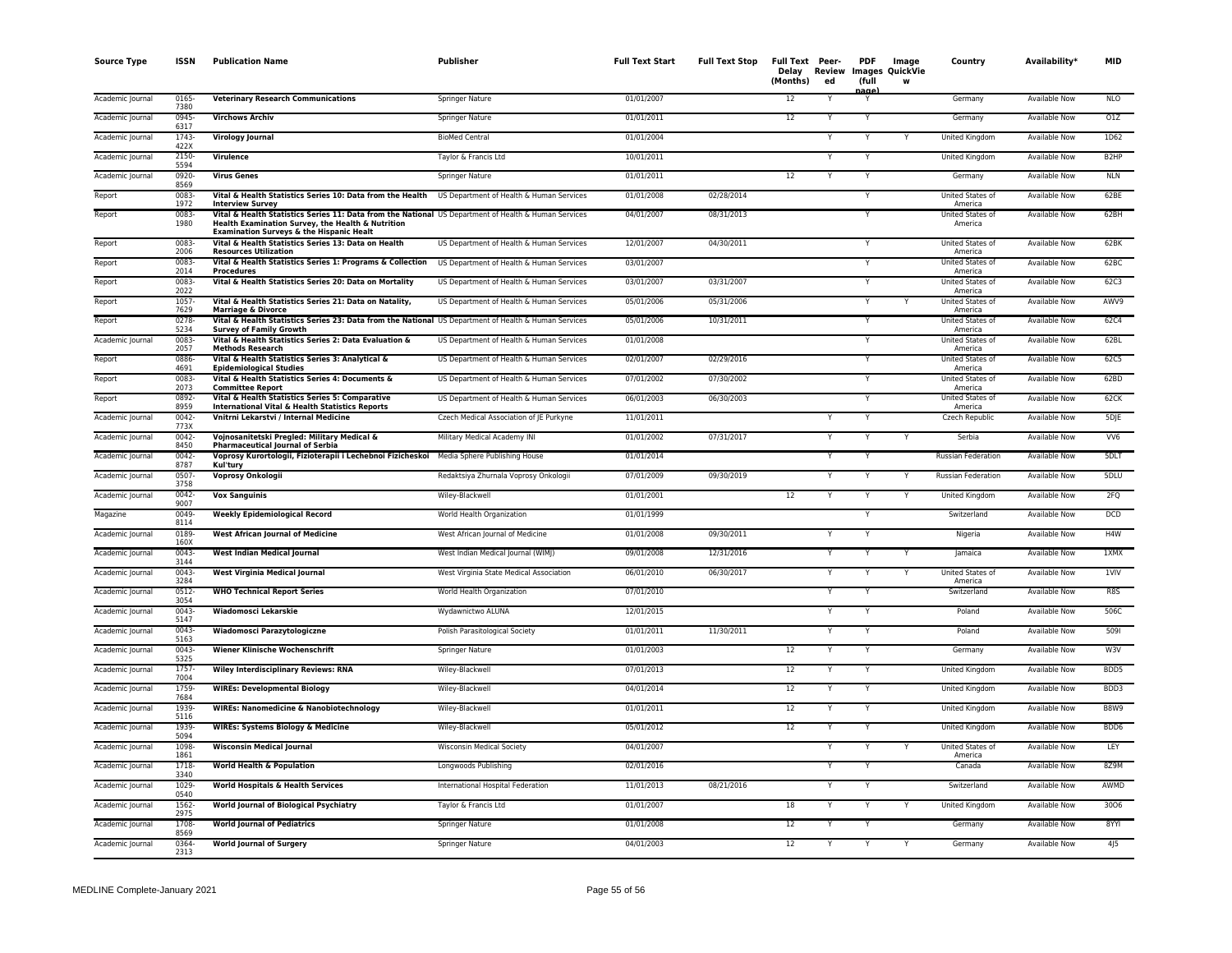| <b>Source Type</b> | <b>ISSN</b>      | <b>Publication Name</b>                                                                                                                                                                                          | Publisher                                | <b>Full Text Start</b> | <b>Full Text Stop</b> | Full Text Peer-<br>(Months) | ed | <b>PDF</b><br>(full | Image<br>Delay Review Images QuickVie<br>W | Country                     | Availability <sup>*</sup> | MID               |
|--------------------|------------------|------------------------------------------------------------------------------------------------------------------------------------------------------------------------------------------------------------------|------------------------------------------|------------------------|-----------------------|-----------------------------|----|---------------------|--------------------------------------------|-----------------------------|---------------------------|-------------------|
| Academic Journal   | 0165<br>7380     | <b>Veterinary Research Communications</b>                                                                                                                                                                        | <b>Springer Nature</b>                   | 01/01/2007             |                       | 12                          |    | aαe<br>Y            |                                            | Germany                     | <b>Available Now</b>      | <b>NLO</b>        |
| Academic Journal   | 0945-<br>6317    | <b>Virchows Archiv</b>                                                                                                                                                                                           | Springer Nature                          | 01/01/2011             |                       | 12                          |    | Y                   |                                            | Germany                     | Available Now             | 01Z               |
| Academic Journal   | 1743-<br>422X    | <b>Virology Journal</b>                                                                                                                                                                                          | <b>BioMed Central</b>                    | 01/01/2004             |                       |                             |    | Υ                   |                                            | United Kingdom              | Available Now             | 1D62              |
| Academic Journal   | 2150-<br>5594    | Virulence                                                                                                                                                                                                        | Taylor & Francis Ltd                     | 10/01/2011             |                       |                             | Y  | Y                   |                                            | United Kingdom              | Available Now             | B <sub>2</sub> HP |
| Academic Journal   | 0920-<br>8569    | <b>Virus Genes</b>                                                                                                                                                                                               | Springer Nature                          | 01/01/2011             |                       | 12                          | Y  | Y                   |                                            | Germany                     | Available Now             | <b>NLN</b>        |
| Report             | $0083 -$<br>1972 | Vital & Health Statistics Series 10: Data from the Health<br><b>Interview Survey</b>                                                                                                                             | US Department of Health & Human Services | 01/01/2008             | 02/28/2014            |                             |    | Y                   |                                            | United States of<br>America | Available Now             | 62BE              |
| Report             | 0083-<br>1980    | Vital & Health Statistics Series 11: Data from the National US Department of Health & Human Services<br>Health Examination Survey, the Health & Nutrition<br><b>Examination Surveys &amp; the Hispanic Healt</b> |                                          | 04/01/2007             | 08/31/2013            |                             |    | Y                   |                                            | United States of<br>America | Available Now             | 62BH              |
| Report             | $0083 -$<br>2006 | Vital & Health Statistics Series 13: Data on Health<br><b>Resources Utilization</b>                                                                                                                              | US Department of Health & Human Services | 12/01/2007             | 04/30/2011            |                             |    | $\overline{Y}$      |                                            | United States of<br>America | <b>Available Now</b>      | 62BK              |
| Report             | 0083-<br>2014    | Vital & Health Statistics Series 1: Programs & Collection<br><b>Procedures</b>                                                                                                                                   | US Department of Health & Human Services | 03/01/2007             |                       |                             |    | Y                   |                                            | United States of<br>America | Available Now             | 62BC              |
| Report             | 0083-<br>2022    | Vital & Health Statistics Series 20: Data on Mortality                                                                                                                                                           | US Department of Health & Human Services | 03/01/2007             | 03/31/2007            |                             |    | Y                   |                                            | United States of<br>America | Available Now             | 62C3              |
| Report             | 1057-<br>7629    | Vital & Health Statistics Series 21: Data on Natality,<br><b>Marriage &amp; Divorce</b>                                                                                                                          | US Department of Health & Human Services | 05/01/2006             | 05/31/2006            |                             |    | Y                   |                                            | United States of<br>America | <b>Available Now</b>      | AWV9              |
| Report             | $0278 -$<br>5234 | Vital & Health Statistics Series 23: Data from the National US Department of Health & Human Services<br><b>Survey of Family Growth</b>                                                                           |                                          | 05/01/2006             | 10/31/2011            |                             |    | Ÿ                   |                                            | United States of<br>America | <b>Available Now</b>      | 62C4              |
| Academic Journal   | $0083 -$<br>2057 | Vital & Health Statistics Series 2: Data Evaluation &<br><b>Methods Research</b>                                                                                                                                 | US Department of Health & Human Services | 01/01/2008             |                       |                             |    | $\mathsf{Y}$        |                                            | United States of<br>America | Available Now             | 62BL              |
| Report             | 0886-<br>4691    | Vital & Health Statistics Series 3: Analytical &<br><b>Epidemiological Studies</b>                                                                                                                               | US Department of Health & Human Services | 02/01/2007             | 02/29/2016            |                             |    | Y                   |                                            | United States of<br>America | Available Now             | 62C5              |
| Report             | 0083<br>2073     | Vital & Health Statistics Series 4: Documents &<br><b>Committee Report</b>                                                                                                                                       | US Department of Health & Human Services | 07/01/2002             | 07/30/2002            |                             |    | Y                   |                                            | United States of<br>America | <b>Available Now</b>      | 62BD              |
| Report             | 0892-<br>8959    | Vital & Health Statistics Series 5: Comparative<br><b>International Vital &amp; Health Statistics Reports</b>                                                                                                    | US Department of Health & Human Services | 06/01/2003             | 06/30/2003            |                             |    | Y                   |                                            | United States of<br>America | Available Now             | 62CK              |
| Academic Journal   | $0042 -$<br>773X | Vnitrni Lekarstvi / Internal Medicine                                                                                                                                                                            | Czech Medical Association of JE Purkyne  | 11/01/2011             |                       |                             |    | $\mathsf{Y}$        |                                            | <b>Czech Republic</b>       | Available Now             | 5DJE              |
| Academic Journal   | $0042 -$<br>8450 | Vojnosanitetski Pregled: Military Medical &<br><b>Pharmaceutical Journal of Serbia</b>                                                                                                                           | Military Medical Academy INI             | 01/01/2002             | 07/31/2017            |                             |    | Y                   |                                            | Serbia                      | <b>Available Now</b>      | VV6               |
| Academic Journal   | 0042-<br>8787    | Voprosy Kurortologii, Fizioterapii i Lechebnoi Fizicheskoi<br>Kul'turv                                                                                                                                           | Media Sphere Publishing House            | 01/01/2014             |                       |                             | Υ  | Y                   |                                            | Russian Federation          | Available Now             | 5DLT              |
| Academic Journal   | 0507<br>3758     | <b>Voprosy Onkologii</b>                                                                                                                                                                                         | Redaktsiya Zhurnala Voprosy Onkologii    | 07/01/2009             | 09/30/2019            |                             |    |                     |                                            | Russian Federation          | Available Now             | 5DLU              |
| Academic Journal   | $0042 -$<br>9007 | <b>Vox Sanguinis</b>                                                                                                                                                                                             | Wiley-Blackwell                          | 01/01/2001             |                       | 12                          |    | Y                   |                                            | <b>United Kingdom</b>       | <b>Available Now</b>      | 2FQ               |
| Magazine           | 0049<br>8114     | <b>Weekly Epidemiological Record</b>                                                                                                                                                                             | World Health Organization                | 01/01/1999             |                       |                             |    | Y                   |                                            | Switzerland                 | Available Now             | <b>DCD</b>        |
| Academic Journal   | 0189<br>160X     | <b>West African Journal of Medicine</b>                                                                                                                                                                          | West African Journal of Medicine         | 01/01/2008             | 09/30/2011            |                             |    | Y                   |                                            | Nigeria                     | Available Now             | H4W               |
| Academic Journal   | $0043 -$<br>3144 | West Indian Medical Journal                                                                                                                                                                                      | West Indian Medical Journal (WIMJ)       | 09/01/2008             | 12/31/2016            |                             |    | Y                   | Y                                          | Jamaica                     | <b>Available Now</b>      | 1XMX              |
| Academic Journal   | $0043 -$<br>3284 | <b>West Virginia Medical Journal</b>                                                                                                                                                                             | West Virginia State Medical Association  | 06/01/2010             | 06/30/2017            |                             |    | Y                   | Υ                                          | United States of<br>America | Available Now             | 1VIV              |
| Academic Journal   | $0512 -$<br>3054 | <b>WHO Technical Report Series</b>                                                                                                                                                                               | World Health Organization                | 07/01/2010             |                       |                             | Y  | Y                   |                                            | Switzerland                 | <b>Available Now</b>      | R8S               |
| Academic Journal   | $0043 -$<br>5147 | Wiadomosci Lekarskie                                                                                                                                                                                             | Wydawnictwo ALUNA                        | 12/01/2015             |                       |                             | Υ  | Y                   |                                            | Poland                      | Available Now             | 506C              |
| Academic Journal   | $0043 -$<br>5163 | Wiadomosci Parazytologiczne                                                                                                                                                                                      | Polish Parasitological Society           | 01/01/2011             | 11/30/2011            |                             |    | Y                   |                                            | Poland                      | <b>Available Now</b>      | 5091              |
| Academic Journal   | $0043 -$<br>5325 | Wiener Klinische Wochenschrift                                                                                                                                                                                   | Springer Nature                          | 01/01/2003             |                       | 12                          |    | Y                   |                                            | Germany                     | <b>Available Now</b>      | W3V               |
| Academic Journal   | 1757-<br>7004    | <b>Wiley Interdisciplinary Reviews: RNA</b>                                                                                                                                                                      | Wiley-Blackwell                          | 07/01/2013             |                       | 12                          | Y  | Y                   |                                            | <b>United Kingdom</b>       | <b>Available Now</b>      | BDD5              |
| Academic Journal   | 1759<br>7684     | <b>WIREs: Developmental Biology</b>                                                                                                                                                                              | Wiley-Blackwell                          | 04/01/2014             |                       | 12                          |    | Y                   |                                            | <b>United Kingdom</b>       | <b>Available Now</b>      | BDD3              |
| Academic Journal   | 1939-<br>5116    | <b>WIREs: Nanomedicine &amp; Nanobiotechnology</b>                                                                                                                                                               | Wiley-Blackwell                          | 01/01/2011             |                       | 12                          |    | Y                   |                                            | United Kingdom              | Available Now             | <b>B8W9</b>       |
| Academic Journal   | 1939-<br>5094    | <b>WIREs: Systems Biology &amp; Medicine</b>                                                                                                                                                                     | Wiley-Blackwell                          | 05/01/2012             |                       | 12                          |    | Y                   |                                            | United Kingdom              | Available Now             | BDD6              |
| Academic Journal   | 1098<br>1861     | <b>Wisconsin Medical Journal</b>                                                                                                                                                                                 | <b>Wisconsin Medical Society</b>         | 04/01/2007             |                       |                             |    | Y                   |                                            | United States of<br>America | <b>Available Now</b>      | LEY               |
| Academic Journal   | 1718-<br>3340    | <b>World Health &amp; Population</b>                                                                                                                                                                             | Longwoods Publishing                     | 02/01/2016             |                       |                             | Y  | Y                   |                                            | Canada                      | <b>Available Now</b>      | 8Z9M              |
| Academic Journal   | 1029-<br>0540    | <b>World Hospitals &amp; Health Services</b>                                                                                                                                                                     | International Hospital Federation        | 11/01/2013             | 08/21/2016            |                             | Υ  | Y                   |                                            | Switzerland                 | Available Now             | AWMD              |
| Academic Journal   | 1562-<br>2975    | <b>World Journal of Biological Psychiatry</b>                                                                                                                                                                    | Taylor & Francis Ltd                     | 01/01/2007             |                       | 18                          |    | Y                   |                                            | United Kingdom              | Available Now             | 3006              |
| Academic Journal   | 1708-<br>8569    | <b>World Journal of Pediatrics</b>                                                                                                                                                                               | Springer Nature                          | 01/01/2008             |                       | $\overline{12}$             |    |                     |                                            | Germany                     | Available Now             | 8YYI              |
| Academic Journal   | 0364<br>2313     | <b>World Journal of Surgery</b>                                                                                                                                                                                  | <b>Springer Nature</b>                   | 04/01/2003             |                       | 12                          | Ŷ  | Y                   | Υ                                          | Germany                     | <b>Available Now</b>      | 4 5               |